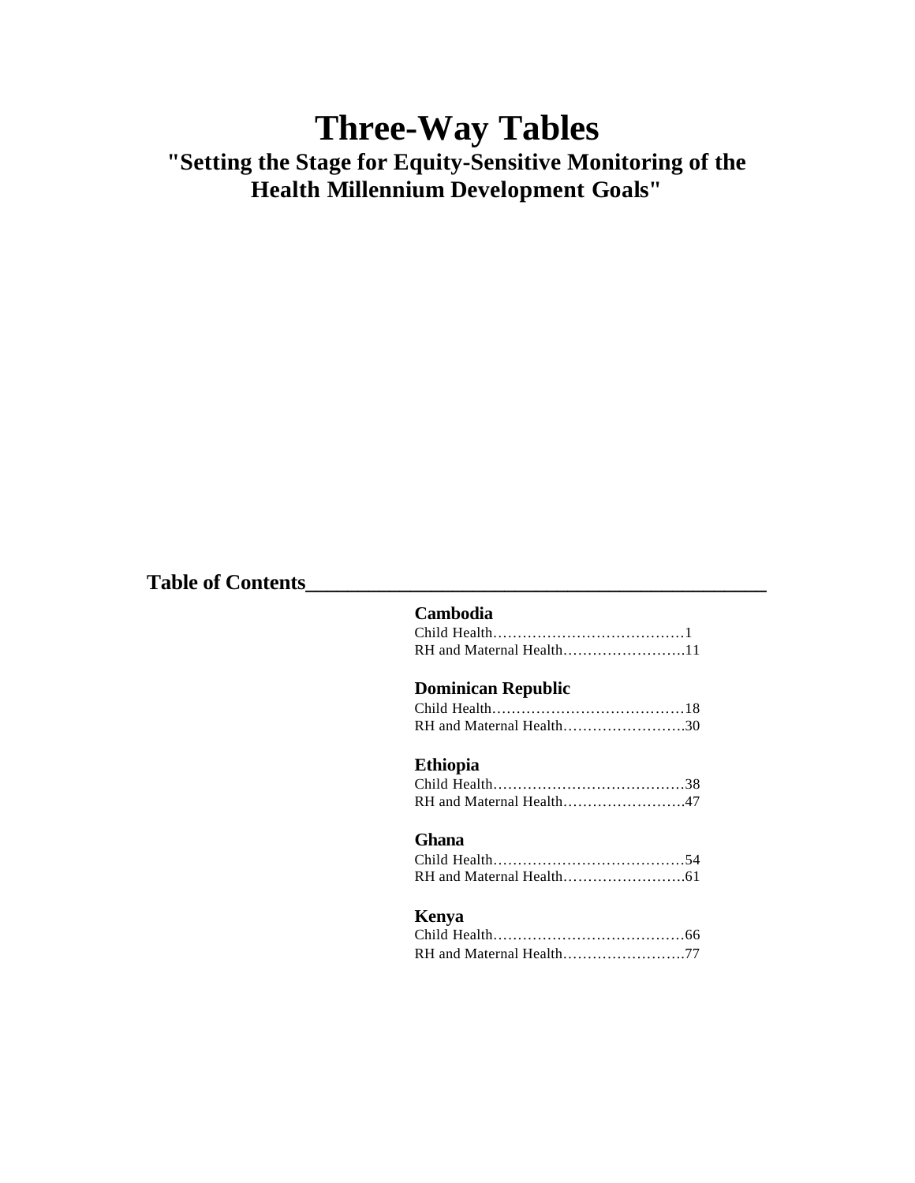# **Three-Way Tables "Setting the Stage for Equity-Sensitive Monitoring of the Health Millennium Development Goals"**

# **Table of Contents\_\_\_\_\_\_\_\_\_\_\_\_\_\_\_\_\_\_\_\_\_\_\_\_\_\_\_\_\_\_\_\_\_\_\_\_\_\_\_\_\_\_\_\_**

#### **Cambodia**

| RH and Maternal Health11 |  |
|--------------------------|--|

# **Dominican Republic**

| RH and Maternal Health30 |  |
|--------------------------|--|
|                          |  |
| Ethiopia                 |  |
|                          |  |
| RH and Maternal Health47 |  |
| Ghana                    |  |
|                          |  |
|                          |  |
|                          |  |

# **Kenya**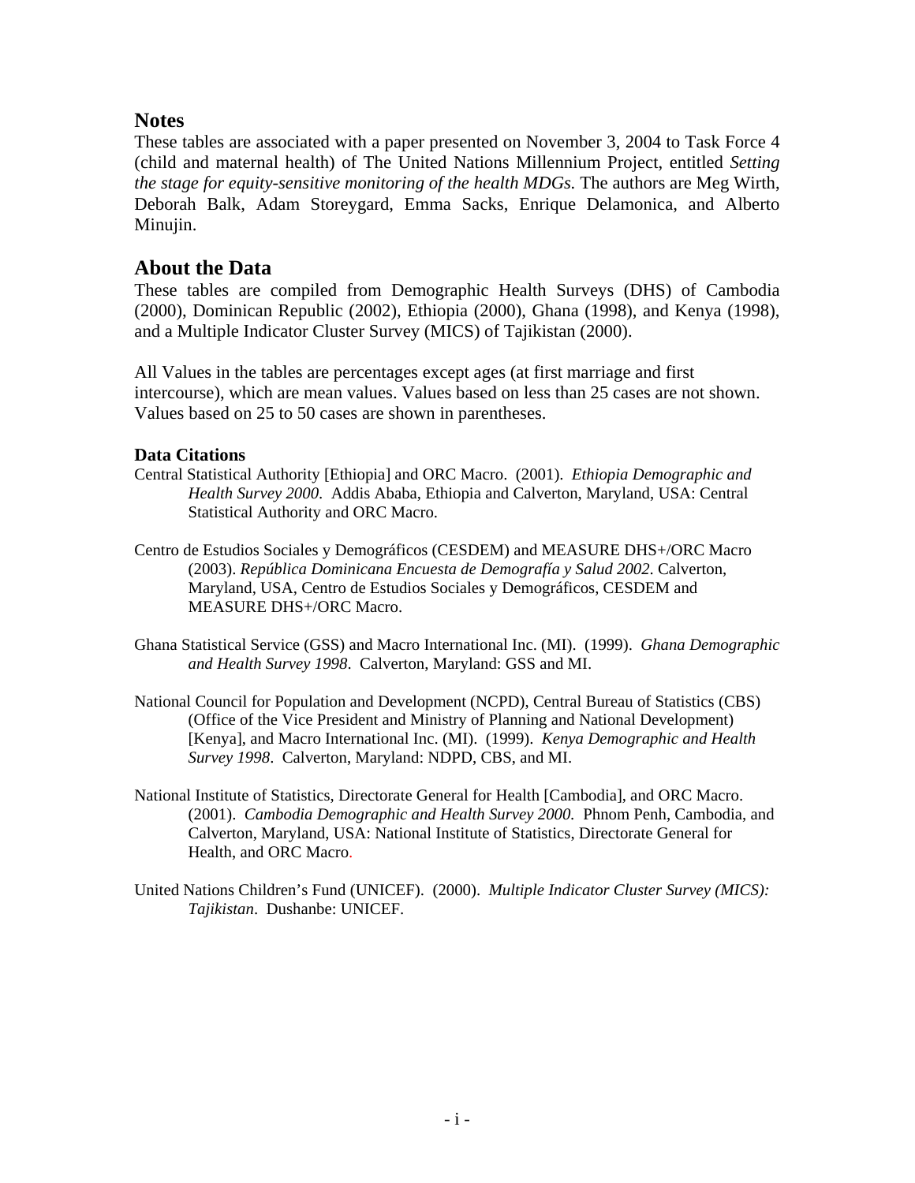# **Notes**

These tables are associated with a paper presented on November 3, 2004 to Task Force 4 (child and maternal health) of The United Nations Millennium Project, entitled *Setting the stage for equity-sensitive monitoring of the health MDGs.* The authors are Meg Wirth, Deborah Balk, Adam Storeygard, Emma Sacks, Enrique Delamonica, and Alberto Minujin.

# **About the Data**

These tables are compiled from Demographic Health Surveys (DHS) of Cambodia (2000), Dominican Republic (2002), Ethiopia (2000), Ghana (1998), and Kenya (1998), and a Multiple Indicator Cluster Survey (MICS) of Tajikistan (2000).

All Values in the tables are percentages except ages (at first marriage and first intercourse), which are mean values. Values based on less than 25 cases are not shown. Values based on 25 to 50 cases are shown in parentheses.

### **Data Citations**

- Central Statistical Authority [Ethiopia] and ORC Macro. (2001). *Ethiopia Demographic and Health Survey 2000*. Addis Ababa, Ethiopia and Calverton, Maryland, USA: Central Statistical Authority and ORC Macro.
- Centro de Estudios Sociales y Demográficos (CESDEM) and MEASURE DHS+/ORC Macro (2003). *República Dominicana Encuesta de Demografía y Salud 2002*. Calverton, Maryland, USA, Centro de Estudios Sociales y Demográficos, CESDEM and MEASURE DHS+/ORC Macro.
- Ghana Statistical Service (GSS) and Macro International Inc. (MI). (1999). *Ghana Demographic and Health Survey 1998*. Calverton, Maryland: GSS and MI.
- National Council for Population and Development (NCPD), Central Bureau of Statistics (CBS) (Office of the Vice President and Ministry of Planning and National Development) [Kenya], and Macro International Inc. (MI). (1999). *Kenya Demographic and Health Survey 1998*. Calverton, Maryland: NDPD, CBS, and MI.
- National Institute of Statistics, Directorate General for Health [Cambodia], and ORC Macro. (2001). *Cambodia Demographic and Health Survey 2000.* Phnom Penh, Cambodia, and Calverton, Maryland, USA: National Institute of Statistics, Directorate General for Health, and ORC Macro.
- United Nations Children's Fund (UNICEF). (2000). *Multiple Indicator Cluster Survey (MICS): Tajikistan*. Dushanbe: UNICEF.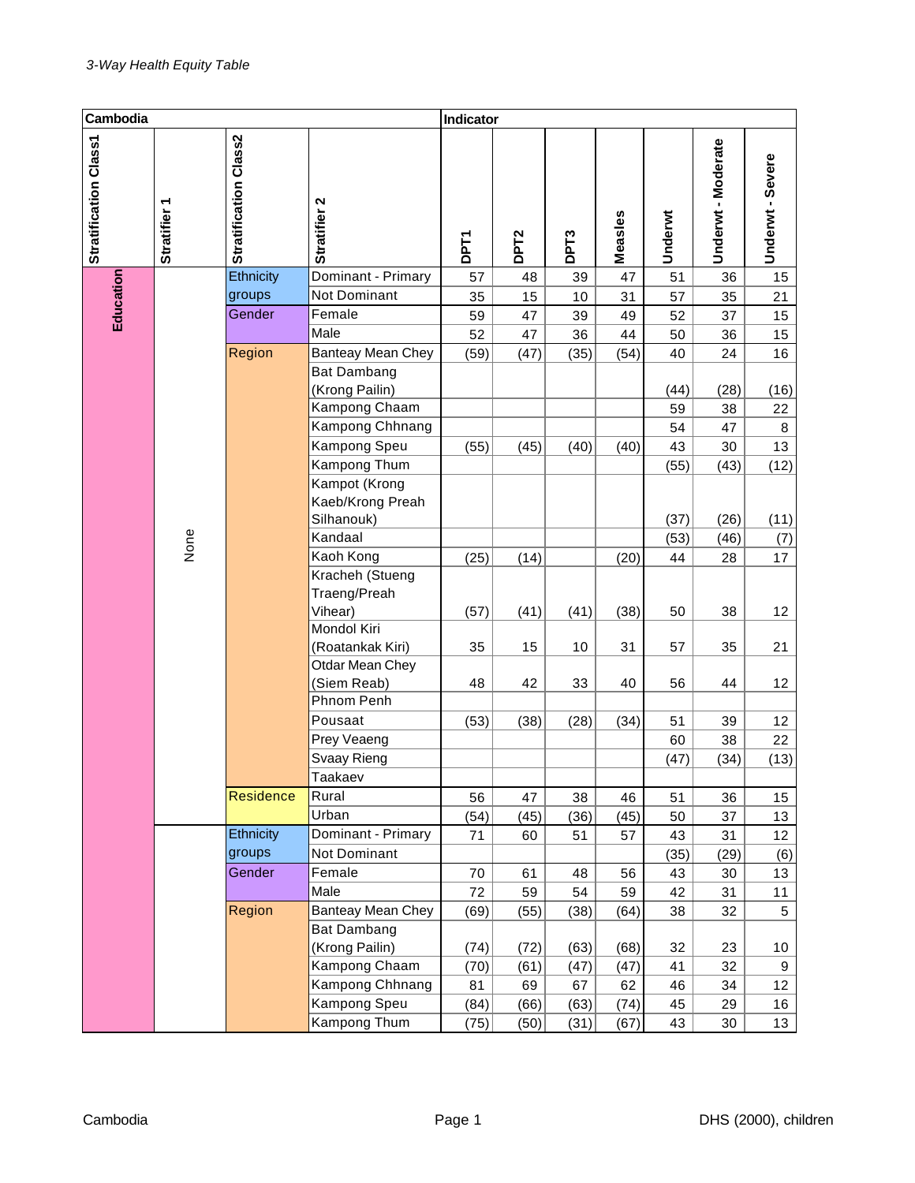| Cambodia              |              |                       |                                                | Indicator   |                  |                  |         |         |                    |                  |
|-----------------------|--------------|-----------------------|------------------------------------------------|-------------|------------------|------------------|---------|---------|--------------------|------------------|
| Stratification Class1 | Stratifier 1 | Stratification Class2 | Stratifier 2                                   | <b>DPT1</b> | DPT <sub>2</sub> | DPT <sub>3</sub> | Measles | Underwt | Underwt - Moderate | Underwt - Severe |
| Education             |              | Ethnicity             | Dominant - Primary                             | 57          | 48               | 39               | 47      | 51      | 36                 | 15               |
|                       |              | groups                | Not Dominant                                   | 35          | 15               | 10               | 31      | 57      | 35                 | 21               |
|                       |              | Gender                | Female                                         | 59          | 47               | 39               | 49      | 52      | 37                 | 15               |
|                       |              |                       | Male                                           | 52          | 47               | 36               | 44      | 50      | 36                 | 15               |
|                       |              | Region                | Banteay Mean Chey                              | (59)        | (47)             | (35)             | (54)    | 40      | 24                 | 16               |
|                       |              |                       | <b>Bat Dambang</b><br>(Krong Pailin)           |             |                  |                  |         | (44)    | (28)               | (16)             |
|                       |              |                       | Kampong Chaam                                  |             |                  |                  |         | 59      | 38                 | 22               |
|                       |              |                       | Kampong Chhnang                                |             |                  |                  |         | 54      | 47                 | 8                |
|                       |              |                       | Kampong Speu                                   | (55)        | (45)             | (40)             | (40)    | 43      | 30                 | 13               |
|                       |              |                       | Kampong Thum                                   |             |                  |                  |         | (55)    | (43)               | (12)             |
|                       |              |                       | Kampot (Krong<br>Kaeb/Krong Preah              |             |                  |                  |         |         |                    |                  |
|                       |              |                       | Silhanouk)                                     |             |                  |                  |         | (37)    | (26)               | (11)             |
|                       | None         |                       | Kandaal                                        |             |                  |                  |         | (53)    | (46)               | (7)              |
|                       |              |                       | Kaoh Kong<br>Kracheh (Stueng<br>Traeng/Preah   | (25)        | (14)             |                  | (20)    | 44      | 28                 | 17               |
|                       |              |                       | Vihear)                                        | (57)        | (41)             | (41)             | (38)    | 50      | 38                 | 12               |
|                       |              |                       | Mondol Kiri<br>(Roatankak Kiri)                | 35          | 15               | 10               | 31      | 57      | 35                 | 21               |
|                       |              |                       | Otdar Mean Chey<br>(Siem Reab)                 | 48          | 42               | 33               | 40      | 56      | 44                 | 12               |
|                       |              |                       | Phnom Penh                                     |             |                  |                  |         |         |                    |                  |
|                       |              |                       | Pousaat                                        | (53)        | (38)             | (28)             | (34)    | 51      | 39                 | 12               |
|                       |              |                       | Prey Veaeng                                    |             |                  |                  |         | 60      | 38                 | 22               |
|                       |              |                       | Svaay Rieng                                    |             |                  |                  |         | (47)    | (34)               | (13)             |
|                       |              |                       | Taakaev                                        |             |                  |                  |         |         |                    |                  |
|                       |              | <b>Residence</b>      | Rural                                          | 56          | 47               | 38               | 46      | 51      | 36                 | 15               |
|                       |              |                       | Urban                                          | (54)        | (45)             | (36)             | (45)    | 50      | 37                 | 13               |
|                       |              | Ethnicity             | Dominant - Primary                             | 71          | 60               | 51               | 57      | 43      | 31                 | 12               |
|                       |              | groups                | Not Dominant                                   |             |                  |                  |         | (35)    | (29)               | (6)              |
|                       |              | Gender                | Female                                         | 70          | 61               | 48               | 56      | 43      | 30                 | 13               |
|                       |              |                       | Male                                           | 72          | 59               | 54               | 59      | 42      | 31                 | 11               |
|                       |              | Region                | <b>Banteay Mean Chey</b><br><b>Bat Dambang</b> | (69)        | (55)             | (38)             | (64)    | 38      | 32                 | 5                |
|                       |              |                       | (Krong Pailin)                                 | (74)        | (72)             | (63)             | (68)    | 32      | 23                 | $10$             |
|                       |              |                       | Kampong Chaam                                  | (70)        | (61)             | (47)             | (47)    | 41      | 32                 | 9                |
|                       |              |                       | Kampong Chhnang                                | 81          | 69               | 67               | 62      | 46      | 34                 | 12               |
|                       |              |                       | Kampong Speu                                   | (84)        | (66)             | (63)             | (74)    | 45      | 29                 | 16               |
|                       |              |                       | Kampong Thum                                   | (75)        | (50)             | (31)             | (67)    | 43      | 30                 | 13               |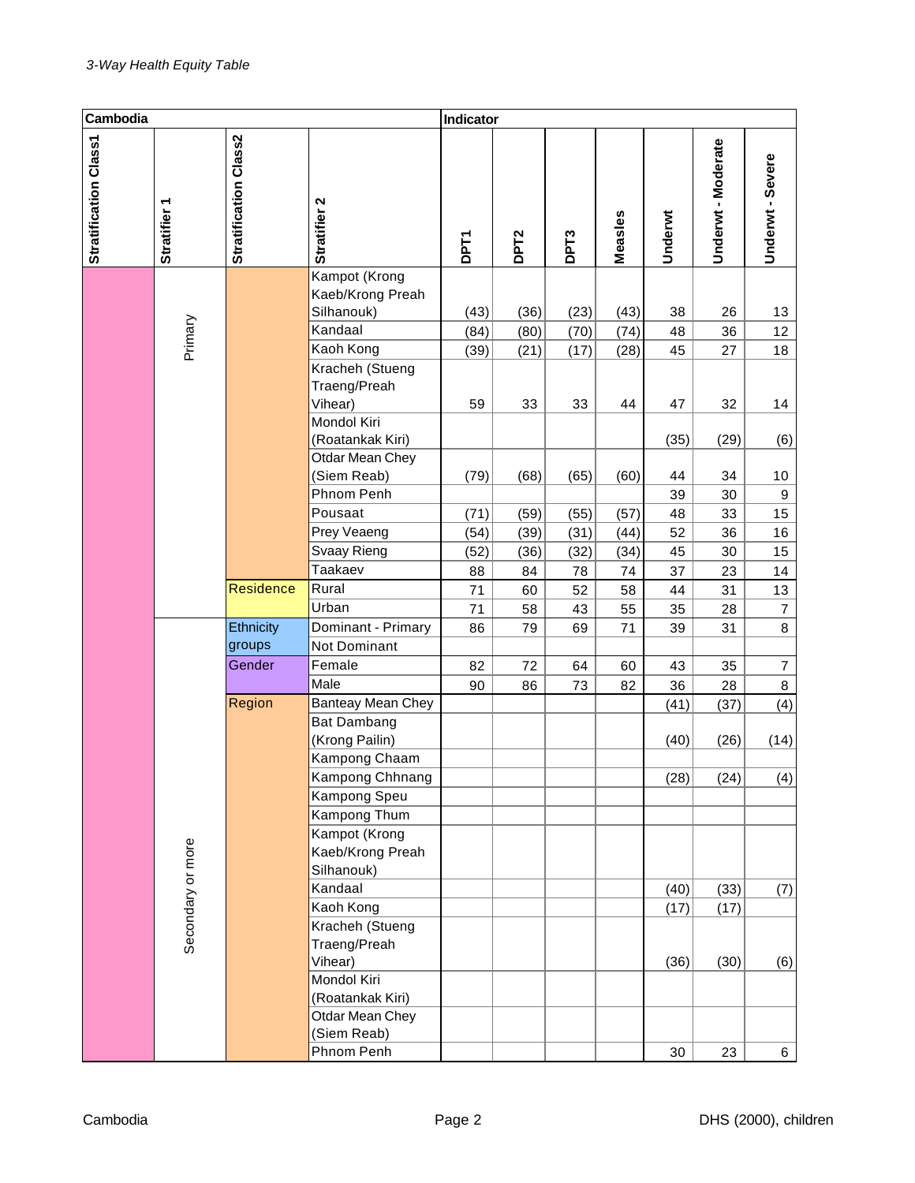| Cambodia              |                   |                                                           |                                                       | Indicator   |                  |                  |         |         |                    |                         |
|-----------------------|-------------------|-----------------------------------------------------------|-------------------------------------------------------|-------------|------------------|------------------|---------|---------|--------------------|-------------------------|
| Stratification Class1 | Stratifier 1      | Stratification Class2                                     | Stratifier 2                                          | <b>DPT1</b> | DPT <sub>2</sub> | DPT <sub>3</sub> | Measles | Underwt | Underwt - Moderate | Underwt - Severe        |
|                       |                   |                                                           | Kampot (Krong<br>Kaeb/Krong Preah<br>Silhanouk)       | (43)        | (36)             | (23)             | (43)    | 38      | 26                 | 13                      |
|                       |                   |                                                           | Kandaal                                               | (84)        | (80)             | (70)             | (74)    | 48      | 36                 | 12                      |
|                       | Primary           |                                                           | Kaoh Kong                                             | (39)        | (21)             | (17)             | (28)    | 45      | 27                 | 18                      |
|                       |                   | Kracheh (Stueng<br>Traeng/Preah<br>Vihear)<br>Mondol Kiri | 59                                                    | 33          | 33               | 44               | 47      | 32      | 14                 |                         |
|                       |                   |                                                           | (Roatankak Kiri)<br>Otdar Mean Chey                   |             |                  |                  |         | (35)    | (29)               | (6)                     |
|                       |                   |                                                           | (Siem Reab)                                           | (79)        | (68)             | (65)             | (60)    | 44      | 34                 | 10                      |
|                       |                   |                                                           | Phnom Penh                                            |             |                  |                  |         | 39      | 30                 | $\boldsymbol{9}$        |
|                       |                   |                                                           | Pousaat                                               | (71)        | (59)             | (55)             | (57)    | 48      | 33                 | 15                      |
|                       |                   |                                                           | Prey Veaeng                                           | (54)        | (39)             | (31)             | (44)    | 52      | 36                 | 16                      |
|                       |                   |                                                           | Svaay Rieng                                           | (52)        | (36)             | (32)             | (34)    | 45      | 30                 | 15                      |
|                       |                   |                                                           | Taakaev                                               | 88          | 84               | 78               | 74      | 37      | 23                 | 14                      |
|                       |                   | <b>Residence</b>                                          | Rural                                                 | 71          | 60               | 52               | 58      | 44      | 31                 | 13                      |
|                       |                   |                                                           | Urban                                                 | 71          | 58               | 43               | 55      | 35      | 28                 | $\overline{\mathbf{7}}$ |
|                       |                   | Ethnicity                                                 | Dominant - Primary                                    | 86          | 79               | 69               | 71      | 39      | 31                 | 8                       |
|                       |                   | groups                                                    | Not Dominant                                          |             |                  |                  |         |         |                    |                         |
|                       |                   | Gender                                                    | Female                                                | 82          | 72               | 64               | 60      | 43      | 35                 | $\overline{7}$          |
|                       |                   |                                                           | Male                                                  | 90          | 86               | 73               | 82      | 36      | 28                 | 8                       |
|                       |                   | Region                                                    | Banteay Mean Chey                                     |             |                  |                  |         | (41)    | (37)               | (4)                     |
|                       |                   |                                                           | <b>Bat Dambang</b><br>(Krong Pailin)<br>Kampong Chaam |             |                  |                  |         | (40)    | (26)               | (14)                    |
|                       |                   |                                                           | Kampong Chhnang<br>Kampong Speu                       |             |                  |                  |         | (28)    | (24)               | (4)                     |
|                       |                   |                                                           | Kampong Thum                                          |             |                  |                  |         |         |                    |                         |
|                       | Secondary or more |                                                           | Kampot (Krong<br>Kaeb/Krong Preah<br>Silhanouk)       |             |                  |                  |         |         |                    |                         |
|                       |                   |                                                           | Kandaal                                               |             |                  |                  |         | (40)    | (33)               | (7)                     |
|                       |                   |                                                           | Kaoh Kong                                             |             |                  |                  |         | (17)    | (17)               |                         |
|                       |                   |                                                           | Kracheh (Stueng<br>Traeng/Preah                       |             |                  |                  |         |         |                    |                         |
|                       |                   |                                                           | Vihear)<br>Mondol Kiri                                |             |                  |                  |         | (36)    | (30)               | (6)                     |
|                       |                   |                                                           | (Roatankak Kiri)                                      |             |                  |                  |         |         |                    |                         |
|                       |                   |                                                           | Otdar Mean Chey                                       |             |                  |                  |         |         |                    |                         |
|                       |                   |                                                           | (Siem Reab)                                           |             |                  |                  |         |         |                    |                         |
|                       |                   |                                                           | Phnom Penh                                            |             |                  |                  |         | 30      | 23                 | 6                       |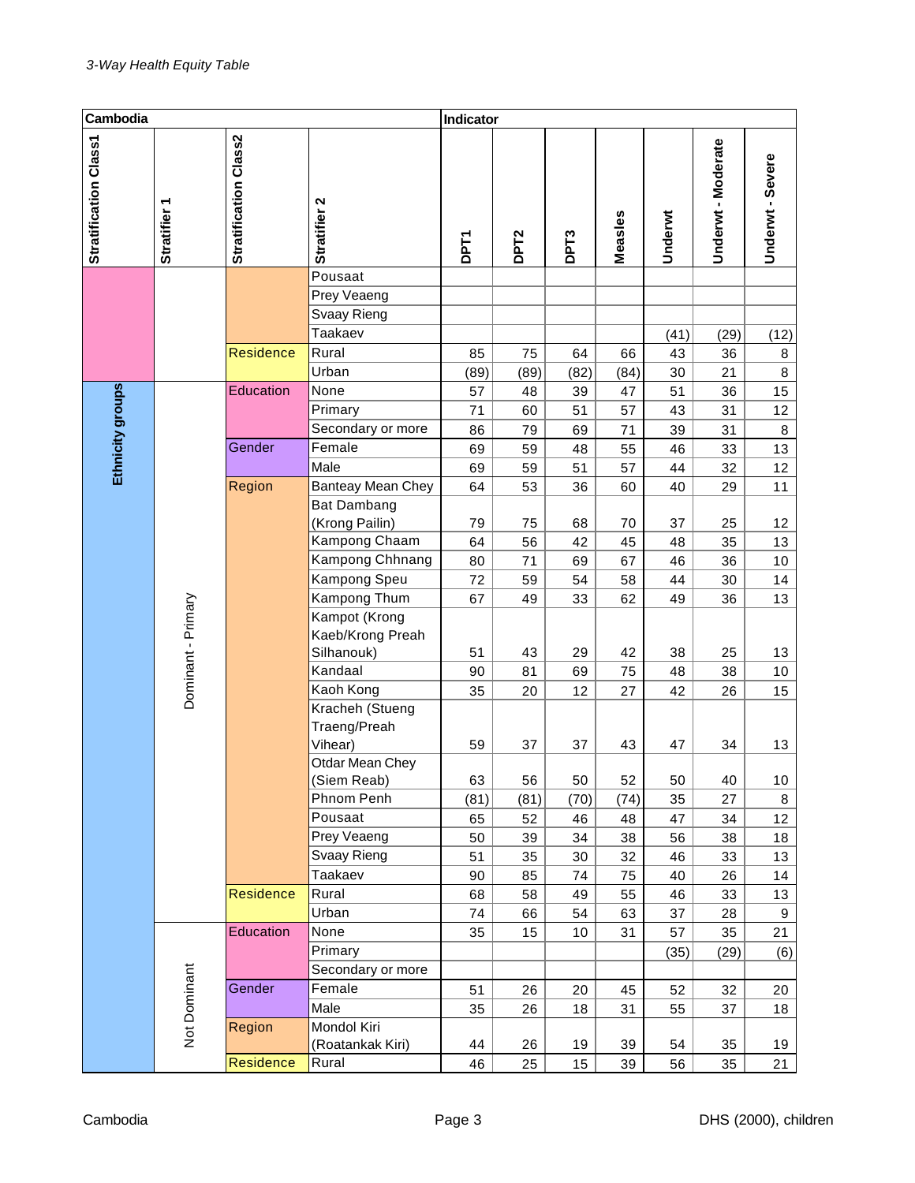| Cambodia              |                    |                                                   |                                                               | Indicator      |                  |                  |                |                |                  |                     |
|-----------------------|--------------------|---------------------------------------------------|---------------------------------------------------------------|----------------|------------------|------------------|----------------|----------------|------------------|---------------------|
| Stratification Class1 | <b>Stratifier</b>  | Stratification Class2                             | Stratifier 2                                                  | <b>DPT1</b>    | DPT <sub>2</sub> | DPT <sub>3</sub> | Measles        | Underwt        | Underwt-Moderate | Underwt - Severe    |
|                       |                    |                                                   | Pousaat<br>Prey Veaeng<br>Svaay Rieng<br>Taakaev              |                |                  |                  |                | (41)           | (29)             | (12)                |
|                       |                    | <b>Residence</b>                                  | Rural<br>Urban                                                | 85<br>(89)     | 75<br>(89)       | 64<br>(82)       | 66<br>(84)     | 43<br>30       | 36<br>21         | $\bf 8$<br>8        |
| Ethnicity groups      |                    | Education                                         | None<br>Primary<br>Secondary or more                          | 57<br>71<br>86 | 48<br>60<br>79   | 39<br>51<br>69   | 47<br>57<br>71 | 51<br>43<br>39 | 36<br>31<br>31   | 15<br>12<br>$\bf 8$ |
|                       | Gender             | Female<br>Male                                    | 69<br>69                                                      | 59<br>59       | 48<br>51         | 55<br>57         | 46<br>44       | 33<br>32       | 13<br>12         |                     |
|                       |                    | Region                                            | Banteay Mean Chey<br><b>Bat Dambang</b>                       | 64             | 53               | 36               | 60             | 40             | 29               | 11                  |
|                       |                    |                                                   | (Krong Pailin)<br>Kampong Chaam                               | 79<br>64       | 75<br>56         | 68<br>42         | 70<br>45       | 37<br>48       | 25<br>35         | 12<br>13            |
|                       |                    |                                                   | Kampong Chhnang<br>Kampong Speu                               | 80<br>72       | 71<br>59         | 69<br>54         | 67<br>58       | 46<br>44       | 36<br>30         | 10<br>14            |
|                       | Dominant - Primary | Kampong Thum<br>Kampot (Krong<br>Kaeb/Krong Preah | 67                                                            | 49             | 33               | 62               | 49             | 36             | 13               |                     |
|                       |                    |                                                   | Silhanouk)<br>Kandaal                                         | 51<br>90       | 43<br>81         | 29<br>69         | 42<br>75       | 38<br>48       | 25<br>38         | 13<br>10            |
|                       |                    |                                                   | Kaoh Kong                                                     | 35             | 20               | 12               | 27             | 42             | 26               | 15                  |
|                       |                    |                                                   | Kracheh (Stueng<br>Traeng/Preah<br>Vihear)<br>Otdar Mean Chey | 59             | 37               | 37               | 43             | 47             | 34               | 13                  |
|                       |                    |                                                   | (Siem Reab)                                                   | 63             | 56               | 50               | 52             | 50             | 40               | 10                  |
|                       |                    |                                                   | Phnom Penh                                                    | (81)           | (81)             | (70)             | (74)           | 35             | 27               | 8                   |
|                       |                    |                                                   | Pousaat                                                       | 65             | 52               | 46               | 48             | 47             | 34               | 12                  |
|                       |                    |                                                   | Prey Veaeng<br>Svaay Rieng                                    | 50<br>51       | 39<br>35         | 34               | 38<br>32       | 56             | 38<br>33         | 18<br>13            |
|                       |                    |                                                   | Taakaev                                                       | 90             | 85               | 30<br>74         | 75             | 46<br>40       | 26               | 14                  |
|                       |                    | Residence                                         | Rural                                                         | 68             | 58               | 49               | 55             | 46             | 33               | 13                  |
|                       |                    |                                                   | Urban                                                         | 74             | 66               | 54               | 63             | 37             | 28               | 9                   |
|                       |                    | Education                                         | None                                                          | 35             | 15               | 10               | 31             | 57             | 35               | 21                  |
|                       |                    |                                                   | Primary                                                       |                |                  |                  |                | (35)           | (29)             | (6)                 |
|                       |                    | Gender                                            | Secondary or more<br>Female                                   | 51             | 26               | 20               | 45             | 52             | 32               | 20                  |
|                       |                    |                                                   | Male                                                          | 35             | 26               | 18               | 31             | 55             | 37               | 18                  |
|                       | Not Dominant       | Region                                            | Mondol Kiri                                                   |                |                  |                  |                |                |                  |                     |
|                       |                    |                                                   | (Roatankak Kiri)                                              | 44             | 26               | 19               | 39             | 54             | 35               | 19                  |
|                       |                    | Residence                                         | Rural                                                         | 46             | 25               | 15               | 39             | 56             | 35               | 21                  |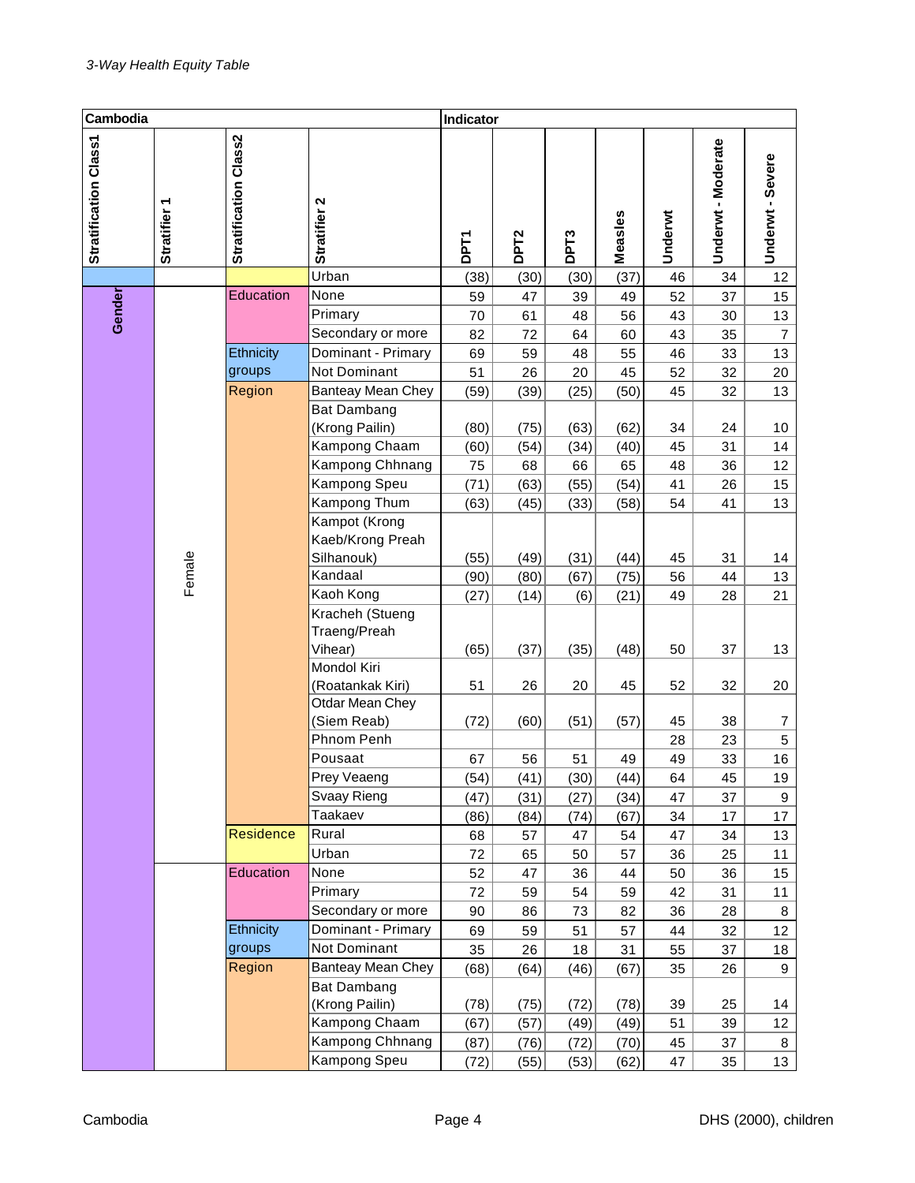| Cambodia              |              |                       |                                                 | Indicator   |                  |                  |              |          |                    |                  |
|-----------------------|--------------|-----------------------|-------------------------------------------------|-------------|------------------|------------------|--------------|----------|--------------------|------------------|
| Stratification Class1 | Stratifier 1 | Stratification Class2 | Stratifier <sub>2</sub>                         | <b>DPT1</b> | DPT <sub>2</sub> | DPT <sub>3</sub> | Measles      | Underwt  | Underwt - Moderate | Underwt - Severe |
|                       |              |                       | Urban                                           | (38)        | (30)             | (30)             | (37)         | 46       | 34                 | 12               |
|                       |              | Education             | None                                            | 59          | 47               | 39               | 49           | 52       | 37                 | 15               |
| Gender                |              |                       | Primary                                         | 70          | 61               | 48               | 56           | 43       | 30                 | 13               |
|                       |              |                       | Secondary or more                               | 82          | 72               | 64               | 60           | 43       | 35                 | $\overline{7}$   |
|                       |              | Ethnicity             | Dominant - Primary                              | 69          | 59               | 48               | 55           | 46       | 33                 | 13               |
|                       |              | groups                | Not Dominant                                    | 51          | 26               | 20               | 45           | 52       | 32                 | 20               |
|                       |              | Region                | Banteay Mean Chey                               | (59)        | (39)             | (25)             | (50)         | 45       | 32                 | 13               |
|                       |              |                       | <b>Bat Dambang</b><br>(Krong Pailin)            | (80)        | (75)             | (63)             | (62)         | 34       | 24                 | 10               |
|                       |              |                       | Kampong Chaam                                   | (60)        | (54)             | (34)             | (40)         | 45       | 31                 | 14               |
|                       |              |                       | Kampong Chhnang                                 | 75          | 68               | 66               | 65           | 48       | 36                 | 12               |
|                       |              |                       | Kampong Speu                                    | (71)        | (63)             | (55)             | (54)         | 41       | 26                 | 15               |
|                       |              |                       | Kampong Thum                                    | (63)        | (45)             | (33)             | (58)         | 54       | 41                 | 13               |
|                       |              |                       | Kampot (Krong<br>Kaeb/Krong Preah<br>Silhanouk) | (55)        | (49)             | (31)             | (44)         |          | 31                 |                  |
|                       |              |                       | Kandaal                                         | (90)        |                  |                  |              | 45<br>56 | 44                 | 14<br>13         |
|                       | Female       |                       | Kaoh Kong                                       | (27)        | (80)<br>(14)     | (67)<br>(6)      | (75)<br>(21) | 49       | 28                 | 21               |
|                       |              |                       | Kracheh (Stueng<br>Traeng/Preah<br>Vihear)      | (65)        | (37)             | (35)             | (48)         | 50       | 37                 | 13               |
|                       |              |                       | Mondol Kiri<br>(Roatankak Kiri)                 | 51          | 26               | 20               | 45           | 52       | 32                 | 20               |
|                       |              |                       | Otdar Mean Chey<br>(Siem Reab)                  | (72)        | (60)             | (51)             | (57)         | 45       | 38                 | 7                |
|                       |              |                       | Phnom Penh                                      |             |                  |                  |              | 28       | 23                 | 5                |
|                       |              |                       | Pousaat                                         | 67          | 56               | 51               | 49           | 49       | 33                 | 16               |
|                       |              |                       | Prey Veaeng                                     | (54)        | (41)             | (30)             | (44)         | 64       | 45                 | 19               |
|                       |              |                       | Svaay Rieng                                     | (47)        | (31)             | (27)             | (34)         | 47       | 37                 | 9                |
|                       |              |                       | Taakaev                                         | (86)        | (84)             | (74)             | (67)         | 34       | 17                 | 17               |
|                       |              | <b>Residence</b>      | Rural                                           | 68          | 57               | 47               | 54           | 47       | 34                 | 13               |
|                       |              |                       | Urban                                           | 72          | 65               | 50               | 57           | 36       | 25                 | 11               |
|                       |              | Education             | None                                            | 52          | 47               | 36               | 44           | 50       | 36                 | 15               |
|                       |              |                       | Primary                                         | 72          | 59               | 54               | 59           | 42       | 31                 | 11               |
|                       |              |                       | Secondary or more                               | 90          | 86               | 73               | 82           | 36       | 28                 | 8                |
|                       |              | Ethnicity             | Dominant - Primary                              | 69          | 59               | 51               | 57           | 44       | 32                 | 12               |
|                       |              | groups                | Not Dominant                                    | 35          | 26               | 18               | 31           | 55       | 37                 | 18               |
|                       |              | Region                | <b>Banteay Mean Chey</b>                        | (68)        | (64)             | (46)             | (67)         | 35       | 26                 | 9                |
|                       |              |                       | Bat Dambang                                     |             |                  |                  |              |          |                    |                  |
|                       |              |                       | (Krong Pailin)                                  | (78)        | (75)             | (72)             | (78)         | 39       | 25                 | 14               |
|                       |              |                       | Kampong Chaam                                   | (67)        | (57)             | (49)             | (49)         | 51       | 39                 | 12               |
|                       |              |                       | Kampong Chhnang<br>Kampong Speu                 | (87)        | (76)             | (72)             | (70)         | 45       | 37                 | 8<br>13          |
|                       |              |                       |                                                 | (72)        | (55)             | (53)             | (62)         | 47       | 35                 |                  |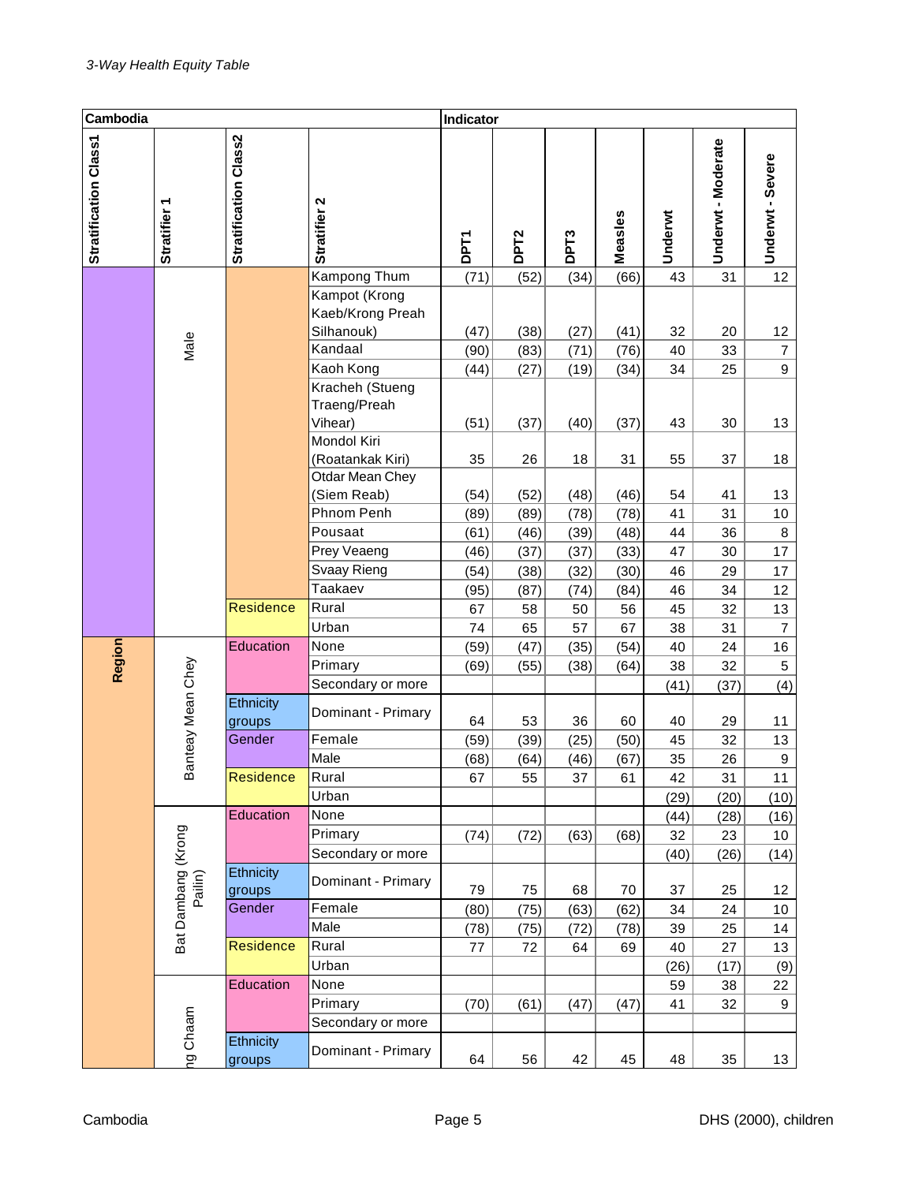| Cambodia              |                               |                       |                                                    | Indicator    |                  |                  |              |          |                    |                  |
|-----------------------|-------------------------------|-----------------------|----------------------------------------------------|--------------|------------------|------------------|--------------|----------|--------------------|------------------|
| Stratification Class1 | Stratifier 1                  | Stratification Class2 | Stratifier 2                                       | <b>DPT1</b>  | DPT <sub>2</sub> | DPT <sub>3</sub> | Measles      | Underwt  | Underwt - Moderate | Underwt - Severe |
|                       |                               |                       | Kampong Thum                                       | (71)         | (52)             | (34)             | (66)         | 43       | 31                 | 12               |
|                       |                               |                       | Kampot (Krong<br>Kaeb/Krong Preah<br>Silhanouk)    | (47)         | (38)             | (27)             | (41)         | 32       | 20                 | 12               |
|                       | Male                          |                       | Kandaal                                            | (90)         | (83)             | (71)             | (76)         | 40       | 33                 | $\overline{7}$   |
|                       |                               |                       | Kaoh Kong                                          | (44)         | (27)             | (19)             | (34)         | 34       | 25                 | 9                |
|                       |                               |                       | Kracheh (Stueng<br>Traeng/Preah<br>Vihear)         | (51)         | (37)             | (40)             | (37)         | 43       | 30                 | 13               |
|                       |                               |                       | Mondol Kiri<br>(Roatankak Kiri)<br>Otdar Mean Chey | 35           | 26               | 18               | 31           | 55       | 37                 | 18               |
|                       |                               |                       | (Siem Reab)<br>Phnom Penh                          | (54)<br>(89) | (52)<br>(89)     | (48)<br>(78)     | (46)<br>(78) | 54<br>41 | 41<br>31           | 13<br>10         |
|                       |                               |                       | Pousaat                                            | (61)         | (46)             | (39)             | (48)         | 44       | 36                 | $\bf 8$          |
|                       |                               |                       | Prey Veaeng                                        | (46)         | (37)             | (37)             | (33)         | 47       | 30                 | 17               |
|                       |                               |                       | Svaay Rieng                                        | (54)         | (38)             | (32)             | (30)         | 46       | 29                 | 17               |
|                       |                               |                       | Taakaev                                            | (95)         | (87)             | (74)             | (84)         | 46       | 34                 | 12               |
|                       |                               | <b>Residence</b>      | Rural                                              | 67           | 58               | 50               | 56           | 45       | 32                 | 13               |
|                       |                               |                       | Urban                                              | 74           | 65               | 57               | 67           | 38       | 31                 | $\overline{7}$   |
|                       |                               | Education             | None                                               | (59)         | (47)             | (35)             | (54)         | 40       | 24                 | $16\,$           |
| Region                |                               |                       | Primary                                            | (69)         | (55)             | (38)             | (64)         | 38       | 32                 | 5                |
|                       |                               |                       | Secondary or more                                  |              |                  |                  |              | (41)     | (37)               | (4)              |
|                       | Banteay Mean Chey             | Ethnicity<br>groups   | Dominant - Primary                                 | 64           | 53               | 36               | 60           | 40       | 29                 | 11               |
|                       |                               | Gender                | Female                                             | (59)         | (39)             | (25)             | (50)         | 45       | 32                 | 13               |
|                       |                               |                       | Male                                               | (68)         | (64)             | (46)             | (67)         | 35       | 26                 | $\mathsf g$      |
|                       |                               | Residence             | Rural                                              | 67           | 55               | 37               | 61           | 42       | 31                 | 11               |
|                       |                               |                       | Urban                                              |              |                  |                  |              | (29)     | (20)               | (10)             |
|                       |                               | Education             | None                                               |              |                  |                  |              | (44)     | (28)               | (16)             |
|                       |                               |                       | Primary                                            | (74)         | (72)             | (63)             | (68)         | 32       | 23                 | 10               |
|                       |                               |                       | Secondary or more                                  |              |                  |                  |              | (40)     | (26)               | (14)             |
|                       | Bat Dambang (Krong<br>Pailin) | Ethnicity<br>groups   | Dominant - Primary                                 | 79           | 75               | 68               | 70           | 37       | 25                 | 12               |
|                       |                               | Gender                | Female                                             | (80)         | (75)             | (63)             | (62)         | 34       | 24                 | 10               |
|                       |                               |                       | Male                                               | (78)         | (75)             | (72)             | (78)         | 39       | 25                 | 14               |
|                       |                               | Residence             | Rural                                              | 77           | 72               | 64               | 69           | 40       | 27                 | 13               |
|                       |                               |                       | Urban                                              |              |                  |                  |              | (26)     | (17)               | (9)              |
|                       |                               | Education             | None                                               |              |                  |                  |              | 59       | 38                 | 22               |
|                       |                               |                       | Primary                                            | (70)         | (61)             | (47)             | (47)         | 41       | 32                 | 9                |
|                       |                               | Ethnicity             | Secondary or more                                  |              |                  |                  |              |          |                    |                  |
|                       | hg Chaam                      | groups                | Dominant - Primary                                 | 64           | 56               | 42               | 45           | 48       | 35                 | 13               |
|                       |                               |                       |                                                    |              |                  |                  |              |          |                    |                  |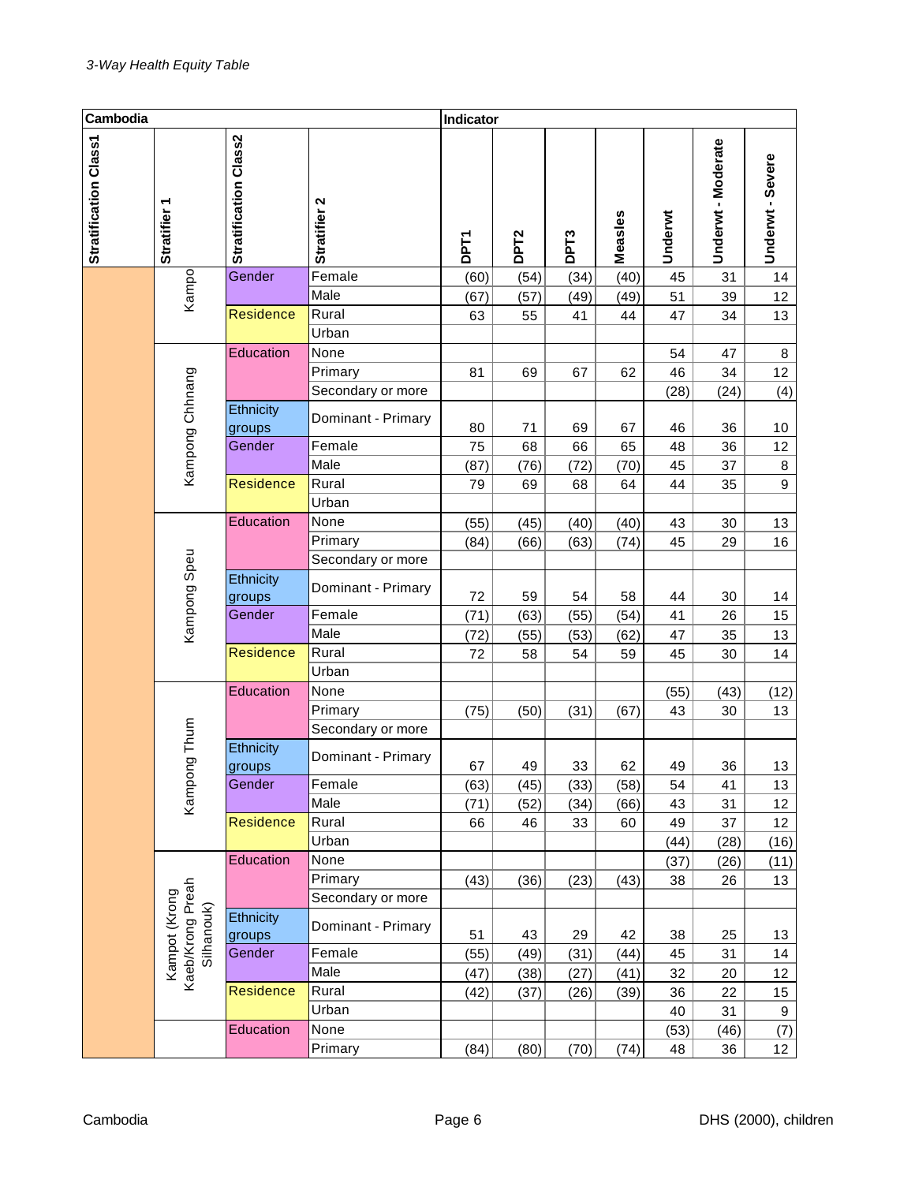| Cambodia              |                                                 |                              | Indicator          |             |                  |                  |         |         |                  |                  |
|-----------------------|-------------------------------------------------|------------------------------|--------------------|-------------|------------------|------------------|---------|---------|------------------|------------------|
| Stratification Class1 | Stratifier 1                                    | <b>Stratification Class2</b> | Stratifier 2       | <b>DPT1</b> | DPT <sub>2</sub> | DPT <sub>3</sub> | Measles | Underwt | Underwt-Moderate | Underwt - Severe |
|                       | Kampo                                           | Gender                       | Female             | (60)        | (54)             | (34)             | (40)    | 45      | 31               | 14               |
|                       |                                                 |                              | Male               | (67)        | (57)             | (49)             | (49)    | 51      | 39               | 12               |
|                       |                                                 | <b>Residence</b>             | Rural              | 63          | 55               | 41               | 44      | 47      | 34               | 13               |
|                       |                                                 |                              | Urban              |             |                  |                  |         |         |                  |                  |
|                       |                                                 | Education                    | None               |             |                  |                  |         | 54      | 47               | $\bf 8$          |
|                       |                                                 |                              | Primary            | 81          | 69               | 67               | 62      | 46      | 34               | 12               |
|                       |                                                 |                              | Secondary or more  |             |                  |                  |         | (28)    | (24)             | (4)              |
| Kampong Chhnang       |                                                 | Ethnicity<br>groups          | Dominant - Primary | 80          | 71               | 69               | 67      | 46      | 36               | 10               |
|                       |                                                 | Gender                       | Female             | 75          | 68               | 66               | 65      | 48      | 36               | 12               |
|                       |                                                 |                              | Male               | (87)        | (76)             | (72)             | (70)    | 45      | 37               | $\,8\,$          |
|                       |                                                 | <b>Residence</b>             | Rural              | 79          | 69               | 68               | 64      | 44      | 35               | 9                |
|                       |                                                 |                              | Urban              |             |                  |                  |         |         |                  |                  |
|                       |                                                 | Education                    | None               | (55)        | (45)             | (40)             | (40)    | 43      | 30               | 13               |
|                       |                                                 |                              | Primary            | (84)        | (66)             | (63)             | (74)    | 45      | 29               | 16               |
|                       |                                                 |                              | Secondary or more  |             |                  |                  |         |         |                  |                  |
|                       | Kampong Speu                                    | Ethnicity<br>groups          | Dominant - Primary | 72          | 59               | 54               | 58      | 44      | 30               | 14               |
|                       |                                                 | Gender                       | Female             | (71)        | (63)             | (55)             | (54)    | 41      | 26               | 15               |
|                       |                                                 |                              | Male               | (72)        | (55)             | (53)             | (62)    | 47      | 35               | 13               |
|                       |                                                 | <b>Residence</b>             | Rural              | 72          | 58               | 54               | 59      | 45      | 30               | 14               |
|                       |                                                 |                              | Urban              |             |                  |                  |         |         |                  |                  |
|                       |                                                 | Education                    | None               |             |                  |                  |         | (55)    | (43)             | (12)             |
|                       |                                                 |                              | Primary            | (75)        | (50)             | (31)             | (67)    | 43      | 30               | 13               |
|                       |                                                 |                              | Secondary or more  |             |                  |                  |         |         |                  |                  |
|                       | Kampong Thum                                    | Ethnicity<br>groups          | Dominant - Primary | 67          | 49               | 33               | 62      | 49      | 36               | 13               |
|                       |                                                 | Gender                       | Female             | (63)        | (45)             | (33)             | (58)    | 54      | 41               | 13               |
|                       |                                                 |                              | Male               | (71)        | (52)             | (34)             | (66)    | 43      | 31               | 12               |
|                       |                                                 | <b>Residence</b>             | Rural              | 66          | 46               | 33               | 60      | 49      | 37               | 12               |
|                       |                                                 |                              | Urban              |             |                  |                  |         | (44)    | (28)             | (16)             |
|                       |                                                 | Education                    | None               |             |                  |                  |         | (37)    | (26)             | (11)             |
|                       |                                                 |                              | Primary            | (43)        | (36)             | (23)             | (43)    | 38      | 26               | 13               |
|                       |                                                 |                              | Secondary or more  |             |                  |                  |         |         |                  |                  |
|                       | Kaeb/Krong Preah<br>Kampot (Krong<br>Silhanouk) | Ethnicity<br>groups          | Dominant - Primary | 51          | 43               | 29               | 42      | 38      | 25               | 13               |
|                       |                                                 | Gender                       | Female             | (55)        | (49)             | (31)             | (44)    | 45      | 31               | 14               |
|                       |                                                 |                              | Male               | (47)        | (38)             | (27)             | (41)    | 32      | 20               | 12               |
|                       |                                                 | <b>Residence</b>             | Rural              | (42)        | (37)             | (26)             | (39)    | 36      | 22               | 15               |
|                       |                                                 |                              | Urban              |             |                  |                  |         | 40      | 31               | 9                |
|                       |                                                 | Education                    | None               |             |                  |                  |         | (53)    | (46)             | (7)              |
|                       |                                                 |                              | Primary            | (84)        | (80)             | (70)             | (74)    | 48      | 36               | 12 <sub>2</sub>  |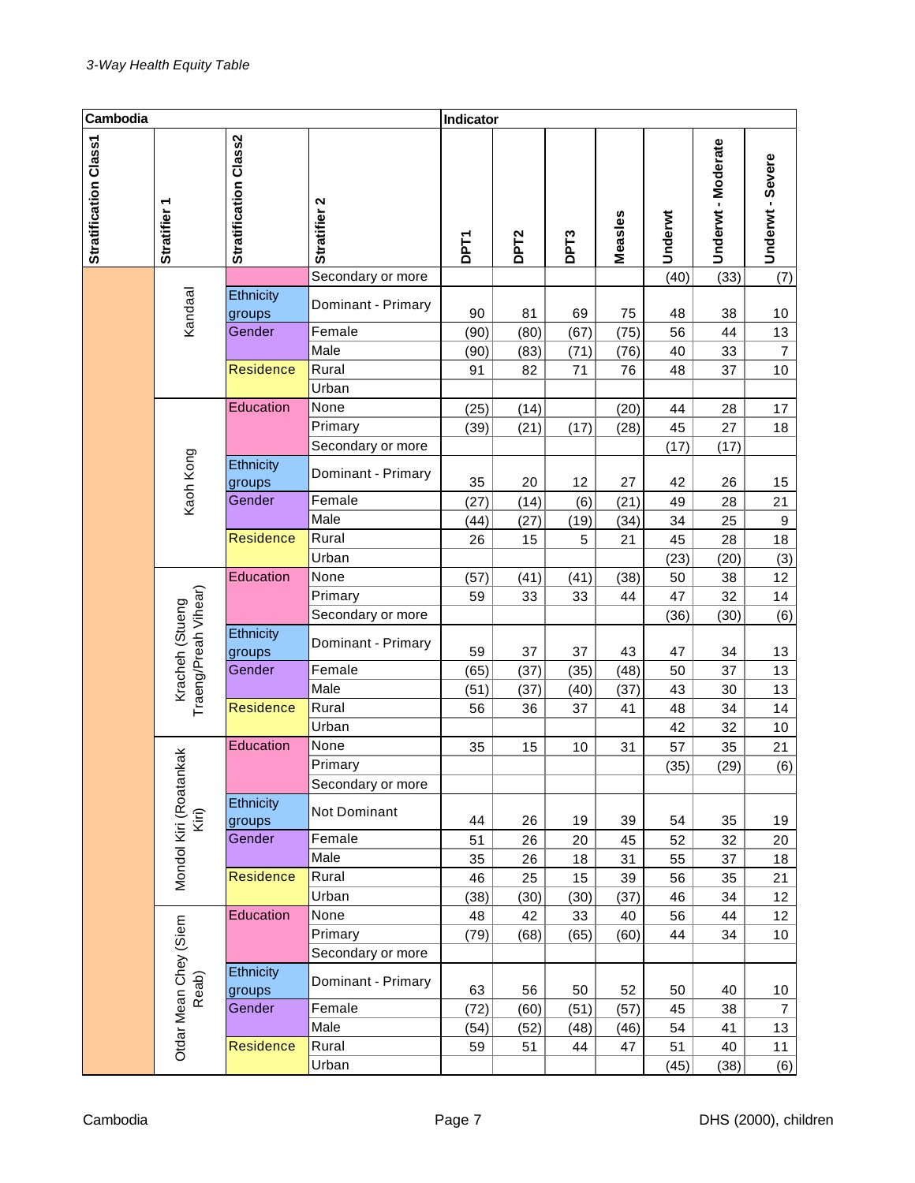| Cambodia              |                                         |                       |                    | Indicator   |                  |                  |         |         |                    |                  |
|-----------------------|-----------------------------------------|-----------------------|--------------------|-------------|------------------|------------------|---------|---------|--------------------|------------------|
| Stratification Class1 | Stratifier 1                            | Stratification Class2 | Stratifier 2       | <b>DPT1</b> | DPT <sub>2</sub> | DPT <sub>3</sub> | Measles | Underwt | Underwt - Moderate | Underwt - Severe |
|                       |                                         |                       | Secondary or more  |             |                  |                  |         | (40)    | (33)               | (7)              |
|                       | Kandaal                                 | Ethnicity<br>groups   | Dominant - Primary | 90          | 81               | 69               | 75      | 48      | 38                 | 10               |
|                       |                                         | Gender                | Female             | (90)        | (80)             | (67)             | (75)    | 56      | 44                 | 13               |
|                       |                                         |                       | Male               | (90)        | (83)             | (71)             | (76)    | 40      | 33                 | $\boldsymbol{7}$ |
|                       |                                         | <b>Residence</b>      | Rural              | 91          | 82               | 71               | 76      | 48      | 37                 | 10               |
|                       |                                         |                       | Urban              |             |                  |                  |         |         |                    |                  |
|                       |                                         | Education             | None               | (25)        | (14)             |                  | (20)    | 44      | 28                 | 17               |
|                       |                                         |                       | Primary            | (39)        | (21)             | (17)             | (28)    | 45      | 27                 | 18               |
|                       | Kaoh Kong                               |                       | Secondary or more  |             |                  |                  |         | (17)    | (17)               |                  |
|                       |                                         | Ethnicity<br>groups   | Dominant - Primary | 35          | 20               | 12               | 27      | 42      | 26                 | 15               |
|                       |                                         | Gender                | Female             | (27)        | (14)             | (6)              | (21)    | 49      | 28                 | 21               |
|                       |                                         |                       | Male               | (44)        | (27)             | (19)             | (34)    | 34      | 25                 | 9                |
|                       |                                         | <b>Residence</b>      | Rural              | 26          | 15               | 5                | 21      | 45      | 28                 | 18               |
|                       |                                         |                       | Urban              |             |                  |                  |         | (23)    | (20)               | (3)              |
|                       |                                         | Education             | None               | (57)        | (41)             | (41)             | (38)    | 50      | 38                 | 12               |
|                       |                                         |                       | Primary            | 59          | 33               | 33               | 44      | 47      | 32                 | 14               |
|                       |                                         |                       | Secondary or more  |             |                  |                  |         | (36)    | (30)               | (6)              |
|                       | Traeng/Preah Vihear)<br>Kracheh (Stueng | Ethnicity<br>groups   | Dominant - Primary | 59          | 37               | 37               | 43      | 47      | 34                 | 13               |
|                       |                                         | Gender                | Female             | (65)        | (37)             | (35)             | (48)    | 50      | 37                 | 13               |
|                       |                                         |                       | Male               | (51)        | (37)             | (40)             | (37)    | 43      | 30                 | 13               |
|                       |                                         | <b>Residence</b>      | Rural              | 56          | 36               | 37               | 41      | 48      | 34                 | 14               |
|                       |                                         |                       | Urban              |             |                  |                  |         | 42      | 32                 | $10$             |
|                       |                                         | Education             | None               | 35          | 15               | 10               | 31      | 57      | 35                 | 21               |
|                       | nkak                                    |                       | Primary            |             |                  |                  |         | (35)    | (29)               | (6)              |
|                       |                                         |                       | Secondary or more  |             |                  |                  |         |         |                    |                  |
|                       | Mondol Kiri (Roata<br>Kiri)             | Ethnicity<br>groups   | Not Dominant       | 44          | 26               | 19               | 39      | 54      | 35                 | 19               |
|                       |                                         | Gender                | Female             | 51          | 26               | 20               | 45      | 52      | 32                 | 20               |
|                       |                                         |                       | Male               | 35          | 26               | 18               | 31      | 55      | 37                 | 18               |
|                       |                                         | <b>Residence</b>      | Rural              | 46          | 25               | 15               | 39      | 56      | 35                 | 21               |
|                       |                                         |                       | Urban              | (38)        | (30)             | (30)             | (37)    | 46      | 34                 | 12               |
|                       |                                         | Education             | None               | 48          | 42               | 33               | 40      | 56      | 44                 | 12               |
|                       |                                         |                       | Primary            | (79)        | (68)             | (65)             | (60)    | 44      | 34                 | 10               |
|                       |                                         |                       | Secondary or more  |             |                  |                  |         |         |                    |                  |
|                       | Otdar Mean Chey (Siem<br>Reab)          | Ethnicity<br>groups   | Dominant - Primary | 63          | 56               | 50               | 52      | 50      | 40                 | 10               |
|                       |                                         | Gender                | Female             | (72)        | (60)             | (51)             | (57)    | 45      | 38                 | $\overline{7}$   |
|                       |                                         |                       | Male               | (54)        | (52)             | (48)             | (46)    | 54      | 41                 | 13               |
|                       |                                         | Residence             | Rural              | 59          | 51               | 44               | 47      | 51      | 40                 | 11               |
|                       |                                         |                       | Urban              |             |                  |                  |         | (45)    | (38)               | (6)              |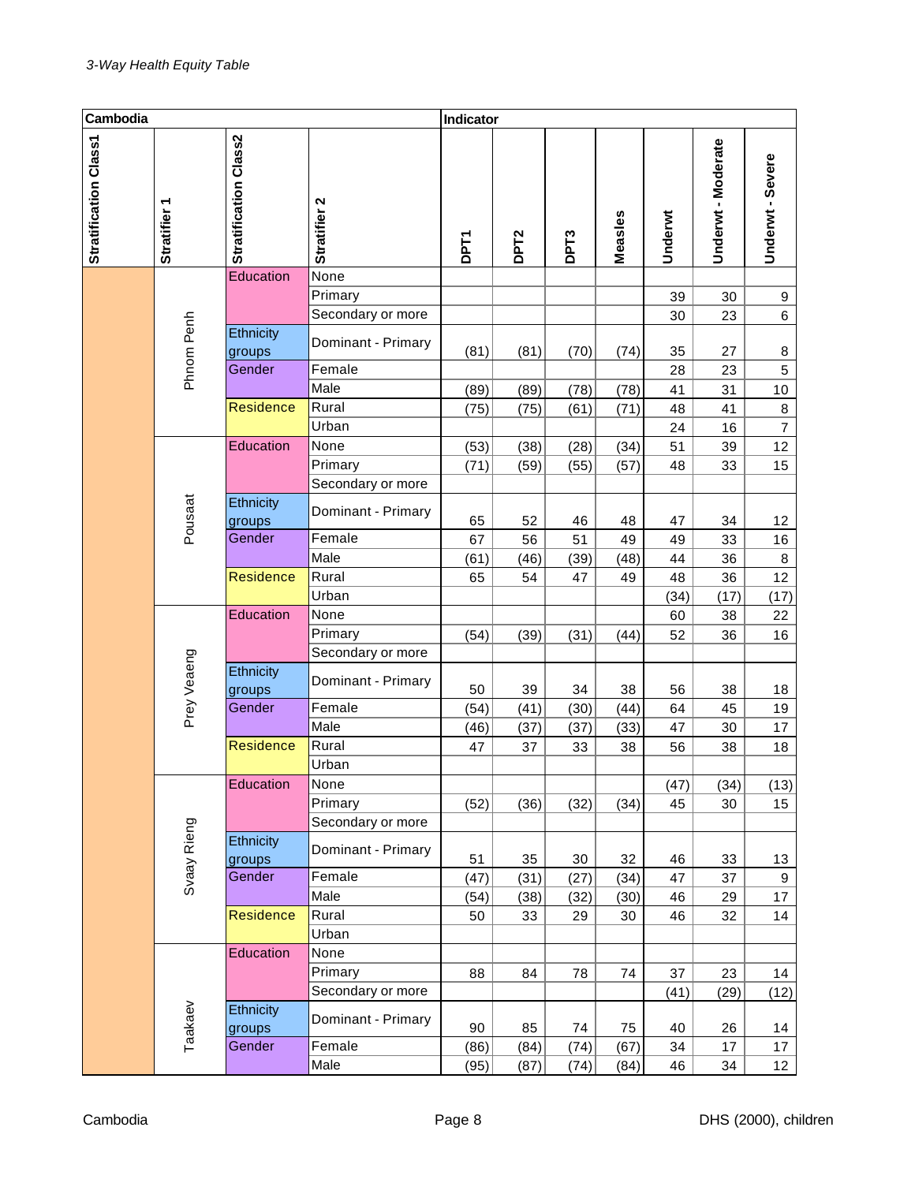| Cambodia              |              |                              |                                      | Indicator    |                  |                  |              |            |                    |                          |
|-----------------------|--------------|------------------------------|--------------------------------------|--------------|------------------|------------------|--------------|------------|--------------------|--------------------------|
| Stratification Class1 | Stratifier 1 | <b>Stratification Class2</b> | Stratifier 2                         | <b>DPT1</b>  | DPT <sub>2</sub> | DPT <sub>3</sub> | Measles      | Underwt    | Underwt - Moderate | Underwt - Severe         |
|                       |              | Education                    | None<br>Primary<br>Secondary or more |              |                  |                  |              | 39<br>30   | 30<br>23           | 9<br>6                   |
|                       | Phnom Penh   | Ethnicity<br>groups          | Dominant - Primary                   | (81)         | (81)             | (70)             | (74)         | 35         | 27                 | 8                        |
|                       |              | Gender                       | Female<br>Male                       | (89)         | (89)             | (78)             | (78)         | 28<br>41   | 23<br>31           | 5<br>10                  |
|                       |              | <b>Residence</b>             | Rural<br>Urban                       | (75)         | (75)             | (61)             | (71)         | 48<br>24   | 41<br>16           | $\bf8$<br>$\overline{7}$ |
|                       | Pousaat      | Education                    | None<br>Primary<br>Secondary or more | (53)<br>(71) | (38)<br>(59)     | (28)<br>(55)     | (34)<br>(57) | 51<br>48   | 39<br>33           | 12<br>15                 |
|                       |              | Ethnicity<br>groups          | Dominant - Primary                   | 65           | 52               | 46               | 48           | 47         | 34                 | 12                       |
|                       |              | Gender                       | Female<br>Male                       | 67<br>(61)   | 56<br>(46)       | 51<br>(39)       | 49<br>(48)   | 49<br>44   | 33<br>36           | 16<br>$\bf 8$            |
|                       |              | <b>Residence</b>             | Rural<br>Urban                       | 65           | 54               | 47               | 49           | 48<br>(34) | 36<br>(17)         | 12<br>(17)               |
|                       |              | Education                    | None<br>Primary<br>Secondary or more | (54)         | (39)             | (31)             | (44)         | 60<br>52   | 38<br>36           | 22<br>16                 |
|                       | Prey Veaeng  | Ethnicity<br>groups          | Dominant - Primary                   | 50           | 39               | 34               | 38           | 56         | 38                 | 18                       |
|                       |              | Gender                       | Female<br>Male                       | (54)<br>(46) | (41)<br>(37)     | (30)<br>(37)     | (44)<br>(33) | 64<br>47   | 45<br>30           | 19<br>17                 |
|                       |              | <b>Residence</b>             | Rural<br>Urban                       | 47           | 37               | 33               | 38           | 56         | 38                 | 18                       |
|                       |              | Education                    | None<br>Primary<br>Secondary or more | (52)         | (36)             | (32)             | (34)         | (47)<br>45 | (34)<br>30         | (13)<br>15               |
|                       | Svaay Rieng  | Ethnicity<br>groups          | Dominant - Primary                   | 51           | 35               | 30               | 32           | 46         | 33                 | 13                       |
|                       |              | Gender                       | Female<br>Male                       | (47)<br>(54) | (31)<br>(38)     | (27)<br>(32)     | (34)<br>(30) | 47<br>46   | 37<br>29           | 9<br>17                  |
|                       |              | Residence                    | Rural<br>Urban                       | 50           | 33               | 29               | 30           | 46         | 32                 | 14                       |
|                       |              | Education                    | None<br>Primary<br>Secondary or more | 88           | 84               | 78               | 74           | 37<br>(41) | 23<br>(29)         | 14<br>(12)               |
|                       |              | Ethnicity<br>groups          | Dominant - Primary                   | 90           | 85               | 74               | 75           | 40         | 26                 | 14                       |
|                       | Taakaev      | Gender                       | Female<br>Male                       | (86)<br>(95) | (84)<br>(87)     | (74)<br>(74)     | (67)<br>(84) | 34<br>46   | 17<br>34           | 17<br>12 <sub>2</sub>    |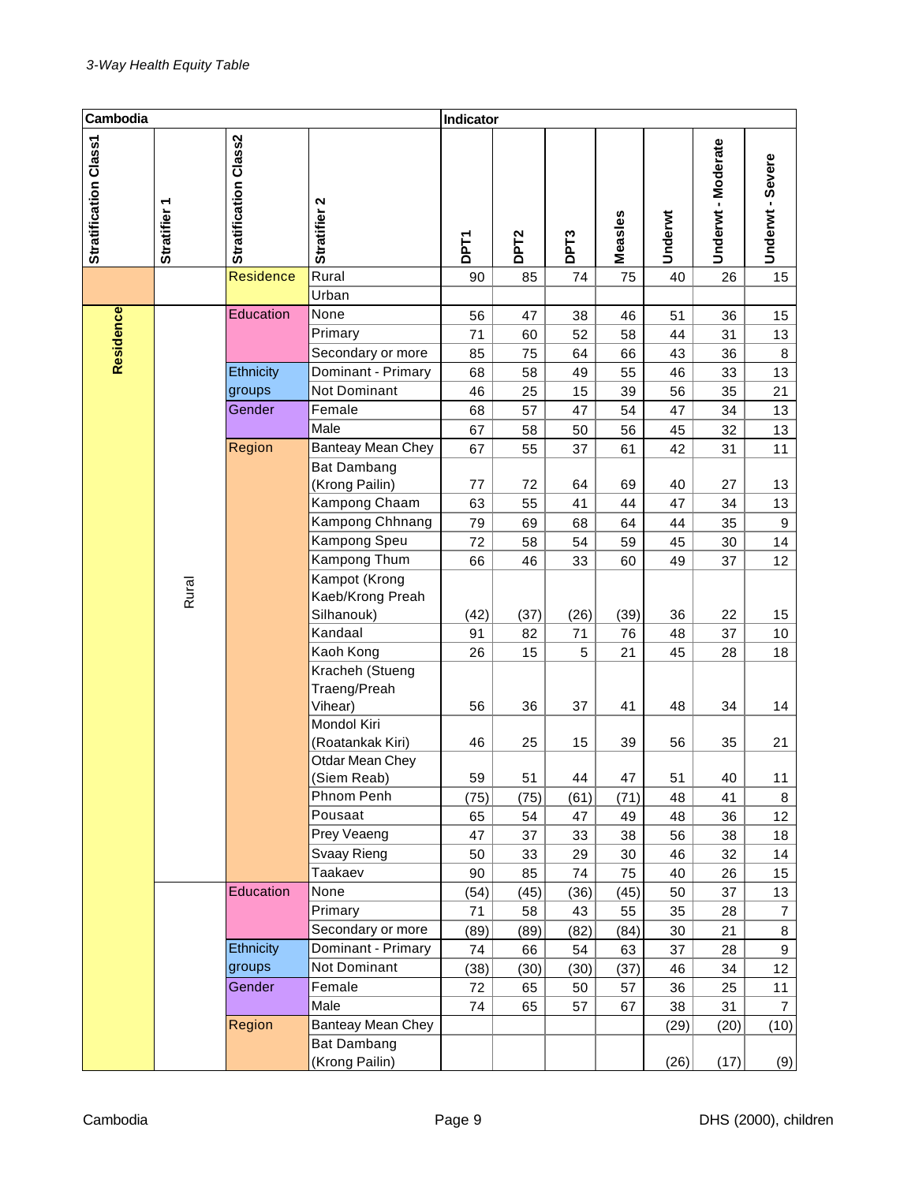| Cambodia              |              |                       |                                            | Indicator |                  |                  |            |          |                    |                  |
|-----------------------|--------------|-----------------------|--------------------------------------------|-----------|------------------|------------------|------------|----------|--------------------|------------------|
| Stratification Class1 | Stratifier 1 | Stratification Class2 | Stratifier 2                               | DPT1      | DPT <sub>2</sub> | DPT <sub>3</sub> | Measles    | Underwt  | Underwt - Moderate | Underwt - Severe |
|                       |              | <b>Residence</b>      | Rural                                      | 90        | 85               | 74               | 75         | 40       | 26                 | 15               |
|                       |              |                       | Urban                                      |           |                  |                  |            |          |                    |                  |
|                       |              | Education             | None                                       | 56        | 47               | 38               | 46         | 51       | 36                 | 15               |
|                       |              |                       | Primary                                    | 71        | 60               | 52               | 58         | 44       | 31                 | 13               |
| Residence             |              |                       | Secondary or more                          | 85        | 75               | 64               | 66         | 43       | 36                 | 8                |
|                       |              | Ethnicity             | Dominant - Primary                         | 68        | 58               | 49               | 55         | 46       | 33                 | 13               |
|                       |              | groups                | Not Dominant                               | 46        | 25               | 15               | 39         | 56       | 35                 | 21               |
|                       |              | Gender                | Female                                     | 68        | 57               | 47               | 54         | 47       | 34                 | 13               |
|                       |              |                       | Male                                       | 67        | 58               | 50               | 56         | 45       | 32                 | 13               |
|                       |              | Region                | Banteay Mean Chey                          | 67        | 55               | 37               | 61         | 42       | 31                 | 11               |
|                       |              |                       | <b>Bat Dambang</b>                         |           |                  |                  |            |          |                    |                  |
|                       |              |                       | (Krong Pailin)<br>Kampong Chaam            | 77<br>63  | 72<br>55         | 64<br>41         | 69<br>44   | 40<br>47 | 27<br>34           | 13<br>13         |
|                       |              |                       | Kampong Chhnang                            | 79        | 69               | 68               | 64         | 44       | 35                 | $\boldsymbol{9}$ |
|                       |              |                       | Kampong Speu                               | 72        | 58               | 54               | 59         | 45       | 30                 | 14               |
|                       |              |                       | Kampong Thum                               | 66        | 46               | 33               | 60         | 49       | 37                 | 12               |
|                       |              |                       | Kampot (Krong                              |           |                  |                  |            |          |                    |                  |
|                       | Rural        |                       | Kaeb/Krong Preah                           |           |                  |                  |            |          |                    |                  |
|                       |              |                       | Silhanouk)                                 | (42)      | (37)             | (26)             | (39)       | 36       | 22                 | 15               |
|                       |              |                       | Kandaal                                    | 91        | 82               | 71               | 76         | 48       | 37                 | 10               |
|                       |              |                       | Kaoh Kong                                  | 26        | 15               | 5                | 21         | 45       | 28                 | 18               |
|                       |              |                       | Kracheh (Stueng<br>Traeng/Preah<br>Vihear) | 56        | 36               | 37               | 41         | 48       | 34                 | 14               |
|                       |              |                       | Mondol Kiri<br>(Roatankak Kiri)            | 46        | 25               | 15               | 39         | 56       | 35                 | 21               |
|                       |              |                       | Otdar Mean Chey                            |           |                  |                  |            |          |                    |                  |
|                       |              |                       | (Siem Reab)<br>Phnom Penh                  | 59        | 51               | 44               | 47         | 51       | 40                 | 11               |
|                       |              |                       | Pousaat                                    | (75)      | (75)<br>54       | (61)<br>47       | (71)<br>49 | 48<br>48 | 41<br>36           | 8<br>12          |
|                       |              |                       | Prey Veaeng                                | 65<br>47  | 37               | 33               | 38         | 56       | 38                 | 18               |
|                       |              |                       | Svaay Rieng                                | 50        | 33               | 29               | 30         | 46       | 32                 | 14               |
|                       |              |                       | Taakaev                                    | 90        | 85               | 74               | 75         | 40       | 26                 | 15               |
|                       |              | Education             | None                                       | (54)      | (45)             | (36)             | (45)       | 50       | 37                 | 13               |
|                       |              |                       | Primary                                    | 71        | 58               | 43               | 55         | 35       | 28                 | $\overline{7}$   |
|                       |              |                       | Secondary or more                          | (89)      | (89)             | (82)             | (84)       | 30       | 21                 | 8                |
|                       |              | Ethnicity             | Dominant - Primary                         | 74        | 66               | 54               | 63         | 37       | 28                 | 9                |
|                       |              | groups                | Not Dominant                               | (38)      | (30)             | (30)             | (37)       | 46       | 34                 | 12               |
|                       |              | Gender                | Female                                     | 72        | 65               | 50               | 57         | 36       | 25                 | 11               |
|                       |              |                       | Male                                       | 74        | 65               | 57               | 67         | 38       | 31                 | $\overline{7}$   |
|                       |              | Region                | Banteay Mean Chey                          |           |                  |                  |            | (29)     | (20)               | (10)             |
|                       |              |                       | <b>Bat Dambang</b>                         |           |                  |                  |            |          |                    |                  |
|                       |              |                       | (Krong Pailin)                             |           |                  |                  |            | (26)     | (17)               | (9)              |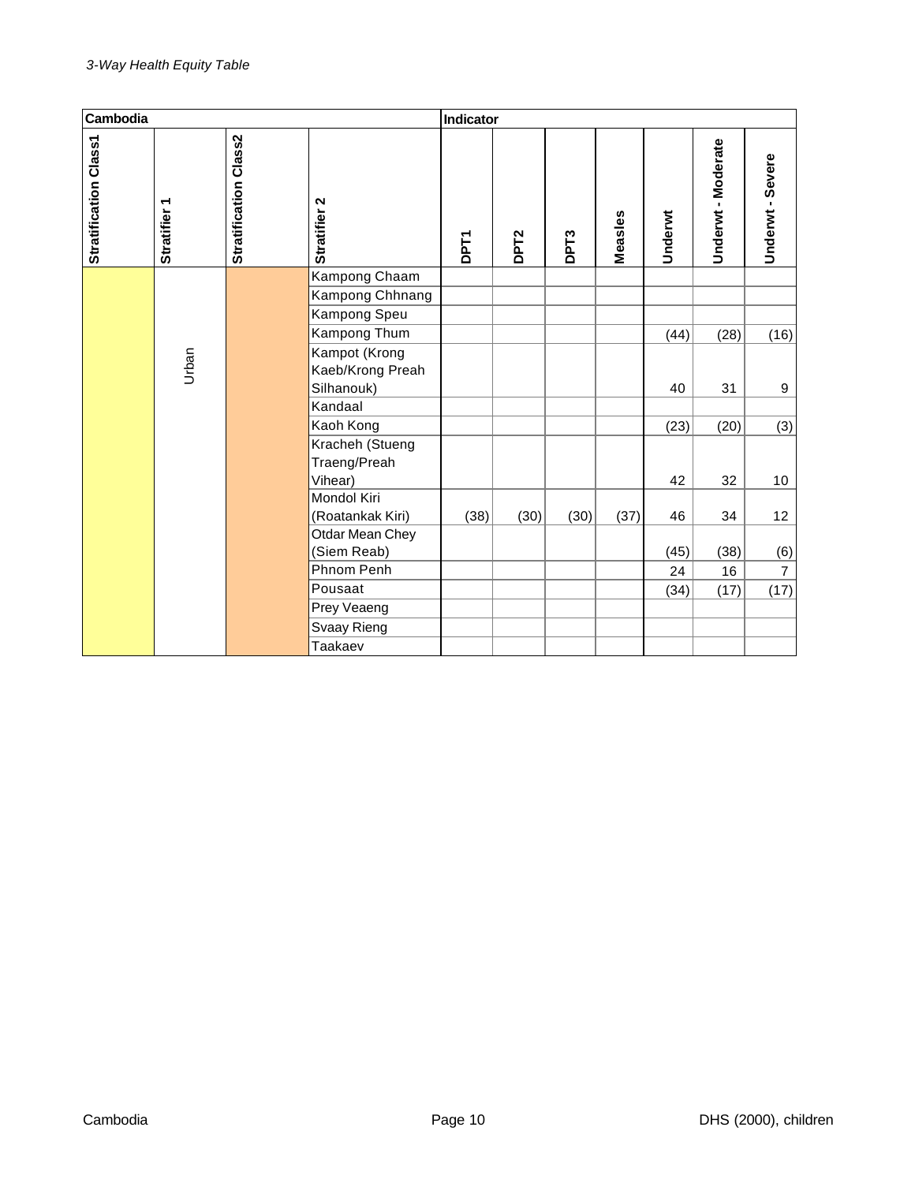| Cambodia              |              |                       |                  | Indicator   |                  |                   |         |         |                    |                  |
|-----------------------|--------------|-----------------------|------------------|-------------|------------------|-------------------|---------|---------|--------------------|------------------|
| Stratification Class1 | Stratifier 1 | Stratification Class2 | Stratifier 2     | <b>DPT1</b> | DPT <sub>2</sub> | DP <sub>T</sub> 3 | Measles | Underwt | Underwt - Moderate | Underwt - Severe |
|                       |              |                       | Kampong Chaam    |             |                  |                   |         |         |                    |                  |
|                       |              |                       | Kampong Chhnang  |             |                  |                   |         |         |                    |                  |
|                       |              |                       | Kampong Speu     |             |                  |                   |         |         |                    |                  |
|                       |              |                       | Kampong Thum     |             |                  |                   |         | (44)    | (28)               | (16)             |
|                       |              |                       | Kampot (Krong    |             |                  |                   |         |         |                    |                  |
|                       | Urban        |                       | Kaeb/Krong Preah |             |                  |                   |         |         |                    |                  |
|                       |              |                       | Silhanouk)       |             |                  |                   |         | 40      | 31                 | 9                |
|                       |              |                       | Kandaal          |             |                  |                   |         |         |                    |                  |
|                       |              |                       | Kaoh Kong        |             |                  |                   |         | (23)    | (20)               | (3)              |
|                       |              |                       | Kracheh (Stueng  |             |                  |                   |         |         |                    |                  |
|                       |              |                       | Traeng/Preah     |             |                  |                   |         |         |                    |                  |
|                       |              |                       | Vihear)          |             |                  |                   |         | 42      | 32                 | 10               |
|                       |              |                       | Mondol Kiri      |             |                  |                   |         |         |                    |                  |
|                       |              |                       | (Roatankak Kiri) | (38)        | (30)             | (30)              | (37)    | 46      | 34                 | 12               |
|                       |              |                       | Otdar Mean Chey  |             |                  |                   |         |         |                    |                  |
|                       |              |                       | (Siem Reab)      |             |                  |                   |         | (45)    | (38)               | (6)              |
|                       |              |                       | Phnom Penh       |             |                  |                   |         | 24      | 16                 | $\overline{7}$   |
|                       |              |                       | Pousaat          |             |                  |                   |         | (34)    | (17)               | (17)             |
|                       |              |                       | Prey Veaeng      |             |                  |                   |         |         |                    |                  |
|                       |              |                       | Svaay Rieng      |             |                  |                   |         |         |                    |                  |
|                       |              |                       | Taakaev          |             |                  |                   |         |         |                    |                  |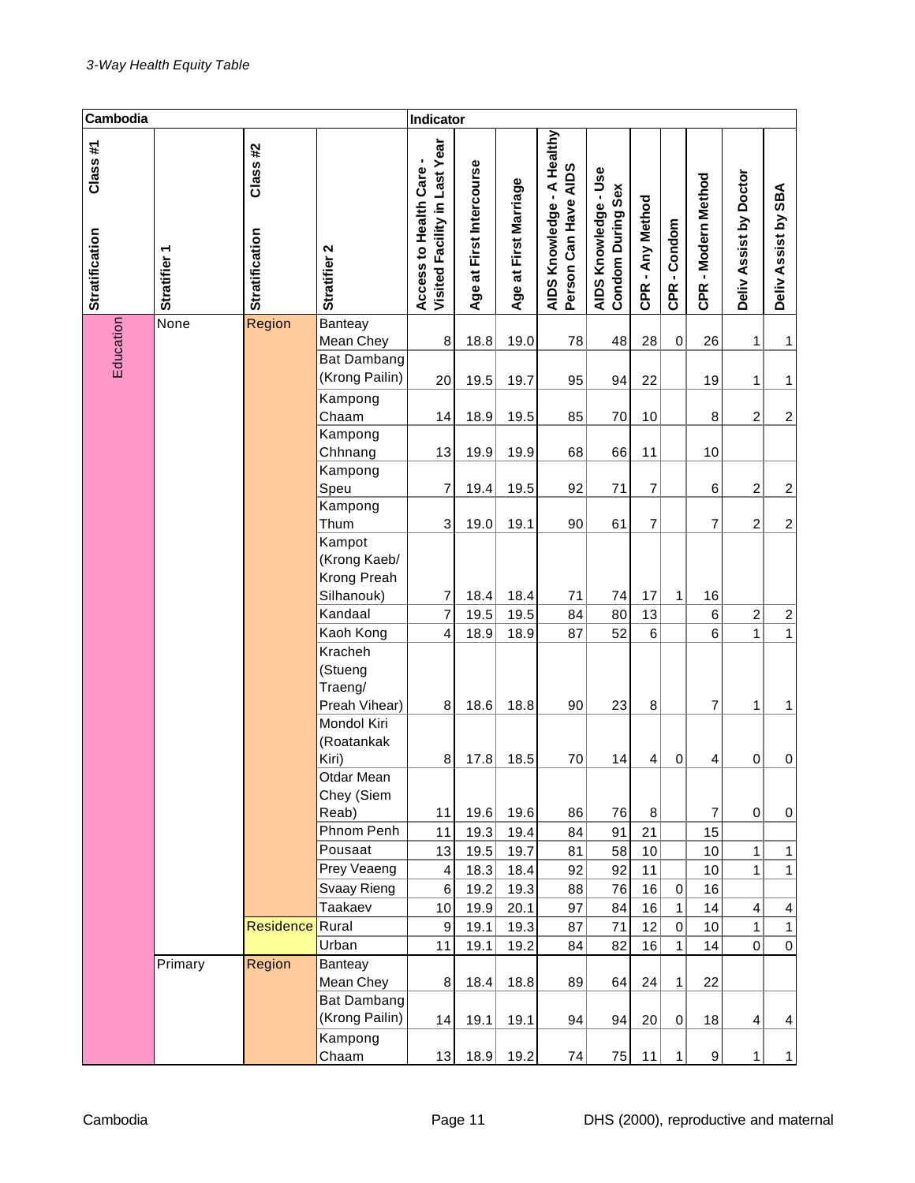| Cambodia                  |                        |                                  |                                                  | Indicator                                                |                              |                       |                                                    |                                                  |                  |              |                         |                         |                     |
|---------------------------|------------------------|----------------------------------|--------------------------------------------------|----------------------------------------------------------|------------------------------|-----------------------|----------------------------------------------------|--------------------------------------------------|------------------|--------------|-------------------------|-------------------------|---------------------|
| Class#1<br>Stratification | ٣<br><b>Stratifier</b> | Class#2<br><b>Stratification</b> | Stratifier 2                                     | Visited Facility in Last Year<br>Access to Health Care - | at First Intercourse<br>Age: | Age at First Marriage | AIDS Knowledge - A Healthy<br>Person Can Have AIDS | AIDS Knowledge - Use<br><b>Condom During Sex</b> | CPR - Any Method | CPR-Condom   | CPR - Modern Method     | Deliv Assist by Doctor  | Deliv Assist by SBA |
| Education                 | None                   | Region                           | Banteay                                          |                                                          |                              |                       |                                                    |                                                  |                  |              |                         |                         |                     |
|                           |                        |                                  | Mean Chey                                        | 8                                                        | 18.8                         | 19.0                  | 78                                                 | 48                                               | 28               | 0            | 26                      | 1                       | 1                   |
|                           |                        |                                  | <b>Bat Dambang</b><br>(Krong Pailin)             | 20                                                       | 19.5                         | 19.7                  | 95                                                 | 94                                               | 22               |              | 19                      | 1                       | 1                   |
|                           |                        |                                  | Kampong<br>Chaam                                 |                                                          |                              |                       |                                                    |                                                  |                  |              |                         |                         |                     |
|                           |                        |                                  | Kampong                                          | 14                                                       | 18.9                         | 19.5                  | 85                                                 | 70                                               | 10               |              | 8                       | $\boldsymbol{2}$        | $\overline{c}$      |
|                           |                        |                                  | Chhnang                                          | 13                                                       | 19.9                         | 19.9                  | 68                                                 | 66                                               | 11               |              | 10                      |                         |                     |
|                           |                        |                                  | Kampong                                          |                                                          |                              |                       |                                                    |                                                  |                  |              |                         |                         |                     |
|                           |                        |                                  | Speu                                             | $\overline{7}$                                           | 19.4                         | 19.5                  | 92                                                 | 71                                               | 7                |              | 6                       | $\overline{c}$          | $\overline{c}$      |
|                           |                        |                                  | Kampong                                          |                                                          |                              |                       |                                                    |                                                  |                  |              |                         |                         |                     |
|                           |                        |                                  | Thum                                             | 3                                                        | 19.0                         | 19.1                  | 90                                                 | 61                                               | 7                |              | $\overline{7}$          | $\overline{c}$          | $\overline{c}$      |
|                           |                        |                                  | Kampot<br>(Krong Kaeb/                           |                                                          |                              |                       |                                                    |                                                  |                  |              |                         |                         |                     |
|                           |                        |                                  | Krong Preah                                      |                                                          |                              |                       |                                                    |                                                  |                  |              |                         |                         |                     |
|                           |                        |                                  | Silhanouk)                                       | 7                                                        | 18.4                         | 18.4                  | 71                                                 | 74                                               | 17               | $\mathbf{1}$ | 16                      |                         |                     |
|                           |                        |                                  | Kandaal                                          | $\overline{7}$                                           | 19.5                         | 19.5                  | 84                                                 | 80                                               | 13               |              | 6                       | $\boldsymbol{2}$        | $\boldsymbol{2}$    |
|                           |                        |                                  | Kaoh Kong                                        | $\overline{\mathbf{4}}$                                  | 18.9                         | 18.9                  | 87                                                 | 52                                               | 6                |              | 6                       | $\overline{1}$          | $\mathbf{1}$        |
|                           |                        |                                  | Kracheh<br>(Stueng<br>Traeng/<br>Preah Vihear)   | 8                                                        | 18.6                         | 18.8                  | 90                                                 | 23                                               | 8                |              | 7                       | 1                       | $\mathbf{1}$        |
|                           |                        |                                  | Mondol Kiri<br>(Roatankak<br>Kiri)<br>Otdar Mean | 8                                                        | 17.8                         | 18.5                  | 70                                                 | 14                                               | 4                | 0            | 4                       | $\,0\,$                 | 0                   |
|                           |                        |                                  | Chey (Siem<br>Reab)                              | 11                                                       | 19.6                         | 19.6                  | 86                                                 | 76                                               | 8                |              | $\overline{\mathbf{7}}$ | $\mathbf 0$             | $\pmb{0}$           |
|                           |                        |                                  | Phnom Penh                                       | 11                                                       | 19.3                         | 19.4                  | 84                                                 | 91                                               | 21               |              | 15                      |                         |                     |
|                           |                        |                                  | Pousaat                                          | 13                                                       | 19.5                         | 19.7                  | 81                                                 | 58                                               | $10$             |              | 10                      | $\mathbf{1}$            | 1                   |
|                           |                        |                                  | Prey Veaeng                                      | 4                                                        | 18.3                         | 18.4                  | 92                                                 | 92                                               | 11               |              | 10                      | $\mathbf{1}$            | 1                   |
|                           |                        |                                  | Svaay Rieng                                      | 6                                                        | 19.2                         | 19.3                  | 88                                                 | 76                                               | 16               | 0            | 16                      |                         |                     |
|                           |                        |                                  | Taakaev                                          | 10                                                       | 19.9                         | 20.1                  | 97                                                 | 84                                               | 16               | $\mathbf{1}$ | 14                      | 4                       | 4                   |
|                           |                        | Residence                        | Rural                                            | $\mathsf g$                                              | 19.1                         | 19.3                  | 87                                                 | 71                                               | 12               | $\mathbf 0$  | 10                      | $\mathbf{1}$            | 1                   |
|                           |                        |                                  | Urban                                            | 11                                                       | 19.1                         | 19.2                  | 84                                                 | 82                                               | 16               | $\mathbf{1}$ | 14                      | $\boldsymbol{0}$        | $\pmb{0}$           |
|                           | Primary                | Region                           | Banteay<br>Mean Chey                             | 8                                                        | 18.4                         | 18.8                  | 89                                                 | 64                                               | 24               | $\mathbf{1}$ | 22                      |                         |                     |
|                           |                        |                                  | Bat Dambang<br>(Krong Pailin)                    | 14                                                       | 19.1                         | 19.1                  | 94                                                 | 94                                               | 20 <sup>°</sup>  | $\mathbf 0$  | 18                      | $\overline{\mathbf{4}}$ | 4                   |
|                           |                        |                                  | Kampong<br>Chaam                                 | 13                                                       | 18.9                         | 19.2                  | 74                                                 | 75                                               | 11               | $\mathbf{1}$ | $\boldsymbol{9}$        | $\mathbf{1}$            | $\mathbf{1}$        |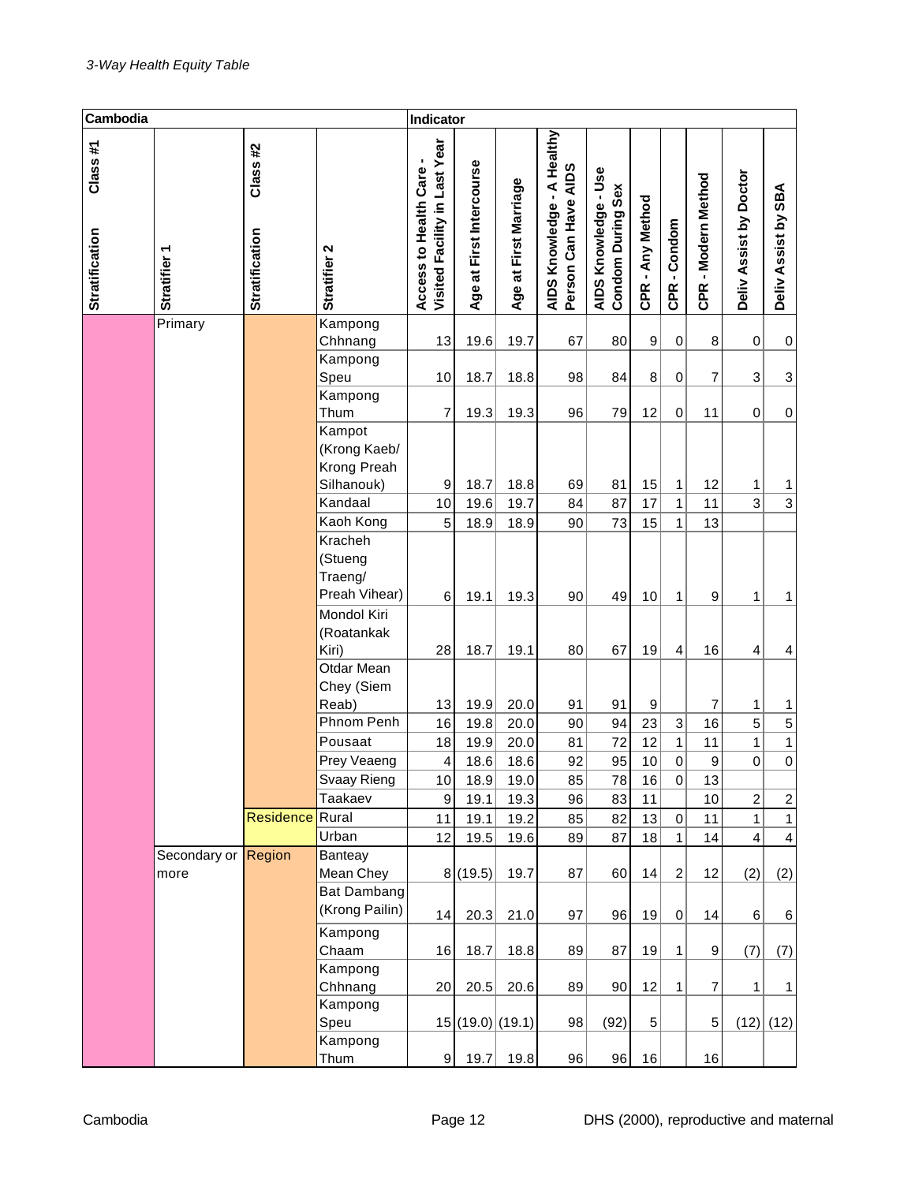| Cambodia                         |                      |                           |                                                     | Indicator                                                |                             |                       |                                                    |                                                  |                        |                  |                     |                           |                     |
|----------------------------------|----------------------|---------------------------|-----------------------------------------------------|----------------------------------------------------------|-----------------------------|-----------------------|----------------------------------------------------|--------------------------------------------------|------------------------|------------------|---------------------|---------------------------|---------------------|
| Class#1<br><b>Stratification</b> | Stratifier 1         | Class#2<br>Stratification | Stratifier 2                                        | Visited Facility in Last Year<br>Access to Health Care - | First Intercourse<br>Age at | Age at First Marriage | AIDS Knowledge - A Healthy<br>Person Can Have AIDS | AIDS Knowledge - Use<br><b>Condom During Sex</b> | CPR - Any Method       | CPR-Condom       | CPR - Modern Method | Deliv Assist by Doctor    | Deliv Assist by SBA |
|                                  | Primary              |                           | Kampong                                             |                                                          |                             |                       |                                                    |                                                  |                        |                  |                     |                           |                     |
|                                  |                      |                           | Chhnang                                             | 13                                                       | 19.6                        | 19.7                  | 67                                                 | 80                                               | 9                      | 0                | 8                   | 0                         | 0                   |
|                                  |                      |                           | Kampong<br>Speu                                     | 10                                                       | 18.7                        | 18.8                  | 98                                                 | 84                                               | 8                      | 0                | 7                   | $\ensuremath{\mathsf{3}}$ | 3                   |
|                                  |                      |                           | Kampong                                             |                                                          |                             |                       |                                                    |                                                  |                        |                  |                     |                           |                     |
|                                  |                      |                           | Thum                                                | 7                                                        | 19.3                        | 19.3                  | 96                                                 | 79                                               | 12                     | $\boldsymbol{0}$ | 11                  | $\mathbf 0$               | $\pmb{0}$           |
|                                  |                      |                           | Kampot<br>(Krong Kaeb/<br>Krong Preah<br>Silhanouk) | 9                                                        | 18.7                        | 18.8                  | 69                                                 | 81                                               | 15                     | 1                | 12                  | 1                         | 1                   |
|                                  |                      |                           | Kandaal                                             | 10                                                       | 19.6                        | 19.7                  | 84                                                 | 87                                               | 17                     | $\mathbf{1}$     | 11                  | $\overline{3}$            | 3                   |
|                                  |                      |                           | Kaoh Kong                                           | 5                                                        | 18.9                        | 18.9                  | 90                                                 | 73                                               | 15                     | $\mathbf{1}$     | 13                  |                           |                     |
|                                  |                      |                           | Kracheh<br>(Stueng<br>Traeng/<br>Preah Vihear)      | 6                                                        | 19.1                        | 19.3                  | 90                                                 | 49                                               | 10                     | $\mathbf{1}$     | 9                   | 1                         | 1                   |
|                                  |                      |                           | Mondol Kiri<br>(Roatankak                           |                                                          |                             |                       |                                                    | 67                                               |                        |                  | 16                  |                           |                     |
|                                  |                      |                           | Kiri)<br>Otdar Mean<br>Chey (Siem<br>Reab)          | 28<br>13                                                 | 18.7<br>19.9                | 19.1<br>20.0          | 80<br>91                                           | 91                                               | 19<br>$\boldsymbol{9}$ | 4                | $\overline{7}$      | 4<br>1                    | 4<br>1              |
|                                  |                      |                           | Phnom Penh                                          | 16                                                       | 19.8                        | 20.0                  | 90                                                 | 94                                               | 23                     | 3                | 16                  | 5                         | $\,$ 5 $\,$         |
|                                  |                      |                           | Pousaat                                             | 18                                                       | 19.9                        | 20.0                  | 81                                                 | 72                                               | 12                     | $\mathbf{1}$     | 11                  | $\mathbf{1}$              | $\mathbf{1}$        |
|                                  |                      |                           | Prey Veaeng                                         | 4                                                        | 18.6                        | 18.6                  | 92                                                 | 95                                               | 10                     | $\mathbf 0$      | 9                   | $\mathbf 0$               | $\overline{0}$      |
|                                  |                      |                           | Svaay Rieng                                         | 10                                                       | 18.9                        | 19.0                  | 85                                                 | 78                                               | 16                     | 0                | 13                  |                           |                     |
|                                  |                      |                           | Taakaev                                             | 9                                                        | 19.1                        | 19.3                  | 96                                                 | 83                                               | 11                     |                  | 10                  | $\overline{c}$            | $\boldsymbol{2}$    |
|                                  |                      | <b>Residence</b>          | Rural                                               | 11                                                       | 19.1                        | 19.2                  | 85                                                 | 82                                               | 13                     | 0                | 11                  | $\mathbf{1}$              | $\mathbf{1}$        |
|                                  |                      |                           | Urban                                               | 12                                                       | 19.5                        | 19.6                  | 89                                                 | 87                                               | 18                     | $\mathbf{1}$     | 14                  | $\overline{4}$            | 4                   |
|                                  | Secondary or<br>more | Region                    | Banteay<br>Mean Chey<br>Bat Dambang                 |                                                          | 8(19.5)                     | 19.7                  | 87                                                 | 60                                               | 14                     | $\boldsymbol{2}$ | 12                  | (2)                       | (2)                 |
|                                  |                      |                           | (Krong Pailin)                                      | 14                                                       | 20.3                        | 21.0                  | 97                                                 | 96                                               | 19                     | $\pmb{0}$        | 14                  | 6                         | 6                   |
|                                  |                      |                           | Kampong                                             |                                                          |                             |                       |                                                    |                                                  |                        |                  |                     |                           |                     |
|                                  |                      |                           | Chaam                                               | 16                                                       | 18.7                        | 18.8                  | 89                                                 | 87                                               | 19                     | 1                | 9                   | (7)                       | (7)                 |
|                                  |                      |                           | Kampong                                             |                                                          |                             |                       |                                                    |                                                  |                        |                  |                     |                           |                     |
|                                  |                      |                           | Chhnang                                             | 20                                                       | 20.5                        | 20.6                  | 89                                                 | 90                                               | 12                     | 1                | $\overline{7}$      | 1                         | 1                   |
|                                  |                      |                           | Kampong<br>Speu<br>Kampong                          |                                                          | 15 (19.0) (19.1)            |                       | 98                                                 | (92)                                             | 5                      |                  | 5                   |                           | $(12)$ (12)         |
|                                  |                      |                           | Thum                                                | 9                                                        | 19.7                        | 19.8                  | 96                                                 | 96                                               | 16                     |                  | 16                  |                           |                     |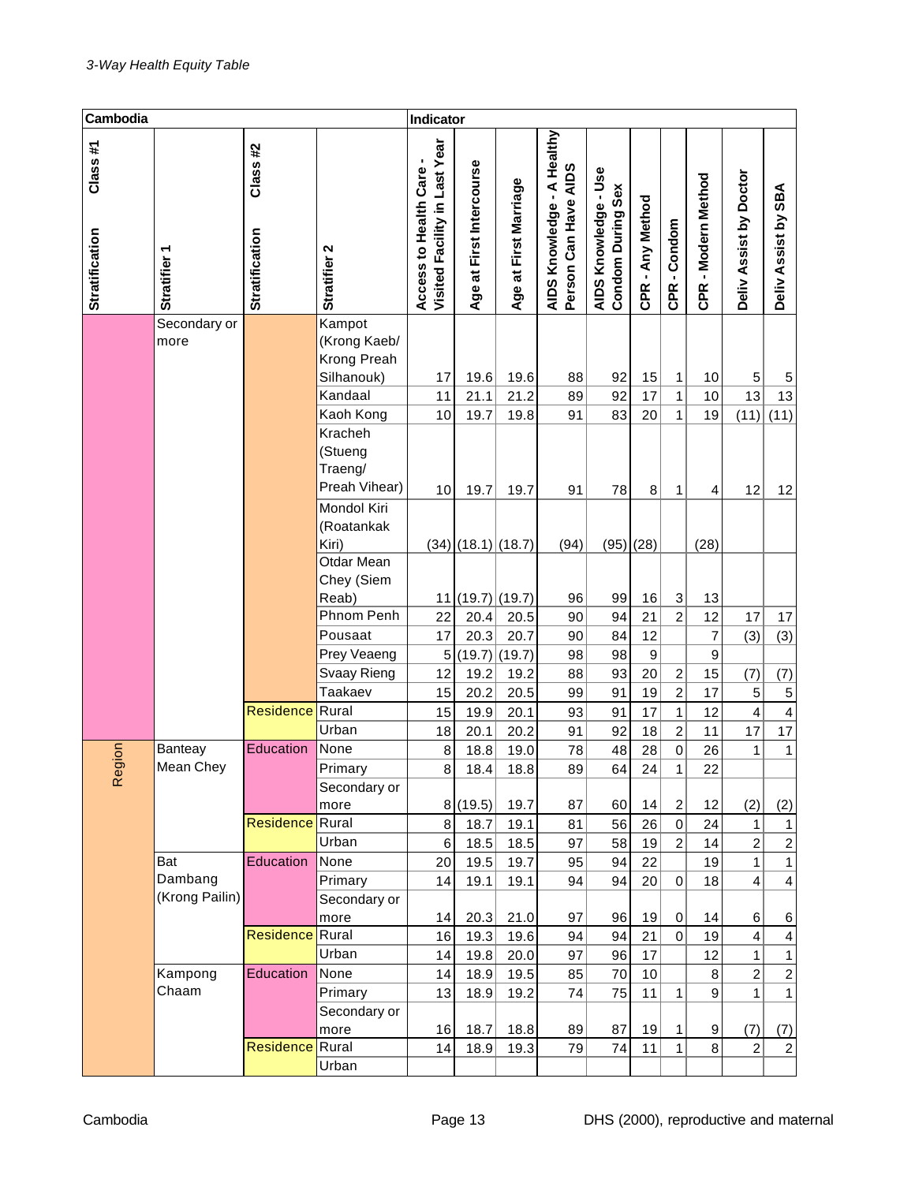| Cambodia                         |                        |                                  |                                                             | Indicator                                              |                                       |                       |                                                                       |                                           |                  |                   |                     |                                  |                                         |
|----------------------------------|------------------------|----------------------------------|-------------------------------------------------------------|--------------------------------------------------------|---------------------------------------|-----------------------|-----------------------------------------------------------------------|-------------------------------------------|------------------|-------------------|---------------------|----------------------------------|-----------------------------------------|
| Class#1<br><b>Stratification</b> | ٣<br><b>Stratifier</b> | Class#2<br><b>Stratification</b> | Stratifier 2                                                | Visited Facility in Last Year<br>Access to Health Care | First Intercourse<br>$\vec{a}$<br>Age | Age at First Marriage | A Healthy<br>Person Can Have AIDS<br>$\blacksquare$<br>AIDS Knowledge | AIDS Knowledge - Use<br>Condom During Sex | CPR - Any Method | CPR-Condom        | CPR - Modern Method | Deliv Assist by Doctor           | Deliv Assist by SBA                     |
|                                  | Secondary or<br>more   |                                  | Kampot<br>(Krong Kaeb/<br>Krong Preah                       |                                                        |                                       |                       |                                                                       |                                           |                  |                   |                     |                                  |                                         |
|                                  |                        |                                  | Silhanouk)                                                  | 17                                                     | 19.6                                  | 19.6                  | 88                                                                    | 92                                        | 15               | 1                 | 10                  | 5                                | 5                                       |
|                                  |                        |                                  | Kandaal                                                     | 11                                                     | 21.1                                  | 21.2                  | 89                                                                    | 92                                        | 17               | $\mathbf{1}$      | 10                  | 13                               | 13                                      |
|                                  |                        |                                  | Kaoh Kong<br>Kracheh<br>(Stueng<br>Traeng/<br>Preah Vihear) | 10<br>10                                               | 19.7<br>19.7                          | 19.8<br>19.7          | 91<br>91                                                              | 83<br>78                                  | 20<br>8          | $\mathbf{1}$<br>1 | 19<br>4             | (11)<br>12                       | (11)<br>12                              |
|                                  |                        |                                  | Mondol Kiri<br>(Roatankak<br>Kiri)                          |                                                        | $(34)$ (18.1) (18.7)                  |                       | (94)                                                                  | $(95)$ $(28)$                             |                  |                   | (28)                |                                  |                                         |
|                                  |                        |                                  | Otdar Mean<br>Chey (Siem<br>Reab)                           | 11                                                     | $(19.7)$ (19.7)                       |                       | 96                                                                    | 99                                        | 16               | $\sqrt{3}$        | 13                  |                                  |                                         |
|                                  |                        |                                  | Phnom Penh                                                  | 22                                                     | 20.4                                  | 20.5                  | 90                                                                    | 94                                        | 21               | $\overline{2}$    | 12                  | 17                               | 17                                      |
|                                  |                        |                                  | Pousaat                                                     | 17                                                     | 20.3                                  | 20.7                  | 90                                                                    | 84                                        | 12               |                   | $\overline{7}$      | (3)                              | (3)                                     |
|                                  |                        |                                  | Prey Veaeng                                                 | 5                                                      | (19.7)                                | (19.7)                | 98                                                                    | 98                                        | 9                |                   | 9                   |                                  |                                         |
|                                  |                        |                                  | Svaay Rieng                                                 | 12                                                     | 19.2                                  | 19.2                  | 88                                                                    | 93                                        | 20               | $\boldsymbol{2}$  | 15                  | (7)                              | (7)                                     |
|                                  |                        |                                  | <b>Taakaev</b>                                              | 15                                                     | 20.2                                  | 20.5                  | 99                                                                    | 91                                        | 19               | $\overline{2}$    | 17                  | $\mathbf 5$                      | $\,$ 5 $\,$                             |
|                                  |                        | Residence                        | Rural                                                       | 15                                                     | 19.9                                  | 20.1                  | 93                                                                    | 91                                        | 17               | $\mathbf{1}$      | 12                  | $\overline{\mathbf{4}}$          | $\overline{\mathbf{4}}$                 |
|                                  |                        |                                  | Urban                                                       | 18                                                     | 20.1                                  | 20.2                  | 91                                                                    | 92                                        | 18               | $\overline{2}$    | 11                  | 17                               | 17                                      |
| egion                            | Banteay                | Education                        | None                                                        | $\bf8$                                                 | 18.8                                  | 19.0                  | 78                                                                    | 48                                        | 28               | $\mathbf 0$       | 26                  | $\mathbf{1}$                     | $\overline{1}$                          |
|                                  | Mean Chey              |                                  | Primary                                                     | 8                                                      | 18.4                                  | 18.8                  | 89                                                                    | 64                                        | 24               | $\mathbf 1$       | 22                  |                                  |                                         |
| ĸ                                |                        |                                  | Secondary or                                                |                                                        |                                       |                       |                                                                       |                                           |                  |                   |                     |                                  |                                         |
|                                  |                        |                                  | more                                                        |                                                        | 8(19.5)                               | 19.7                  | 87                                                                    | 60                                        | 14               | $\boldsymbol{2}$  | 12                  | (2)                              | (2)                                     |
|                                  |                        | <b>Residence</b> Rural           |                                                             | 8                                                      | 18.7                                  | 19.1                  | 81                                                                    | 56                                        | 26               | $\mathbf 0$       | 24                  | $\mathbf{1}$                     | $\mathbf{1}$                            |
|                                  | Bat                    | Education                        | Urban<br>None                                               | 6                                                      | 18.5                                  | 18.5                  | 97                                                                    | 58                                        | 19               | $\overline{2}$    | 14                  | $\overline{c}$<br>$\overline{1}$ | $\overline{c}$                          |
|                                  | Dambang                |                                  | Primary                                                     | 20<br>14                                               | 19.5<br>19.1                          | 19.7<br>19.1          | 95<br>94                                                              | 94<br>94                                  | 22<br>20         | $\mathbf 0$       | 19<br>18            | $\overline{\mathbf{4}}$          | $\mathbf{1}$<br>$\overline{\mathbf{4}}$ |
|                                  | (Krong Pailin)         |                                  | Secondary or                                                |                                                        |                                       |                       |                                                                       |                                           |                  |                   |                     |                                  |                                         |
|                                  |                        |                                  | more                                                        | 14                                                     | 20.3                                  | 21.0                  | 97                                                                    | 96                                        | 19               | $\pmb{0}$         | 14                  | 6                                | 6                                       |
|                                  |                        | <b>Residence</b>                 | Rural                                                       | 16                                                     | 19.3                                  | 19.6                  | 94                                                                    | 94                                        | 21               | $\overline{0}$    | 19                  | $\overline{\mathbf{4}}$          | $\overline{\mathbf{4}}$                 |
|                                  |                        |                                  | Urban                                                       | 14                                                     | 19.8                                  | 20.0                  | 97                                                                    | 96                                        | 17               |                   | 12                  | $\mathbf{1}$                     | $\mathbf{1}$                            |
|                                  | Kampong                | Education                        | None                                                        | 14                                                     | 18.9                                  | 19.5                  | 85                                                                    | 70                                        | 10               |                   | $\bf8$              | $\overline{c}$                   | $\overline{c}$                          |
|                                  | Chaam                  |                                  | Primary                                                     | 13                                                     | 18.9                                  | 19.2                  | 74                                                                    | 75                                        | 11               | $\mathbf{1}$      | $\mathsf g$         | $\mathbf{1}$                     | $\mathbf{1}$                            |
|                                  |                        |                                  | Secondary or                                                |                                                        |                                       |                       |                                                                       |                                           |                  |                   |                     |                                  |                                         |
|                                  |                        |                                  | more                                                        | 16                                                     | 18.7                                  | 18.8                  | 89                                                                    | 87                                        | 19               | 1                 | $\boldsymbol{9}$    | (7)                              | (7)                                     |
|                                  |                        | Residence                        | Rural                                                       | 14                                                     | 18.9                                  | 19.3                  | 79                                                                    | 74                                        | 11               | $\overline{1}$    | 8                   | $\overline{c}$                   | $\overline{c}$                          |
|                                  |                        |                                  | Urban                                                       |                                                        |                                       |                       |                                                                       |                                           |                  |                   |                     |                                  |                                         |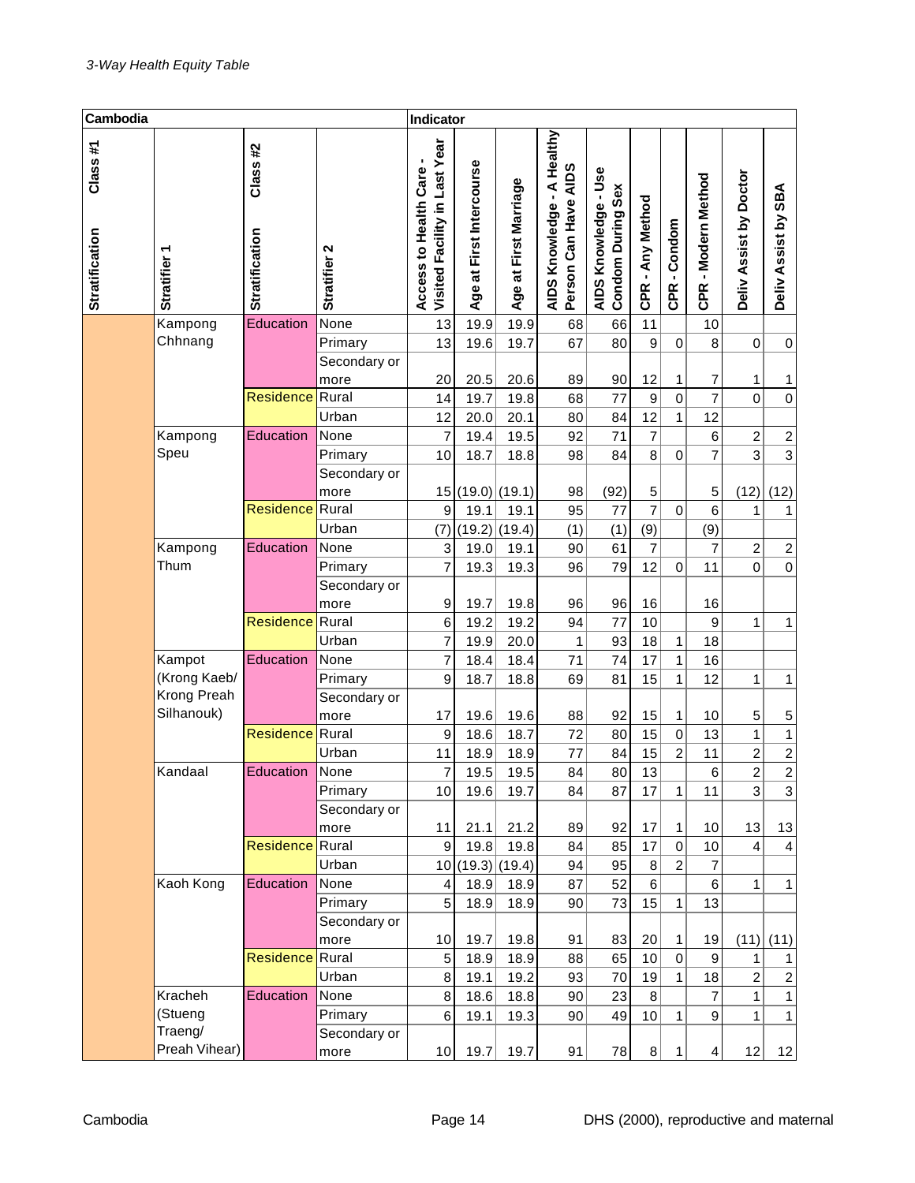| Cambodia                         |                    |                                  |              | Indicator                                              |                                       |                           |                                                     |                                           |                      |                |                         |                           |                     |
|----------------------------------|--------------------|----------------------------------|--------------|--------------------------------------------------------|---------------------------------------|---------------------------|-----------------------------------------------------|-------------------------------------------|----------------------|----------------|-------------------------|---------------------------|---------------------|
| Class#1<br><b>Stratification</b> | <b>Stratifier</b>  | Class#2<br><b>Stratification</b> | Stratifier 2 | Visited Facility in Last Year<br>Access to Health Care | First Intercourse<br>$\vec{a}$<br>Age | at First Marriage<br>Age: | A Healthy<br>Person Can Have AIDS<br>AIDS Knowledge | AIDS Knowledge - Use<br>Condom During Sex | - Any Method<br>CPR. | CPR-Condom     | - Modern Method<br>CPR. | Assist by Doctor<br>Deliv | Deliv Assist by SBA |
|                                  | Kampong            | Education                        | None         | 13                                                     | 19.9                                  | 19.9                      | 68                                                  | 66                                        | 11                   |                | 10                      |                           |                     |
|                                  | Chhnang            |                                  | Primary      | 13                                                     | 19.6                                  | 19.7                      | 67                                                  | 80                                        | 9                    | $\mathbf 0$    | 8                       | $\mathbf 0$               | $\pmb{0}$           |
|                                  |                    |                                  | Secondary or |                                                        |                                       |                           |                                                     |                                           |                      |                |                         |                           |                     |
|                                  |                    |                                  | more         | 20                                                     | 20.5                                  | 20.6                      | 89                                                  | 90                                        | 12                   | 1              | 7                       | 1                         | 1                   |
|                                  |                    | <b>Residence</b>                 | Rural        | 14                                                     | 19.7                                  | 19.8                      | 68                                                  | 77                                        | 9                    | $\overline{0}$ | $\overline{7}$          | $\overline{0}$            | $\mathbf 0$         |
|                                  |                    |                                  | Urban        | 12                                                     | 20.0                                  | 20.1                      | 80                                                  | 84                                        | 12                   | 1              | 12                      |                           |                     |
|                                  | Kampong            | Education                        | None         | $\overline{7}$                                         | 19.4                                  | 19.5                      | 92                                                  | 71                                        | $\overline{7}$       |                | 6                       | $\overline{c}$            | $\frac{2}{3}$       |
|                                  | Speu               |                                  | Primary      | 10                                                     | 18.7                                  | 18.8                      | 98                                                  | 84                                        | 8                    | $\mathbf 0$    | $\overline{7}$          | $\overline{3}$            |                     |
|                                  |                    |                                  | Secondary or |                                                        |                                       |                           |                                                     |                                           |                      |                |                         |                           |                     |
|                                  |                    |                                  | more         |                                                        | 15(19.0)(19.1)                        |                           | 98                                                  | (92)                                      | 5                    |                | 5                       | (12)                      | (12)                |
|                                  |                    | <b>Residence</b>                 | Rural        | 9                                                      | 19.1                                  | 19.1                      | 95                                                  | 77                                        | $\overline{7}$       | 0              | 6                       | $\mathbf{1}$              | 1                   |
|                                  |                    |                                  | Urban        | (7)                                                    | (19.2)                                | (19.4)                    | (1)                                                 | (1)                                       | (9)                  |                | (9)                     |                           |                     |
|                                  | Kampong            | Education                        | None         | 3                                                      | 19.0                                  | 19.1                      | 90                                                  | 61                                        | 7                    |                | 7                       | $\boldsymbol{2}$          | $\boldsymbol{2}$    |
|                                  | Thum               |                                  | Primary      | $\overline{7}$                                         | 19.3                                  | 19.3                      | 96                                                  | 79                                        | 12                   | $\mathbf 0$    | 11                      | $\mathbf 0$               | $\mathbf 0$         |
|                                  |                    |                                  | Secondary or |                                                        |                                       |                           |                                                     |                                           |                      |                |                         |                           |                     |
|                                  |                    |                                  | more         | $\boldsymbol{9}$                                       | 19.7                                  | 19.8                      | 96                                                  | 96                                        | 16                   |                | 16                      |                           |                     |
|                                  |                    | Residence                        | Rural        | 6                                                      | 19.2                                  | 19.2                      | 94                                                  | 77                                        | 10                   |                | 9                       | $\mathbf{1}$              | $\mathbf{1}$        |
|                                  |                    |                                  | Urban        | $\overline{7}$                                         | 19.9                                  | 20.0                      | 1                                                   | 93                                        | 18                   | 1              | 18                      |                           |                     |
|                                  | Kampot             | Education                        | None         | 7                                                      | 18.4                                  | 18.4                      | 71                                                  | 74                                        | 17                   | $\mathbf 1$    | 16                      |                           |                     |
|                                  | (Krong Kaeb/       |                                  | Primary      | 9                                                      | 18.7                                  | 18.8                      | 69                                                  | 81                                        | 15                   | $\mathbf 1$    | 12                      | 1                         | $\mathbf{1}$        |
|                                  | Krong Preah        |                                  | Secondary or |                                                        |                                       |                           |                                                     |                                           |                      |                |                         |                           |                     |
|                                  | Silhanouk)         |                                  | more         | 17                                                     | 19.6                                  | 19.6                      | 88                                                  | 92                                        | 15                   | 1              | 10                      | 5                         | $\mathbf 5$         |
|                                  |                    | <b>Residence</b>                 | Rural        | 9                                                      | 18.6                                  | 18.7                      | 72                                                  | 80                                        | 15                   | $\overline{0}$ | 13                      | $\overline{1}$            | $\mathbf{1}$        |
|                                  |                    |                                  | Urban        | 11                                                     | 18.9                                  | 18.9                      | 77                                                  | 84                                        | 15                   | $\overline{2}$ | 11                      | $\overline{2}$            | $\overline{2}$      |
|                                  | Kandaal            | Education                        | None         | $\overline{7}$                                         | 19.5                                  | 19.5                      | 84                                                  | 80                                        | 13                   |                | 6                       | $\overline{2}$            | $\overline{2}$      |
|                                  |                    |                                  | Primary      | 10                                                     | 19.6                                  | 19.7                      | 84                                                  | 87                                        | 17                   | 1              | 11                      | 3                         | 3                   |
|                                  |                    |                                  | Secondary or |                                                        |                                       |                           |                                                     |                                           |                      |                |                         |                           |                     |
|                                  |                    |                                  | more         | 11                                                     | 21.1                                  | 21.2                      | 89                                                  | 92                                        | $17\,$               | 1              | 10                      | 13                        | 13                  |
|                                  |                    | Residence                        | Rural        | $9\,$                                                  | 19.8                                  | 19.8                      | 84                                                  | 85                                        | 17                   | $\mathbf 0$    | 10                      | $\overline{4}$            | $\overline{4}$      |
|                                  |                    |                                  | Urban        |                                                        | 10(19.3)                              | (19.4)                    | 94                                                  | 95                                        | 8 <sup>1</sup>       | $\overline{2}$ | 7                       |                           |                     |
|                                  | Kaoh Kong          | Education                        | None         | 4                                                      | 18.9                                  | 18.9                      | 87                                                  | 52                                        | $6\vert$             |                | $\,6$                   | $\mathbf{1}$              | $\mathbf{1}$        |
|                                  |                    |                                  | Primary      | 5                                                      | 18.9                                  | 18.9                      | 90                                                  | 73                                        | 15                   | 1              | 13                      |                           |                     |
|                                  |                    |                                  | Secondary or |                                                        |                                       |                           |                                                     |                                           |                      |                |                         |                           |                     |
|                                  |                    |                                  | more         | 10                                                     | 19.7                                  | 19.8                      | 91                                                  | 83                                        | 20                   | 1              | 19                      | (11)                      | (11)                |
|                                  |                    | <b>Residence</b>                 | Rural        | 5                                                      | 18.9                                  | 18.9                      | 88                                                  | 65                                        | 10                   | $\overline{0}$ | $\boldsymbol{9}$        | 1                         | 1                   |
|                                  |                    |                                  | Urban        | 8                                                      | 19.1                                  | 19.2                      | 93                                                  | 70                                        | 19                   | 1              | 18                      | $\overline{c}$            | $\boldsymbol{2}$    |
|                                  | Kracheh            | <b>Education</b>                 | None         | 8                                                      | 18.6                                  | 18.8                      | 90                                                  | 23                                        | 8                    |                | 7                       | $\mathbf{1}$              | 1                   |
|                                  | (Stueng<br>Traeng/ |                                  | Primary      | 6                                                      | 19.1                                  | 19.3                      | 90                                                  | 49                                        | 10                   | 1              | 9                       | $\mathbf{1}$              | 1                   |
|                                  | Preah Vihear)      |                                  | Secondary or |                                                        |                                       |                           |                                                     |                                           |                      |                |                         |                           |                     |
|                                  |                    |                                  | more         | 10                                                     | 19.7                                  | 19.7                      | 91                                                  | 78                                        | 8 <sup>2</sup>       | $\mathbf{1}$   | $\overline{4}$          | 12                        | 12                  |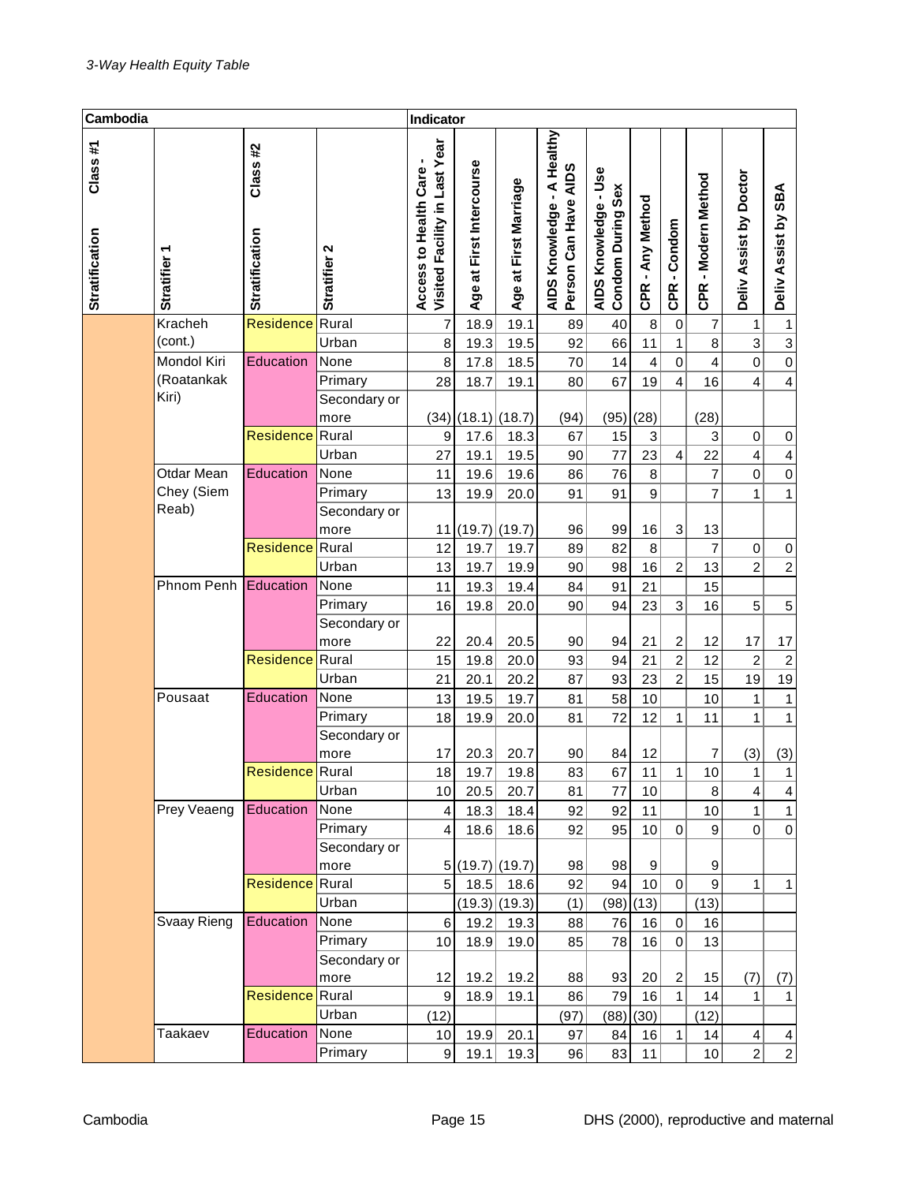| Cambodia                         |                      |                                  |              | Indicator                                              |                                                  |                       |                                                           |                                           |                  |                         |                        |                         |                         |
|----------------------------------|----------------------|----------------------------------|--------------|--------------------------------------------------------|--------------------------------------------------|-----------------------|-----------------------------------------------------------|-------------------------------------------|------------------|-------------------------|------------------------|-------------------------|-------------------------|
| Class#1<br><b>Stratification</b> | <b>Stratifier</b>    | Class#2<br><b>Stratification</b> | Stratifier 2 | Visited Facility in Last Year<br>Access to Health Care | First Intercourse<br>$\frac{1}{6}$<br><b>Age</b> | Age at First Marriage | A Healthy<br>Person Can Have AIDS<br>J,<br>AIDS Knowledge | AIDS Knowledge - Use<br>Condom During Sex | CPR - Any Method | CPR-Condom              | -Modern Method<br>CPR. | Deliv Assist by Doctor  | Deliv Assist by SBA     |
|                                  | Kracheh              | <b>Residence</b>                 | Rural        | 7                                                      | 18.9                                             | 19.1                  | 89                                                        | 40                                        | 8                | $\boldsymbol{0}$        | 7                      | 1                       | 1                       |
|                                  | (cont.)              |                                  | Urban        | 8                                                      | 19.3                                             | 19.5                  | 92                                                        | 66                                        | 11               | $\mathbf{1}$            | 8                      | 3                       | $\overline{3}$          |
|                                  | Mondol Kiri          | Education                        | None         | 8                                                      | 17.8                                             | 18.5                  | 70                                                        | 14                                        | 4                | 0                       | 4                      | $\mathbf 0$             | $\mathbf 0$             |
|                                  | (Roatankak           |                                  | Primary      | 28                                                     | 18.7                                             | 19.1                  | 80                                                        | 67                                        | 19               | $\overline{\mathbf{4}}$ | 16                     | $\overline{4}$          | $\overline{\mathbf{4}}$ |
|                                  | Kiri)                |                                  | Secondary or |                                                        |                                                  |                       |                                                           |                                           |                  |                         |                        |                         |                         |
|                                  |                      |                                  | more         |                                                        | $(34)$ (18.1) (18.7)                             |                       | (94)                                                      | (95)                                      | (28)             |                         | (28)                   |                         |                         |
|                                  |                      | <b>Residence</b> Rural           |              | $\boldsymbol{9}$                                       | 17.6                                             | 18.3                  | 67                                                        | 15                                        | 3                |                         | 3                      | $\boldsymbol{0}$        | $\pmb{0}$               |
|                                  |                      |                                  | Urban        | 27                                                     | 19.1                                             | 19.5                  | 90                                                        | 77                                        | 23               | $\overline{\mathbf{4}}$ | 22                     | $\overline{\mathbf{4}}$ | $\overline{\mathbf{4}}$ |
|                                  | Otdar Mean           | Education                        | None         | 11                                                     | 19.6                                             | 19.6                  | 86                                                        | 76                                        | 8                |                         | 7                      | $\mathbf 0$             | $\mathbf 0$             |
|                                  | Chey (Siem           |                                  | Primary      | 13                                                     | 19.9                                             | 20.0                  | 91                                                        | 91                                        | 9                |                         | 7                      | 1                       | $\mathbf{1}$            |
|                                  | Reab)                |                                  | Secondary or |                                                        |                                                  |                       |                                                           |                                           |                  |                         |                        |                         |                         |
|                                  |                      |                                  | more         |                                                        | 11 (19.7) (19.7)                                 |                       | 96                                                        | 99                                        | 16               | 3                       | 13                     |                         |                         |
|                                  |                      | <b>Residence</b>                 | Rural        | 12                                                     | 19.7                                             | 19.7                  | 89                                                        | 82                                        | 8                |                         | $\overline{7}$         | 0                       | $\pmb{0}$               |
|                                  |                      |                                  | Urban        | 13                                                     | 19.7                                             | 19.9                  | 90                                                        | 98                                        | 16               | $\overline{c}$          | 13                     | $\overline{2}$          | $\boldsymbol{2}$        |
|                                  | Phnom Penh Education |                                  | None         | 11                                                     | 19.3                                             | 19.4                  | 84                                                        | 91                                        | 21               |                         | 15                     |                         |                         |
|                                  |                      |                                  | Primary      | 16                                                     | 19.8                                             | 20.0                  | 90                                                        | 94                                        | 23               | 3                       | 16                     | 5                       | $\mathbf 5$             |
|                                  |                      |                                  | Secondary or |                                                        |                                                  |                       |                                                           |                                           |                  |                         |                        |                         |                         |
|                                  |                      |                                  | more         | 22                                                     | 20.4                                             | 20.5                  | 90                                                        | 94                                        | 21               | $\overline{c}$          | 12                     | 17                      | 17                      |
|                                  |                      | <b>Residence</b> Rural           |              | 15                                                     | 19.8                                             | 20.0                  | 93                                                        | 94                                        | 21               | $\overline{2}$          | 12                     | $\overline{c}$          | $\boldsymbol{2}$        |
|                                  |                      |                                  | Urban        | 21                                                     | 20.1                                             | 20.2                  | 87                                                        | 93                                        | 23               | $\overline{2}$          | 15                     | 19                      | 19                      |
|                                  | Pousaat              | Education                        | None         | 13                                                     | 19.5                                             | 19.7                  | 81                                                        | 58                                        | 10               |                         | 10                     | $\mathbf{1}$            | $\mathbf{1}$            |
|                                  |                      |                                  | Primary      | 18                                                     | 19.9                                             | 20.0                  | 81                                                        | 72                                        | 12               | $\mathbf{1}$            | 11                     | $\mathbf{1}$            | 1                       |
|                                  |                      |                                  | Secondary or |                                                        |                                                  |                       |                                                           |                                           |                  |                         |                        |                         |                         |
|                                  |                      |                                  | more         | 17                                                     | 20.3                                             | 20.7                  | 90                                                        | 84                                        | 12               |                         | 7                      | (3)                     | (3)                     |
|                                  |                      | <b>Residence</b> Rural           |              | 18                                                     | 19.7                                             | 19.8                  | 83                                                        | 67                                        | 11               | $\mathbf{1}$            | 10 <sup>1</sup>        | $\mathbf{1}$            | $\mathbf{1}$            |
|                                  |                      |                                  | Urban        | 10                                                     | 20.5                                             | 20.7                  | 81                                                        | 77                                        | 10               |                         | $\bf 8$                | 4                       | 4                       |
|                                  | Prey Veaeng          | Education                        | None         | 4                                                      | 18.3                                             | 18.4                  | 92                                                        | 92                                        | 11               |                         | 10                     | $\mathbf{1}$            | $\mathbf{1}$            |
|                                  |                      |                                  | Primary      | $\overline{\mathbf{4}}$                                | 18.6                                             | 18.6                  | 92                                                        | 95                                        | $10$             | 0                       | 9                      | $\mathbf 0$             | $\boldsymbol{0}$        |
|                                  |                      |                                  | Secondary or |                                                        |                                                  |                       |                                                           |                                           |                  |                         |                        |                         |                         |
|                                  |                      |                                  | more         |                                                        | 5 (19.7) (19.7)                                  |                       | 98                                                        | 98                                        | 9                |                         | 9                      |                         |                         |
|                                  |                      | <b>Residence</b> Rural           |              | 5                                                      | 18.5                                             | 18.6                  | 92                                                        | 94                                        | 10               | $\mathbf 0$             | 9                      | $\mathbf{1}$            | $\mathbf{1}$            |
|                                  |                      |                                  | Urban        |                                                        |                                                  | $(19.3)$ (19.3)       | (1)                                                       | (98)                                      | (13)             |                         | (13)                   |                         |                         |
|                                  | Svaay Rieng          | Education                        | None         | 6                                                      | 19.2                                             | 19.3                  | 88                                                        | 76                                        | 16               | $\mathbf 0$             | 16                     |                         |                         |
|                                  |                      |                                  | Primary      | 10                                                     | 18.9                                             | 19.0                  | 85                                                        | 78                                        | 16               | 0                       | 13                     |                         |                         |
|                                  |                      |                                  | Secondary or |                                                        |                                                  |                       |                                                           |                                           |                  |                         |                        |                         |                         |
|                                  |                      |                                  | more         | 12                                                     | 19.2                                             | 19.2                  | 88                                                        | 93                                        | 20               | $\overline{c}$          | 15                     | (7)                     | (7)                     |
|                                  |                      | <b>Residence</b>                 | Rural        | 9                                                      | 18.9                                             | 19.1                  | 86                                                        | 79                                        | 16               | $\mathbf{1}$            | 14                     | $\mathbf{1}$            | 1                       |
|                                  |                      |                                  | Urban        | (12)                                                   |                                                  |                       | (97)                                                      | (88)                                      | (30)             |                         | (12)                   |                         |                         |
|                                  | Taakaev              | Education                        | None         | 10                                                     | 19.9                                             | 20.1                  | 97                                                        | 84                                        | 16               | $\mathbf{1}$            | 14                     | $\overline{\mathbf{4}}$ | $\overline{\mathbf{r}}$ |
|                                  |                      |                                  | Primary      | 9                                                      | 19.1                                             | 19.3                  | 96                                                        | 83                                        | 11               |                         | 10                     | $\overline{c}$          | $\mathbf{2}$            |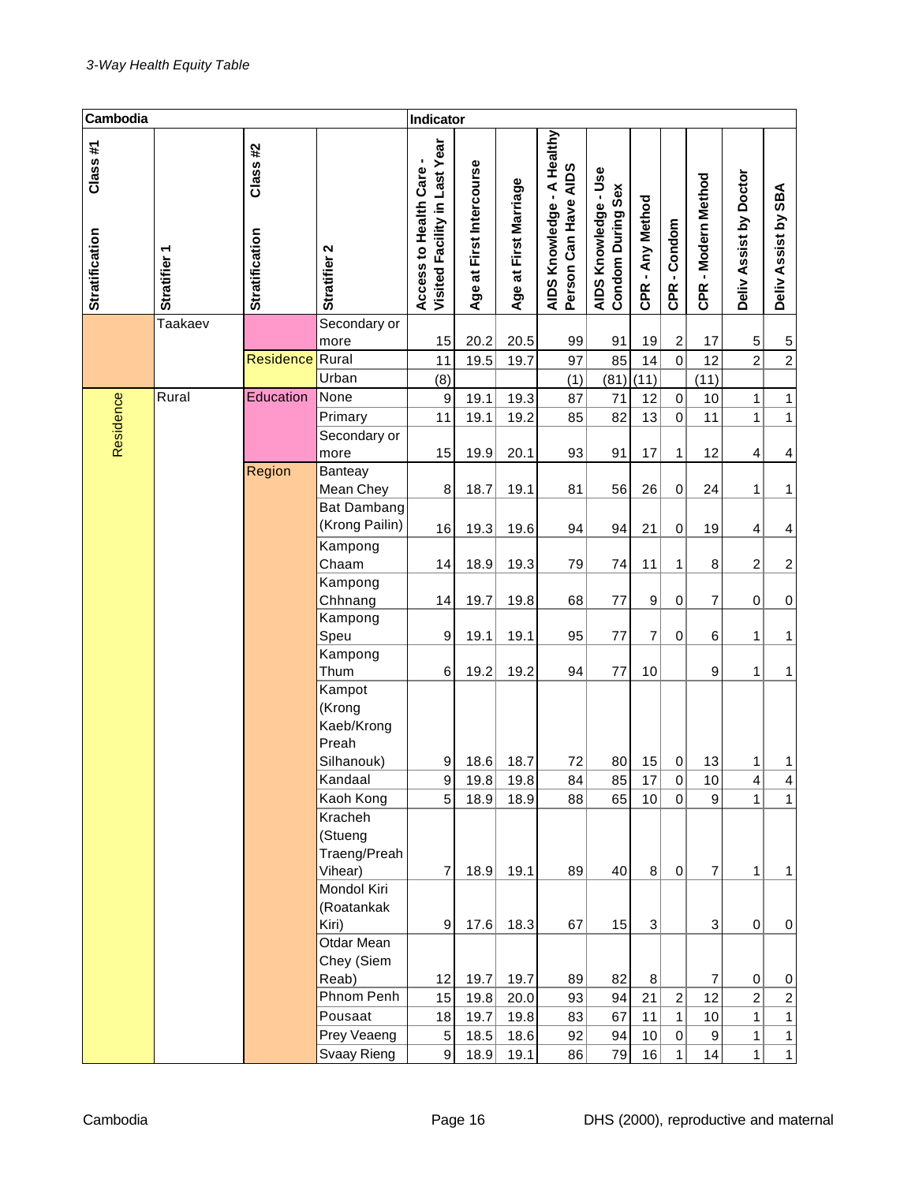| Cambodia                         |                   |                                   |                                                       | Indicator                                                |                                         |                       |                                                                       |                                                  |                  |                  |                     |                           |                         |
|----------------------------------|-------------------|-----------------------------------|-------------------------------------------------------|----------------------------------------------------------|-----------------------------------------|-----------------------|-----------------------------------------------------------------------|--------------------------------------------------|------------------|------------------|---------------------|---------------------------|-------------------------|
| Class#1<br><b>Stratification</b> | <b>Stratifier</b> | Class #2<br><b>Stratification</b> | Stratifier 2                                          | Visited Facility in Last Year<br>Access to Health Care - | First Intercourse<br>$\vec{a}$<br>Age a | Age at First Marriage | A Healthy<br>Person Can Have AIDS<br>$\blacksquare$<br>AIDS Knowledge | AIDS Knowledge - Use<br><b>Condom During Sex</b> | CPR - Any Method | CPR-Condom       | CPR - Modern Method | Assist by Doctor<br>Deliv | Deliv Assist by SBA     |
|                                  | Taakaev           |                                   | Secondary or                                          |                                                          |                                         |                       |                                                                       |                                                  |                  |                  |                     |                           |                         |
|                                  |                   |                                   | more                                                  | 15                                                       | 20.2                                    | 20.5                  | 99                                                                    | 91                                               | 19               | $\boldsymbol{2}$ | 17                  | 5                         | 5                       |
|                                  |                   | <b>Residence</b>                  | Rural                                                 | 11                                                       | 19.5                                    | 19.7                  | 97                                                                    | 85                                               | 14               | $\overline{0}$   | 12                  | $\overline{2}$            | $\overline{2}$          |
|                                  |                   |                                   | Urban                                                 | (8)                                                      |                                         |                       | (1)                                                                   | (81)                                             | (11)             |                  | (11)                |                           |                         |
| Residence                        | Rural             | Education                         | None                                                  | $\boldsymbol{9}$                                         | 19.1                                    | 19.3                  | 87                                                                    | 71                                               | 12               | $\mathbf 0$      | 10                  | 1                         | 1                       |
|                                  |                   |                                   | Primary                                               | 11                                                       | 19.1                                    | 19.2                  | 85                                                                    | 82                                               | 13               | $\mathbf 0$      | 11                  | $\mathbf{1}$              | $\mathbf{1}$            |
|                                  |                   |                                   | Secondary or                                          |                                                          |                                         |                       |                                                                       |                                                  |                  |                  |                     |                           |                         |
|                                  |                   |                                   | more                                                  | 15                                                       | 19.9                                    | 20.1                  | 93                                                                    | 91                                               | 17               | 1                | 12                  | 4                         | 4                       |
|                                  |                   | Region                            | Banteay                                               |                                                          |                                         |                       |                                                                       |                                                  |                  |                  |                     |                           |                         |
|                                  |                   |                                   | Mean Chey                                             | 8                                                        | 18.7                                    | 19.1                  | 81                                                                    | 56                                               | 26               | $\mathbf 0$      | 24                  | 1                         | 1                       |
|                                  |                   |                                   | <b>Bat Dambang</b>                                    |                                                          |                                         |                       |                                                                       |                                                  |                  |                  |                     |                           |                         |
|                                  |                   |                                   | (Krong Pailin)                                        | 16                                                       | 19.3                                    | 19.6                  | 94                                                                    | 94                                               | 21               | 0                | 19                  | 4                         | 4                       |
|                                  |                   |                                   | Kampong                                               |                                                          |                                         |                       |                                                                       |                                                  |                  |                  |                     |                           |                         |
|                                  |                   |                                   | Chaam                                                 | 14                                                       | 18.9                                    | 19.3                  | 79                                                                    | 74                                               | 11               | 1                | 8                   | $\overline{c}$            | $\overline{\mathbf{c}}$ |
|                                  |                   |                                   | Kampong                                               | 14                                                       |                                         |                       |                                                                       |                                                  |                  |                  |                     |                           |                         |
|                                  |                   |                                   | Chhnang<br>Kampong                                    |                                                          | 19.7                                    | 19.8                  | 68                                                                    | 77                                               | 9                | 0                | 7                   | 0                         | $\,0\,$                 |
|                                  |                   |                                   | Speu                                                  | 9                                                        | 19.1                                    | 19.1                  | 95                                                                    | 77                                               | 7                | 0                | 6                   | 1                         | 1                       |
|                                  |                   |                                   | Kampong                                               |                                                          |                                         |                       |                                                                       |                                                  |                  |                  |                     |                           |                         |
|                                  |                   |                                   | Thum                                                  | 6                                                        | 19.2                                    | 19.2                  | 94                                                                    | 77                                               | 10               |                  | 9                   | 1                         | 1                       |
|                                  |                   |                                   | Kampot<br>(Krong<br>Kaeb/Krong<br>Preah<br>Silhanouk) | 9                                                        | 18.6                                    | 18.7                  | 72                                                                    | 80                                               | 15               | 0                | 13                  | 1                         | 1                       |
|                                  |                   |                                   | Kandaal                                               | 9                                                        | 19.8                                    | 19.8                  | 84                                                                    | 85                                               | 17               | 0                | 10                  | 4                         | 4                       |
|                                  |                   |                                   | Kaoh Kong                                             | 5                                                        | 18.9                                    | 18.9                  | 88                                                                    | 65                                               | 10               | $\overline{0}$   | 9                   | $\mathbf{1}$              | 1                       |
|                                  |                   |                                   | Kracheh<br>(Stueng<br>Traeng/Preah<br>Vihear)         | 7                                                        | 18.9                                    | 19.1                  | 89                                                                    | 40                                               | 8                | $\Omega$         | $\overline{7}$      | 1                         | 1                       |
|                                  |                   |                                   | Mondol Kiri<br>(Roatankak<br>Kiri)                    | 9                                                        | 17.6                                    | 18.3                  | 67                                                                    | 15                                               | 3                |                  | $\mathbf{3}$        | $\mathbf 0$               | 0                       |
|                                  |                   |                                   | Otdar Mean<br>Chey (Siem                              |                                                          |                                         |                       |                                                                       |                                                  |                  |                  |                     |                           |                         |
|                                  |                   |                                   | Reab)                                                 | 12                                                       | 19.7                                    | 19.7                  | 89                                                                    | 82                                               | 8                |                  | 7                   | 0                         | $\pmb{0}$               |
|                                  |                   |                                   | Phnom Penh                                            | 15                                                       | 19.8                                    | 20.0                  | 93                                                                    | 94                                               | 21               | $\overline{c}$   | 12                  | $\overline{c}$            | $\boldsymbol{2}$        |
|                                  |                   |                                   | Pousaat                                               | 18                                                       | 19.7                                    | 19.8                  | 83                                                                    | 67                                               | 11               | $\mathbf{1}$     | 10                  | $\mathbf{1}$              | $\mathbf{1}$            |
|                                  |                   |                                   | Prey Veaeng                                           | 5                                                        | 18.5                                    | 18.6                  | 92                                                                    | 94                                               | 10               | $\mathbf 0$      | 9                   | 1                         | 1                       |
|                                  |                   |                                   | Svaay Rieng                                           | 9                                                        | 18.9                                    | 19.1                  | 86                                                                    | 79                                               | 16               | $\mathbf{1}$     | 14                  | 1                         | $\mathbf{1}$            |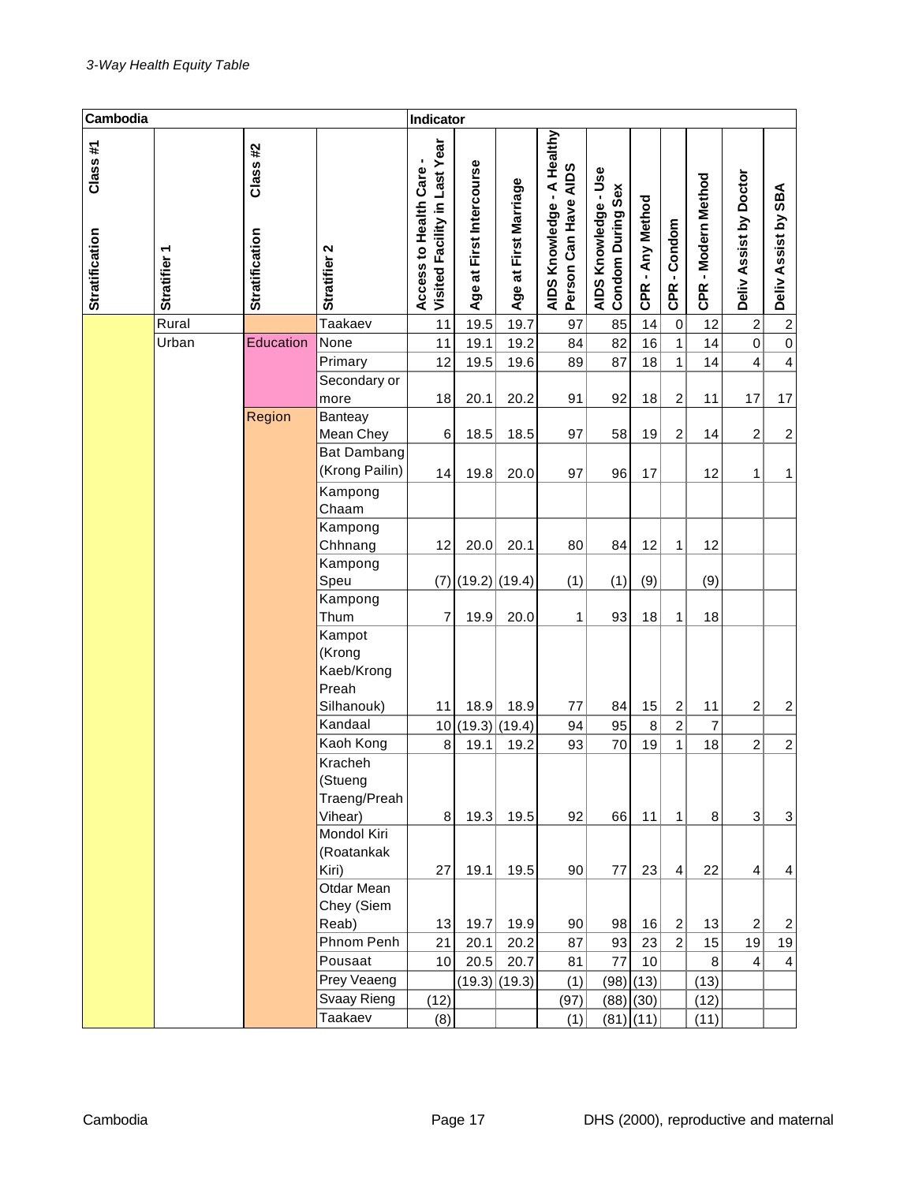| Cambodia                         |                        |                           |                                                       | Indicator                                               |                                       |                       |                                                                       |                                           |                  |                |                        |                            |                         |
|----------------------------------|------------------------|---------------------------|-------------------------------------------------------|---------------------------------------------------------|---------------------------------------|-----------------------|-----------------------------------------------------------------------|-------------------------------------------|------------------|----------------|------------------------|----------------------------|-------------------------|
| Class#1<br><b>Stratification</b> | ٣<br><b>Stratifier</b> | Class#2<br>Stratification | Stratifier 2                                          | Visited Facility in Last Year<br>Access to Health Care- | First Intercourse<br>$\vec{a}$<br>Age | Age at First Marriage | A Healthy<br>Person Can Have AIDS<br>$\blacksquare$<br>AIDS Knowledge | AIDS Knowledge - Use<br>Condom During Sex | CPR - Any Method | CPR-Condom     | - Modern Method<br>CPR | Assist by Doctor<br>Deliv. | SBA<br>Deliv Assist by  |
|                                  | Rural                  |                           | Taakaev                                               | 11                                                      | 19.5                                  | 19.7                  | 97                                                                    | 85                                        | 14               | $\pmb{0}$      | 12                     | $\boldsymbol{2}$           | $\boldsymbol{2}$        |
|                                  | Urban                  | Education                 | None                                                  | 11                                                      | 19.1                                  | 19.2                  | 84                                                                    | 82                                        | 16               | $\mathbf{1}$   | 14                     | $\boldsymbol{0}$           | $\,0\,$                 |
|                                  |                        |                           | Primary                                               | 12                                                      | 19.5                                  | 19.6                  | 89                                                                    | 87                                        | 18               | $\mathbf{1}$   | 14                     | 4                          | $\overline{\mathbf{4}}$ |
|                                  |                        |                           | Secondary or                                          |                                                         |                                       |                       |                                                                       |                                           |                  |                |                        |                            |                         |
|                                  |                        |                           | more                                                  | 18                                                      | 20.1                                  | 20.2                  | 91                                                                    | 92                                        | 18               | 2              | 11                     | 17                         | 17                      |
|                                  |                        | Region                    | Banteay<br>Mean Chey                                  | 6                                                       | 18.5                                  | 18.5                  | 97                                                                    | 58                                        | 19               | 2              | 14                     | $\overline{c}$             | $\overline{\mathbf{c}}$ |
|                                  |                        |                           | <b>Bat Dambang</b>                                    |                                                         |                                       |                       |                                                                       |                                           |                  |                |                        |                            |                         |
|                                  |                        |                           | (Krong Pailin)                                        | 14                                                      | 19.8                                  | 20.0                  | 97                                                                    | 96                                        | 17               |                | 12                     | 1                          | 1                       |
|                                  |                        |                           | Kampong                                               |                                                         |                                       |                       |                                                                       |                                           |                  |                |                        |                            |                         |
|                                  |                        |                           | Chaam                                                 |                                                         |                                       |                       |                                                                       |                                           |                  |                |                        |                            |                         |
|                                  |                        |                           | Kampong                                               |                                                         |                                       |                       |                                                                       |                                           |                  |                |                        |                            |                         |
|                                  |                        |                           | Chhnang                                               | 12                                                      | 20.0                                  | 20.1                  | 80                                                                    | 84                                        | 12               | $\mathbf{1}$   | 12                     |                            |                         |
|                                  |                        |                           | Kampong                                               |                                                         |                                       |                       |                                                                       |                                           |                  |                |                        |                            |                         |
|                                  |                        |                           | Speu                                                  | (7)                                                     | $(19.2)$ (19.4)                       |                       | (1)                                                                   | (1)                                       | (9)              |                | (9)                    |                            |                         |
|                                  |                        |                           | Kampong                                               |                                                         |                                       |                       |                                                                       |                                           |                  |                |                        |                            |                         |
|                                  |                        |                           | Thum                                                  | 7                                                       | 19.9                                  | 20.0                  | 1                                                                     | 93                                        | 18               | $\mathbf{1}$   | 18                     |                            |                         |
|                                  |                        |                           | Kampot<br>(Krong<br>Kaeb/Krong<br>Preah<br>Silhanouk) | 11                                                      | 18.9                                  | 18.9                  | 77                                                                    | 84                                        | 15               | 2              | 11                     | $\overline{c}$             | $\overline{c}$          |
|                                  |                        |                           | Kandaal                                               | 10                                                      | (19.3)                                | (19.4)                | 94                                                                    | 95                                        | 8                | $\overline{2}$ | $\overline{7}$         |                            |                         |
|                                  |                        |                           | Kaoh Kong                                             | 8                                                       | 19.1                                  | 19.2                  | 93                                                                    | 70                                        | 19               | $\mathbf{1}$   | 18                     | $\overline{c}$             | $\overline{c}$          |
|                                  |                        |                           | Kracheh<br>(Stueng<br>Traeng/Preah<br>Vihear)         | 8                                                       | 19.3                                  | 19.5                  | 92                                                                    | 66                                        | 11               | $\mathbf{1}$   | 8                      | 3                          | 3                       |
|                                  |                        |                           | Mondol Kiri<br>(Roatankak                             |                                                         |                                       |                       |                                                                       |                                           |                  |                |                        |                            |                         |
|                                  |                        |                           | Kiri)                                                 | 27                                                      | 19.1                                  | 19.5                  | 90                                                                    | 77                                        | 23               | $\overline{4}$ | 22                     | $\overline{4}$             | 4                       |
|                                  |                        |                           | Otdar Mean<br>Chey (Siem                              |                                                         |                                       |                       |                                                                       |                                           |                  |                |                        |                            |                         |
|                                  |                        |                           | Reab)                                                 | 13                                                      | 19.7                                  | 19.9                  | 90                                                                    | 98                                        | 16               | $\overline{2}$ | 13                     | $\overline{c}$             | $\overline{c}$          |
|                                  |                        |                           | Phnom Penh                                            | 21                                                      | 20.1                                  | 20.2                  | 87                                                                    | 93                                        | 23               | $\overline{c}$ | 15                     | 19                         | 19                      |
|                                  |                        |                           | Pousaat                                               | 10 <sub>1</sub>                                         | 20.5                                  | 20.7                  | 81                                                                    | 77                                        | 10               |                | $\, 8$                 | $\overline{4}$             | $\overline{4}$          |
|                                  |                        |                           | Prey Veaeng                                           |                                                         | $(19.3)$ (19.3)                       |                       | (1)                                                                   | (98)                                      | (13)             |                | (13)                   |                            |                         |
|                                  |                        |                           | Svaay Rieng                                           | (12)                                                    |                                       |                       | (97)                                                                  |                                           | $(88)$ (30)      |                | (12)                   |                            |                         |
|                                  |                        |                           | Taakaev                                               | (8)                                                     |                                       |                       | (1)                                                                   |                                           | $(81)$ $(11)$    |                | (11)                   |                            |                         |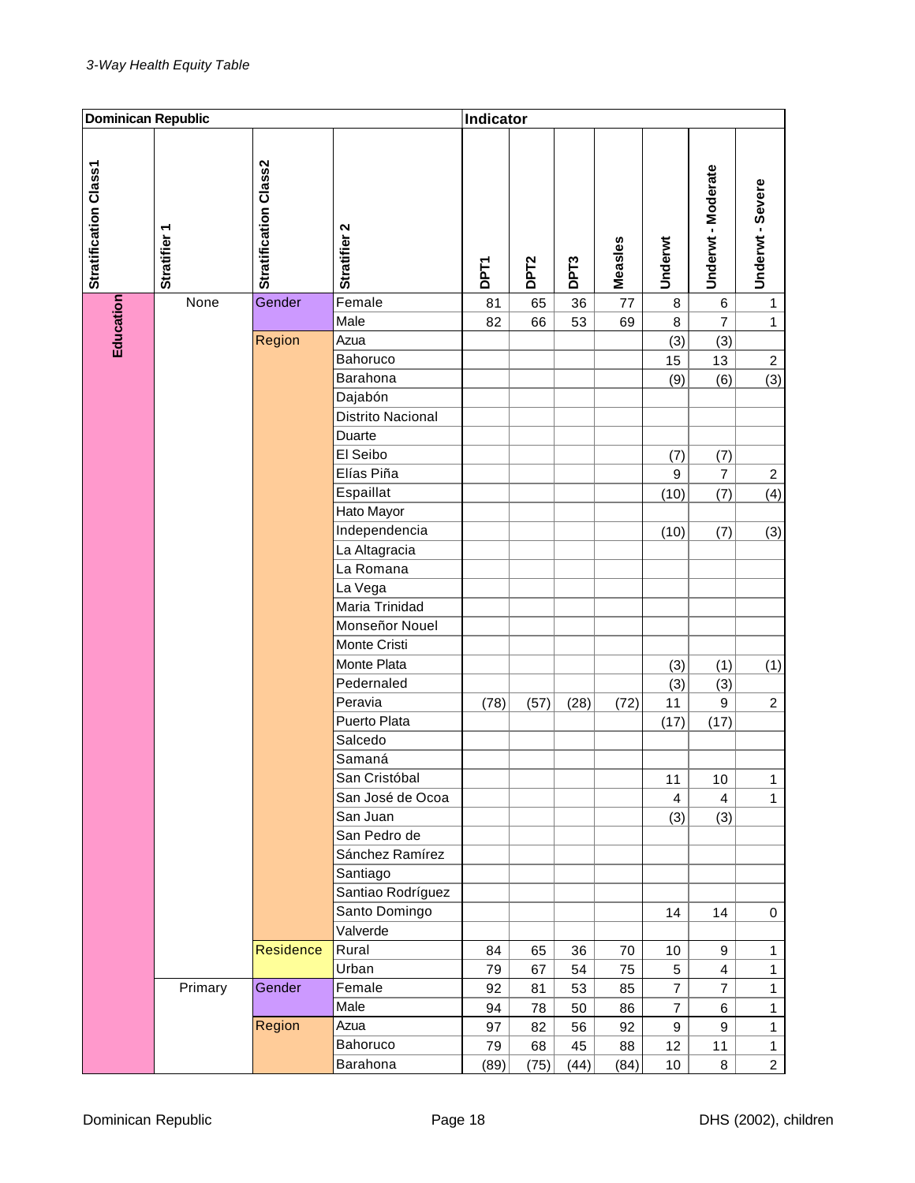| <b>Dominican Republic</b> |                        |                       |                   | Indicator   |                  |                  |         |                  |                  |                  |
|---------------------------|------------------------|-----------------------|-------------------|-------------|------------------|------------------|---------|------------------|------------------|------------------|
| Stratification Class1     | ٣<br><b>Stratifier</b> | Stratification Class2 | Stratifier 2      | <b>DPT1</b> | DPT <sub>2</sub> | DPT <sub>3</sub> | Measles | Underwt          | Underwt-Moderate | Underwt - Severe |
|                           | None                   | Gender                | Female            | 81          | 65               | 36               | $77 \,$ | $\bf8$           | 6                | $\mathbf{1}$     |
|                           |                        |                       | Male              | 82          | 66               | 53               | 69      | $\bf 8$          | $\overline{7}$   | $\mathbf{1}$     |
| Education                 |                        | Region                | Azua              |             |                  |                  |         | (3)              | (3)              |                  |
|                           |                        |                       | Bahoruco          |             |                  |                  |         | 15               | 13               | $\overline{c}$   |
|                           |                        |                       | Barahona          |             |                  |                  |         | (9)              | (6)              | (3)              |
|                           |                        |                       | Dajabón           |             |                  |                  |         |                  |                  |                  |
|                           |                        |                       | Distrito Nacional |             |                  |                  |         |                  |                  |                  |
|                           |                        |                       | Duarte            |             |                  |                  |         |                  |                  |                  |
|                           |                        |                       | El Seibo          |             |                  |                  |         | (7)              | (7)              |                  |
|                           |                        |                       | Elías Piña        |             |                  |                  |         | $\boldsymbol{9}$ | $\overline{7}$   | $\overline{c}$   |
|                           |                        |                       | Espaillat         |             |                  |                  |         | (10)             | (7)              | (4)              |
|                           |                        |                       | Hato Mayor        |             |                  |                  |         |                  |                  |                  |
|                           |                        |                       | Independencia     |             |                  |                  |         | (10)             | (7)              | (3)              |
|                           |                        |                       | La Altagracia     |             |                  |                  |         |                  |                  |                  |
|                           |                        |                       | La Romana         |             |                  |                  |         |                  |                  |                  |
|                           |                        |                       | La Vega           |             |                  |                  |         |                  |                  |                  |
|                           |                        |                       | Maria Trinidad    |             |                  |                  |         |                  |                  |                  |
|                           |                        |                       | Monseñor Nouel    |             |                  |                  |         |                  |                  |                  |
|                           |                        |                       | Monte Cristi      |             |                  |                  |         |                  |                  |                  |
|                           |                        |                       | Monte Plata       |             |                  |                  |         | (3)              | (1)              | (1)              |
|                           |                        |                       | Pedernaled        |             |                  |                  |         | (3)              | (3)              |                  |
|                           |                        |                       | Peravia           | (78)        | (57)             | (28)             | (72)    | 11               | 9                | $\overline{c}$   |
|                           |                        |                       | Puerto Plata      |             |                  |                  |         | (17)             | (17)             |                  |
|                           |                        |                       | Salcedo           |             |                  |                  |         |                  |                  |                  |
|                           |                        |                       | Samaná            |             |                  |                  |         |                  |                  |                  |
|                           |                        |                       | San Cristóbal     |             |                  |                  |         | 11               | $10$             | $\mathbf{1}$     |
|                           |                        |                       | San José de Ocoa  |             |                  |                  |         | $\overline{4}$   | $\overline{4}$   | $\mathbf{1}$     |
|                           |                        |                       | San Juan          |             |                  |                  |         | (3)              | (3)              |                  |
|                           |                        |                       | San Pedro de      |             |                  |                  |         |                  |                  |                  |
|                           |                        |                       | Sánchez Ramírez   |             |                  |                  |         |                  |                  |                  |
|                           |                        |                       | Santiago          |             |                  |                  |         |                  |                  |                  |
|                           |                        |                       | Santiao Rodríguez |             |                  |                  |         |                  |                  |                  |
|                           |                        |                       | Santo Domingo     |             |                  |                  |         | 14               | 14               | 0                |
|                           |                        |                       | Valverde          |             |                  |                  |         |                  |                  |                  |
|                           |                        | Residence             | Rural             | 84          | 65               | 36               | 70      | 10               | 9                | $\mathbf{1}$     |
|                           |                        |                       | Urban             | 79          | 67               | 54               | 75      | $\sqrt{5}$       | 4                | $\mathbf{1}$     |
|                           | Primary                | Gender                | Female            | 92          | 81               | 53               | 85      | $\overline{7}$   | $\overline{7}$   | $\mathbf{1}$     |
|                           |                        |                       | Male              | 94          | 78               | 50               | 86      | $\overline{7}$   | 6                | $\mathbf{1}$     |
|                           |                        | Region                | Azua              | 97          | 82               | 56               | 92      | $9\,$            | 9                | $\mathbf{1}$     |
|                           |                        |                       | Bahoruco          | 79          | 68               | 45               | 88      | 12               | 11               | $\mathbf{1}$     |
|                           |                        |                       | Barahona          | (89)        | (75)             | (44)             | (84)    | 10               | 8                | $\overline{a}$   |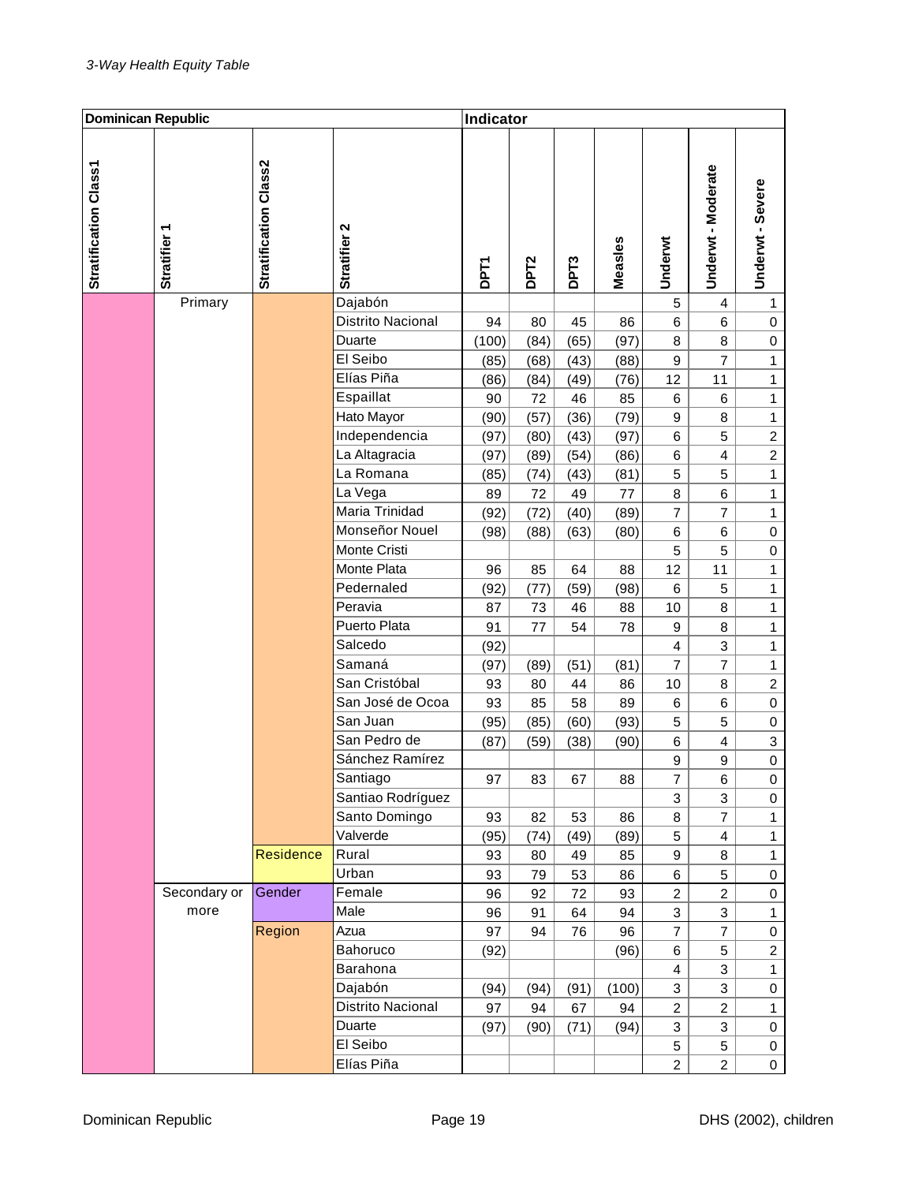| <b>Dominican Republic</b> |                   |                       |                   | Indicator   |                  |                  |         |                  |                         |                  |
|---------------------------|-------------------|-----------------------|-------------------|-------------|------------------|------------------|---------|------------------|-------------------------|------------------|
| Stratification Class1     | <b>Stratifier</b> | Stratification Class2 | Stratifier 2      | <b>DPT1</b> | DPT <sub>2</sub> | DPT <sub>3</sub> | Measles | Underwt          | Underwt - Moderate      | Underwt - Severe |
|                           | Primary           |                       | Dajabón           |             |                  |                  |         | 5                | 4                       | $\mathbf{1}$     |
|                           |                   |                       | Distrito Nacional | 94          | 80               | 45               | 86      | 6                | 6                       | 0                |
|                           |                   |                       | Duarte            | (100)       | (84)             | (65)             | (97)    | 8                | 8                       | 0                |
|                           |                   |                       | El Seibo          | (85)        | (68)             | (43)             | (88)    | $\boldsymbol{9}$ | 7                       | $\mathbf{1}$     |
|                           |                   |                       | Elías Piña        | (86)        | (84)             | (49)             | (76)    | 12               | 11                      | 1                |
|                           |                   |                       | Espaillat         | 90          | 72               | 46               | 85      | 6                | 6                       | $\mathbf{1}$     |
|                           |                   |                       | Hato Mayor        | (90)        | (57)             | (36)             | (79)    | $\boldsymbol{9}$ | 8                       | $\mathbf{1}$     |
|                           |                   |                       | Independencia     | (97)        | (80)             | (43)             | (97)    | 6                | 5                       | $\overline{c}$   |
|                           |                   |                       | La Altagracia     | (97)        | (89)             | (54)             | (86)    | 6                | $\overline{4}$          | $\overline{c}$   |
|                           |                   |                       | La Romana         | (85)        | (74)             | (43)             | (81)    | 5                | 5                       | $\mathbf{1}$     |
|                           |                   |                       | La Vega           | 89          | 72               | 49               | 77      | 8                | 6                       | $\mathbf{1}$     |
|                           |                   |                       | Maria Trinidad    | (92)        | (72)             | (40)             | (89)    | 7                | 7                       | $\mathbf{1}$     |
|                           |                   |                       | Monseñor Nouel    | (98)        | (88)             | (63)             | (80)    | 6                | 6                       | $\mathbf 0$      |
|                           |                   |                       | Monte Cristi      |             |                  |                  |         | 5                | 5                       | $\mathbf 0$      |
|                           |                   |                       | Monte Plata       | 96          | 85               | 64               | 88      | 12               | 11                      | 1                |
|                           |                   |                       | Pedernaled        | (92)        | (77)             | (59)             | (98)    | 6                | 5                       | $\mathbf{1}$     |
|                           |                   |                       | Peravia           | 87          | 73               | 46               | 88      | 10               | 8                       | $\mathbf{1}$     |
|                           |                   |                       | Puerto Plata      | 91          | 77               | 54               | 78      | $\boldsymbol{9}$ | 8                       | $\mathbf{1}$     |
|                           |                   |                       | Salcedo           | (92)        |                  |                  |         | 4                | 3                       | $\mathbf{1}$     |
|                           |                   |                       | Samaná            | (97)        | (89)             | (51)             | (81)    | 7                | 7                       | $\mathbf{1}$     |
|                           |                   |                       | San Cristóbal     | 93          | 80               | 44               | 86      | 10               | 8                       | $\boldsymbol{2}$ |
|                           |                   |                       | San José de Ocoa  | 93          | 85               | 58               | 89      | 6                | 6                       | $\mathbf 0$      |
|                           |                   |                       | San Juan          | (95)        | (85)             | (60)             | (93)    | 5                | 5                       | 0                |
|                           |                   |                       | San Pedro de      | (87)        | (59)             | (38)             | (90)    | $\,6$            | $\overline{\mathbf{4}}$ | $\sqrt{3}$       |
|                           |                   |                       | Sánchez Ramírez   |             |                  |                  |         | 9                | 9                       | $\mathbf 0$      |
|                           |                   |                       | Santiago          | 97          | 83               | 67               | 88      | 7                | 6                       | 0                |
|                           |                   |                       | Santiao Rodríguez |             |                  |                  |         | 3                | 3                       | 0                |
|                           |                   |                       | Santo Domingo     | 93          | 82               | 53               | 86      | 8                | $\overline{7}$          | $\mathbf{1}$     |
|                           |                   |                       | Valverde          | (95)        | (74)             | (49)             | (89)    | 5                | $\overline{\mathbf{4}}$ | $\mathbf{1}$     |
|                           |                   | Residence             | Rural             | 93          | 80               | 49               | 85      | 9                | 8                       | $\mathbf{1}$     |
|                           |                   |                       | Urban             | 93          | 79               | 53               | 86      | 6                | 5                       | 0                |
|                           | Secondary or      | Gender                | Female            | 96          | 92               | 72               | 93      | $\overline{c}$   | $\overline{c}$          | $\pmb{0}$        |
|                           | more              |                       | Male              | 96          | 91               | 64               | 94      | 3                | 3                       | $\mathbf{1}$     |
|                           |                   | Region                | Azua              | 97          | 94               | 76               | 96      | $\overline{7}$   | $\overline{7}$          | $\pmb{0}$        |
|                           |                   |                       | Bahoruco          | (92)        |                  |                  | (96)    | 6                | 5                       | $\overline{c}$   |
|                           |                   |                       | Barahona          |             |                  |                  |         | $\overline{4}$   | 3                       | $\mathbf{1}$     |
|                           |                   |                       | Dajabón           | (94)        | (94)             | (91)             | (100)   | 3                | 3                       | $\pmb{0}$        |
|                           |                   |                       | Distrito Nacional | 97          | 94               | 67               | 94      | $\overline{c}$   | $\overline{c}$          | $\mathbf{1}$     |
|                           |                   |                       | Duarte            | (97)        | (90)             | (71)             | (94)    | 3                | 3                       | $\pmb{0}$        |
|                           |                   |                       | El Seibo          |             |                  |                  |         | 5                | 5                       | $\boldsymbol{0}$ |
|                           |                   |                       | Elías Piña        |             |                  |                  |         | $\overline{2}$   | $\overline{2}$          | $\mathbf 0$      |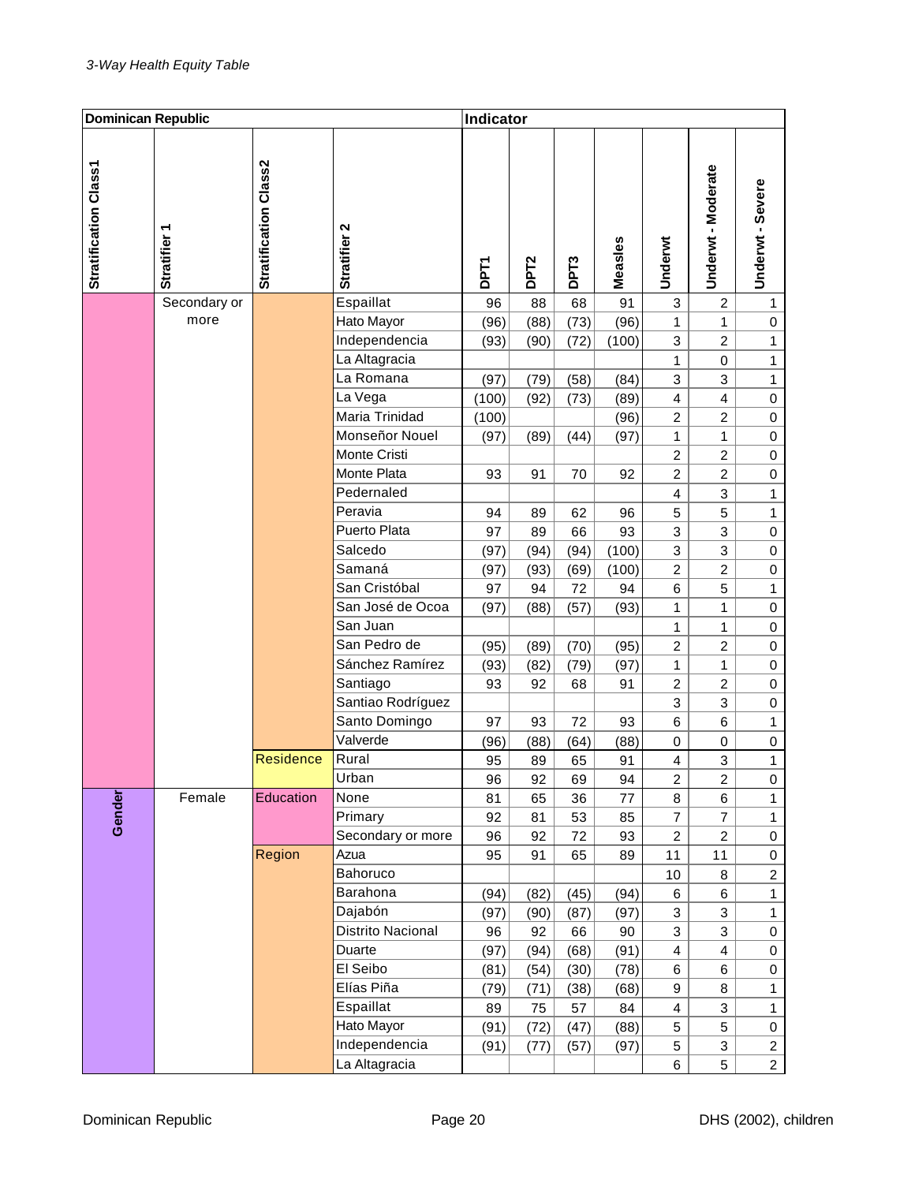| <b>Dominican Republic</b> |                 |                       |                   | Indicator   |                  |                   |         |                         |                         |                  |
|---------------------------|-----------------|-----------------------|-------------------|-------------|------------------|-------------------|---------|-------------------------|-------------------------|------------------|
| Stratification Class1     | ٣<br>Stratifier | Stratification Class2 | Stratifier 2      | <b>DPT1</b> | DPT <sub>2</sub> | DP <sub>T</sub> 3 | Measles | Underwt                 | Underwt - Moderate      | Underwt - Severe |
|                           | Secondary or    |                       | Espaillat         | 96          | 88               | 68                | 91      | 3                       | $\overline{c}$          | $\mathbf{1}$     |
|                           | more            |                       | Hato Mayor        | (96)        | (88)             | (73)              | (96)    | 1                       | 1                       | $\,0\,$          |
|                           |                 |                       | Independencia     | (93)        | (90)             | (72)              | (100)   | 3                       | $\overline{c}$          | $\mathbf{1}$     |
|                           |                 |                       | La Altagracia     |             |                  |                   |         | 1                       | 0                       | 1                |
|                           |                 |                       | La Romana         | (97)        | (79)             | (58)              | (84)    | 3                       | 3                       | $\mathbf{1}$     |
|                           |                 |                       | La Vega           | (100)       | (92)             | (73)              | (89)    | $\overline{\mathbf{4}}$ | $\overline{\mathbf{4}}$ | $\boldsymbol{0}$ |
|                           |                 |                       | Maria Trinidad    | (100)       |                  |                   | (96)    | $\overline{c}$          | $\overline{c}$          | $\boldsymbol{0}$ |
|                           |                 |                       | Monseñor Nouel    | (97)        | (89)             | (44)              | (97)    | 1                       | $\mathbf{1}$            | $\boldsymbol{0}$ |
|                           |                 |                       | Monte Cristi      |             |                  |                   |         | $\overline{c}$          | $\overline{c}$          | $\boldsymbol{0}$ |
|                           |                 |                       | Monte Plata       | 93          | 91               | 70                | 92      | $\overline{c}$          | $\overline{c}$          | 0                |
|                           |                 |                       | Pedernaled        |             |                  |                   |         | $\overline{4}$          | 3                       | $\mathbf{1}$     |
|                           |                 |                       | Peravia           | 94          | 89               | 62                | 96      | 5                       | 5                       | $\mathbf{1}$     |
|                           |                 |                       | Puerto Plata      | 97          | 89               | 66                | 93      | 3                       | 3                       | $\boldsymbol{0}$ |
|                           |                 |                       | Salcedo           | (97)        | (94)             | (94)              | (100)   | 3                       | 3                       | 0                |
|                           |                 |                       | Samaná            | (97)        | (93)             | (69)              | (100)   | $\overline{c}$          | $\overline{c}$          | $\mathbf 0$      |
|                           |                 |                       | San Cristóbal     | 97          | 94               | 72                | 94      | 6                       | 5                       | $\mathbf{1}$     |
|                           |                 |                       | San José de Ocoa  | (97)        | (88)             | (57)              | (93)    | 1                       | 1                       | $\mathbf 0$      |
|                           |                 |                       | San Juan          |             |                  |                   |         | 1                       | 1                       | 0                |
|                           |                 |                       | San Pedro de      | (95)        | (89)             | (70)              | (95)    | $\overline{c}$          | $\overline{c}$          | 0                |
|                           |                 |                       | Sánchez Ramírez   | (93)        | (82)             | (79)              | (97)    | 1                       | 1                       | 0                |
|                           |                 |                       | Santiago          | 93          | 92               | 68                | 91      | $\overline{c}$          | $\overline{c}$          | $\mathbf 0$      |
|                           |                 |                       | Santiao Rodríguez |             |                  |                   |         | 3                       | 3                       | $\mathbf 0$      |
|                           |                 |                       | Santo Domingo     | 97          | 93               | 72                | 93      | 6                       | 6                       | $\mathbf{1}$     |
|                           |                 |                       | Valverde          | (96)        | (88)             | (64)              | (88)    | 0                       | $\mathbf 0$             | $\mathbf 0$      |
|                           |                 | <b>Residence</b>      | Rural             | 95          | 89               | 65                | 91      | 4                       | 3                       | $\mathbf{1}$     |
|                           |                 |                       | Urban             | 96          | 92               | 69                | 94      | 2                       | 2                       | 0                |
|                           | Female          | Education             | None              | 81          | 65               | 36                | 77      | 8                       | 6                       | $\mathbf{1}$     |
| Gender                    |                 |                       | Primary           | 92          | 81               | 53                | 85      | $\overline{7}$          | $\overline{7}$          | $\mathbf{1}$     |
|                           |                 |                       | Secondary or more | 96          | 92               | 72                | 93      | $\overline{c}$          | $\overline{c}$          | $\pmb{0}$        |
|                           |                 | Region                | Azua              | 95          | 91               | 65                | 89      | 11                      | 11                      | $\mathbf 0$      |
|                           |                 |                       | Bahoruco          |             |                  |                   |         | 10                      | 8                       | $\overline{c}$   |
|                           |                 |                       | Barahona          | (94)        | (82)             | (45)              | (94)    | 6                       | 6                       | $\mathbf{1}$     |
|                           |                 |                       | Dajabón           | (97)        | (90)             | (87)              | (97)    | 3                       | 3                       | $\mathbf{1}$     |
|                           |                 |                       | Distrito Nacional | 96          | 92               | 66                | 90      | 3                       | 3                       | $\mathbf 0$      |
|                           |                 |                       | Duarte            | (97)        | (94)             | (68)              | (91)    | $\overline{\mathbf{4}}$ | $\overline{\mathbf{4}}$ | 0                |
|                           |                 |                       | El Seibo          | (81)        | (54)             | (30)              | (78)    | 6                       | 6                       | 0                |
|                           |                 |                       | Elías Piña        | (79)        | (71)             | (38)              | (68)    | 9                       | 8                       | $\mathbf{1}$     |
|                           |                 |                       | Espaillat         | 89          | 75               | 57                | 84      | 4                       | 3                       | $\mathbf{1}$     |
|                           |                 |                       | Hato Mayor        | (91)        | (72)             | (47)              | (88)    | 5                       | 5                       | $\pmb{0}$        |
|                           |                 |                       | Independencia     | (91)        | (77)             | (57)              | (97)    | 5                       | $\mathbf{3}$            | $\overline{c}$   |
|                           |                 |                       | La Altagracia     |             |                  |                   |         | 6                       | 5                       | $\overline{2}$   |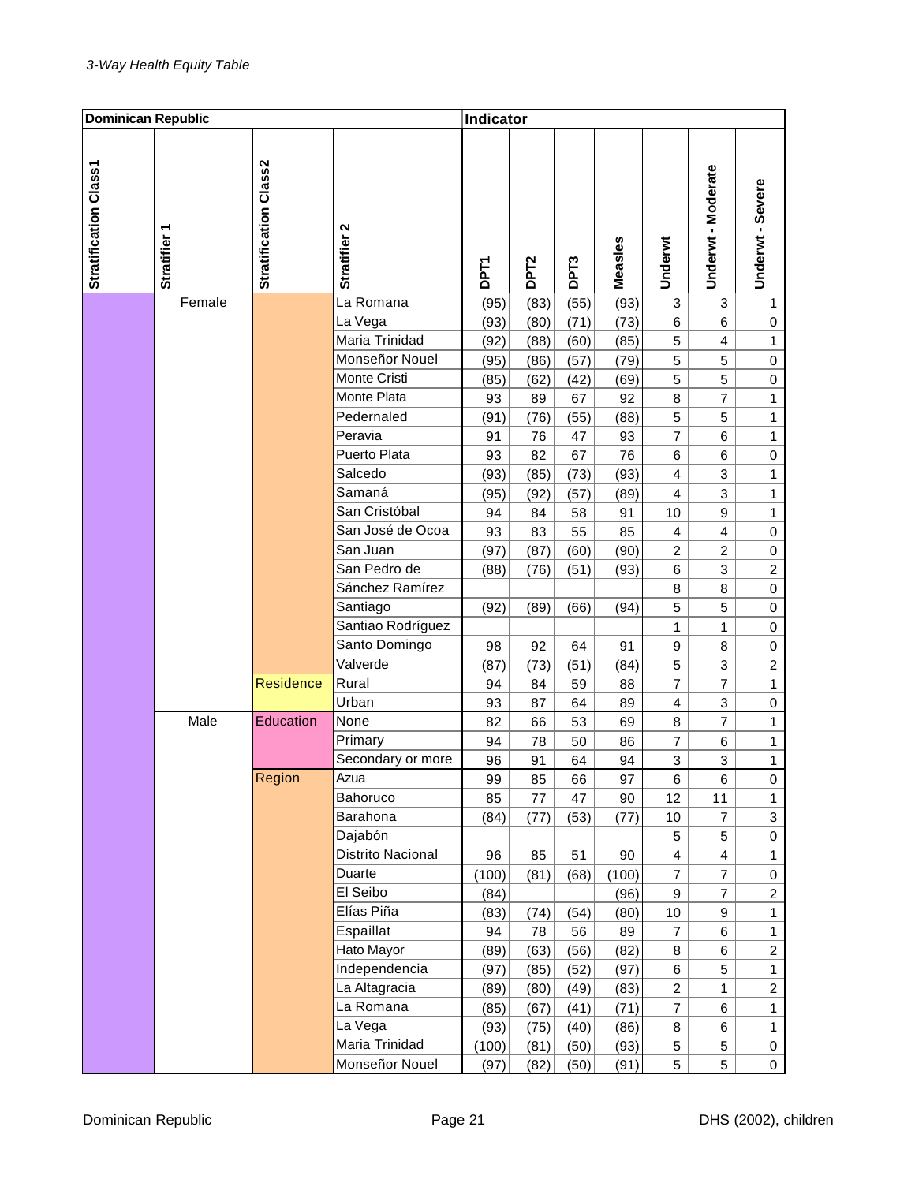| <b>Dominican Republic</b> |                        |                       |                   | Indicator   |                  |                  |         |                         |                         |                     |
|---------------------------|------------------------|-----------------------|-------------------|-------------|------------------|------------------|---------|-------------------------|-------------------------|---------------------|
| Stratification Class1     | ᠇<br><b>Stratifier</b> | Stratification Class2 | Stratifier 2      | <b>DPT1</b> | DPT <sub>2</sub> | DPT <sub>3</sub> | Measles | Underwt                 | Underwt - Moderate      | Underwt - Severe    |
|                           | Female                 |                       | La Romana         | (95)        | (83)             | (55)             | (93)    | 3                       | 3                       | $\mathbf{1}$        |
|                           |                        |                       | La Vega           | (93)        | (80)             | (71)             | (73)    | 6                       | 6                       | 0                   |
|                           |                        |                       | Maria Trinidad    | (92)        | (88)             | (60)             | (85)    | 5                       | 4                       | 1                   |
|                           |                        |                       | Monseñor Nouel    | (95)        | (86)             | (57)             | (79)    | 5                       | 5                       | 0                   |
|                           |                        |                       | Monte Cristi      | (85)        | (62)             | (42)             | (69)    | 5                       | 5                       | $\mathbf 0$         |
|                           |                        |                       | Monte Plata       | 93          | 89               | 67               | 92      | 8                       | 7                       | $\mathbf{1}$        |
|                           |                        |                       | Pedernaled        | (91)        | (76)             | (55)             | (88)    | 5                       | 5                       | $\mathbf{1}$        |
|                           |                        |                       | Peravia           | 91          | 76               | 47               | 93      | $\overline{7}$          | 6                       | $\mathbf{1}$        |
|                           |                        |                       | Puerto Plata      | 93          | 82               | 67               | 76      | 6                       | 6                       | $\boldsymbol{0}$    |
|                           |                        |                       | Salcedo           | (93)        | (85)             | (73)             | (93)    | $\overline{4}$          | 3                       | $\mathbf{1}$        |
|                           |                        |                       | Samaná            | (95)        | (92)             | (57)             | (89)    | $\overline{4}$          | 3                       | $\mathbf{1}$        |
|                           |                        |                       | San Cristóbal     | 94          | 84               | 58               | 91      | 10                      | 9                       | 1                   |
|                           |                        |                       | San José de Ocoa  | 93          | 83               | 55               | 85      | $\overline{4}$          | 4                       | $\boldsymbol{0}$    |
|                           |                        |                       | San Juan          | (97)        | (87)             | (60)             | (90)    | $\overline{c}$          | $\overline{c}$          | 0                   |
|                           |                        |                       | San Pedro de      | (88)        | (76)             | (51)             | (93)    | 6                       | 3                       | $\boldsymbol{2}$    |
|                           |                        |                       | Sánchez Ramírez   |             |                  |                  |         | 8                       | 8                       | $\boldsymbol{0}$    |
|                           |                        |                       | Santiago          | (92)        | (89)             | (66)             | (94)    | 5                       | 5                       | $\boldsymbol{0}$    |
|                           |                        |                       | Santiao Rodríguez |             |                  |                  |         | 1                       | 1                       | 0                   |
|                           |                        |                       | Santo Domingo     | 98          | 92               | 64               | 91      | $\boldsymbol{9}$        | 8                       | 0                   |
|                           |                        |                       | Valverde          | (87)        | (73)             | (51)             | (84)    | 5                       | 3                       | $\boldsymbol{2}$    |
|                           |                        | <b>Residence</b>      | Rural             | 94          | 84               | 59               | 88      | 7                       | 7                       | $\mathbf{1}$        |
|                           |                        |                       | Urban             | 93          | 87               | 64               | 89      | 4                       | 3                       | 0                   |
|                           | Male                   | Education             | None              | 82          | 66               | 53               | 69      | 8                       | $\overline{7}$          | $\mathbf{1}$        |
|                           |                        |                       | Primary           | 94          | 78               | 50               | 86      | 7                       | 6                       | $\mathbf{1}$        |
|                           |                        |                       | Secondary or more | 96          | 91               | 64               | 94      | 3                       | 3                       | $\mathbf{1}$        |
|                           |                        | Region                | Azua              | 99          | 85               | 66               | 97      | 6                       | 6                       | 0                   |
|                           |                        |                       | Bahoruco          | 85          | 77               | 47               | 90      | 12                      | 11                      | $\mathbf{1}$        |
|                           |                        |                       | Barahona          | (84)        | (77)             | (53)             | (77)    | 10                      | $\overline{\mathbf{7}}$ | $\mathbf 3$         |
|                           |                        |                       | Dajabón           |             |                  |                  |         | 5                       | 5                       | $\boldsymbol{0}$    |
|                           |                        |                       | Distrito Nacional | 96          | 85               | 51               | 90      | $\overline{\mathbf{4}}$ | $\overline{\mathbf{4}}$ | $\mathbf{1}$        |
|                           |                        |                       | Duarte            | (100)       | (81)             | (68)             | (100)   | $\overline{7}$          | $\overline{7}$          | $\pmb{0}$           |
|                           |                        |                       | El Seibo          | (84)        |                  |                  | (96)    | 9                       | $\overline{7}$          | $\overline{2}$      |
|                           |                        |                       | Elías Piña        | (83)        | (74)             | (54)             | (80)    | $10$                    | 9                       | $\mathbf{1}$        |
|                           |                        |                       | Espaillat         | 94          | 78               | 56               | 89      | $\overline{7}$          | 6                       | $\mathbf{1}$        |
|                           |                        |                       | Hato Mayor        | (89)        | (63)             | (56)             | (82)    | 8                       | 6                       | $\overline{a}$      |
|                           |                        |                       | Independencia     | (97)        | (85)             | (52)             | (97)    | 6                       | 5                       | $\mathbf{1}$        |
|                           |                        |                       | La Altagracia     | (89)        | (80)             | (49)             | (83)    | $\overline{c}$          | 1                       | $\overline{c}$      |
|                           |                        |                       | La Romana         | (85)        | (67)             | (41)             | (71)    | $\boldsymbol{7}$        | 6                       | $\mathbf{1}$        |
|                           |                        |                       | La Vega           | (93)        | (75)             | (40)             | (86)    | 8                       | 6                       | $\mathbf{1}$        |
|                           |                        |                       | Maria Trinidad    | (100)       | (81)             | (50)             | (93)    | 5                       | 5                       | $\boldsymbol{0}$    |
|                           |                        |                       | Monseñor Nouel    | (97)        | (82)             | (50)             | (91)    | 5                       | 5                       | $\mathsf{O}\xspace$ |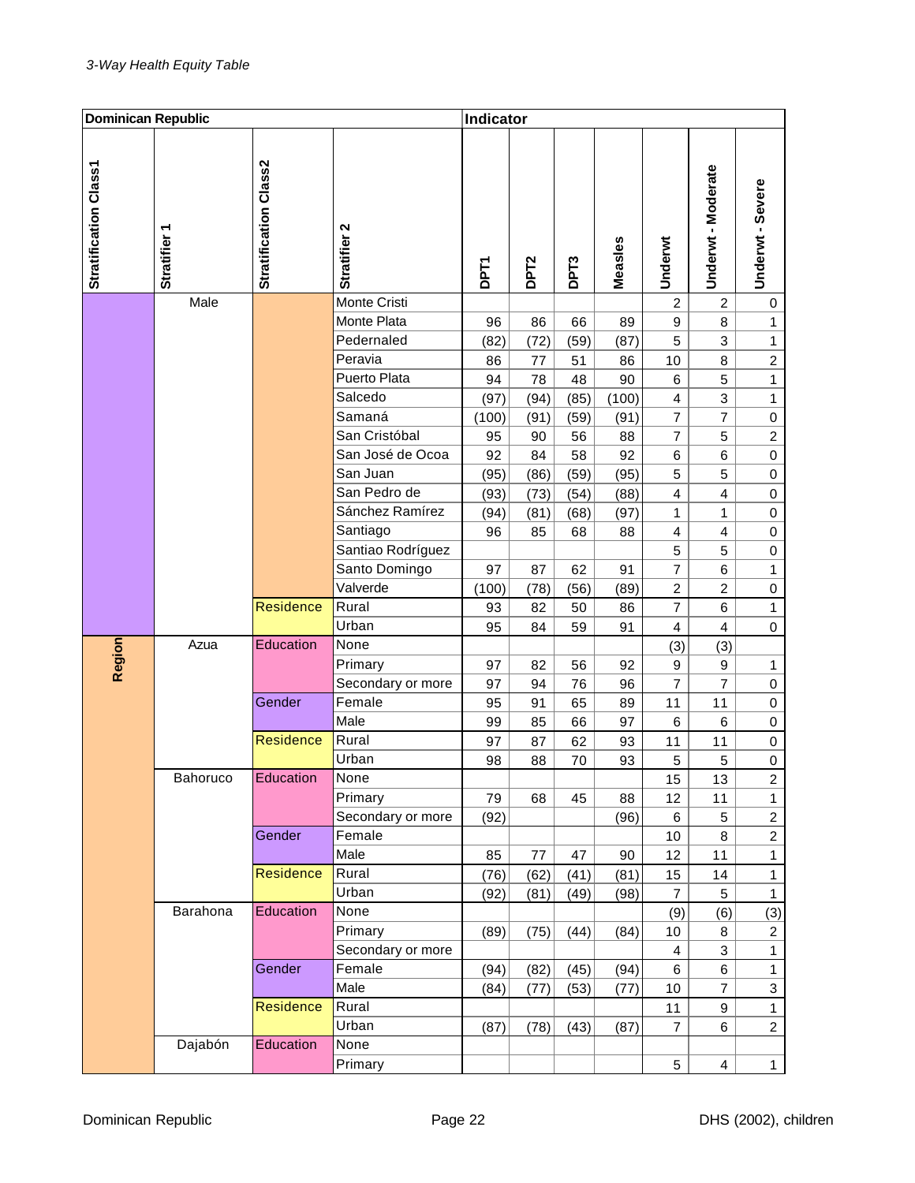| <b>Dominican Republic</b> |                 | Indicator             |                              |             |                  |                  |            |                  |                         |                                |
|---------------------------|-----------------|-----------------------|------------------------------|-------------|------------------|------------------|------------|------------------|-------------------------|--------------------------------|
| Stratification Class1     | ٣<br>Stratifier | Stratification Class2 | Stratifier 2                 | <b>DPT1</b> | DPT <sub>2</sub> | DPT <sub>3</sub> | Measles    | Underwt          | Underwt - Moderate      | Underwt - Severe               |
|                           | Male            |                       | Monte Cristi                 |             |                  |                  |            | $\overline{c}$   | $\overline{c}$          | 0                              |
|                           |                 |                       | Monte Plata                  | 96          | 86               | 66               | 89         | $\boldsymbol{9}$ | 8                       | $\mathbf{1}$                   |
|                           |                 |                       | Pedernaled                   | (82)        | (72)             | (59)             | (87)       | 5                | 3                       | $\mathbf{1}$                   |
|                           |                 |                       | Peravia                      | 86          | 77               | 51               | 86         | 10               | 8                       | $\boldsymbol{2}$               |
|                           |                 |                       | Puerto Plata                 | 94          | 78               | 48               | 90         | 6                | 5                       | $\mathbf{1}$                   |
|                           |                 |                       | Salcedo                      | (97)        | (94)             | (85)             | (100)      | 4                | 3                       | $\mathbf{1}$                   |
|                           |                 |                       | Samaná                       | (100)       | (91)             | (59)             | (91)       | $\overline{7}$   | $\overline{\mathbf{7}}$ | $\mathbf 0$                    |
|                           |                 |                       | San Cristóbal                | 95          | 90               | 56               | 88         | 7                | 5                       | $\boldsymbol{2}$               |
|                           |                 |                       | San José de Ocoa             | 92          | 84               | 58               | 92         | 6                | 6                       | $\mathbf 0$                    |
|                           |                 |                       | San Juan                     | (95)        | (86)             | (59)             | (95)       | 5                | 5                       | $\mathbf 0$                    |
|                           |                 |                       | San Pedro de                 | (93)        | (73)             | (54)             | (88)       | $\overline{4}$   | 4                       | 0                              |
|                           |                 |                       | Sánchez Ramírez              | (94)        | (81)             | (68)             | (97)       | 1                | 1                       | 0                              |
|                           |                 |                       | Santiago                     | 96          | 85               | 68               | 88         | $\overline{4}$   | 4                       | 0                              |
|                           |                 |                       | Santiao Rodríguez            |             |                  |                  |            | 5                | 5                       | $\mathbf 0$                    |
|                           |                 |                       | Santo Domingo                | 97          | 87               | 62               | 91         | 7                | 6                       | $\mathbf{1}$                   |
|                           |                 |                       | Valverde                     | (100)       | (78)             | (56)             | (89)       | $\overline{c}$   | $\overline{c}$          | 0                              |
|                           |                 | <b>Residence</b>      | Rural                        | 93          | 82               | 50               | 86         | $\overline{7}$   | 6                       | $\mathbf{1}$                   |
|                           |                 |                       | Urban                        | 95          | 84               | 59               | 91         | $\overline{4}$   | 4                       | $\mathbf 0$                    |
| Region                    | Azua            | Education             | None                         |             |                  |                  |            | (3)              | (3)                     |                                |
|                           |                 |                       | Primary                      | 97          | 82               | 56               | 92         | $\boldsymbol{9}$ | $\boldsymbol{9}$        | 1                              |
|                           |                 |                       | Secondary or more            | 97          | 94               | 76               | 96         | 7                | 7                       | 0                              |
|                           |                 | Gender                | Female                       | 95          | 91               | 65               | 89         | 11               | 11                      | $\boldsymbol{0}$               |
|                           |                 |                       | Male                         | 99          | 85               | 66               | 97         | 6                | 6                       | 0                              |
|                           |                 | Residence             | Rural                        | 97          | 87               | 62               | 93         | 11               | 11                      | $\pmb{0}$                      |
|                           |                 | Education             | Urban                        | 98          | 88               | 70               | 93         | 5                | 5                       | 0                              |
|                           | Bahoruco        |                       | None                         |             |                  |                  |            | 15               | 13                      | $\overline{a}$<br>$\mathbf{1}$ |
|                           |                 |                       | Primary<br>Secondary or more | 79<br>(92)  | 68               | 45               | 88<br>(96) | 12<br>6          | 11<br>5                 | $\overline{a}$                 |
|                           |                 | Gender                | Female                       |             |                  |                  |            | 10               | 8                       | $\overline{c}$                 |
|                           |                 |                       | Male                         | 85          | 77               | 47               | 90         | 12               | 11                      | $\mathbf{1}$                   |
|                           |                 | Residence             | Rural                        | (76)        | (62)             | (41)             | (81)       | 15               | 14                      | $\mathbf{1}$                   |
|                           |                 |                       | Urban                        | (92)        | (81)             | (49)             | (98)       | $\overline{7}$   | 5                       | $\mathbf{1}$                   |
|                           | Barahona        | Education             | None                         |             |                  |                  |            | (9)              | (6)                     | (3)                            |
|                           |                 |                       | Primary                      | (89)        | (75)             | (44)             | (84)       | 10               | 8                       | $\overline{c}$                 |
|                           |                 |                       | Secondary or more            |             |                  |                  |            | 4                | 3                       | $\mathbf{1}$                   |
|                           |                 | Gender                | Female                       | (94)        | (82)             | (45)             | (94)       | 6                | 6                       | $\mathbf{1}$                   |
|                           |                 |                       | Male                         | (84)        | (77)             | (53)             | (77)       | 10               | $\overline{\mathbf{7}}$ | $\ensuremath{\mathsf{3}}$      |
|                           |                 | Residence             | Rural                        |             |                  |                  |            | 11               | 9                       | $\mathbf{1}$                   |
|                           |                 |                       | Urban                        | (87)        | (78)             | (43)             | (87)       | $\overline{7}$   | 6                       | $\overline{2}$                 |
|                           | Dajabón         | Education             | None                         |             |                  |                  |            |                  |                         |                                |
|                           |                 |                       | Primary                      |             |                  |                  |            | 5                | 4                       | $\mathbf{1}$                   |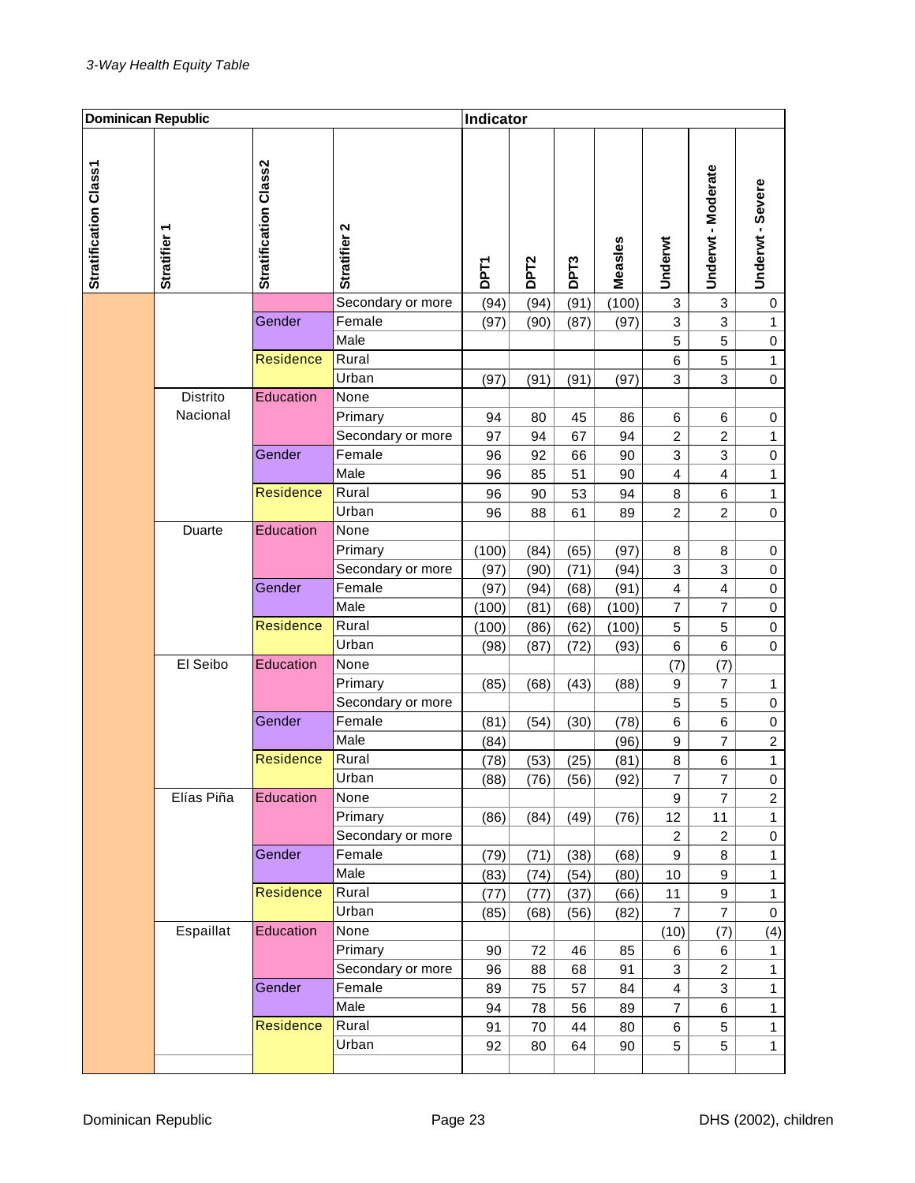| <b>Dominican Republic</b> |                        |                       |                             | Indicator    |                  |                  |              |                           |                         |                           |
|---------------------------|------------------------|-----------------------|-----------------------------|--------------|------------------|------------------|--------------|---------------------------|-------------------------|---------------------------|
| Stratification Class1     | ٣<br><b>Stratifier</b> | Stratification Class2 | Stratifier 2                | <b>DPT1</b>  | DPT <sub>2</sub> | DPT <sub>3</sub> | Measles      | Underwt                   | Underwt - Moderate      | Underwt - Severe          |
|                           |                        |                       | Secondary or more           | (94)         | (94)             | (91)             | (100)        | $\ensuremath{\mathsf{3}}$ | 3                       | 0                         |
|                           |                        | Gender                | Female                      | (97)         | (90)             | (87)             | (97)         | 3                         | 3                       | $\mathbf{1}$              |
|                           |                        |                       | Male                        |              |                  |                  |              | 5                         | 5                       | 0                         |
|                           |                        | <b>Residence</b>      | Rural                       |              |                  |                  |              | 6                         | 5                       | $\mathbf{1}$              |
|                           |                        |                       | Urban                       | (97)         | (91)             | (91)             | (97)         | 3                         | 3                       | $\boldsymbol{0}$          |
|                           | Distrito               | Education             | None                        |              |                  |                  |              |                           |                         |                           |
|                           | Nacional               |                       | Primary                     | 94           | 80               | 45               | 86           | 6                         | 6                       | 0                         |
|                           |                        |                       | Secondary or more           | 97           | 94               | 67               | 94           | $\overline{c}$            | $\overline{c}$          | $\mathbf{1}$              |
|                           |                        | Gender                | Female                      | 96           | 92               | 66               | 90           | 3                         | 3                       | $\mathbf 0$               |
|                           |                        |                       | Male                        | 96           | 85               | 51               | 90           | $\overline{\mathbf{4}}$   | $\overline{\mathbf{4}}$ | $\mathbf{1}$              |
|                           |                        | <b>Residence</b>      | Rural                       | 96           | 90               | 53               | 94           | 8                         | 6                       | $\mathbf{1}$              |
|                           |                        |                       | Urban                       | 96           | 88               | 61               | 89           | $\overline{c}$            | $\overline{c}$          | $\boldsymbol{0}$          |
|                           | Duarte                 | Education             | None                        |              |                  |                  |              |                           |                         |                           |
|                           |                        |                       | Primary                     | (100)        | (84)             | (65)             | (97)         | 8                         | 8                       | 0                         |
|                           |                        |                       | Secondary or more           | (97)         | (90)             | (71)             | (94)         | 3                         | 3                       | $\mathbf 0$               |
|                           |                        | Gender                | Female                      | (97)         | (94)             | (68)             | (91)         | $\overline{\mathbf{4}}$   | $\overline{\mathbf{4}}$ | $\mathbf 0$               |
|                           |                        |                       | Male                        | (100)        | (81)             | (68)             | (100)        | $\overline{7}$            | 7                       | $\mathbf 0$               |
|                           |                        | <b>Residence</b>      | Rural                       | (100)        | (86)             | (62)             | (100)        | $\mathbf 5$               | 5                       | $\mathbf 0$               |
|                           |                        |                       | Urban                       | (98)         | (87)             | (72)             | (93)         | $\,6$                     | 6                       | 0                         |
|                           | El Seibo               | Education             | None                        |              |                  |                  |              | (7)                       | (7)                     |                           |
|                           |                        |                       | Primary                     | (85)         | (68)             | (43)             | (88)         | 9                         | 7                       | 1                         |
|                           |                        |                       | Secondary or more           |              |                  |                  |              | 5                         | 5                       | $\mathbf 0$               |
|                           |                        | Gender                | Female                      | (81)         | (54)             | (30)             | (78)         | 6                         | 6                       | $\,0\,$                   |
|                           |                        |                       | Male                        | (84)         |                  |                  | (96)         | $\boldsymbol{9}$          | 7                       | $\overline{c}$            |
|                           |                        | <b>Residence</b>      | Rural                       | (78)         | (53)             | (25)             | (81)         | 8                         | 6                       | $\mathbf{1}$              |
|                           |                        |                       | Urban                       | (88)         | (76)             | (56)             | (92)         | 7                         | 7                       | 0                         |
|                           | Elías Piña             | Education             | None                        |              |                  |                  |              | 9                         | $\overline{7}$          | $\overline{a}$            |
|                           |                        |                       | Primary                     | (86)         | (84)             | (49)             | (76)         | 12                        | 11                      | $\mathbf{1}$              |
|                           |                        | Gender                | Secondary or more<br>Female |              |                  |                  |              | $\overline{c}$<br>9       | $\overline{c}$<br>8     | $\pmb{0}$<br>$\mathbf{1}$ |
|                           |                        |                       | Male                        | (79)<br>(83) | (71)<br>(74)     | (38)<br>(54)     | (68)<br>(80) | 10                        | 9                       | $\mathbf{1}$              |
|                           |                        | Residence             | Rural                       | (77)         | (77)             | (37)             | (66)         | 11                        | 9                       | $\mathbf{1}$              |
|                           |                        |                       | Urban                       | (85)         | (68)             | (56)             | (82)         | $\overline{7}$            | $\overline{7}$          | $\pmb{0}$                 |
|                           | Espaillat              | Education             | None                        |              |                  |                  |              | (10)                      | (7)                     | (4)                       |
|                           |                        |                       | Primary                     | 90           | 72               | 46               | 85           | 6                         | 6                       | 1                         |
|                           |                        |                       | Secondary or more           | 96           | 88               | 68               | 91           | 3                         | $\overline{c}$          | $\mathbf{1}$              |
|                           |                        | Gender                | Female                      | 89           | 75               | 57               | 84           | $\overline{4}$            | 3                       | $\mathbf{1}$              |
|                           |                        |                       | Male                        | 94           | 78               | 56               | 89           | $\overline{7}$            | 6                       | $\mathbf{1}$              |
|                           |                        | <b>Residence</b>      | Rural                       | 91           | 70               | 44               | 80           | 6                         | 5                       | $\mathbf{1}$              |
|                           |                        |                       | Urban                       | 92           | 80               | 64               | 90           | 5                         | 5                       | $\mathbf{1}$              |
|                           |                        |                       |                             |              |                  |                  |              |                           |                         |                           |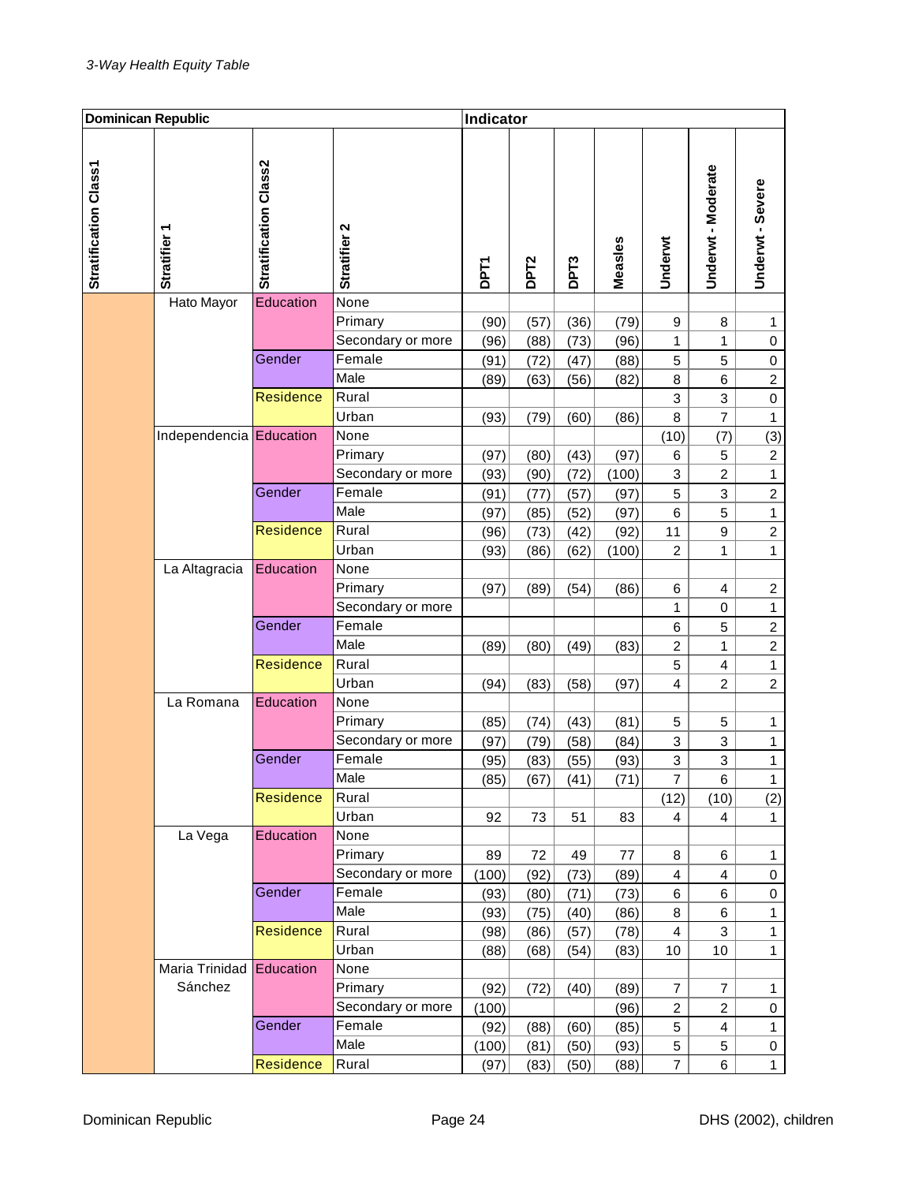| <b>Dominican Republic</b> |                          |                       | Indicator         |             |                  |                  |         |                         |                         |                  |
|---------------------------|--------------------------|-----------------------|-------------------|-------------|------------------|------------------|---------|-------------------------|-------------------------|------------------|
| Stratification Class1     | ٣<br><b>Stratifier</b>   | Stratification Class2 | Stratifier 2      | <b>DPT1</b> | DPT <sub>2</sub> | DPT <sub>3</sub> | Measles | Underwt                 | Underwt - Moderate      | Underwt - Severe |
|                           | Hato Mayor               | Education             | None              |             |                  |                  |         |                         |                         |                  |
|                           |                          |                       | Primary           | (90)        | (57)             | (36)             | (79)    | 9                       | 8                       | 1                |
|                           |                          |                       | Secondary or more | (96)        | (88)             | (73)             | (96)    | 1                       | 1                       | 0                |
|                           |                          | Gender                | Female            | (91)        | (72)             | (47)             | (88)    | 5                       | 5                       | 0                |
|                           |                          |                       | Male              | (89)        | (63)             | (56)             | (82)    | 8                       | 6                       | $\overline{c}$   |
|                           |                          | <b>Residence</b>      | Rural             |             |                  |                  |         | 3                       | 3                       | $\mathbf 0$      |
|                           |                          |                       | Urban             | (93)        | (79)             | (60)             | (86)    | 8                       | $\overline{7}$          | $\mathbf{1}$     |
|                           | Independencia Education  |                       | None              |             |                  |                  |         | (10)                    | (7)                     | (3)              |
|                           |                          |                       | Primary           | (97)        | (80)             | (43)             | (97)    | 6                       | 5                       | $\boldsymbol{2}$ |
|                           |                          |                       | Secondary or more | (93)        | (90)             | (72)             | (100)   | 3                       | $\overline{c}$          | $\mathbf{1}$     |
|                           |                          | Gender                | Female            | (91)        | (77)             | (57)             | (97)    | 5                       | 3                       | $\overline{c}$   |
|                           |                          |                       | Male              | (97)        | (85)             | (52)             | (97)    | 6                       | 5                       | $\mathbf{1}$     |
|                           |                          | <b>Residence</b>      | Rural             | (96)        | (73)             | (42)             | (92)    | 11                      | 9                       | $\boldsymbol{2}$ |
|                           |                          |                       | Urban             | (93)        | (86)             | (62)             | (100)   | 2                       | 1                       | $\mathbf{1}$     |
|                           | La Altagracia            | Education             | None              |             |                  |                  |         |                         |                         |                  |
|                           |                          |                       | Primary           | (97)        | (89)             | (54)             | (86)    | 6                       | 4                       | $\boldsymbol{2}$ |
|                           |                          |                       | Secondary or more |             |                  |                  |         | 1                       | $\mathbf 0$             | $\mathbf{1}$     |
|                           |                          | Gender                | Female            |             |                  |                  |         | 6                       | 5                       | $\overline{c}$   |
|                           |                          |                       | Male              | (89)        | (80)             | (49)             | (83)    | $\overline{c}$          | 1                       | $\boldsymbol{2}$ |
|                           |                          | <b>Residence</b>      | Rural             |             |                  |                  |         | 5                       | $\overline{\mathbf{4}}$ | $\mathbf{1}$     |
|                           |                          |                       | Urban             | (94)        | (83)             | (58)             | (97)    | 4                       | 2                       | $\overline{c}$   |
|                           | La Romana                | Education             | None              |             |                  |                  |         |                         |                         |                  |
|                           |                          |                       | Primary           | (85)        | (74)             | (43)             | (81)    | 5                       | 5                       | 1                |
|                           |                          |                       | Secondary or more | (97)        | (79)             | (58)             | (84)    | 3                       | 3                       | $\mathbf{1}$     |
|                           |                          | Gender                | Female            | (95)        | (83)             | (55)             | (93)    | 3                       | 3                       | $\mathbf{1}$     |
|                           |                          |                       | Male              | (85)        | (67)             | (41)             | (71)    | 7                       | 6                       | $\mathbf{1}$     |
|                           |                          | Residence             | Rural             |             |                  |                  |         | (12)                    | (10)                    | (2)              |
|                           |                          |                       | Urban             | 92          | 73               | 51               | 83      | $\overline{4}$          | 4                       | $\mathbf{1}$     |
|                           | La Vega                  | Education             | None              |             |                  |                  |         |                         |                         |                  |
|                           |                          |                       | Primary           | 89          | 72               | 49               | 77      | 8                       | 6                       | $\mathbf{1}$     |
|                           |                          |                       | Secondary or more | (100)       | (92)             | (73)             | (89)    | $\overline{\mathbf{4}}$ | $\overline{\mathbf{4}}$ | 0                |
|                           |                          | Gender                | Female            | (93)        | (80)             | (71)             | (73)    | 6                       | 6                       | $\pmb{0}$        |
|                           |                          |                       | Male              | (93)        | (75)             | (40)             | (86)    | 8                       | 6                       | $\mathbf{1}$     |
|                           |                          | <b>Residence</b>      | Rural             | (98)        | (86)             | (57)             | (78)    | $\overline{\mathbf{4}}$ | 3                       | $\mathbf{1}$     |
|                           |                          |                       | Urban             | (88)        | (68)             | (54)             | (83)    | 10                      | 10                      | $\mathbf{1}$     |
|                           | Maria Trinidad Education |                       | None              |             |                  |                  |         |                         |                         |                  |
|                           | Sánchez                  |                       | Primary           | (92)        | (72)             | (40)             | (89)    | $\overline{7}$          | $\overline{7}$          | $\mathbf{1}$     |
|                           |                          |                       | Secondary or more | (100)       |                  |                  | (96)    | $\overline{c}$          | $\overline{c}$          | 0                |
|                           |                          | Gender                | Female            | (92)        | (88)             | (60)             | (85)    | 5                       | 4                       | $\mathbf{1}$     |
|                           |                          |                       | Male              | (100)       | (81)             | (50)             | (93)    | 5                       | 5                       | 0                |
|                           |                          | <b>Residence</b>      | Rural             | (97)        | (83)             | (50)             | (88)    | $\overline{7}$          | 6                       | $\mathbf{1}$     |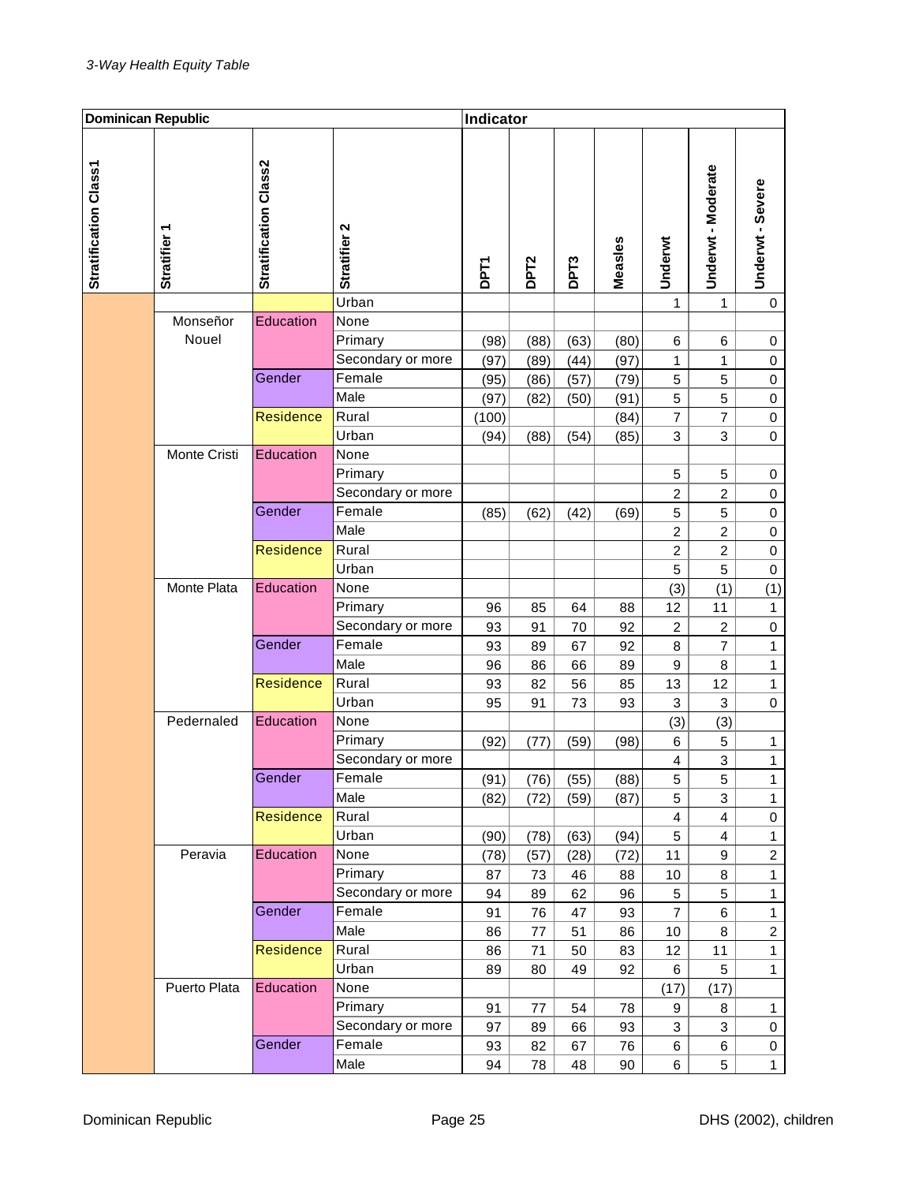| <b>Dominican Republic</b> |                        |                       | Indicator         |             |                  |                  |         |                         |                         |                  |
|---------------------------|------------------------|-----------------------|-------------------|-------------|------------------|------------------|---------|-------------------------|-------------------------|------------------|
| Stratification Class1     | ٣<br><b>Stratifier</b> | Stratification Class2 | Stratifier 2      | <b>DPT1</b> | DPT <sub>2</sub> | DPT <sub>3</sub> | Measles | Underwt                 | Underwt - Moderate      | Underwt - Severe |
|                           |                        |                       | Urban             |             |                  |                  |         | 1                       | 1                       | 0                |
|                           | Monseñor               | Education             | None              |             |                  |                  |         |                         |                         |                  |
|                           | Nouel                  |                       | Primary           | (98)        | (88)             | (63)             | (80)    | 6                       | 6                       | 0                |
|                           |                        |                       | Secondary or more | (97)        | (89)             | (44)             | (97)    | 1                       | 1                       | 0                |
|                           |                        | Gender                | Female            | (95)        | (86)             | (57)             | (79)    | 5                       | 5                       | 0                |
|                           |                        |                       | Male              | (97)        | (82)             | (50)             | (91)    | 5                       | 5                       | 0                |
|                           |                        | <b>Residence</b>      | Rural             | (100)       |                  |                  | (84)    | 7                       | $\overline{\mathbf{7}}$ | $\mathbf 0$      |
|                           |                        |                       | Urban             | (94)        | (88)             | (54)             | (85)    | 3                       | 3                       | $\mathbf 0$      |
|                           | Monte Cristi           | Education             | None              |             |                  |                  |         |                         |                         |                  |
|                           |                        |                       | Primary           |             |                  |                  |         | 5                       | 5                       | 0                |
|                           |                        |                       | Secondary or more |             |                  |                  |         | 2                       | $\overline{\mathbf{c}}$ | 0                |
|                           |                        | Gender                | Female            | (85)        | (62)             | (42)             | (69)    | 5                       | 5                       | $\boldsymbol{0}$ |
|                           |                        |                       | Male              |             |                  |                  |         | 2                       | $\overline{\mathbf{c}}$ | 0                |
|                           |                        | <b>Residence</b>      | Rural             |             |                  |                  |         | 2                       | $\boldsymbol{2}$        | $\mathbf 0$      |
|                           |                        |                       | Urban             |             |                  |                  |         | 5                       | 5                       | $\mathbf 0$      |
|                           | Monte Plata            | Education             | None              |             |                  |                  |         | (3)                     | (1)                     | (1)              |
|                           |                        |                       | Primary           | 96          | 85               | 64               | 88      | 12                      | 11                      | $\mathbf{1}$     |
|                           |                        |                       | Secondary or more | 93          | 91               | 70               | 92      | $\overline{c}$          | $\boldsymbol{2}$        | $\boldsymbol{0}$ |
|                           |                        | Gender                | Female            | 93          | 89               | 67               | 92      | 8                       | $\overline{7}$          | $\mathbf{1}$     |
|                           |                        |                       | Male              | 96          | 86               | 66               | 89      | 9                       | 8                       | $\mathbf{1}$     |
|                           |                        | <b>Residence</b>      | Rural             | 93          | 82               | 56               | 85      | 13                      | 12                      | $\mathbf{1}$     |
|                           |                        |                       | Urban             | 95          | 91               | 73               | 93      | 3                       | 3                       | $\mathbf 0$      |
|                           | Pedernaled             | Education             | None              |             |                  |                  |         | (3)                     | (3)                     |                  |
|                           |                        |                       | Primary           | (92)        | (77)             | (59)             | (98)    | 6                       | 5                       | $\mathbf{1}$     |
|                           |                        |                       | Secondary or more |             |                  |                  |         | $\overline{\mathbf{4}}$ | 3                       | $\mathbf{1}$     |
|                           |                        | Gender                | Female            | (91)        | (76)             | (55)             | (88)    | 5                       | $\overline{5}$          | $\mathbf 1$      |
|                           |                        |                       | Male              | (82)        | (72)             | (59)             | (87)    | 5                       | 3                       | $\mathbf{1}$     |
|                           |                        | <b>Residence</b>      | Rural             |             |                  |                  |         | $\overline{4}$          | 4                       | $\pmb{0}$        |
|                           |                        |                       | Urban             | (90)        | (78)             | (63)             | (94)    | 5                       | 4                       | $\mathbf{1}$     |
|                           | Peravia                | Education             | None              | (78)        | (57)             | (28)             | (72)    | 11                      | 9                       | $\overline{c}$   |
|                           |                        |                       | Primary           | 87          | 73               | 46               | 88      | 10                      | 8                       | $\mathbf{1}$     |
|                           |                        |                       | Secondary or more | 94          | 89               | 62               | 96      | 5                       | 5                       | $\mathbf{1}$     |
|                           |                        | Gender                | Female            | 91          | 76               | 47               | 93      | $\overline{7}$          | 6                       | $\mathbf{1}$     |
|                           |                        |                       | Male              | 86          | 77               | 51               | 86      | $10$                    | 8                       | $\overline{c}$   |
|                           |                        | Residence             | Rural             | 86          | 71               | 50               | 83      | 12                      | 11                      | $\mathbf{1}$     |
|                           |                        |                       | Urban             | 89          | 80               | 49               | 92      | 6                       | 5                       | $\mathbf{1}$     |
|                           | Puerto Plata           | Education             | None              |             |                  |                  |         | (17)                    | (17)                    |                  |
|                           |                        |                       | Primary           | 91          | 77               | 54               | 78      | 9                       | 8                       | $\mathbf{1}$     |
|                           |                        |                       | Secondary or more | 97          | 89               | 66               | 93      | 3                       | 3                       | 0                |
|                           |                        | Gender                | Female            | 93          | 82               | 67               | 76      | 6                       | 6                       | $\pmb{0}$        |
|                           |                        |                       | Male              | 94          | 78               | 48               | 90      | 6                       | 5                       | $\mathbf{1}$     |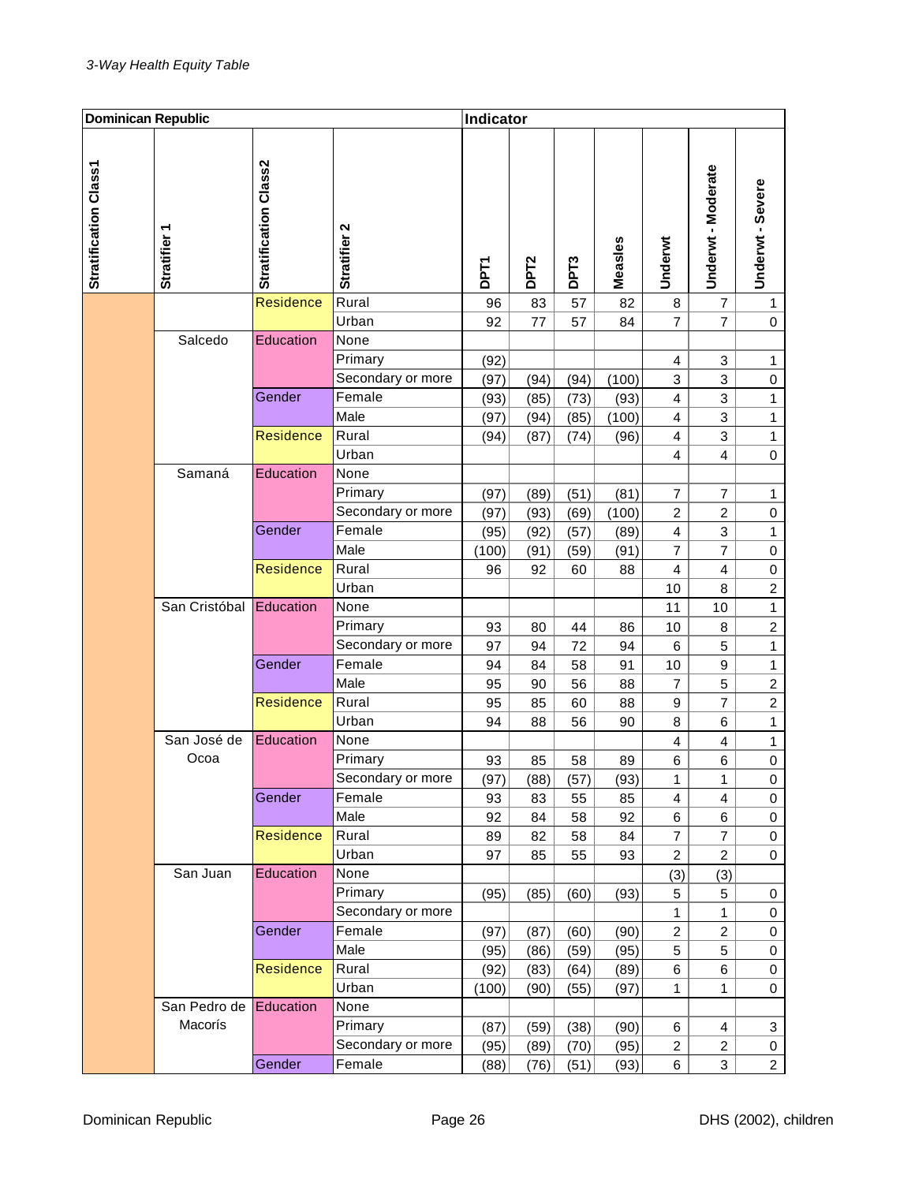| <b>Dominican Republic</b> |                        |                       | Indicator         |             |                  |                  |         |                         |                         |                  |
|---------------------------|------------------------|-----------------------|-------------------|-------------|------------------|------------------|---------|-------------------------|-------------------------|------------------|
| Stratification Class1     | ٣<br><b>Stratifier</b> | Stratification Class2 | Stratifier 2      | <b>DPT1</b> | DPT <sub>2</sub> | DPT <sub>3</sub> | Measles | Underwt                 | Underwt - Moderate      | Underwt - Severe |
|                           |                        | <b>Residence</b>      | Rural             | 96          | 83               | 57               | 82      | 8                       | $\overline{7}$          | $\mathbf{1}$     |
|                           |                        |                       | Urban             | 92          | 77               | 57               | 84      | $\overline{7}$          | $\overline{7}$          | 0                |
|                           | Salcedo                | Education             | None              |             |                  |                  |         |                         |                         |                  |
|                           |                        |                       | Primary           | (92)        |                  |                  |         | 4                       | 3                       | 1                |
|                           |                        |                       | Secondary or more | (97)        | (94)             | (94)             | (100)   | 3                       | 3                       | 0                |
|                           |                        | Gender                | Female            | (93)        | (85)             | (73)             | (93)    | $\overline{4}$          | 3                       | $\mathbf{1}$     |
|                           |                        |                       | Male              | (97)        | (94)             | (85)             | (100)   | 4                       | 3                       | $\mathbf{1}$     |
|                           |                        | Residence             | Rural             | (94)        | (87)             | (74)             | (96)    | $\overline{\mathbf{4}}$ | 3                       | $\mathbf{1}$     |
|                           |                        |                       | Urban             |             |                  |                  |         | 4                       | 4                       | $\mathbf 0$      |
|                           | Samaná                 | Education             | None              |             |                  |                  |         |                         |                         |                  |
|                           |                        |                       | Primary           | (97)        | (89)             | (51)             | (81)    | 7                       | 7                       | 1                |
|                           |                        |                       | Secondary or more | (97)        | (93)             | (69)             | (100)   | $\overline{c}$          | $\overline{\mathbf{c}}$ | 0                |
|                           |                        | Gender                | Female            | (95)        | (92)             | (57)             | (89)    | 4                       | 3                       | $\mathbf{1}$     |
|                           |                        |                       | Male              | (100)       | (91)             | (59)             | (91)    | $\overline{7}$          | 7                       | 0                |
|                           |                        | <b>Residence</b>      | Rural             | 96          | 92               | 60               | 88      | 4                       | 4                       | $\mathbf 0$      |
|                           |                        |                       | Urban             |             |                  |                  |         | 10                      | 8                       | $\boldsymbol{2}$ |
|                           | San Cristóbal          | Education             | None              |             |                  |                  |         | 11                      | $10$                    | $\mathbf{1}$     |
|                           |                        |                       | Primary           | 93          | 80               | 44               | 86      | 10                      | 8                       | $\overline{c}$   |
|                           |                        |                       | Secondary or more | 97          | 94               | 72               | 94      | 6                       | 5                       | $\mathbf 1$      |
|                           |                        | Gender                | Female            | 94          | 84               | 58               | 91      | 10                      | 9                       | $\mathbf{1}$     |
|                           |                        |                       | Male              | 95          | 90               | 56               | 88      | 7                       | 5                       | $\boldsymbol{2}$ |
|                           |                        | <b>Residence</b>      | Rural             | 95          | 85               | 60               | 88      | $\boldsymbol{9}$        | $\overline{7}$          | $\boldsymbol{2}$ |
|                           |                        |                       | Urban             | 94          | 88               | 56               | 90      | 8                       | 6                       | $\mathbf{1}$     |
|                           | San José de            | Education             | None              |             |                  |                  |         | 4                       | 4                       | $\mathbf{1}$     |
|                           | Ocoa                   |                       | Primary           | 93          | 85               | 58               | 89      | 6                       | 6                       | $\mathbf 0$      |
|                           |                        |                       | Secondary or more | (97)        | (88)             | (57)             | (93)    | 1                       | 1                       | 0                |
|                           |                        | Gender                | Female            | 93          | 83               | 55               | 85      | $\overline{4}$          | $\overline{4}$          | 0                |
|                           |                        |                       | Male              | 92          | 84               | 58               | 92      | 6                       | 6                       | 0                |
|                           |                        | <b>Residence</b>      | Rural             | 89          | 82               | 58               | 84      | $\overline{7}$          | $\overline{7}$          | $\pmb{0}$        |
|                           |                        |                       | Urban             | 97          | 85               | 55               | 93      | $\boldsymbol{2}$        | $\overline{c}$          | $\pmb{0}$        |
|                           | San Juan               | Education             | None              |             |                  |                  |         | (3)                     | (3)                     |                  |
|                           |                        |                       | Primary           | (95)        | (85)             | (60)             | (93)    | 5                       | 5                       | 0                |
|                           |                        |                       | Secondary or more |             |                  |                  |         | $\mathbf{1}$            | $\mathbf{1}$            | $\pmb{0}$        |
|                           |                        | Gender                | Female            | (97)        | (87)             | (60)             | (90)    | $\overline{c}$          | $\overline{c}$          | 0                |
|                           |                        |                       | Male              | (95)        | (86)             | (59)             | (95)    | 5                       | 5                       | 0                |
|                           |                        | <b>Residence</b>      | Rural             | (92)        | (83)             | (64)             | (89)    | 6                       | 6                       | $\pmb{0}$        |
|                           |                        |                       | Urban             | (100)       | (90)             | (55)             | (97)    | 1                       | 1                       | $\pmb{0}$        |
|                           | San Pedro de           | Education             | None              |             |                  |                  |         |                         |                         |                  |
|                           | Macorís                |                       | Primary           | (87)        | (59)             | (38)             | (90)    | 6                       | 4                       | $\mathbf{3}$     |
|                           |                        |                       | Secondary or more | (95)        | (89)             | (70)             | (95)    | $\overline{2}$          | $\overline{2}$          | $\boldsymbol{0}$ |
|                           |                        | Gender                | Female            | (88)        | (76)             | (51)             | (93)    | 6                       | 3                       | $\overline{a}$   |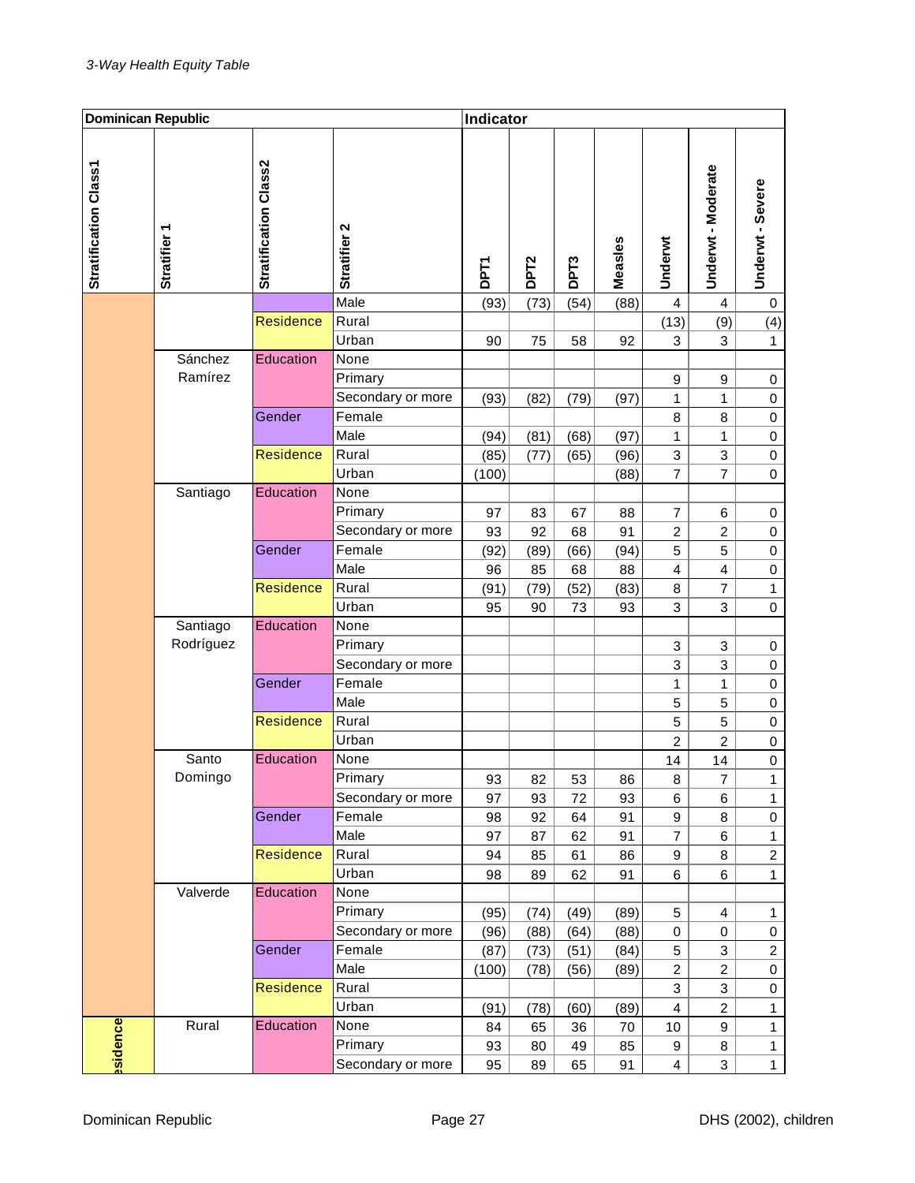| Stratification Class2<br>Stratification Class1<br>Stratifier 2<br>٣<br><b>Stratifier</b><br>Measles<br>DPT <sub>2</sub><br>DPT <sub>3</sub><br><b>DPT1</b> | Underwt - Moderate<br>Underwt             | Underwt - Severe |
|------------------------------------------------------------------------------------------------------------------------------------------------------------|-------------------------------------------|------------------|
| Male<br>(73)<br>(54)<br>(88)<br>(93)                                                                                                                       | 4<br>4                                    | 0                |
| <b>Residence</b><br>Rural                                                                                                                                  | (13)<br>(9)                               | (4)              |
| Urban<br>92<br>90<br>75<br>58                                                                                                                              | 3<br>3                                    | $\mathbf{1}$     |
| Sánchez<br>Education<br>None                                                                                                                               |                                           |                  |
| Ramírez<br>Primary                                                                                                                                         | 9<br>9                                    | 0                |
| Secondary or more<br>(93)<br>(82)<br>(79)<br>(97)                                                                                                          | 1<br>1                                    | 0                |
| Female<br>Gender                                                                                                                                           | 8<br>8                                    | $\mathbf 0$      |
| Male<br>(94)<br>(81)<br>(68)<br>(97)                                                                                                                       | 1<br>1                                    | $\mathbf 0$      |
| <b>Residence</b><br>Rural<br>(85)<br>(77)<br>(65)<br>(96)                                                                                                  | 3<br>3                                    | $\mathbf 0$      |
| Urban<br>(100)<br>(88)                                                                                                                                     | 7<br>7                                    | $\mathbf 0$      |
| Santiago<br>Education<br>None                                                                                                                              |                                           |                  |
| Primary<br>97<br>83<br>67<br>88                                                                                                                            | 7<br>6                                    | 0                |
| Secondary or more<br>92<br>93<br>68<br>91<br>Female<br>Gender                                                                                              | 2<br>$\overline{\mathbf{c}}$              | 0                |
| (92)<br>(89)<br>(66)<br>(94)<br>Male                                                                                                                       | 5<br>5                                    | $\mathbf 0$      |
| 96<br>85<br>68<br>88<br><b>Residence</b><br>Rural                                                                                                          | 4<br>4<br>$\overline{7}$                  | $\,0\,$          |
| (91)<br>(79)<br>(52)<br>(83)<br>Urban                                                                                                                      | 8                                         | $\mathbf{1}$     |
| 73<br>95<br>90<br>93<br>Santiago<br>Education<br>None                                                                                                      | 3<br>3                                    | $\mathbf 0$      |
| Rodríguez<br>Primary                                                                                                                                       | 3<br>3                                    |                  |
| Secondary or more                                                                                                                                          | 3<br>3                                    | 0<br>0           |
| Female<br>Gender                                                                                                                                           | 1<br>1                                    | 0                |
| Male                                                                                                                                                       | 5<br>5                                    | $\mathbf 0$      |
| <b>Residence</b><br>Rural                                                                                                                                  | 5<br>5                                    | 0                |
| Urban                                                                                                                                                      | $\overline{c}$<br>$\overline{c}$          | $\mathbf 0$      |
| Education<br>Santo<br>None                                                                                                                                 | 14<br>14                                  | $\mathbf 0$      |
| Domingo<br>Primary<br>93<br>82<br>53<br>86                                                                                                                 | 7<br>8                                    | $\mathbf{1}$     |
| Secondary or more<br>97<br>72<br>93<br>93                                                                                                                  | 6<br>6                                    | $\mathbf{1}$     |
| Gender<br>Female<br>98<br>92<br>64<br>91                                                                                                                   | 9<br>8                                    | $\pmb{0}$        |
| Male<br>97<br>62<br>87<br>91                                                                                                                               | $\overline{7}$<br>6                       | $\mathbf{1}$     |
| Residence<br>Rural<br>94<br>85<br>61<br>86                                                                                                                 | 9<br>8                                    | $\overline{c}$   |
| Urban<br>98<br>89<br>62<br>91                                                                                                                              | 6<br>6                                    | $\mathbf{1}$     |
| Education<br>Valverde<br>None                                                                                                                              |                                           |                  |
| Primary<br>(95)<br>(49)<br>(89)<br>(74)                                                                                                                    | 5<br>4                                    | $\mathbf{1}$     |
| Secondary or more<br>(88)<br>(96)<br>(88)<br>(64)                                                                                                          | $\pmb{0}$<br>0                            | $\pmb{0}$        |
| Gender<br>Female<br>(87)<br>(84)<br>(73)<br>(51)                                                                                                           | 3<br>5                                    | $\overline{2}$   |
| Male<br>(100)<br>(78)<br>(56)<br>(89)                                                                                                                      | $\overline{c}$<br>$\overline{c}$          | $\pmb{0}$        |
| Residence<br>Rural                                                                                                                                         | 3<br>3                                    | 0                |
| Urban<br>(91)<br>(78)<br>(60)<br>(89)                                                                                                                      | $\overline{\mathbf{4}}$<br>$\overline{c}$ | $\mathbf{1}$     |
| Education<br>Rural<br>None<br>84<br>65<br>36<br>70                                                                                                         | 9<br>10                                   | $\mathbf{1}$     |
| ssidence<br>Primary<br>93<br>49<br>85<br>80                                                                                                                | 9<br>8                                    | $\mathbf{1}$     |
| Secondary or more<br>95<br>89<br>65<br>91                                                                                                                  | 3<br>$\overline{4}$                       | $\mathbf{1}$     |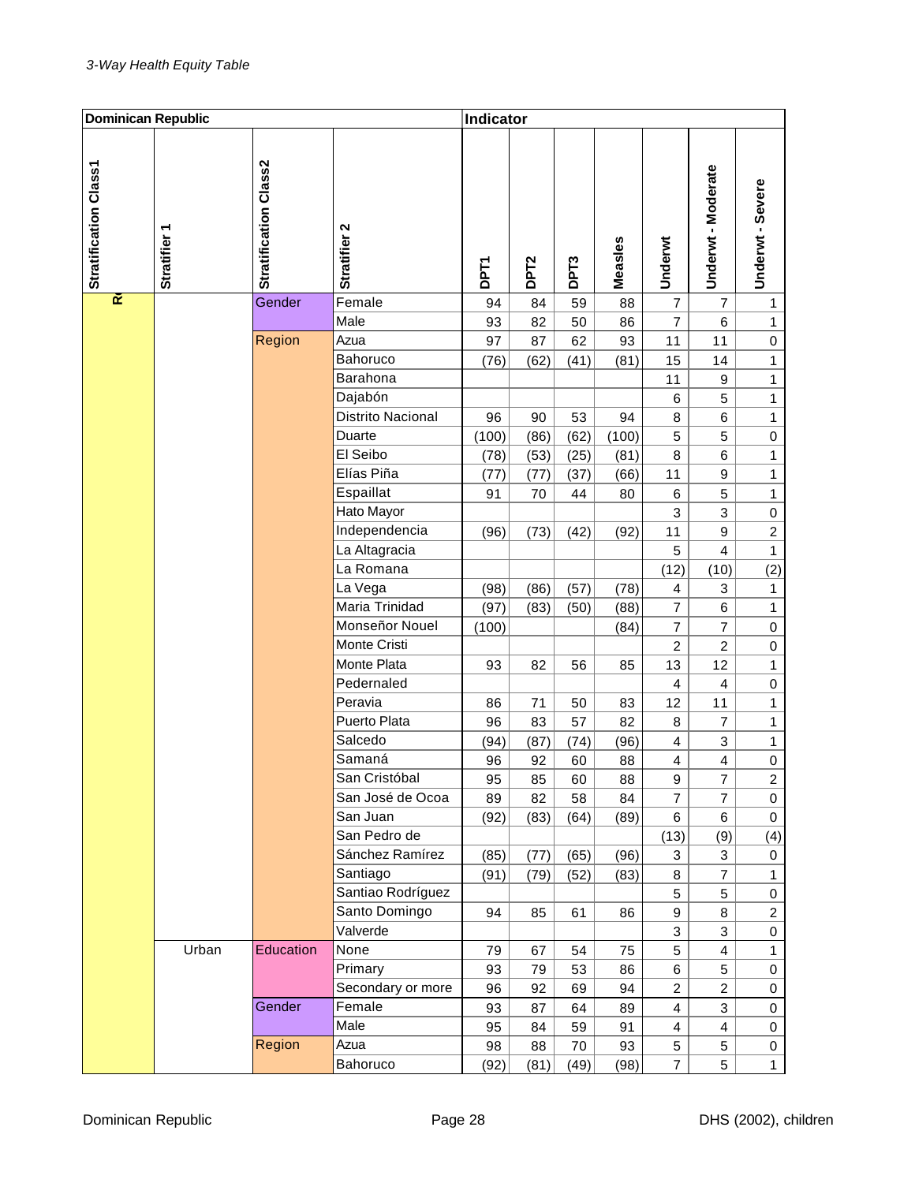| <b>Dominican Republic</b> |                        |                       | Indicator         |             |                  |                  |         |                         |                         |                  |
|---------------------------|------------------------|-----------------------|-------------------|-------------|------------------|------------------|---------|-------------------------|-------------------------|------------------|
| Stratification Class1     | ᠇<br><b>Stratifier</b> | Stratification Class2 | Stratifier 2      | <b>DPT1</b> | DPT <sub>2</sub> | DPT <sub>3</sub> | Measles | Underwt                 | Underwt - Moderate      | Underwt - Severe |
| œ                         |                        | Gender                | Female            | 94          | 84               | 59               | 88      | $\overline{7}$          | $\overline{7}$          | $\mathbf{1}$     |
|                           |                        |                       | Male              | 93          | 82               | 50               | 86      | $\overline{7}$          | 6                       | $\mathbf{1}$     |
|                           |                        | Region                | Azua              | 97          | 87               | 62               | 93      | 11                      | 11                      | $\boldsymbol{0}$ |
|                           |                        |                       | Bahoruco          | (76)        | (62)             | (41)             | (81)    | 15                      | 14                      | $\mathbf{1}$     |
|                           |                        |                       | Barahona          |             |                  |                  |         | 11                      | $\boldsymbol{9}$        | 1                |
|                           |                        |                       | Dajabón           |             |                  |                  |         | 6                       | 5                       | $\mathbf{1}$     |
|                           |                        |                       | Distrito Nacional | 96          | 90               | 53               | 94      | 8                       | 6                       | $\mathbf{1}$     |
|                           |                        |                       | Duarte            | (100)       | (86)             | (62)             | (100)   | 5                       | 5                       | $\mathbf 0$      |
|                           |                        |                       | El Seibo          | (78)        | (53)             | (25)             | (81)    | 8                       | $\,$ 6                  | $\mathbf{1}$     |
|                           |                        |                       | Elías Piña        | (77)        | (77)             | (37)             | (66)    | 11                      | 9                       | $\mathbf{1}$     |
|                           |                        |                       | Espaillat         | 91          | 70               | 44               | 80      | 6                       | 5                       | $\mathbf{1}$     |
|                           |                        |                       | Hato Mayor        |             |                  |                  |         | 3                       | 3                       | 0                |
|                           |                        |                       | Independencia     | (96)        | (73)             | (42)             | (92)    | 11                      | 9                       | $\overline{c}$   |
|                           |                        |                       | La Altagracia     |             |                  |                  |         | 5                       | $\overline{\mathbf{4}}$ | $\mathbf{1}$     |
|                           |                        |                       | La Romana         |             |                  |                  |         | (12)                    | (10)                    | (2)              |
|                           |                        |                       | La Vega           | (98)        | (86)             | (57)             | (78)    | 4                       | 3                       | $\mathbf{1}$     |
|                           |                        |                       | Maria Trinidad    | (97)        | (83)             | (50)             | (88)    | $\overline{7}$          | 6                       | $\mathbf{1}$     |
|                           |                        |                       | Monseñor Nouel    | (100)       |                  |                  | (84)    | $\overline{7}$          | $\overline{7}$          | $\mathbf 0$      |
|                           |                        |                       | Monte Cristi      |             |                  |                  |         | $\overline{c}$          | $\overline{c}$          | 0                |
|                           |                        |                       | Monte Plata       | 93          | 82               | 56               | 85      | 13                      | 12                      | $\mathbf{1}$     |
|                           |                        |                       | Pedernaled        |             |                  |                  |         | 4                       | $\overline{\mathbf{4}}$ | 0                |
|                           |                        |                       | Peravia           | 86          | 71               | 50               | 83      | 12                      | 11                      | $\mathbf{1}$     |
|                           |                        |                       | Puerto Plata      | 96          | 83               | 57               | 82      | 8                       | 7                       | 1                |
|                           |                        |                       | Salcedo           | (94)        | (87)             | (74)             | (96)    | $\overline{\mathbf{4}}$ | 3                       | $\mathbf{1}$     |
|                           |                        |                       | Samaná            | 96          | 92               | 60               | 88      | 4                       | $\overline{4}$          | $\mathbf 0$      |
|                           |                        |                       | San Cristóbal     | 95          | 85               | 60               | 88      | 9                       | 7                       | 2                |
|                           |                        |                       | San José de Ocoa  | 89          | 82               | 58               | 84      | $\overline{7}$          | $\overline{7}$          | $\pmb{0}$        |
|                           |                        |                       | San Juan          | (92)        | (83)             | (64)             | (89)    | 6                       | 6                       | 0                |
|                           |                        |                       | San Pedro de      |             |                  |                  |         | (13)                    | (9)                     | (4)              |
|                           |                        |                       | Sánchez Ramírez   | (85)        | (77)             | (65)             | (96)    | 3                       | 3                       | 0                |
|                           |                        |                       | Santiago          | (91)        | (79)             | (52)             | (83)    | 8                       | $\overline{7}$          | $\mathbf{1}$     |
|                           |                        |                       | Santiao Rodríguez |             |                  |                  |         | 5                       | 5                       | $\pmb{0}$        |
|                           |                        |                       | Santo Domingo     | 94          | 85               | 61               | 86      | 9                       | 8                       | $\overline{c}$   |
|                           |                        |                       | Valverde          |             |                  |                  |         | 3                       | 3                       | $\pmb{0}$        |
|                           | Urban                  | Education             | None              | 79          | 67               | 54               | 75      | 5                       | $\overline{\mathbf{4}}$ | $\mathbf{1}$     |
|                           |                        |                       | Primary           | 93          | 79               | 53               | 86      | 6                       | 5                       | 0                |
|                           |                        |                       | Secondary or more | 96          | 92               | 69               | 94      | $\overline{c}$          | $\overline{c}$          | $\pmb{0}$        |
|                           |                        | Gender                | Female            | 93          | 87               | 64               | 89      | 4                       | 3                       | $\pmb{0}$        |
|                           |                        |                       | Male              | 95          | 84               | 59               | 91      | 4                       | 4                       | 0                |
|                           |                        | Region                | Azua              | 98          | 88               | 70               | 93      | 5                       | 5                       | 0                |
|                           |                        |                       | Bahoruco          | (92)        | (81)             | (49)             | (98)    | $\overline{7}$          | 5                       | $\mathbf{1}$     |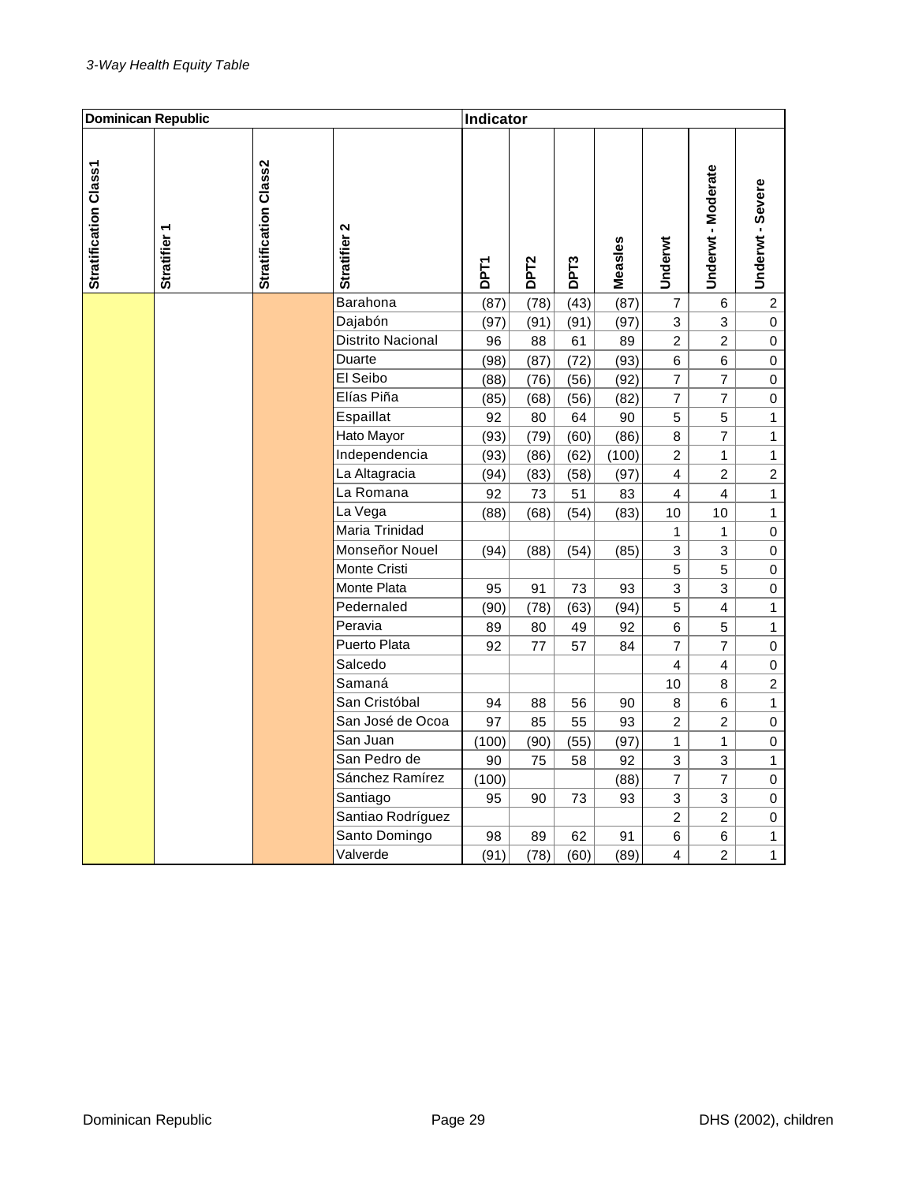| <b>Dominican Republic</b> |                   |                       | Indicator         |             |                  |                  |         |                         |                         |                         |
|---------------------------|-------------------|-----------------------|-------------------|-------------|------------------|------------------|---------|-------------------------|-------------------------|-------------------------|
| Stratification Class1     | <b>Stratifier</b> | Stratification Class2 | Stratifier 2      | <b>DPT1</b> | DPT <sub>2</sub> | DPT <sub>3</sub> | Measles | Underwt                 | Underwt - Moderate      | Underwt - Severe        |
|                           |                   |                       | Barahona          | (87)        | (78)             | (43)             | (87)    | $\overline{7}$          | 6                       | $\overline{\mathbf{c}}$ |
|                           |                   |                       | Dajabón           | (97)        | (91)             | (91)             | (97)    | 3                       | 3                       | $\pmb{0}$               |
|                           |                   |                       | Distrito Nacional | 96          | 88               | 61               | 89      | $\overline{c}$          | $\overline{c}$          | $\pmb{0}$               |
|                           |                   |                       | Duarte            | (98)        | (87)             | (72)             | (93)    | $\,$ 6 $\,$             | $6\phantom{a}$          | $\pmb{0}$               |
|                           |                   |                       | El Seibo          | (88)        | (76)             | (56)             | (92)    | $\overline{7}$          | $\overline{7}$          | $\mathsf{O}\xspace$     |
|                           |                   |                       | Elías Piña        | (85)        | (68)             | (56)             | (82)    | $\overline{7}$          | $\overline{7}$          | $\mathbf 0$             |
|                           |                   |                       | Espaillat         | 92          | 80               | 64               | 90      | 5                       | 5                       | $\mathbf{1}$            |
|                           |                   |                       | Hato Mayor        | (93)        | (79)             | (60)             | (86)    | $\bf 8$                 | $\overline{7}$          | $\mathbf{1}$            |
|                           |                   |                       | Independencia     | (93)        | (86)             | (62)             | (100)   | $\overline{c}$          | 1                       | $\mathbf{1}$            |
|                           |                   |                       | La Altagracia     | (94)        | (83)             | (58)             | (97)    | $\overline{4}$          | $\overline{2}$          | $\overline{c}$          |
|                           |                   |                       | La Romana         | 92          | 73               | 51               | 83      | $\overline{4}$          | $\overline{4}$          | $\mathbf{1}$            |
|                           |                   |                       | La Vega           | (88)        | (68)             | (54)             | (83)    | 10                      | 10                      | $\mathbf{1}$            |
|                           |                   |                       | Maria Trinidad    |             |                  |                  |         | 1                       | 1                       | $\mathsf{O}\xspace$     |
|                           |                   |                       | Monseñor Nouel    | (94)        | (88)             | (54)             | (85)    | 3                       | 3                       | $\mathsf{O}\xspace$     |
|                           |                   |                       | Monte Cristi      |             |                  |                  |         | 5                       | 5                       | $\boldsymbol{0}$        |
|                           |                   |                       | Monte Plata       | 95          | 91               | 73               | 93      | 3                       | 3                       | $\pmb{0}$               |
|                           |                   |                       | Pedernaled        | (90)        | (78)             | (63)             | (94)    | 5                       | $\overline{\mathbf{4}}$ | $\mathbf{1}$            |
|                           |                   |                       | Peravia           | 89          | 80               | 49               | 92      | 6                       | 5                       | $\mathbf{1}$            |
|                           |                   |                       | Puerto Plata      | 92          | 77               | 57               | 84      | $\overline{7}$          | $\overline{7}$          | 0                       |
|                           |                   |                       | Salcedo           |             |                  |                  |         | $\overline{4}$          | $\overline{4}$          | $\pmb{0}$               |
|                           |                   |                       | Samaná            |             |                  |                  |         | 10                      | 8                       | $\overline{2}$          |
|                           |                   |                       | San Cristóbal     | 94          | 88               | 56               | 90      | 8                       | $\,6$                   | $\mathbf{1}$            |
|                           |                   |                       | San José de Ocoa  | 97          | 85               | 55               | 93      | $\overline{2}$          | $\overline{2}$          | $\pmb{0}$               |
|                           |                   |                       | San Juan          | (100)       | (90)             | (55)             | (97)    | 1                       | $\mathbf{1}$            | $\boldsymbol{0}$        |
|                           |                   |                       | San Pedro de      | 90          | 75               | 58               | 92      | 3                       | 3                       | $\mathbf{1}$            |
|                           |                   |                       | Sánchez Ramírez   | (100)       |                  |                  | (88)    | 7                       | $\overline{7}$          | $\pmb{0}$               |
|                           |                   |                       | Santiago          | 95          | 90               | 73               | 93      | 3                       | 3                       | $\mathbf 0$             |
|                           |                   |                       | Santiao Rodríguez |             |                  |                  |         | $\overline{c}$          | $\overline{c}$          | $\mathbf 0$             |
|                           |                   |                       | Santo Domingo     | 98          | 89               | 62               | 91      | $\,$ 6 $\,$             | $\,6$                   | $\mathbf{1}$            |
|                           |                   |                       | Valverde          | (91)        | (78)             | (60)             | (89)    | $\overline{\mathbf{4}}$ | $\overline{2}$          | $\mathbf{1}$            |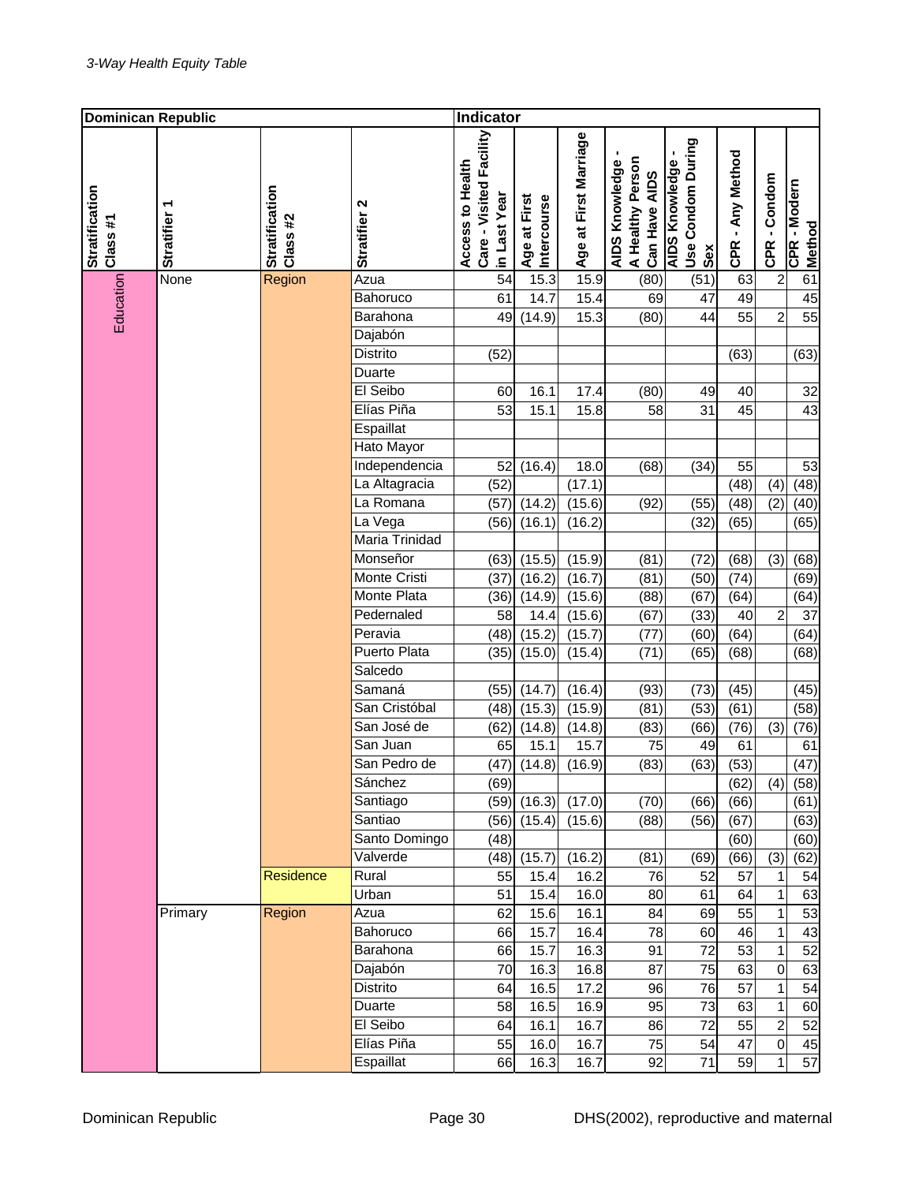| Dominican Republic         |                   |                            |                             | Indicator                                                   |                             |                       |                                                     |                                                   |                  |                |                        |
|----------------------------|-------------------|----------------------------|-----------------------------|-------------------------------------------------------------|-----------------------------|-----------------------|-----------------------------------------------------|---------------------------------------------------|------------------|----------------|------------------------|
| Stratification<br>Class #1 | <b>Stratifier</b> | Stratification<br>Class #2 | Stratifier <sub>2</sub>     | Care - Visited Facility<br>Access to Health<br>in Last Year | Age at First<br>Intercourse | Age at First Marriage | A Healthy Person<br>AIDS Knowledge<br>Can Have AIDS | Use Condom During<br><b>AIDS Knowledge</b><br>Sex | CPR - Any Method | CPR - Condom   | CPR - Modern<br>Method |
| Education                  | None              | Region                     | Azua                        | 54                                                          | 15.3                        | 15.9                  | (80)                                                | (51)                                              | 63               | $\overline{2}$ | 61                     |
|                            |                   |                            | Bahoruco                    | 61                                                          | 14.7                        | 15.4                  | 69                                                  | 47                                                | 49               |                | 45                     |
|                            |                   |                            | Barahona                    | 49                                                          | (14.9)                      | 15.3                  | (80)                                                | 44                                                | 55               | $\overline{2}$ | 55                     |
|                            |                   |                            | Dajabón                     |                                                             |                             |                       |                                                     |                                                   |                  |                |                        |
|                            |                   |                            | Distrito                    | (52)                                                        |                             |                       |                                                     |                                                   | (63)             |                | (63)                   |
|                            |                   |                            | Duarte                      |                                                             |                             |                       |                                                     |                                                   |                  |                |                        |
|                            |                   |                            | El Seibo                    | 60                                                          | 16.1                        | 17.4                  | (80)                                                | 49                                                | 40               |                | 32                     |
|                            |                   |                            | Elías Piña                  | 53                                                          | 15.1                        | 15.8                  | 58                                                  | 31                                                | 45               |                | 43                     |
|                            |                   |                            | Espaillat                   |                                                             |                             |                       |                                                     |                                                   |                  |                |                        |
|                            |                   |                            | Hato Mayor<br>Independencia |                                                             |                             |                       |                                                     |                                                   |                  |                |                        |
|                            |                   |                            | La Altagracia               | 52                                                          | (16.4)                      | 18.0                  | (68)                                                | (34)                                              | 55               |                | 53                     |
|                            |                   |                            | La Romana                   | (52)                                                        |                             | (17.1)                |                                                     |                                                   | (48)             | (4)            | (48)                   |
|                            |                   |                            | La Vega                     | (57)<br>(56)                                                | (14.2)<br>(16.1)            | (15.6)<br>(16.2)      | (92)                                                | (55)<br>(32)                                      | (48)<br>(65)     | (2)            | (40)<br>(65)           |
|                            |                   |                            | <b>Maria Trinidad</b>       |                                                             |                             |                       |                                                     |                                                   |                  |                |                        |
|                            |                   |                            | Monseñor                    | (63)                                                        | (15.5)                      | (15.9)                | (81)                                                | (72)                                              | (68)             | (3)            | (68)                   |
|                            |                   |                            | <b>Monte Cristi</b>         | (37)                                                        | (16.2)                      | (16.7)                | (81)                                                | (50)                                              | (74)             |                | (69)                   |
|                            |                   |                            | Monte Plata                 | (36)                                                        | (14.9)                      | (15.6)                | (88)                                                | (67)                                              | (64)             |                | (64)                   |
|                            |                   |                            | Pedernaled                  | 58                                                          | 14.4                        | (15.6)                | (67)                                                | (33)                                              | 40               | $\overline{c}$ | 37                     |
|                            |                   |                            | Peravia                     | (48)                                                        | (15.2)                      | (15.7)                | (77)                                                | (60)                                              | (64)             |                | (64)                   |
|                            |                   |                            | <b>Puerto Plata</b>         | (35)                                                        | (15.0)                      | (15.4)                | (71)                                                | (65)                                              | (68)             |                | (68)                   |
|                            |                   |                            | Salcedo                     |                                                             |                             |                       |                                                     |                                                   |                  |                |                        |
|                            |                   |                            | Samaná                      | (55)                                                        | (14.7)                      | (16.4)                | (93)                                                | (73)                                              | (45)             |                | (45)                   |
|                            |                   |                            | San Cristóbal               | (48)                                                        | (15.3)                      | (15.9)                | (81)                                                | (53)                                              | (61)             |                | (58)                   |
|                            |                   |                            | San José de                 | (62)                                                        | (14.8)                      | (14.8)                | (83)                                                | (66)                                              | (76)             | (3)            | (76)                   |
|                            |                   |                            | San Juan                    | 65                                                          | 15.1                        | 15.7                  | 75                                                  | 49                                                | 61               |                | 61                     |
|                            |                   |                            | San Pedro de                |                                                             | $(47)$ $(14.8)$             | (16.9)                | (83)                                                | (63)                                              | (53)             |                | (47)                   |
|                            |                   |                            | Sánchez                     | (69)                                                        |                             |                       |                                                     |                                                   | (62)             | (4)            | (58)                   |
|                            |                   |                            | Santiago                    | (59)                                                        | (16.3)                      | (17.0)                | (70)                                                | (66)                                              | (66)             |                | (61)                   |
|                            |                   |                            | Santiao                     | (56)                                                        | (15.4)                      | (15.6)                | (88)                                                | (56)                                              | (67)             |                | (63)                   |
|                            |                   |                            | Santo Domingo               | (48)                                                        |                             |                       |                                                     |                                                   | (60)             |                | (60)                   |
|                            |                   |                            | Valverde                    | (48)                                                        | (15.7)                      | (16.2)                | (81)                                                | (69)                                              | (66)             | (3)            | (62)                   |
|                            |                   | Residence                  | Rural                       | 55                                                          | 15.4                        | 16.2                  | 76                                                  | 52                                                | 57               | 1              | 54                     |
|                            |                   |                            | Urban                       | 51                                                          | 15.4                        | 16.0                  | 80                                                  | 61                                                | 64               | $\mathbf 1$    | 63                     |
|                            | Primary           | Region                     | Azua                        | 62                                                          | 15.6                        | 16.1                  | 84                                                  | 69                                                | 55               | $\mathbf 1$    | 53                     |
|                            |                   |                            | Bahoruco                    | 66                                                          | 15.7                        | 16.4                  | 78                                                  | 60                                                | 46               | $\mathbf 1$    | 43                     |
|                            |                   |                            | Barahona                    | 66                                                          | 15.7                        | 16.3                  | 91                                                  | 72                                                | 53               | $\mathbf 1$    | 52                     |
|                            |                   |                            | Dajabón                     | 70                                                          | 16.3                        | 16.8                  | 87                                                  | 75                                                | 63               | $\mathbf 0$    | 63                     |
|                            |                   |                            | Distrito                    | 64                                                          | 16.5                        | 17.2                  | 96                                                  | 76                                                | 57               | $\mathbf 1$    | 54                     |
|                            |                   |                            | Duarte                      | 58                                                          | 16.5                        | 16.9                  | 95                                                  | 73                                                | 63               | 1              | 60                     |
|                            |                   |                            | El Seibo                    | 64                                                          | 16.1                        | 16.7                  | 86                                                  | 72                                                | 55               | $\overline{c}$ | 52                     |
|                            |                   |                            | Elías Piña                  | 55                                                          | 16.0                        | 16.7                  | 75                                                  | 54                                                | 47               | $\mathbf 0$    | 45                     |
|                            |                   |                            | Espaillat                   | 66                                                          | 16.3                        | 16.7                  | 92                                                  | 71                                                | 59               | $\mathbf{1}$   | 57                     |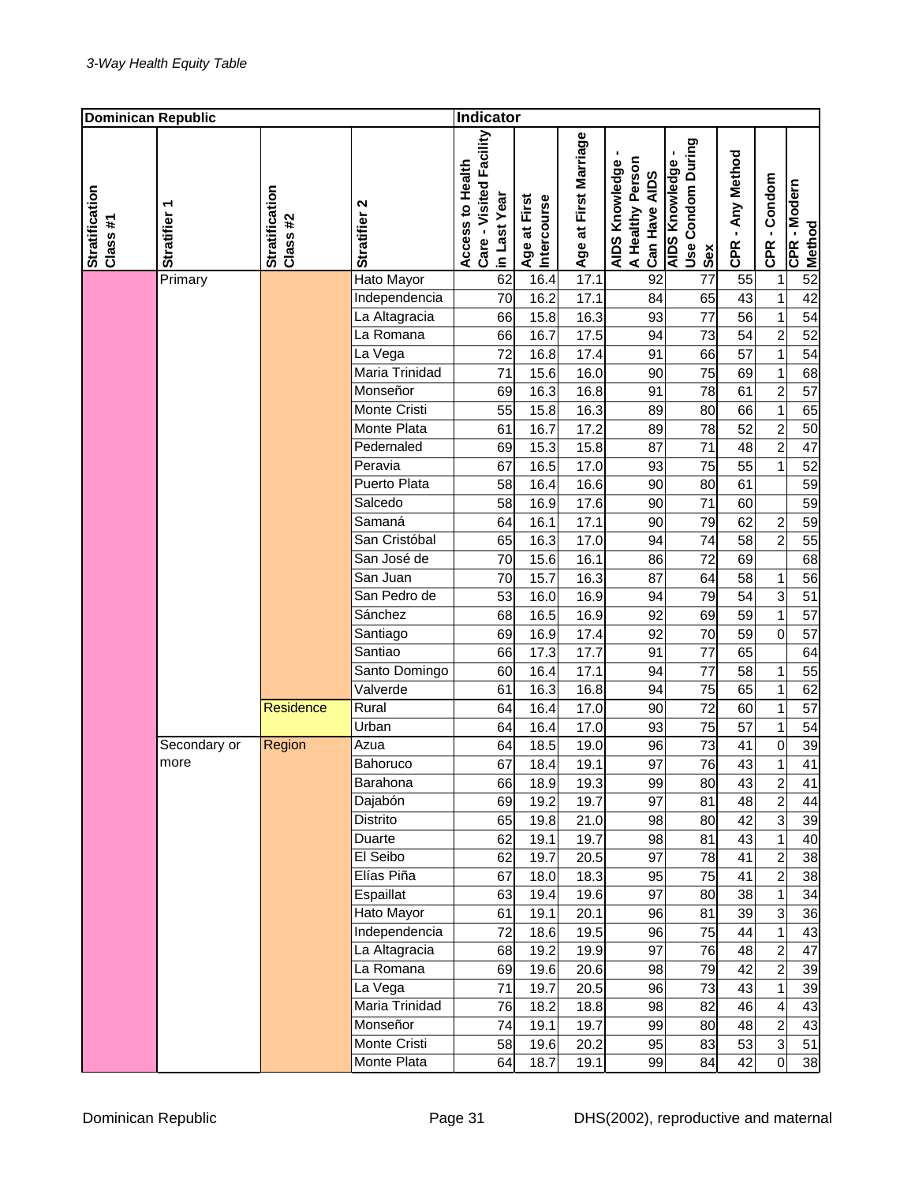| <b>Dominican Republic</b>  |                   |                            |                       | Indicator                                                   |                             |                       |                                                     |                                                   |                  |                                  |                               |
|----------------------------|-------------------|----------------------------|-----------------------|-------------------------------------------------------------|-----------------------------|-----------------------|-----------------------------------------------------|---------------------------------------------------|------------------|----------------------------------|-------------------------------|
| Stratification<br>Class #1 | <b>Stratifier</b> | Stratification<br>Class #2 | Stratifier 2          | Care - Visited Facility<br>Access to Health<br>in Last Year | Intercourse<br>Age at First | Age at First Marriage | A Healthy Person<br>AIDS Knowledge<br>Can Have AIDS | Use Condom During<br><b>AIDS Knowledge</b><br>Sex | CPR - Any Method | CPR - Condom                     | CPR - Modern<br><b>Method</b> |
|                            | Primary           |                            | <b>Hato Mayor</b>     | 62                                                          | 16.4                        | 17.1                  | 92                                                  | $\overline{77}$                                   | 55               | $\mathbf{1}$                     | 52                            |
|                            |                   |                            | Independencia         | 70                                                          | 16.2                        | 17.1                  | 84                                                  | 65                                                | 43               | $\overline{1}$                   | 42                            |
|                            |                   |                            | La Altagracia         | 66                                                          | 15.8                        | 16.3                  | 93                                                  | 77                                                | 56               | $\mathbf{1}$                     | 54                            |
|                            |                   |                            | La Romana             | 66                                                          | 16.7                        | 17.5                  | 94                                                  | $\overline{73}$                                   | $\overline{54}$  | $\overline{2}$                   | 52                            |
|                            |                   |                            | La Vega               | 72                                                          | 16.8                        | 17.4                  | 91                                                  | 66                                                | $\overline{57}$  | $\mathbf{1}$                     | 54                            |
|                            |                   |                            | Maria Trinidad        | 71                                                          | 15.6                        | 16.0                  | 90                                                  | 75                                                | 69               | $\mathbf 1$                      | 68                            |
|                            |                   |                            | Monseñor              | 69                                                          | 16.3                        | 16.8                  | 91                                                  | 78                                                | 61               | $\overline{c}$                   | $\overline{57}$               |
|                            |                   |                            | Monte Cristi          | 55                                                          | 15.8                        | 16.3                  | 89                                                  | 80                                                | 66               | $\mathbf{1}$                     | 65                            |
|                            |                   |                            | Monte Plata           | 61                                                          | 16.7                        | 17.2                  | 89                                                  | 78                                                | 52               | $\overline{c}$                   | 50                            |
|                            |                   |                            | Pedernaled<br>Peravia | 69                                                          | 15.3                        | 15.8                  | 87                                                  | 71                                                | 48               | $\overline{2}$                   | 47                            |
|                            |                   |                            | Puerto Plata          | 67                                                          | 16.5                        | 17.0                  | 93                                                  | 75                                                | 55               | 1                                | 52                            |
|                            |                   |                            | Salcedo               | 58                                                          | 16.4                        | 16.6                  | 90                                                  | 80                                                | 61               |                                  | 59                            |
|                            |                   |                            | Samaná                | 58                                                          | 16.9                        | 17.6                  | 90                                                  | 71                                                | 60<br>62         |                                  | 59                            |
|                            |                   |                            | San Cristóbal         | 64<br>65                                                    | 16.1<br>16.3                | 17.1<br>17.0          | 90<br>94                                            | 79<br>74                                          | 58               | $\overline{c}$<br>$\overline{2}$ | 59<br>55                      |
|                            |                   |                            | San José de           | 70                                                          | 15.6                        | 16.1                  | 86                                                  | 72                                                | 69               |                                  | 68                            |
|                            |                   |                            | San Juan              | 70                                                          | 15.7                        | $\overline{16.3}$     | 87                                                  | 64                                                | 58               | $\mathbf 1$                      | 56                            |
|                            |                   |                            | San Pedro de          | 53                                                          | 16.0                        | 16.9                  | 94                                                  | 79                                                | 54               | 3                                | 51                            |
|                            |                   |                            | Sánchez               | 68                                                          | 16.5                        | 16.9                  | 92                                                  | 69                                                | 59               | $\mathbf{1}$                     | 57                            |
|                            |                   |                            | Santiago              | 69                                                          | 16.9                        | 17.4                  | 92                                                  | 70                                                | 59               | $\overline{0}$                   | $\overline{57}$               |
|                            |                   |                            | Santiao               | 66                                                          | 17.3                        | 17.7                  | 91                                                  | 77                                                | 65               |                                  | 64                            |
|                            |                   |                            | Santo Domingo         | 60                                                          | 16.4                        | 17.1                  | 94                                                  | 77                                                | 58               | 1                                | $\overline{55}$               |
|                            |                   |                            | Valverde              | 61                                                          | 16.3                        | 16.8                  | 94                                                  | 75                                                | 65               | $\mathbf{1}$                     | 62                            |
|                            |                   | Residence                  | Rural                 | 64                                                          | 16.4                        | 17.0                  | 90                                                  | 72                                                | 60               | $\mathbf 1$                      | 57                            |
|                            |                   |                            | $\overline{U}$ rban   | 64                                                          | 16.4                        | 17.0                  | 93                                                  | 75                                                | 57               | 1                                | 54                            |
|                            | Secondary or      | Region                     | Azua                  | 64                                                          | 18.5                        | 19.0                  | 96                                                  | 73                                                | 41               | $\overline{0}$                   | 39                            |
|                            | more              |                            | Bahoruco              | 67                                                          | 18.4                        | 19.1                  | 97                                                  | 76                                                | 43               | $\mathbf 1$                      | 41                            |
|                            |                   |                            | Barahona              | 66                                                          | 18.9                        | 19.3                  | 99                                                  | 80                                                | 43               | $\overline{\mathbf{c}}$          | 41                            |
|                            |                   |                            | Dajabón               | 69                                                          | 19.2                        | 19.7                  | 97                                                  | 81                                                | 48               | $\overline{2}$                   | 44                            |
|                            |                   |                            | Distrito              | 65                                                          | 19.8                        | 21.0                  | 98                                                  | 80                                                | $\overline{42}$  | $\overline{3}$                   | 39                            |
|                            |                   |                            | Duarte                | 62                                                          | 19.1                        | 19.7                  | 98                                                  | 81                                                | 43               | $\mathbf{1}$                     | 40                            |
|                            |                   |                            | El Seibo              | 62                                                          | 19.7                        | 20.5                  | 97                                                  | 78                                                | 41               | $\overline{2}$                   | 38                            |
|                            |                   |                            | Elías Piña            | 67                                                          | 18.0                        | 18.3                  | 95                                                  | 75                                                | 41               | $\overline{2}$                   | 38                            |
|                            |                   |                            | Espaillat             | 63                                                          | 19.4                        | 19.6                  | 97                                                  | 80                                                | 38               | $\mathbf{1}$                     | 34                            |
|                            |                   |                            | Hato Mayor            | 61                                                          | 19.1                        | 20.1                  | 96                                                  | 81                                                | 39               | 3                                | 36                            |
|                            |                   |                            | Independencia         | 72                                                          | 18.6                        | 19.5                  | 96                                                  | 75                                                | 44               | $\mathbf{1}$                     | 43                            |
|                            |                   |                            | La Altagracia         | 68                                                          | 19.2                        | 19.9                  | 97                                                  | 76                                                | 48               | $\overline{c}$                   | 47                            |
|                            |                   |                            | La Romana             | 69                                                          | 19.6                        | 20.6                  | 98                                                  | 79                                                | 42               | 2                                | 39                            |
|                            |                   |                            | La Vega               | 71                                                          | 19.7                        | 20.5                  | 96                                                  | 73                                                | 43               | $\mathbf{1}$                     | 39                            |
|                            |                   |                            | Maria Trinidad        | 76                                                          | 18.2                        | 18.8                  | 98                                                  | 82                                                | 46               | 4                                | 43                            |
|                            |                   |                            | Monseñor              | 74                                                          | 19.1                        | 19.7                  | 99                                                  | 80                                                | 48               | $\overline{c}$                   | 43                            |
|                            |                   |                            | Monte Cristi          | 58                                                          | 19.6                        | 20.2                  | 95                                                  | 83                                                | 53               | 3                                | 51                            |
|                            |                   |                            | Monte Plata           | 64                                                          | 18.7                        | 19.1                  | 99                                                  | 84                                                | 42               | $\mathbf 0$                      | 38                            |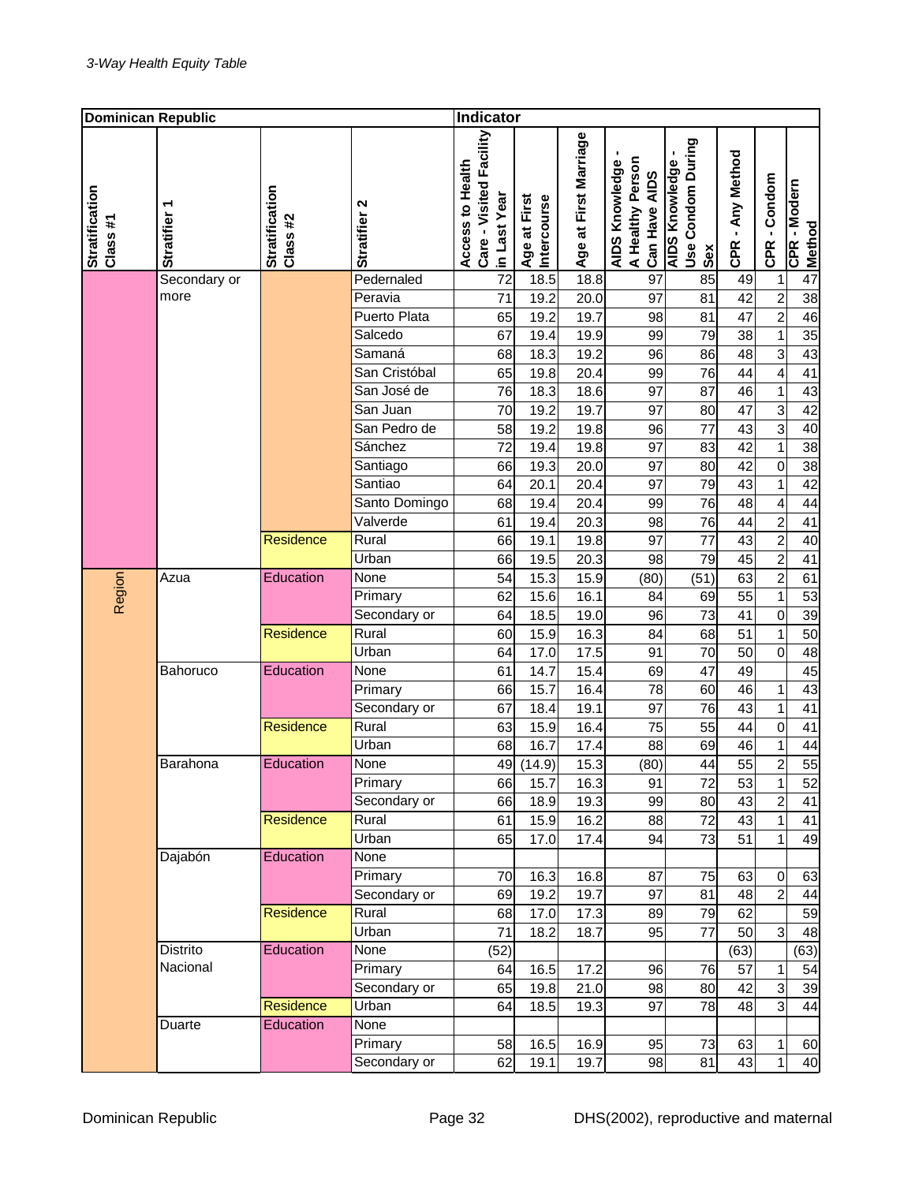| <b>Dominican Republic</b>  |              |                            |                       | <b>Indicator</b>                                            |                             |                       |                                                     |                                                   |                       |                               |                        |
|----------------------------|--------------|----------------------------|-----------------------|-------------------------------------------------------------|-----------------------------|-----------------------|-----------------------------------------------------|---------------------------------------------------|-----------------------|-------------------------------|------------------------|
| Stratification<br>Class #1 | Stratifier   | Stratification<br>Class #2 | Stratifier 2          | Care - Visited Facility<br>Access to Health<br>in Last Year | Intercourse<br>Age at First | Age at First Marriage | A Healthy Person<br>AIDS Knowledge<br>Can Have AIDS | Use Condom During<br><b>AIDS Knowledge</b><br>Sex | CPR - Any Method      | CPR - Condom                  | CPR - Modern<br>Method |
|                            | Secondary or |                            | Pedernaled            | 72                                                          | 18.5                        | 18.8                  | 97                                                  | 85                                                | 49                    | $\mathbf 1$                   | 47                     |
|                            | more         |                            | Peravia               | 71                                                          | 19.2                        | 20.0                  | 97                                                  | 81                                                | 42                    | $\overline{2}$                | 38                     |
|                            |              |                            | Puerto Plata          | 65                                                          | 19.2                        | 19.7                  | 98                                                  | 81                                                | 47                    | $\overline{2}$                | 46                     |
|                            |              |                            | Salcedo               | 67                                                          | 19.4                        | 19.9                  | 99                                                  | 79                                                | 38                    | $\mathbf 1$                   | 35                     |
|                            |              |                            | Samaná                | 68                                                          | 18.3                        | 19.2                  | 96                                                  | 86                                                | 48                    | $\overline{3}$                | 43                     |
|                            |              |                            | San Cristóbal         | 65                                                          | 19.8                        | 20.4                  | 99                                                  | 76                                                | 44                    | 4                             | 41                     |
|                            |              |                            | San José de           | 76                                                          | 18.3                        | 18.6                  | 97                                                  | 87                                                | 46                    | $\mathbf{1}$                  | 43                     |
|                            |              |                            | San Juan              | 70                                                          | 19.2                        | 19.7                  | 97                                                  | 80                                                | 47                    | $\overline{3}$                | 42                     |
|                            |              |                            | San Pedro de          | 58                                                          | 19.2                        | 19.8                  | 96                                                  | 77                                                | 43                    | $\overline{3}$                | 40                     |
|                            |              |                            | Sánchez               | 72                                                          | 19.4                        | 19.8                  | 97                                                  | 83                                                | 42                    | $\mathbf{1}$                  | 38                     |
|                            |              |                            | Santiago              | 66                                                          | 19.3                        | 20.0                  | 97                                                  | 80                                                | 42                    | $\mathbf 0$                   | 38                     |
|                            |              |                            | Santiao               | 64                                                          | 20.1                        | 20.4                  | 97                                                  | 79                                                | 43                    | 1                             | 42                     |
|                            |              |                            | Santo Domingo         | 68                                                          | 19.4                        | 20.4                  | 99                                                  | 76                                                | 48                    | $\overline{\mathbf{4}}$       | 44                     |
|                            |              |                            | Valverde              | 61                                                          | 19.4                        | 20.3                  | 98                                                  | 76                                                | 44                    | $\overline{2}$                | 41                     |
|                            |              | Residence                  | Rural                 | 66                                                          | 19.1                        | 19.8                  | 97                                                  | $\overline{77}$                                   | 43                    | $\overline{2}$                | 40                     |
|                            |              |                            | Urban                 | 66                                                          | 19.5                        | 20.3                  | 98                                                  | 79                                                | 45                    | $\overline{2}$                | 41                     |
| Region                     | Azua         | Education                  | <b>None</b>           | 54                                                          | 15.3                        | 15.9                  | (80)                                                | (51)                                              | 63                    | $\overline{2}$                | 61                     |
|                            |              |                            | Primary               | 62                                                          | 15.6                        | 16.1                  | 84                                                  | 69                                                | 55                    | $\mathbf 1$                   | 53                     |
|                            |              |                            | Secondary or<br>Rural | 64                                                          | 18.5                        | 19.0                  | 96                                                  | 73                                                | 41<br>$\overline{51}$ | $\mathbf 0$                   | 39<br>50               |
|                            |              | <b>Residence</b>           | Urban                 | 60                                                          | 15.9                        | 16.3                  | 84                                                  | 68                                                |                       | $\mathbf 1$<br>$\overline{0}$ | 48                     |
|                            | Bahoruco     | Education                  | None                  | 64<br>61                                                    | 17.0<br>14.7                | 17.5<br>15.4          | 91<br>69                                            | 70<br>47                                          | 50<br>49              |                               | 45                     |
|                            |              |                            | Primary               | 66                                                          | 15.7                        | 16.4                  | 78                                                  | 60                                                | 46                    | 1                             | 43                     |
|                            |              |                            | Secondary or          | 67                                                          | 18.4                        | 19.1                  | 97                                                  | 76                                                | 43                    | $\mathbf 1$                   | 41                     |
|                            |              | <b>Residence</b>           | Rural                 | 63                                                          | 15.9                        | 16.4                  | 75                                                  | 55                                                | 44                    | 0                             | 41                     |
|                            |              |                            | Urban                 | 68                                                          | 16.7                        | 17.4                  | 88                                                  | 69                                                | 46                    | $\mathbf 1$                   | 44                     |
|                            | Barahona     | Education                  | None                  | 49                                                          | (14.9)                      | 15.3                  | (80)                                                | 44                                                | 55                    | $\overline{2}$                | 55                     |
|                            |              |                            | Primary               | 66                                                          | 15.7                        | 16.3                  | 91                                                  | 72                                                | 53                    | 1                             | 52                     |
|                            |              |                            | Secondary or          | 66                                                          | 18.9                        | 19.3                  | 99                                                  | 80                                                | 43                    | $\overline{2}$                | 41                     |
|                            |              | Residence                  | Rural                 | 61                                                          | 15.9                        | 16.2                  | 88                                                  | 72                                                | 43                    | $\mathbf{1}$                  | $\overline{41}$        |
|                            |              |                            | Urban                 | 65                                                          | 17.0                        | 17.4                  | 94                                                  | 73                                                | 51                    | 1                             | 49                     |
|                            | Dajabón      | Education                  | None                  |                                                             |                             |                       |                                                     |                                                   |                       |                               |                        |
|                            |              |                            | Primary               | 70                                                          | 16.3                        | 16.8                  | 87                                                  | 75                                                | 63                    | $\mathbf 0$                   | 63                     |
|                            |              |                            | Secondary or          | 69                                                          | 19.2                        | 19.7                  | 97                                                  | 81                                                | 48                    | $\overline{2}$                | 44                     |
|                            |              | <b>Residence</b>           | Rural                 | 68                                                          | 17.0                        | 17.3                  | 89                                                  | 79                                                | 62                    |                               | 59                     |
|                            |              |                            | Urban                 | 71                                                          | 18.2                        | 18.7                  | 95                                                  | 77                                                | 50                    | 3                             | 48                     |
|                            | Distrito     | Education                  | None                  | (52)                                                        |                             |                       |                                                     |                                                   | (63)                  |                               | (63)                   |
|                            | Nacional     |                            | Primary               | 64                                                          | 16.5                        | 17.2                  | 96                                                  | 76                                                | 57                    | 1                             | 54                     |
|                            |              |                            | Secondary or          | 65                                                          | 19.8                        | 21.0                  | 98                                                  | 80                                                | 42                    | 3                             | 39                     |
|                            |              | Residence                  | Urban                 | 64                                                          | 18.5                        | 19.3                  | 97                                                  | 78                                                | 48                    | 3                             | 44                     |
|                            | Duarte       | Education                  | None                  |                                                             |                             |                       |                                                     |                                                   |                       |                               |                        |
|                            |              |                            | Primary               | 58                                                          | 16.5                        | 16.9                  | 95                                                  | 73                                                | 63                    | 1                             | 60                     |
|                            |              |                            | Secondary or          | 62                                                          | 19.1                        | 19.7                  | 98                                                  | 81                                                | 43                    | $\mathbf{1}$                  | 40                     |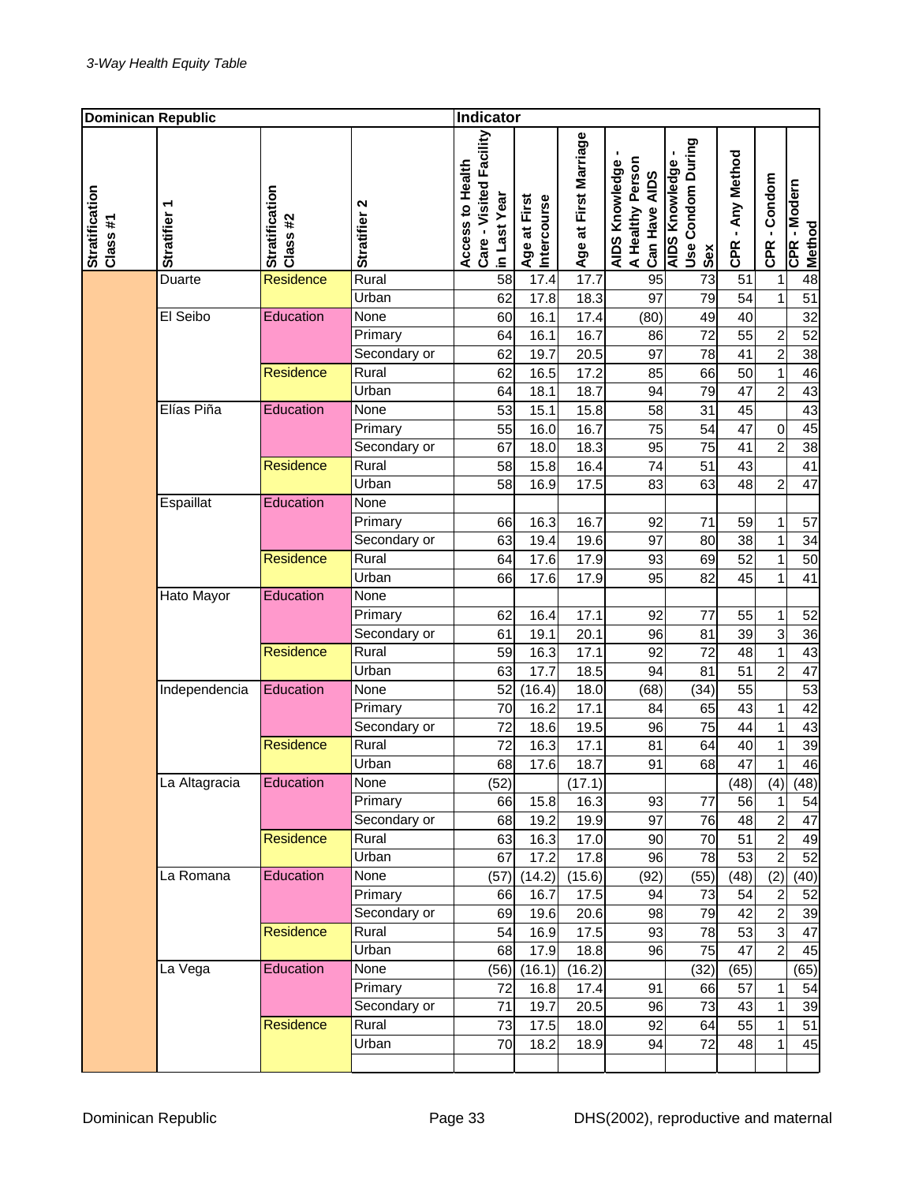| <b>Dominican Republic</b>  |                   |                            | <b>Indicator</b> |                                                             |                             |                       |                                                     |                                                   |                  |                |                        |
|----------------------------|-------------------|----------------------------|------------------|-------------------------------------------------------------|-----------------------------|-----------------------|-----------------------------------------------------|---------------------------------------------------|------------------|----------------|------------------------|
| Stratification<br>Class #1 | <b>Stratifier</b> | Stratification<br>Class #2 | N<br>Stratifier  | Care - Visited Facility<br>Access to Health<br>in Last Year | Intercourse<br>Age at First | Age at First Marriage | A Healthy Person<br>AIDS Knowledge<br>Can Have AIDS | Use Condom During<br><b>AIDS Knowledge</b><br>Sex | CPR - Any Method | CPR - Condom   | CPR - Modern<br>Method |
|                            | Duarte            | <b>Residence</b>           | Rural            | $\overline{58}$                                             | 17.4                        | $\overline{17.7}$     | 95                                                  | $\overline{73}$                                   | 51               | 1              | 48                     |
|                            |                   |                            | Urban            | 62                                                          | 17.8                        | 18.3                  | 97                                                  | 79                                                | 54               | $\mathbf{1}$   | 51                     |
|                            | El Seibo          | Education                  | <b>None</b>      | 60                                                          | 16.1                        | 17.4                  | (80)                                                | 49                                                | 40               |                | 32                     |
|                            |                   |                            | Primary          | 64                                                          | 16.1                        | 16.7                  | 86                                                  | 72                                                | 55               | $\overline{c}$ | 52                     |
|                            |                   |                            | Secondary or     | 62                                                          | 19.7                        | 20.5                  | 97                                                  | 78                                                | 41               | $\overline{2}$ | 38                     |
|                            |                   | Residence                  | Rural            | 62                                                          | 16.5                        | 17.2                  | 85                                                  | 66                                                | 50               | $\mathbf{1}$   | 46                     |
|                            |                   |                            | Urban            | 64                                                          | 18.1                        | 18.7                  | 94                                                  | 79                                                | 47               | $\overline{2}$ | 43                     |
|                            | Elías Piña        | Education                  | None             | 53                                                          | 15.1                        | 15.8                  | 58                                                  | 31                                                | 45               |                | 43                     |
|                            |                   |                            | Primary          | 55                                                          | 16.0                        | 16.7                  | 75                                                  | 54                                                | 47               | $\mathbf 0$    | 45                     |
|                            |                   |                            | Secondary or     | 67                                                          | 18.0                        | 18.3                  | 95                                                  | 75                                                | 41               | $\overline{2}$ | 38                     |
|                            |                   | <b>Residence</b>           | Rural            | 58                                                          | 15.8                        | 16.4                  | 74                                                  | 51                                                | 43               |                | 41                     |
|                            |                   |                            | Urban            | 58                                                          | 16.9                        | 17.5                  | 83                                                  | 63                                                | 48               | $\overline{2}$ | 47                     |
|                            | Espaillat         | Education                  | None             |                                                             |                             |                       |                                                     |                                                   |                  |                |                        |
|                            |                   |                            | Primary          | 66                                                          | 16.3                        | 16.7                  | 92                                                  | 71                                                | 59               | $\mathbf 1$    | 57                     |
|                            |                   |                            | Secondary or     | 63                                                          | 19.4                        | 19.6                  | 97                                                  | 80                                                | 38               | $\mathbf 1$    | 34                     |
|                            |                   | Residence                  | Rural            | 64                                                          | 17.6                        | 17.9                  | 93                                                  | 69                                                | 52               | $\mathbf 1$    | 50                     |
|                            |                   |                            | Urban            | 66                                                          | 17.6                        | 17.9                  | 95                                                  | 82                                                | 45               | $\mathbf{1}$   | 41                     |
|                            | Hato Mayor        | Education                  | None             |                                                             |                             |                       |                                                     |                                                   |                  |                |                        |
|                            |                   |                            | Primary          | 62                                                          | 16.4                        | 17.1                  | 92                                                  | 77                                                | 55               | 1              | 52                     |
|                            |                   |                            | Secondary or     | 61                                                          | 19.1                        | 20.1                  | 96                                                  | 81                                                | 39               | 3              | 36                     |
|                            |                   | Residence                  | Rural            | 59                                                          | 16.3                        | 17.1                  | 92                                                  | 72                                                | 48               | $\mathbf 1$    | 43                     |
|                            |                   |                            | Urban            | 63                                                          | 17.7                        | 18.5                  | 94                                                  | 81                                                | 51               | $\overline{2}$ | 47                     |
|                            | Independencia     | Education                  | None             | 52                                                          | (16.4)                      | 18.0                  | (68)                                                | (34)                                              | 55               |                | 53                     |
|                            |                   |                            | Primary          | 70                                                          | 16.2                        | 17.1                  | 84                                                  | 65                                                | 43               | 1              | 42                     |
|                            |                   |                            | Secondary or     | 72                                                          | 18.6                        | 19.5                  | 96                                                  | 75                                                | 44               | 1              | 43                     |
|                            |                   | Residence                  | Rural            | 72                                                          | 16.3                        | 17.1                  | 81                                                  | 64                                                | 40               | $\mathbf 1$    | 39                     |
|                            |                   |                            | Urban            | 68                                                          | 17.6                        | 18.7                  | 91                                                  | 68                                                | 47               | $\mathbf{1}$   | 46                     |
|                            | La Altagracia     | Education                  | None             | (52)                                                        |                             | (17.1)                |                                                     |                                                   | (48)             | (4)            | (48)                   |
|                            |                   |                            | Primary          | 66                                                          | 15.8                        | 16.3                  | 93                                                  | 77                                                | 56               | 1              | 54                     |
|                            |                   |                            | Secondary or     | 68                                                          | 19.2                        | 19.9                  | 97                                                  | 76                                                | 48               | $\overline{2}$ | 47                     |
|                            |                   | <b>Residence</b>           | Rural            | 63                                                          | 16.3                        | 17.0                  | 90                                                  | 70                                                | 51               | $\overline{c}$ | 49                     |
|                            |                   |                            | Urban            | 67                                                          | 17.2                        | 17.8                  | 96                                                  | 78                                                | 53               | $\overline{2}$ | 52                     |
|                            | La Romana         | Education                  | None             | (57)                                                        | (14.2)                      | (15.6)                | (92)                                                | (55)                                              | (48)             | (2)            | (40)                   |
|                            |                   |                            | Primary          | 66                                                          | 16.7                        | 17.5                  | 94                                                  | 73                                                | 54               | $\mathbf 2$    | 52                     |
|                            |                   |                            | Secondary or     | 69                                                          | 19.6                        | 20.6                  | 98                                                  | 79                                                | 42               | $\overline{2}$ | 39                     |
|                            |                   | Residence                  | Rural            | 54                                                          | 16.9                        | 17.5                  | 93                                                  | 78                                                | 53               | $\overline{3}$ | 47                     |
|                            |                   |                            | Urban            | 68                                                          | 17.9                        | 18.8                  | 96                                                  | 75                                                | 47               | $\overline{2}$ | 45                     |
|                            | La Vega           | Education                  | None             | (56)                                                        | (16.1)                      | (16.2)                |                                                     | (32)                                              | (65)             |                | (65)                   |
|                            |                   |                            | Primary          | 72                                                          | 16.8                        | 17.4                  | 91                                                  | 66                                                | 57               | 1              | 54                     |
|                            |                   |                            | Secondary or     | 71                                                          | 19.7                        | 20.5                  | 96                                                  | 73                                                | 43               | $\mathbf{1}$   | 39                     |
|                            |                   | Residence                  | Rural            | 73                                                          | 17.5                        | 18.0                  | 92                                                  | 64                                                | 55               | 1              | 51                     |
|                            |                   |                            | Urban            | 70                                                          | 18.2                        | 18.9                  | 94                                                  | 72                                                | 48               | $\mathbf 1$    | 45                     |
|                            |                   |                            |                  |                                                             |                             |                       |                                                     |                                                   |                  |                |                        |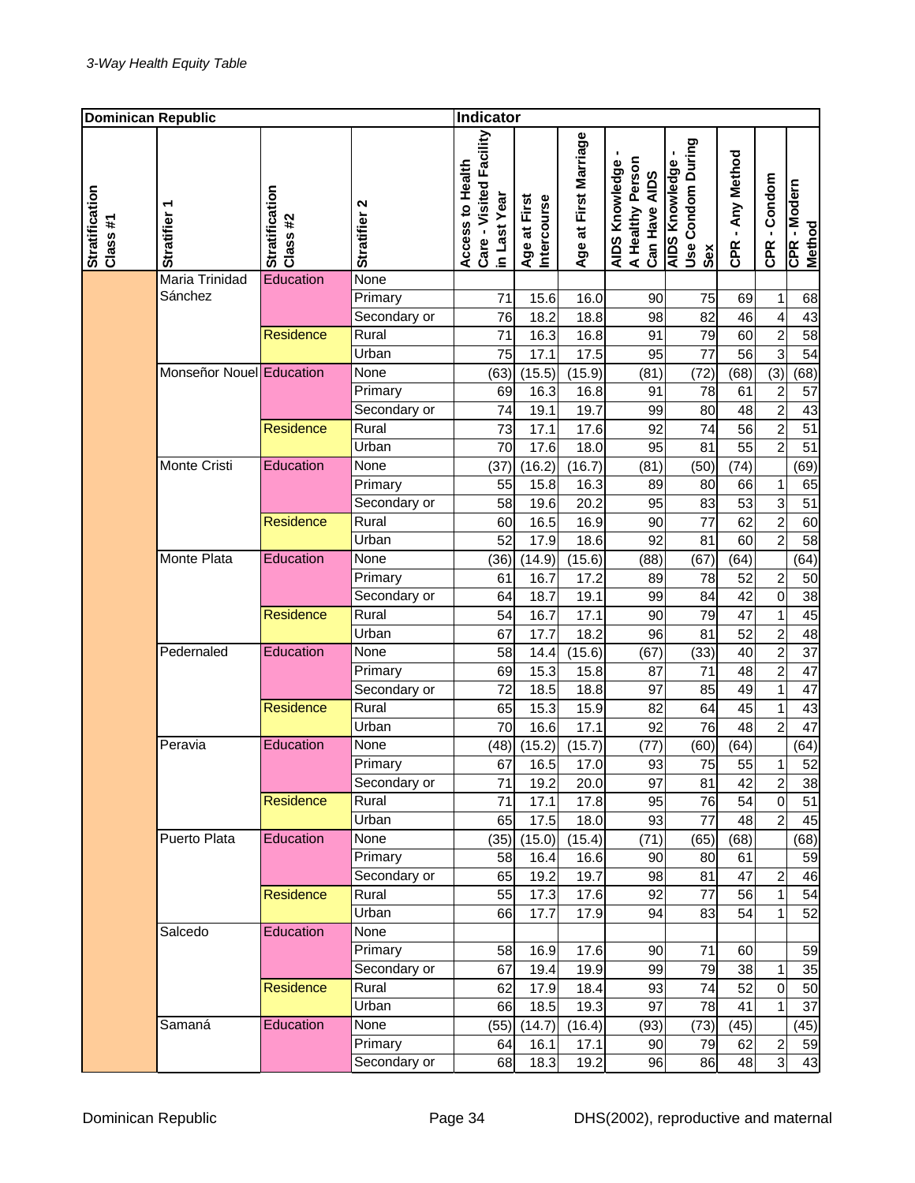| <b>Dominican Republic</b>  |                                                       |                                   |                                 | Indicator                                                   |                                    |                        |                                                     |                                                   |                       |                                                  |                             |
|----------------------------|-------------------------------------------------------|-----------------------------------|---------------------------------|-------------------------------------------------------------|------------------------------------|------------------------|-----------------------------------------------------|---------------------------------------------------|-----------------------|--------------------------------------------------|-----------------------------|
| Stratification<br>Class #1 | <b>Stratifier</b>                                     | <b>Stratification</b><br>Class #2 | N<br>Stratifier                 | Care - Visited Facility<br>Access to Health<br>in Last Year | <b>Intercourse</b><br>Age at First | Age at First Marriage  | A Healthy Person<br>AIDS Knowledge<br>Can Have AIDS | Use Condom During<br><b>AIDS Knowledge</b><br>Sex | CPR - Any Method      | CPR-Condom                                       | CPR - Modern<br>Method      |
|                            | Maria Trinidad<br>Sánchez<br>Monseñor Nouel Education | Education                         | None<br>Primary<br>Secondary or | 71<br>76                                                    | 15.6<br>18.2                       | 16.0<br>18.8           | 90<br>98                                            | 75<br>82                                          | 69<br>46              | $\mathbf{1}$<br>$\overline{\mathbf{4}}$          | 68<br>43                    |
|                            |                                                       | Residence                         | Rural<br>Urban<br>None          | $\overline{71}$<br>75                                       | 16.3<br>17.1                       | 16.8<br>17.5           | 91<br>95                                            | 79<br>77                                          | 60<br>56              | $\overline{2}$<br>$\overline{3}$                 | 58<br>54                    |
|                            |                                                       |                                   | Primary<br>Secondary or         | (63)<br>69<br>74                                            | (15.5)<br>16.3<br>19.1             | (15.9)<br>16.8<br>19.7 | (81)<br>91<br>99                                    | (72)<br>78<br>80                                  | (68)<br>61<br>48      | (3)<br>$\overline{c}$<br>$\overline{2}$          | (68)<br>57<br>43            |
|                            | Monte Cristi                                          | Residence<br>Education            | Rural<br>Urban<br>None          | 73<br>70<br>(37)                                            | 17.1<br>17.6<br>(16.2)             | 17.6<br>18.0<br>(16.7) | 92<br>95<br>(81)                                    | 74<br>81<br>(50)                                  | 56<br>55<br>(74)      | $\overline{c}$<br>$\overline{2}$                 | 51<br>51<br>(69)            |
|                            |                                                       |                                   | Primary<br>Secondary or         | 55<br>58                                                    | 15.8<br>19.6                       | 16.3<br>20.2           | 89<br>95                                            | 80<br>83                                          | 66<br>53              | 1<br>3                                           | 65<br>51                    |
|                            |                                                       | <b>Residence</b>                  | Rural<br>Urban                  | 60<br>52                                                    | 16.5<br>17.9                       | 16.9<br>18.6           | 90<br>92                                            | 77<br>81                                          | 62<br>60              | $\overline{2}$<br>$\overline{2}$                 | 60<br>58                    |
|                            | <b>Monte Plata</b>                                    | Education                         | None<br>Primary<br>Secondary or | (36)<br>61<br>64                                            | (14.9)<br>16.7<br>18.7             | (15.6)<br>17.2<br>19.1 | (88)<br>89<br>99                                    | (67)<br>78<br>84                                  | (64)<br>52<br>42      | $\overline{c}$<br>$\overline{0}$                 | (64)<br>50<br>38            |
|                            |                                                       | <b>Residence</b>                  | Rural<br>Urban                  | 54<br>67                                                    | 16.7<br>17.7                       | 17.1<br>18.2           | 90<br>96                                            | 79<br>81                                          | $\overline{47}$<br>52 | $\mathbf 1$<br>$\overline{c}$                    | 45<br>48                    |
|                            | Pedernaled                                            | Education                         | None<br>Primary<br>Secondary or | 58<br>69<br>72                                              | 14.4<br>15.3<br>18.5               | (15.6)<br>15.8<br>18.8 | (67)<br>87<br>97                                    | (33)<br>71<br>85                                  | 40<br>48<br>49        | $\overline{2}$<br>$\overline{2}$<br>$\mathbf{1}$ | $\overline{37}$<br>47<br>47 |
|                            |                                                       | Residence                         | Rural<br>Urban                  | 65<br>70                                                    | 15.3<br>16.6                       | 15.9<br>17.1           | 82<br>92                                            | 64<br>76                                          | 45<br>48              | $\mathbf 1$<br>$\overline{2}$                    | 43<br>47                    |
|                            | Peravia                                               | Education                         | None<br>Primary<br>Secondary or | (48)<br>67<br>71                                            | (15.2)<br>16.5<br>19.2             | (15.7)<br>17.0<br>20.0 | (77)<br>93<br>97                                    | (60)<br>75<br>81                                  | (64)<br>55<br>42      | $\mathbf 1$<br>2                                 | (64)<br>52<br>38            |
|                            |                                                       | Residence                         | Rural<br>Urban                  | 71<br>65                                                    | 17.1<br>17.5                       | 17.8<br>18.0           | 95<br>93                                            | 76<br>77                                          | 54<br>48              | $\mathbf 0$<br>$\overline{2}$                    | 51<br>45                    |
|                            | Puerto Plata                                          | Education                         | None<br>Primary<br>Secondary or | (35)<br>58<br>65                                            | (15.0)<br>16.4<br>19.2             | (15.4)<br>16.6<br>19.7 | (71)<br>90<br>98                                    | (65)<br>80<br>81                                  | (68)<br>61<br>47      | $\overline{\mathbf{c}}$                          | (68)<br>59<br>46            |
|                            | Salcedo                                               | <b>Residence</b><br>Education     | Rural<br>Urban<br>None          | 55<br>66                                                    | 17.3<br>17.7                       | 17.6<br>17.9           | 92<br>94                                            | 77<br>83                                          | 56<br>54              | 1<br>1                                           | $\overline{54}$<br>52       |
|                            |                                                       |                                   | Primary<br>Secondary or         | 58<br>67                                                    | 16.9<br>19.4                       | 17.6<br>19.9           | 90<br>99                                            | 71<br>79                                          | 60<br>38              | 1                                                | 59<br>35                    |
|                            | Samaná                                                | <b>Residence</b><br>Education     | Rural<br>Urban<br>None          | 62<br>66<br>(55)                                            | 17.9<br>18.5<br>(14.7)             | 18.4<br>19.3<br>(16.4) | 93<br>97<br>(93)                                    | 74<br>78<br>(73)                                  | 52<br>41<br>(45)      | $\mathbf 0$<br>1                                 | 50<br>37<br>(45)            |
|                            |                                                       |                                   | Primary<br>Secondary or         | 64<br>68                                                    | 16.1<br>18.3                       | 17.1<br>19.2           | 90<br>96                                            | 79<br>86                                          | 62<br>48              | $\boldsymbol{2}$<br>$\overline{3}$               | 59<br>43                    |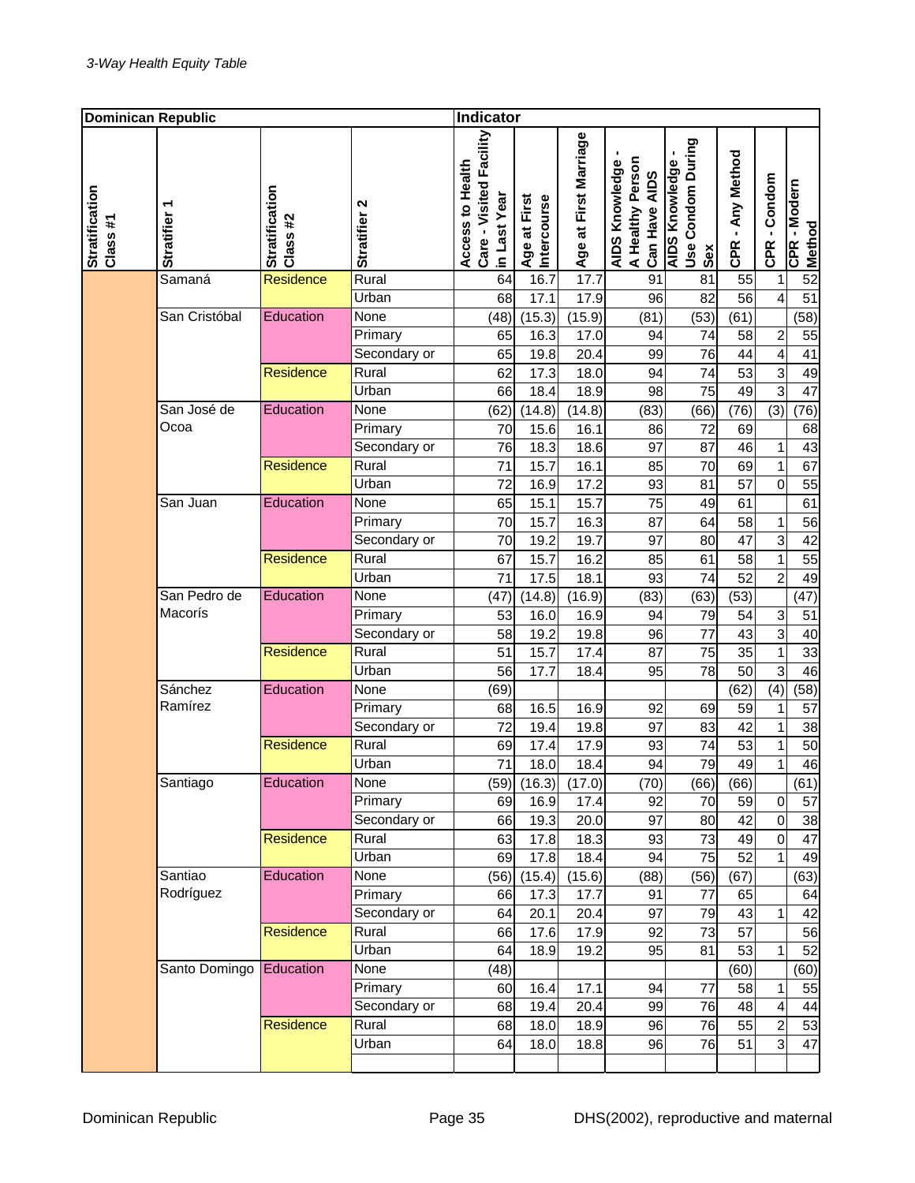| <b>Dominican Republic</b>  |                         |                            |                        | Indicator                                                   |                                    |                       |                                                     |                                                   |                  |                         |                        |
|----------------------------|-------------------------|----------------------------|------------------------|-------------------------------------------------------------|------------------------------------|-----------------------|-----------------------------------------------------|---------------------------------------------------|------------------|-------------------------|------------------------|
| Stratification<br>Class #1 | <b>Stratifier</b>       | Stratification<br>Class #2 | N<br><b>Stratifier</b> | Care - Visited Facility<br>Access to Health<br>in Last Year | <b>Intercourse</b><br>Age at First | Age at First Marriage | A Healthy Person<br>AIDS Knowledge<br>Can Have AIDS | Use Condom During<br><b>AIDS Knowledge</b><br>Sex | CPR - Any Method | CPR - Condom            | CPR - Modern<br>Method |
|                            | Samaná                  | <b>Residence</b>           | Rural                  | 64                                                          | 16.7                               | 17.7                  | 91                                                  | 81                                                | 55               | 1                       | 52                     |
|                            |                         |                            | Urban                  | 68                                                          | 17.1                               | 17.9                  | 96                                                  | 82                                                | 56               | $\overline{\mathbf{4}}$ | 51                     |
|                            | San Cristóbal           | Education                  | None                   | (48)                                                        | (15.3)                             | (15.9)                | (81)                                                | (53)                                              | (61)             |                         | (58)                   |
|                            |                         |                            | Primary                | 65                                                          | 16.3                               | 17.0                  | 94                                                  | 74                                                | 58               | $\overline{c}$          | 55                     |
|                            |                         | Residence                  | Secondary or<br>Rural  | 65                                                          | 19.8                               | 20.4                  | 99                                                  | 76                                                | 44               | $\overline{4}$          | 41                     |
|                            |                         |                            |                        | 62                                                          | 17.3                               | 18.0                  | 94                                                  | 74                                                | 53               | 3<br>$\overline{3}$     | 49<br>47               |
|                            |                         | Education                  | Urban<br>None          | 66                                                          | 18.4                               | 18.9                  | 98                                                  | 75                                                | 49               |                         |                        |
|                            | San José de<br>Ocoa     |                            | Primary                | (62)<br>70                                                  | (14.8)<br>15.6                     | (14.8)<br>16.1        | (83)<br>86                                          | (66)<br>72                                        | (76)<br>69       | (3)                     | (76)                   |
|                            |                         |                            | Secondary or           | 76                                                          | 18.3                               | 18.6                  | 97                                                  | 87                                                |                  |                         | 68                     |
|                            |                         | Residence                  | Rural                  | 71                                                          | 15.7                               | 16.1                  | 85                                                  | 70                                                | 46<br>69         | 1<br>$\mathbf{1}$       | 43<br>67               |
|                            |                         |                            | Urban                  | 72                                                          | 16.9                               | 17.2                  | 93                                                  | 81                                                | 57               | $\overline{0}$          | 55                     |
|                            | San Juan                | Education                  | None                   | 65                                                          | 15.1                               | 15.7                  | 75                                                  | 49                                                | 61               |                         | 61                     |
|                            |                         |                            | Primary                | 70                                                          | 15.7                               | 16.3                  | 87                                                  | 64                                                | 58               | $\mathbf 1$             | 56                     |
|                            |                         |                            | Secondary or           | 70                                                          | 19.2                               | 19.7                  | 97                                                  | 80                                                | 47               | 3                       | 42                     |
|                            |                         | <b>Residence</b>           | Rural                  | 67                                                          | 15.7                               | 16.2                  | 85                                                  | 61                                                | 58               | $\mathbf{1}$            | 55                     |
|                            |                         |                            | Urban                  | 71                                                          | 17.5                               | 18.1                  | 93                                                  | 74                                                | 52               | $\overline{2}$          | 49                     |
|                            | San Pedro de            | Education                  | None                   | (47)                                                        | (14.8)                             | (16.9)                | (83)                                                | (63)                                              | (53)             |                         | (47)                   |
|                            | Macorís                 |                            | Primary                | 53                                                          | 16.0                               | 16.9                  | 94                                                  | 79                                                | 54               | 3                       | 51                     |
|                            |                         |                            | Secondary or           | 58                                                          | 19.2                               | 19.8                  | 96                                                  | 77                                                | 43               | $\overline{3}$          | 40                     |
|                            |                         | Residence                  | Rural                  | 51                                                          | 15.7                               | 17.4                  | 87                                                  | 75                                                | 35               | $\mathbf 1$             | 33                     |
|                            |                         |                            | Urban                  | 56                                                          | 17.7                               | 18.4                  | 95                                                  | 78                                                | 50               | 3                       | 46                     |
|                            | Sánchez                 | Education                  | None                   | (69)                                                        |                                    |                       |                                                     |                                                   | (62)             | (4)                     | (58)                   |
|                            | Ramírez                 |                            | Primary                | 68                                                          | 16.5                               | 16.9                  | 92                                                  | 69                                                | 59               | 1                       | 57                     |
|                            |                         |                            | Secondary or           | 72                                                          | 19.4                               | 19.8                  | 97                                                  | 83                                                | 42               | $\mathbf 1$             | 38                     |
|                            |                         | Residence                  | Rural                  | 69                                                          | 17.4                               | 17.9                  | 93                                                  | 74                                                | 53               | $\mathbf 1$             | 50                     |
|                            |                         |                            | Urban                  | 71                                                          | 18.0                               | 18.4                  | 94                                                  | 79                                                | 49               | $\mathbf{1}$            | 46                     |
|                            | Santiago                | Education                  | None                   |                                                             | $(59)$ $(16.3)$                    | (17.0)                | (70)                                                | (66)                                              | (66)             |                         | (61)                   |
|                            |                         |                            | Primary                | 69                                                          | 16.9                               | 17.4                  | 92                                                  | 70                                                | 59               | $\mathbf 0$             | 57                     |
|                            |                         |                            | Secondary or           | 66                                                          | 19.3                               | 20.0                  | 97                                                  | 80                                                | 42               | $\mathbf 0$             | 38                     |
|                            |                         | <b>Residence</b>           | Rural                  | 63                                                          | 17.8                               | 18.3                  | 93                                                  | 73                                                | 49               | $\mathbf 0$             | 47                     |
|                            |                         |                            | Urban                  | 69                                                          | 17.8                               | 18.4                  | 94                                                  | 75                                                | 52               | 1                       | 49                     |
|                            | Santiao                 | Education                  | None                   | (56)                                                        | (15.4)                             | (15.6)                | (88)                                                | (56)                                              | (67)             |                         | (63)                   |
|                            | Rodríguez               |                            | Primary                | 66                                                          | 17.3                               | 17.7                  | 91                                                  | 77                                                | 65               |                         | 64                     |
|                            |                         |                            | Secondary or           | 64                                                          | 20.1                               | 20.4                  | 97                                                  | 79                                                | 43               | 1                       | 42                     |
|                            |                         | Residence                  | Rural                  | 66                                                          | 17.6                               | 17.9                  | 92                                                  | 73                                                | 57               |                         | 56                     |
|                            |                         |                            | Urban                  | 64                                                          | 18.9                               | 19.2                  | 95                                                  | 81                                                | 53               | 1                       | 52                     |
|                            | Santo Domingo Education |                            | None                   | (48)                                                        |                                    |                       |                                                     |                                                   | (60)             |                         | (60)                   |
|                            |                         |                            | Primary                | 60                                                          | 16.4                               | 17.1                  | 94                                                  | 77                                                | 58               | 1                       | 55                     |
|                            |                         |                            | Secondary or           | 68                                                          | 19.4                               | 20.4                  | 99                                                  | 76                                                | 48               | $\overline{\mathbf{4}}$ | 44                     |
|                            |                         | Residence                  | Rural                  | 68                                                          | 18.0                               | 18.9                  | 96                                                  | 76                                                | 55               | $\overline{\mathbf{c}}$ | 53                     |
|                            |                         |                            | Urban                  | 64                                                          | 18.0                               | 18.8                  | 96                                                  | 76                                                | 51               | 3                       | 47                     |
|                            |                         |                            |                        |                                                             |                                    |                       |                                                     |                                                   |                  |                         |                        |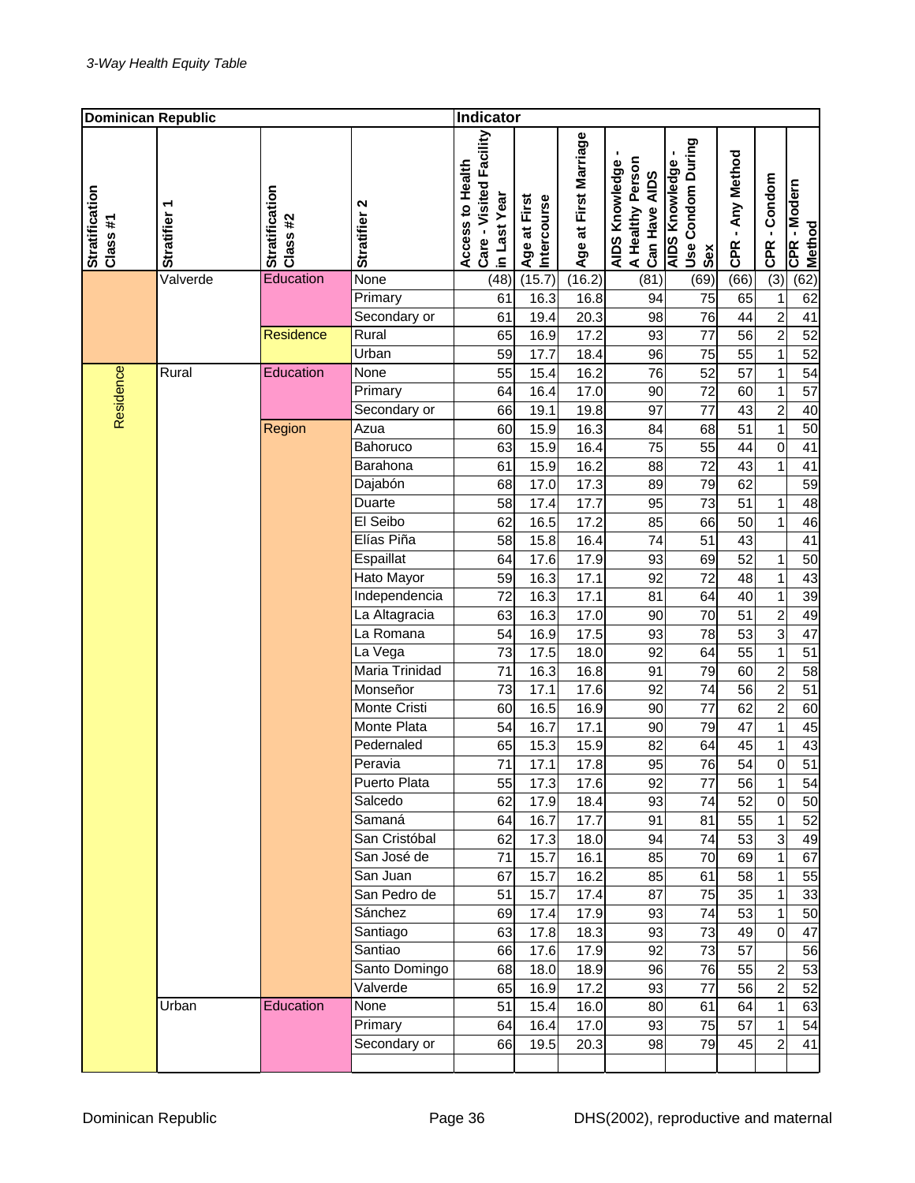| <b>Dominican Republic</b>  |                   |                                   |                      | <b>Indicator</b>                                            |                                    |                       |                                                     |                                                   |                  |                                |                        |
|----------------------------|-------------------|-----------------------------------|----------------------|-------------------------------------------------------------|------------------------------------|-----------------------|-----------------------------------------------------|---------------------------------------------------|------------------|--------------------------------|------------------------|
| Stratification<br>Class #1 | <b>Stratifier</b> | <b>Stratification</b><br>Class #2 | Stratifier 2         | Care - Visited Facility<br>Access to Health<br>in Last Year | <b>Intercourse</b><br>Age at First | Age at First Marriage | A Healthy Person<br>AIDS Knowledge<br>Can Have AIDS | Use Condom During<br><b>AIDS Knowledge</b><br>Sex | CPR - Any Method | CPR - Condom                   | CPR - Modern<br>Method |
|                            | Valverde          | Education                         | None                 | (48)                                                        | (15.7)                             | (16.2)                | (81)                                                | (69)                                              | (66)             | $\overline{(3)}$               | (62)                   |
|                            |                   |                                   | Primary              | 61                                                          | 16.3                               | 16.8                  | 94                                                  | 75                                                | 65               | $\mathbf{1}$                   | 62                     |
|                            |                   |                                   | Secondary or         | 61                                                          | 19.4                               | 20.3                  | 98                                                  | 76                                                | 44               | $\overline{2}$                 | 41                     |
|                            |                   | Residence                         | Rural                | 65                                                          | 16.9                               | 17.2                  | 93                                                  | $\overline{77}$                                   | $\overline{56}$  | $\overline{2}$                 | 52                     |
|                            |                   |                                   | Urban                | 59                                                          | 17.7                               | 18.4                  | 96                                                  | 75                                                | 55               | $\mathbf{1}$                   | 52                     |
|                            | Rural             | Education                         | None                 | 55                                                          | 15.4                               | 16.2                  | 76                                                  | 52                                                | 57               | $\mathbf 1$                    | 54                     |
|                            |                   |                                   | Primary              | 64                                                          | 16.4                               | 17.0                  | 90                                                  | 72                                                | 60               | $\mathbf{1}$<br>$\overline{2}$ | $\overline{57}$        |
| Residence                  |                   |                                   | Secondary or<br>Azua | 66                                                          | 19.1<br>15.9                       | 19.8                  | 97<br>84                                            | 77<br>68                                          | 43<br>51         |                                | 40<br>50               |
|                            |                   | Region                            | Bahoruco             | 60                                                          |                                    | 16.3                  | 75                                                  |                                                   |                  | 1                              |                        |
|                            |                   |                                   | Barahona             | 63<br>61                                                    | 15.9<br>15.9                       | 16.4<br>16.2          | 88                                                  | 55<br>72                                          | 44<br>43         | $\mathbf 0$<br>$\mathbf{1}$    | 41<br>$\overline{41}$  |
|                            |                   |                                   | Dajabón              | 68                                                          | 17.0                               | 17.3                  | 89                                                  | 79                                                | 62               |                                | 59                     |
|                            |                   |                                   | Duarte               | 58                                                          | 17.4                               | 17.7                  | 95                                                  | 73                                                | 51               | 1                              | 48                     |
|                            |                   |                                   | El Seibo             | 62                                                          | 16.5                               | 17.2                  | 85                                                  | 66                                                | 50               | $\mathbf{1}$                   | 46                     |
|                            |                   |                                   | Elías Piña           | 58                                                          | 15.8                               | 16.4                  | 74                                                  | 51                                                | 43               |                                | 41                     |
|                            |                   |                                   | Espaillat            | 64                                                          | 17.6                               | 17.9                  | 93                                                  | 69                                                | 52               | 1                              | 50                     |
|                            |                   |                                   | Hato Mayor           | 59                                                          | 16.3                               | 17.1                  | 92                                                  | 72                                                | 48               | $\mathbf{1}$                   | 43                     |
|                            |                   |                                   | Independencia        | 72                                                          | 16.3                               | 17.1                  | 81                                                  | 64                                                | 40               | $\mathbf 1$                    | 39                     |
|                            |                   |                                   | La Altagracia        | 63                                                          | 16.3                               | 17.0                  | 90                                                  | 70                                                | 51               | $\overline{\mathbf{c}}$        | 49                     |
|                            |                   |                                   | La Romana            | 54                                                          | 16.9                               | 17.5                  | 93                                                  | 78                                                | 53               | $\overline{3}$                 | $\overline{47}$        |
|                            |                   |                                   | La Vega              | 73                                                          | 17.5                               | 18.0                  | 92                                                  | 64                                                | 55               | $\mathbf{1}$                   | $\overline{51}$        |
|                            |                   |                                   | Maria Trinidad       | 71                                                          | 16.3                               | 16.8                  | 91                                                  | 79                                                | 60               | $\overline{c}$                 | 58                     |
|                            |                   |                                   | Monseñor             | 73                                                          | 17.1                               | 17.6                  | 92                                                  | 74                                                | 56               | $\overline{2}$                 | 51                     |
|                            |                   |                                   | Monte Cristi         | 60                                                          | 16.5                               | 16.9                  | 90                                                  | 77                                                | 62               | $\overline{c}$                 | 60                     |
|                            |                   |                                   | Monte Plata          | 54                                                          | 16.7                               | 17.1                  | 90                                                  | 79                                                | 47               | 1                              | 45                     |
|                            |                   |                                   | Pedernaled           | 65                                                          | 15.3                               | 15.9                  | 82                                                  | 64                                                | 45               | $\mathbf 1$                    | 43                     |
|                            |                   |                                   | Peravia              | 71                                                          | 17.1                               | 17.8                  | 95                                                  | 76                                                | 54               | $\overline{0}$                 | 51                     |
|                            |                   |                                   | Puerto Plata         | 55                                                          | 17.3                               | 17.6                  | 92                                                  | 77                                                | 56               | 1                              | 54                     |
|                            |                   |                                   | Salcedo              | 62                                                          | 17.9                               | 18.4                  | 93                                                  | 74                                                | 52               | $\mathbf 0$                    | 50                     |
|                            |                   |                                   | Samaná               | 64                                                          | 16.7                               | 17.7                  | 91                                                  | 81                                                | 55               | 1                              | 52                     |
|                            |                   |                                   | San Cristóbal        | 62                                                          | 17.3                               | 18.0                  | 94                                                  | 74                                                | 53               | 3                              | 49                     |
|                            |                   |                                   | San José de          | 71                                                          | 15.7                               | 16.1                  | 85                                                  | 70                                                | 69               | $\mathbf 1$                    | 67                     |
|                            |                   |                                   | San Juan             | 67                                                          | 15.7                               | 16.2                  | 85                                                  | 61                                                | 58               | $\mathbf 1$                    | 55                     |
|                            |                   |                                   | San Pedro de         | 51                                                          | 15.7                               | 17.4                  | 87                                                  | 75                                                | 35               | 1                              | 33                     |
|                            |                   |                                   | Sánchez              | 69                                                          | 17.4                               | 17.9                  | 93                                                  | 74                                                | 53               | 1                              | 50                     |
|                            |                   |                                   | Santiago             | 63                                                          | 17.8                               | 18.3                  | 93                                                  | 73                                                | 49               | $\overline{0}$                 | 47                     |
|                            |                   |                                   | Santiao              | 66                                                          | 17.6                               | 17.9                  | 92                                                  | 73                                                | 57               |                                | 56                     |
|                            |                   |                                   | Santo Domingo        | 68                                                          | 18.0                               | 18.9                  | 96                                                  | 76                                                | 55               | 2                              | 53                     |
|                            |                   |                                   | Valverde             | 65                                                          | 16.9                               | 17.2                  | 93                                                  | 77                                                | 56               | $\overline{c}$                 | 52                     |
|                            | Urban             | Education                         | None                 | 51                                                          | 15.4                               | 16.0                  | 80                                                  | 61                                                | 64               | 1                              | 63                     |
|                            |                   |                                   | Primary              | 64                                                          | 16.4                               | 17.0                  | 93                                                  | 75                                                | 57               | 1                              | 54                     |
|                            |                   |                                   | Secondary or         | 66                                                          | 19.5                               | 20.3                  | 98                                                  | 79                                                | 45               | $\overline{c}$                 | 41                     |
|                            |                   |                                   |                      |                                                             |                                    |                       |                                                     |                                                   |                  |                                |                        |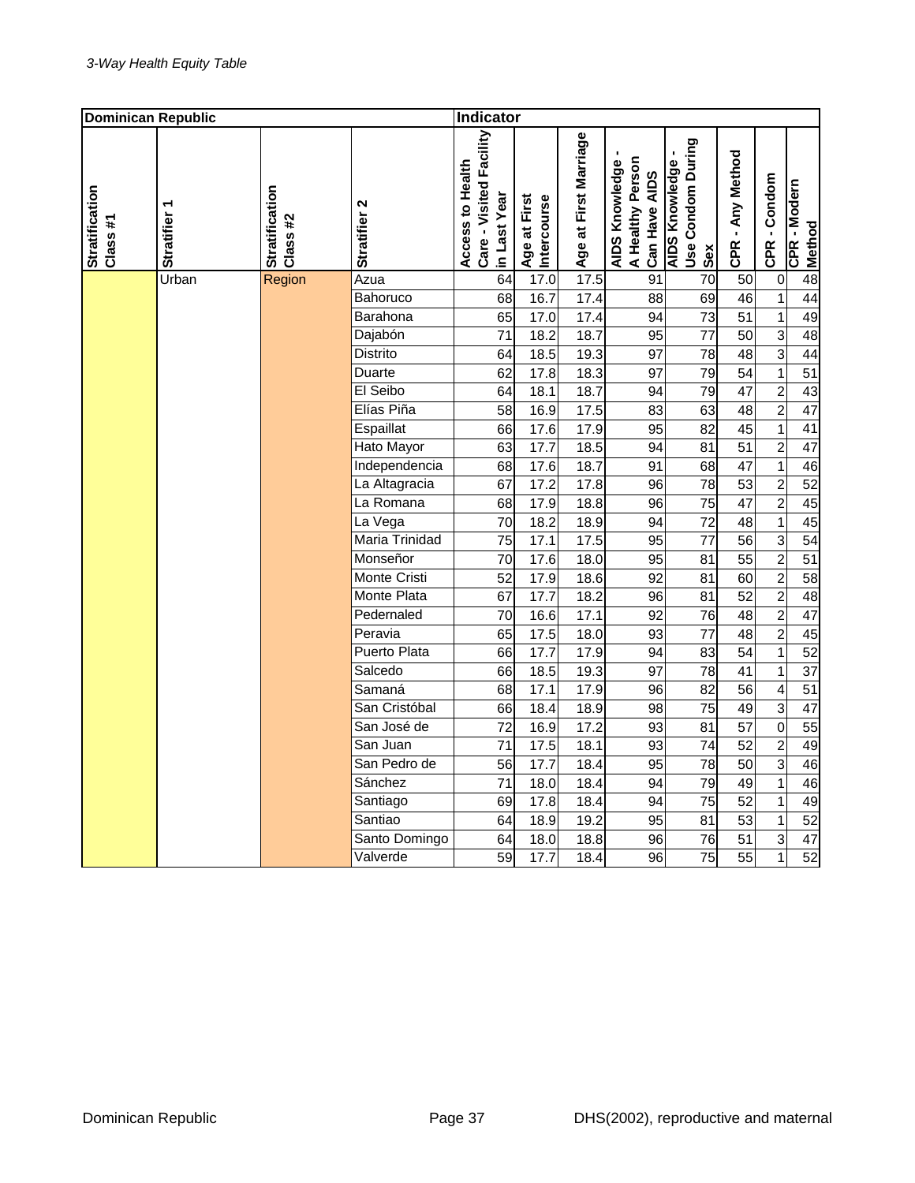| <b>Dominican Republic</b>  |                   |                            |                                 | Indicator                                   |              |                             |                       |                                                     |                                                   |                  |                                  |                        |
|----------------------------|-------------------|----------------------------|---------------------------------|---------------------------------------------|--------------|-----------------------------|-----------------------|-----------------------------------------------------|---------------------------------------------------|------------------|----------------------------------|------------------------|
| Stratification<br>Class #1 | <b>Stratifier</b> | Stratification<br>Class #2 | Stratifier 2                    | Care - Visited Facility<br>Access to Health | in Last Year | Intercourse<br>Age at First | Age at First Marriage | A Healthy Person<br>AIDS Knowledge<br>Can Have AIDS | Use Condom During<br><b>AIDS Knowledge</b><br>Sex | CPR - Any Method | CPR - Condom                     | CPR - Modern<br>Method |
|                            | Urban             | Region                     | Azua                            |                                             | 64           | 17.0                        | 17.5                  | 91                                                  | 70                                                | 50               | $\pmb{0}$                        | 48                     |
|                            |                   |                            | Bahoruco                        |                                             | 68           | 16.7                        | 17.4                  | 88                                                  | 69                                                | 46               | $\mathbf{1}$                     | 44                     |
|                            |                   |                            | Barahona                        |                                             | 65           | 17.0                        | 17.4                  | 94                                                  | $\overline{c}$                                    | $\overline{51}$  | $\mathbf{1}$                     | 49                     |
|                            |                   |                            | Dajabón                         |                                             | 71           | 18.2                        | 18.7                  | 95                                                  | 77                                                | 50               | 3                                | 48                     |
|                            |                   |                            | Distrito                        |                                             | 64           | 18.5                        | 19.3                  | 97                                                  | 78                                                | 48               | 3                                | 44                     |
|                            |                   |                            | Duarte                          |                                             | 62           | 17.8                        | 18.3                  | 97                                                  | 79                                                | 54               | $\mathbf{1}$                     | 51                     |
|                            |                   |                            | El Seibo                        |                                             | 64           | 18.1                        | 18.7                  | 94                                                  | 79                                                | 47               | $\overline{c}$                   | 43                     |
|                            |                   |                            | Elías Piña                      |                                             | 58           | 16.9                        | 17.5                  | 83                                                  | 63                                                | 48               | $\overline{2}$                   | 47                     |
|                            |                   |                            | Espaillat                       |                                             | 66           | 17.6                        | 17.9                  | 95                                                  | 82                                                | 45               | $\mathbf{1}$                     | 41                     |
|                            |                   |                            | Hato Mayor                      |                                             | 63           | 17.7                        | 18.5                  | 94                                                  | 81                                                | 51               | $\overline{c}$                   | 47                     |
|                            |                   |                            | Independencia                   |                                             | 68           | 17.6                        | 18.7                  | 91                                                  | 68                                                | 47               | $\mathbf 1$                      | 46                     |
|                            |                   |                            | La Altagracia                   |                                             | 67           | 17.2                        | 17.8                  | 96                                                  | 78                                                | 53               | $\overline{c}$                   | 52                     |
|                            |                   |                            | La Romana                       |                                             | 68           | 17.9                        | 18.8                  | 96                                                  | 75                                                | 47               | $\overline{c}$                   | 45                     |
|                            |                   |                            | La Vega                         |                                             | 70           | 18.2                        | 18.9                  | 94                                                  | 72                                                | 48               | $\mathbf{1}$                     | 45                     |
|                            |                   |                            | Maria Trinidad                  |                                             | 75           | 17.1                        | 17.5                  | $\overline{95}$                                     | 77                                                | 56               | $\overline{3}$                   | 54                     |
|                            |                   |                            | Monseñor<br><b>Monte Cristi</b> |                                             | 70           | 17.6                        | 18.0                  | 95                                                  | 81                                                | 55               | $\overline{c}$                   | 51                     |
|                            |                   |                            | Monte Plata                     |                                             | 52           | 17.9                        | 18.6                  | 92                                                  | 81                                                | 60               | $\overline{c}$                   | 58                     |
|                            |                   |                            | Pedernaled                      |                                             | 67           | 17.7                        | 18.2                  | 96                                                  | 81                                                | 52               | $\overline{2}$                   | 48                     |
|                            |                   |                            | Peravia                         |                                             | 70<br>65     | 16.6<br>17.5                | 17.1                  | 92<br>93                                            | 76<br>77                                          | 48<br>48         | $\overline{2}$<br>$\overline{2}$ | 47<br>45               |
|                            |                   |                            | <b>Puerto Plata</b>             |                                             | 66           | 17.7                        | 18.0<br>17.9          | 94                                                  | 83                                                | 54               | $\mathbf{1}$                     | 52                     |
|                            |                   |                            | Salcedo                         |                                             | 66           | 18.5                        | 19.3                  | 97                                                  | 78                                                | 41               | $\mathbf{1}$                     | 37                     |
|                            |                   |                            | Samaná                          |                                             | 68           | 17.1                        | 17.9                  | 96                                                  | 82                                                | 56               | 4                                | 51                     |
|                            |                   |                            | San Cristóbal                   |                                             | 66           | 18.4                        | 18.9                  | 98                                                  | 75                                                | 49               | 3                                | 47                     |
|                            |                   |                            | San José de                     |                                             | 72           | 16.9                        | 17.2                  | 93                                                  | 81                                                | 57               | $\overline{0}$                   | 55                     |
|                            |                   |                            | San Juan                        |                                             | 71           | 17.5                        | 18.1                  | 93                                                  | 74                                                | 52               | $\overline{c}$                   | 49                     |
|                            |                   |                            | San Pedro de                    |                                             | 56           | 17.7                        | 18.4                  | 95                                                  | 78                                                | 50               | 3                                | 46                     |
|                            |                   |                            | Sánchez                         |                                             | 71           | 18.0                        | 18.4                  | 94                                                  | 79                                                | 49               | $\mathbf{1}$                     | 46                     |
|                            |                   |                            | Santiago                        |                                             | 69           | 17.8                        | 18.4                  | 94                                                  | 75                                                | 52               | $\mathbf{1}$                     | 49                     |
|                            |                   |                            | Santiao                         |                                             | 64           | 18.9                        | 19.2                  | 95                                                  | 81                                                | 53               | $\mathbf 1$                      | 52                     |
|                            |                   |                            | Santo Domingo                   |                                             | 64           | 18.0                        | 18.8                  | 96                                                  | 76                                                | 51               | 3                                | 47                     |
|                            |                   |                            | Valverde                        |                                             | 59           | 17.7                        | 18.4                  | 96                                                  | 75                                                | 55               | $\mathbf{1}$                     | 52                     |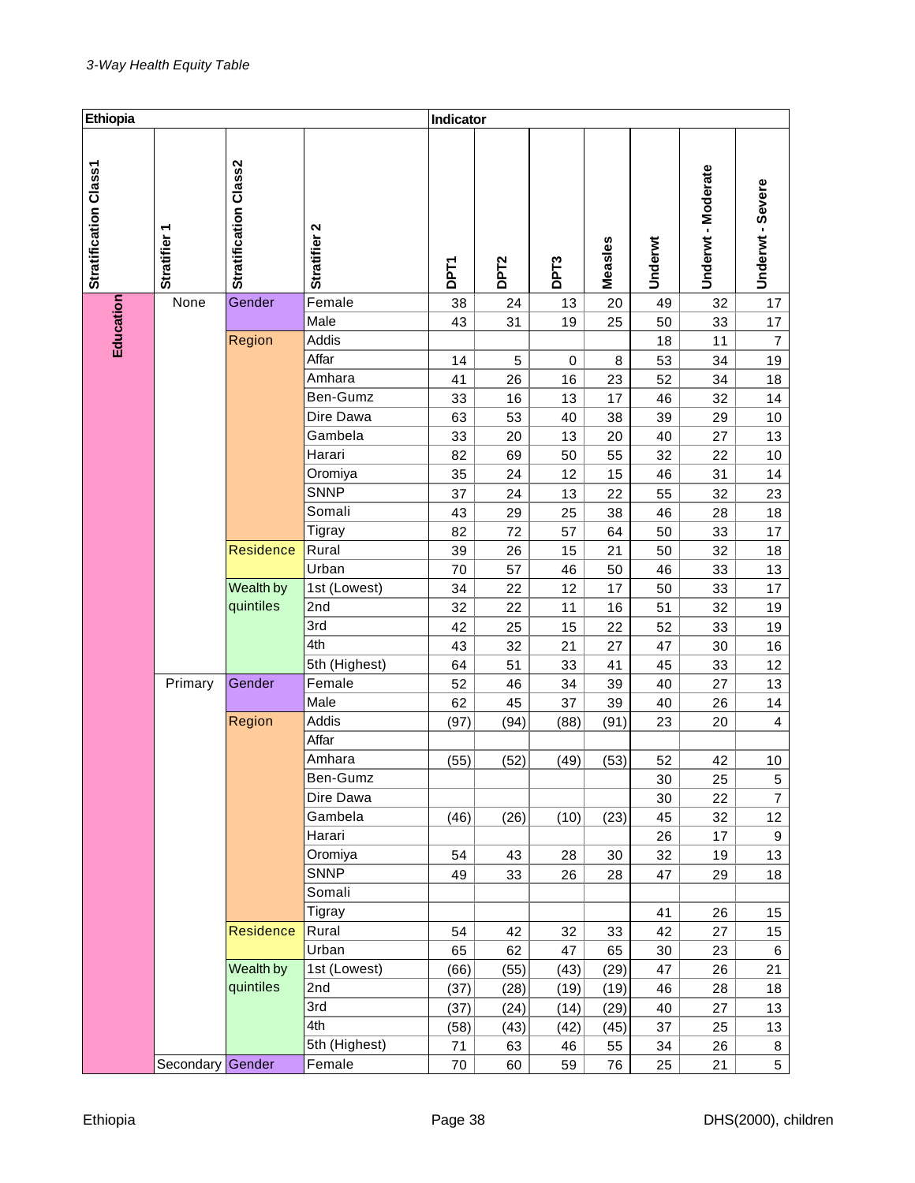| Ethiopia              |                  |                       |               | Indicator   |                  |                  |         |         |                  |                  |
|-----------------------|------------------|-----------------------|---------------|-------------|------------------|------------------|---------|---------|------------------|------------------|
| Stratification Class1 | Stratifier 1     | Stratification Class2 | Stratifier 2  | <b>DPT1</b> | DPT <sub>2</sub> | DPT <sub>3</sub> | Measles | Underwt | Underwt-Moderate | Underwt - Severe |
|                       | None             | Gender                | Female        | 38          | 24               | 13               | 20      | 49      | 32               | 17               |
|                       |                  |                       | Male          | 43          | 31               | 19               | 25      | 50      | 33               | 17               |
| Education             |                  | Region                | Addis         |             |                  |                  |         | 18      | 11               | $\overline{7}$   |
|                       |                  |                       | Affar         | 14          | 5                | 0                | 8       | 53      | 34               | 19               |
|                       |                  |                       | Amhara        | 41          | 26               | 16               | 23      | 52      | 34               | 18               |
|                       |                  |                       | Ben-Gumz      | 33          | 16               | 13               | 17      | 46      | 32               | 14               |
|                       |                  |                       | Dire Dawa     | 63          | 53               | 40               | 38      | 39      | 29               | 10               |
|                       |                  |                       | Gambela       | 33          | 20               | 13               | 20      | 40      | 27               | 13               |
|                       |                  |                       | Harari        | 82          | 69               | 50               | 55      | 32      | 22               | 10               |
|                       |                  |                       | Oromiya       | 35          | 24               | 12               | 15      | 46      | 31               | 14               |
|                       |                  |                       | <b>SNNP</b>   | 37          | 24               | 13               | 22      | 55      | 32               | 23               |
|                       |                  |                       | Somali        | 43          | 29               | 25               | 38      | 46      | 28               | 18               |
|                       |                  |                       | Tigray        | 82          | 72               | 57               | 64      | 50      | 33               | 17               |
|                       |                  | Residence             | Rural         | 39          | 26               | 15               | 21      | 50      | 32               | 18               |
|                       |                  |                       | Urban         | 70          | 57               | 46               | 50      | 46      | 33               | 13               |
|                       |                  | Wealth by             | 1st (Lowest)  | 34          | 22               | 12               | 17      | 50      | 33               | 17               |
|                       |                  | quintiles             | 2nd           | 32          | 22               | 11               | 16      | 51      | 32               | 19               |
|                       |                  |                       | 3rd           | 42          | 25               | 15               | 22      | 52      | 33               | 19               |
|                       |                  |                       | 4th           | 43          | 32               | 21               | 27      | 47      | 30               | 16               |
|                       |                  |                       | 5th (Highest) | 64          | 51               | 33               | 41      | 45      | 33               | 12               |
|                       | Primary          | Gender                | Female        | 52          | 46               | 34               | 39      | 40      | 27               | 13               |
|                       |                  |                       | Male          | 62          | 45               | 37               | 39      | 40      | 26               | 14               |
|                       |                  | Region                | Addis         | (97)        | (94)             | (88)             | (91)    | 23      | 20               | 4                |
|                       |                  |                       | Affar         |             |                  |                  |         |         |                  |                  |
|                       |                  |                       | Amhara        | (55)        | (52)             | (49)             | (53)    | 52      | 42               | 10               |
|                       |                  |                       | Ben-Gumz      |             |                  |                  |         | 30      | 25               | 5                |
|                       |                  |                       | Dire Dawa     |             |                  |                  |         | 30      | 22               | $\overline{7}$   |
|                       |                  |                       | Gambela       | (46)        | (26)             | (10)             | (23)    | 45      | 32               | 12               |
|                       |                  |                       | Harari        |             |                  |                  |         | 26      | 17               | $\boldsymbol{9}$ |
|                       |                  |                       | Oromiya       | 54          | 43               | 28               | 30      | 32      | 19               | 13               |
|                       |                  |                       | <b>SNNP</b>   | 49          | 33               | 26               | 28      | 47      | 29               | 18               |
|                       |                  |                       | Somali        |             |                  |                  |         |         |                  |                  |
|                       |                  |                       | Tigray        |             |                  |                  |         | 41      | 26               | 15               |
|                       |                  | <b>Residence</b>      | Rural         | 54          | 42               | 32               | 33      | 42      | 27               | 15               |
|                       |                  |                       | Urban         | 65          | 62               | 47               | 65      | 30      | 23               | 6                |
|                       |                  | Wealth by             | 1st (Lowest)  | (66)        | (55)             | (43)             | (29)    | 47      | 26               | 21               |
|                       |                  | quintiles             | 2nd           | (37)        | (28)             | (19)             | (19)    | 46      | 28               | 18               |
|                       |                  |                       | 3rd           | (37)        | (24)             | (14)             | (29)    | 40      | 27               | 13               |
|                       |                  |                       | 4th           | (58)        | (43)             | (42)             | (45)    | 37      | 25               | 13               |
|                       |                  |                       | 5th (Highest) | 71          | 63               | 46               | 55      | 34      | 26               | 8                |
|                       | Secondary Gender |                       | Female        | 70          | 60               | 59               | 76      | 25      | 21               | 5                |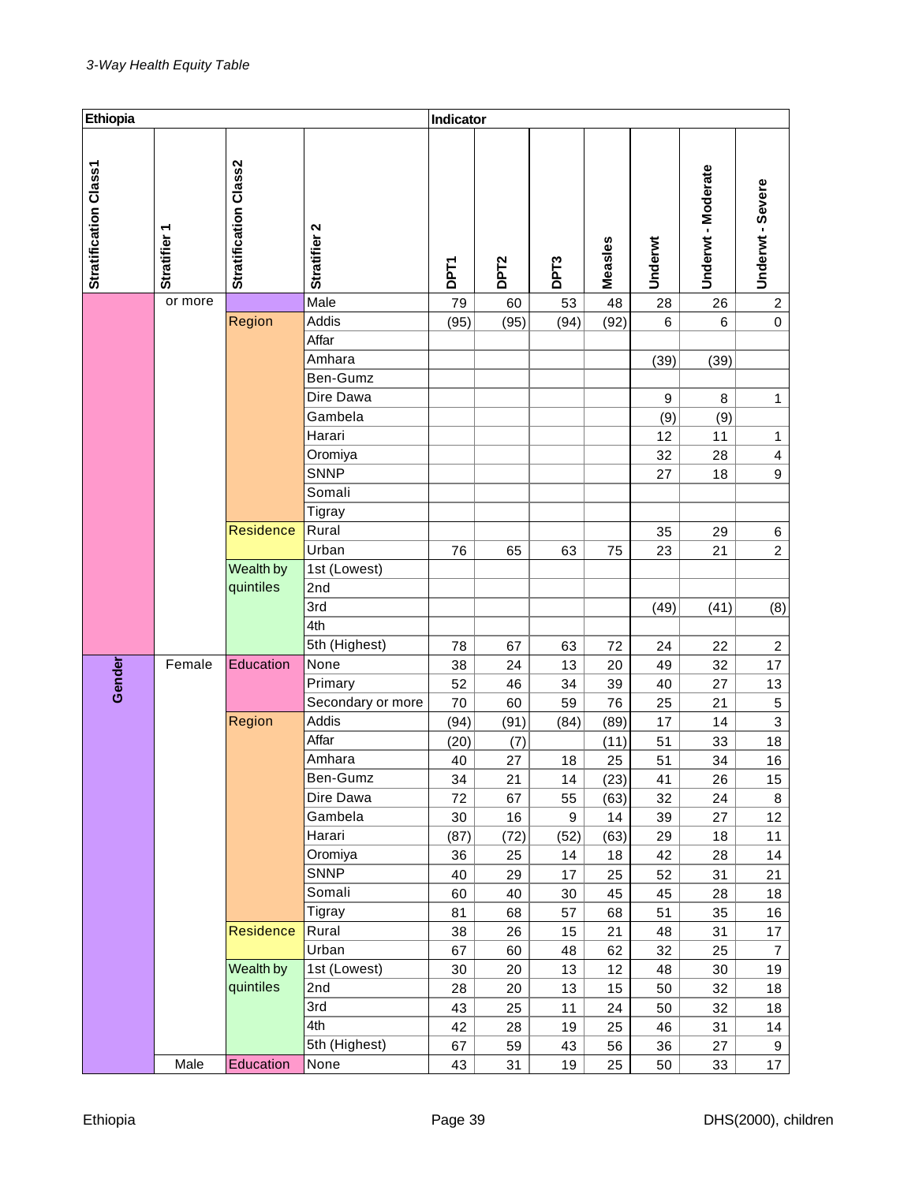| Ethiopia                     |              |                       |                   | Indicator   |                  |                  |         |         |                  |                         |
|------------------------------|--------------|-----------------------|-------------------|-------------|------------------|------------------|---------|---------|------------------|-------------------------|
| <b>Stratification Class1</b> | Stratifier 1 | Stratification Class2 | Stratifier 2      | <b>DPT1</b> | DPT <sub>2</sub> | DPT <sub>3</sub> | Measles | Underwt | Underwt-Moderate | Underwt - Severe        |
|                              | or more      |                       | Male              | 79          | 60               | 53               | 48      | 28      | 26               | $\overline{\mathbf{c}}$ |
|                              |              | Region                | Addis             | (95)        | (95)             | (94)             | (92)    | 6       | 6                | $\mathsf 0$             |
|                              |              |                       | Affar             |             |                  |                  |         |         |                  |                         |
|                              |              |                       | Amhara            |             |                  |                  |         | (39)    | (39)             |                         |
|                              |              |                       | Ben-Gumz          |             |                  |                  |         |         |                  |                         |
|                              |              |                       | Dire Dawa         |             |                  |                  |         | 9       | $\, 8$           | $\mathbf{1}$            |
|                              |              |                       | Gambela           |             |                  |                  |         | (9)     | (9)              |                         |
|                              |              |                       | Harari            |             |                  |                  |         | 12      | 11               | $\mathbf{1}$            |
|                              |              |                       | Oromiya           |             |                  |                  |         | 32      | 28               | $\overline{\mathbf{4}}$ |
|                              |              |                       | <b>SNNP</b>       |             |                  |                  |         | 27      | 18               | 9                       |
|                              |              |                       | Somali            |             |                  |                  |         |         |                  |                         |
|                              |              |                       | Tigray            |             |                  |                  |         |         |                  |                         |
|                              |              | <b>Residence</b>      | Rural             |             |                  |                  |         | 35      | 29               | 6                       |
|                              |              |                       | Urban             | 76          | 65               | 63               | 75      | 23      | 21               | $\overline{c}$          |
|                              |              | Wealth by             | 1st (Lowest)      |             |                  |                  |         |         |                  |                         |
|                              |              | quintiles             | 2nd               |             |                  |                  |         |         |                  |                         |
|                              |              |                       | 3rd               |             |                  |                  |         | (49)    | (41)             | (8)                     |
|                              |              |                       | 4th               |             |                  |                  |         |         |                  |                         |
|                              |              |                       | 5th (Highest)     | 78          | 67               | 63               | 72      | 24      | 22               | $\overline{c}$          |
|                              | Female       | Education             | None              | 38          | 24               | 13               | 20      | 49      | 32               | 17                      |
| Gender                       |              |                       | Primary           | 52          | 46               | 34               | 39      | 40      | 27               | 13                      |
|                              |              |                       | Secondary or more | 70          | 60               | 59               | 76      | 25      | 21               | $\mathbf 5$             |
|                              |              | Region                | Addis             | (94)        | (91)             | (84)             | (89)    | 17      | 14               | 3                       |
|                              |              |                       | Affar             | (20)        | (7)              |                  | (11)    | 51      | 33               | 18                      |
|                              |              |                       | Amhara            | 40          | 27               | 18               | 25      | 51      | 34               | 16                      |
|                              |              |                       | Ben-Gumz          | 34          | 21               | 14               | (23)    | 41      | 26               | 15                      |
|                              |              |                       | Dire Dawa         | 72          | 67               | 55               | (63)    | 32      | 24               | 8                       |
|                              |              |                       | Gambela           | 30          | 16               | 9                | 14      | 39      | 27               | 12                      |
|                              |              |                       | Harari            | (87)        | (72)             | (52)             | (63)    | 29      | 18               | 11                      |
|                              |              |                       | Oromiya           | 36          | 25               | 14               | 18      | 42      | 28               | 14                      |
|                              |              |                       | <b>SNNP</b>       | 40          | 29               | 17               | 25      | 52      | 31               | 21                      |
|                              |              |                       | Somali            | 60          | 40               | 30               | 45      | 45      | 28               | 18                      |
|                              |              |                       | Tigray            | 81          | 68               | 57               | 68      | 51      | 35               | $16\,$                  |
|                              |              | Residence             | Rural             | 38          | 26               | 15               | 21      | 48      | 31               | 17                      |
|                              |              |                       | Urban             | 67          | 60               | 48               | 62      | 32      | 25               | $\overline{7}$          |
|                              |              | Wealth by             | 1st (Lowest)      | 30          | 20               | 13               | 12      | 48      | 30               | 19                      |
|                              |              | quintiles             | 2nd               | 28          | 20               | 13               | 15      | 50      | 32               | 18                      |
|                              |              |                       | 3rd               | 43          | 25               | 11               | 24      | 50      | 32               | 18                      |
|                              |              |                       | 4th               | 42          | 28               | 19               | 25      | 46      | 31               | 14                      |
|                              |              |                       | 5th (Highest)     | 67          | 59               | 43               | 56      | 36      | 27               | 9                       |
|                              | Male         | Education             | None              | 43          | 31               | 19               | 25      | 50      | 33               | 17 <sub>1</sub>         |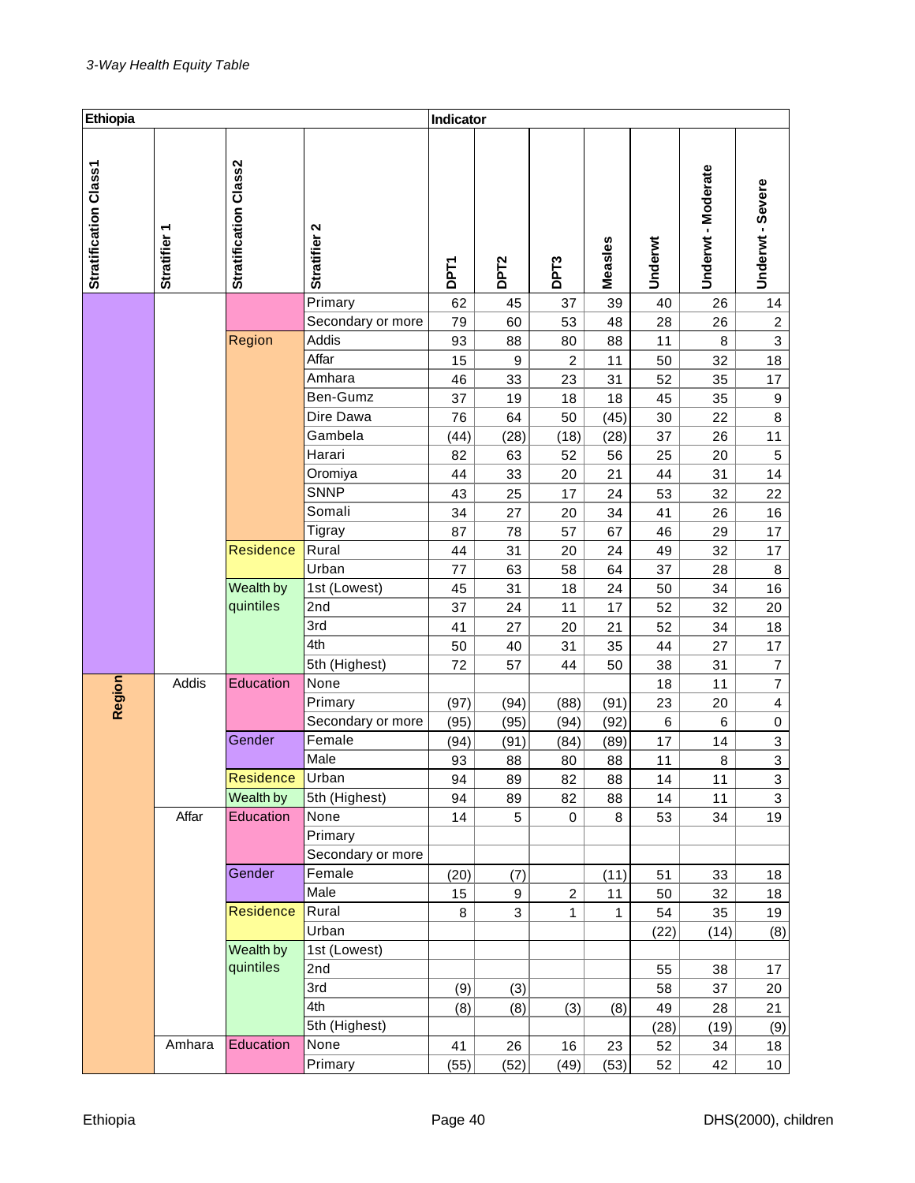| Ethiopia              |              |                       |                   | Indicator   |                  |                |         |         |                  |                  |
|-----------------------|--------------|-----------------------|-------------------|-------------|------------------|----------------|---------|---------|------------------|------------------|
| Stratification Class1 | Stratifier 1 | Stratification Class2 | Stratifier 2      | <b>DPT1</b> | DPT <sub>2</sub> | DPT3           | Measles | Underwt | Underwt-Moderate | Underwt - Severe |
|                       |              |                       | Primary           | 62          | 45               | 37             | 39      | 40      | 26               | 14               |
|                       |              |                       | Secondary or more | 79          | 60               | 53             | 48      | 28      | 26               | $\overline{c}$   |
|                       |              | Region                | Addis             | 93          | 88               | 80             | 88      | 11      | 8                | 3                |
|                       |              |                       | Affar             | 15          | $\boldsymbol{9}$ | $\overline{c}$ | 11      | 50      | 32               | 18               |
|                       |              |                       | Amhara            | 46          | 33               | 23             | 31      | 52      | 35               | 17               |
|                       |              |                       | Ben-Gumz          | 37          | 19               | 18             | 18      | 45      | 35               | $\boldsymbol{9}$ |
|                       |              |                       | Dire Dawa         | 76          | 64               | 50             | (45)    | 30      | 22               | $\bf 8$          |
|                       |              |                       | Gambela           | (44)        | (28)             | (18)           | (28)    | 37      | 26               | 11               |
|                       |              |                       | Harari            | 82          | 63               | 52             | 56      | 25      | 20               | 5                |
|                       |              |                       | Oromiya           | 44          | 33               | 20             | 21      | 44      | 31               | 14               |
|                       |              |                       | <b>SNNP</b>       | 43          | 25               | 17             | 24      | 53      | 32               | 22               |
|                       |              |                       | Somali            | 34          | 27               | 20             | 34      | 41      | 26               | 16               |
|                       |              |                       | Tigray            | 87          | 78               | 57             | 67      | 46      | 29               | 17               |
|                       |              | Residence             | Rural             | 44          | 31               | 20             | 24      | 49      | 32               | 17               |
|                       |              |                       | Urban             | 77          | 63               | 58             | 64      | 37      | 28               | 8                |
|                       |              | Wealth by             | 1st (Lowest)      | 45          | 31               | 18             | 24      | 50      | 34               | 16               |
|                       |              | quintiles             | 2nd               | 37          | 24               | 11             | 17      | 52      | 32               | 20               |
|                       |              |                       | 3rd               | 41          | 27               | 20             | 21      | 52      | 34               | 18               |
|                       |              |                       | 4th               | 50          | 40               | 31             | 35      | 44      | 27               | 17               |
|                       |              |                       | 5th (Highest)     | 72          | 57               | 44             | 50      | 38      | 31               | $\overline{7}$   |
| Region                | Addis        | Education             | None              |             |                  |                |         | 18      | 11               | $\overline{7}$   |
|                       |              |                       | Primary           | (97)        | (94)             | (88)           | (91)    | 23      | 20               | 4                |
|                       |              |                       | Secondary or more | (95)        | (95)             | (94)           | (92)    | 6       | 6                | 0                |
|                       |              | Gender                | Female            | (94)        | (91)             | (84)           | (89)    | 17      | 14               | 3                |
|                       |              |                       | Male              | 93          | 88               | 80             | 88      | 11      | 8                | 3                |
|                       |              | Residence             | Urban             | 94          | 89               | 82             | 88      | 14      | 11               | 3                |
|                       |              | Wealth by             | 5th (Highest)     | 94          | 89               | 82             | 88      | 14      | 11               | 3                |
|                       | Affar        | Education             | None              | 14          | $\sqrt{5}$       | $\mathbf 0$    | 8       | 53      | 34               | 19               |
|                       |              |                       | Primary           |             |                  |                |         |         |                  |                  |
|                       |              |                       | Secondary or more |             |                  |                |         |         |                  |                  |
|                       |              | Gender                | Female            | (20)        | (7)              |                | (11)    | 51      | 33               | 18               |
|                       |              |                       | Male              | 15          | 9                | $\overline{2}$ | 11      | 50      | 32               | 18               |
|                       |              | Residence             | Rural             | 8           | 3                | 1              | 1       | 54      | 35               | 19               |
|                       |              |                       | Urban             |             |                  |                |         | (22)    | (14)             | (8)              |
|                       |              | Wealth by             | 1st (Lowest)      |             |                  |                |         |         |                  |                  |
|                       |              | quintiles             | 2nd               |             |                  |                |         | 55      | 38               | 17               |
|                       |              |                       | 3rd               | (9)         | (3)              |                |         | 58      | 37               | 20               |
|                       |              |                       | 4th               | (8)         | (8)              | (3)            | (8)     | 49      | 28               | 21               |
|                       |              |                       | 5th (Highest)     |             |                  |                |         | (28)    | (19)             | (9)              |
|                       | Amhara       | Education             | None              | 41          | 26               | 16             | 23      | 52      | 34               | 18               |
|                       |              |                       | Primary           | (55)        | (52)             | (49)           | (53)    | 52      | 42               | 10 <sub>1</sub>  |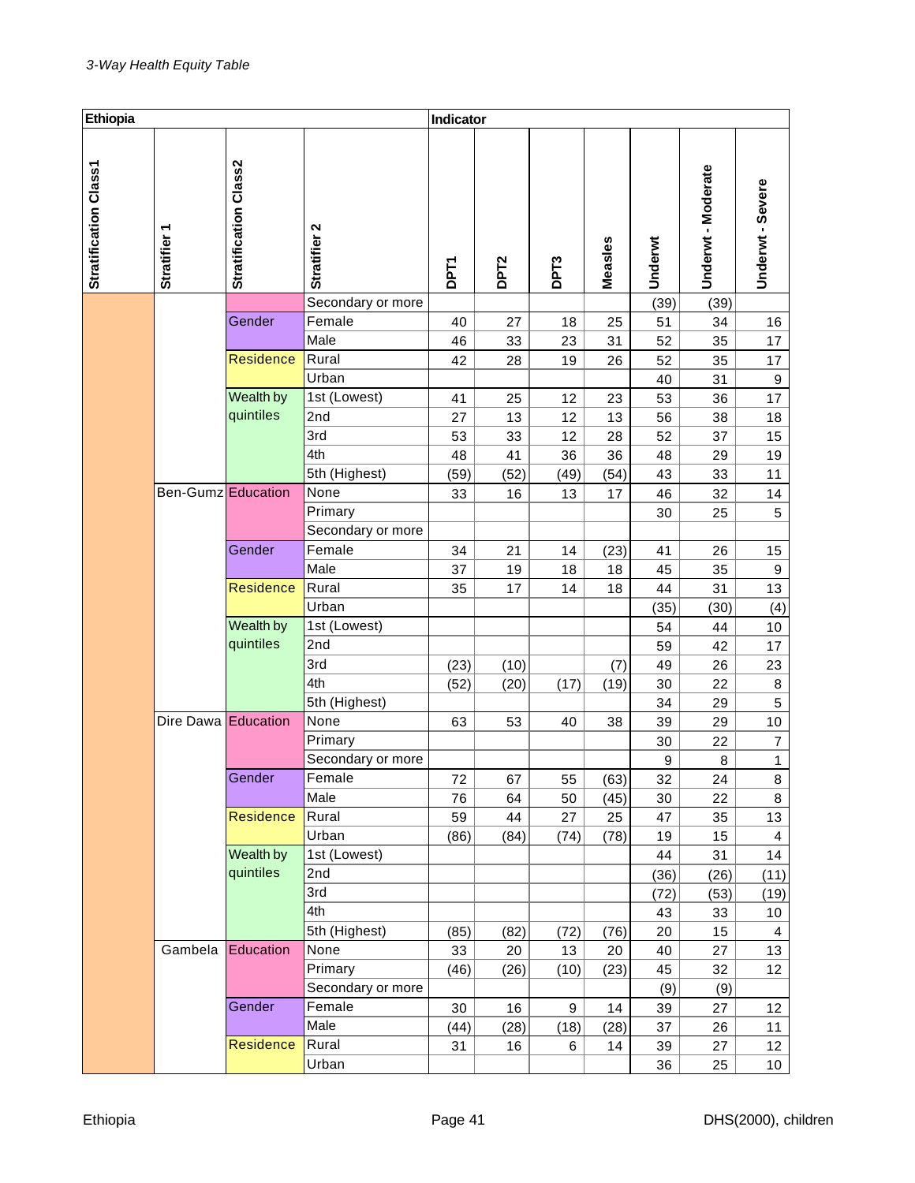| Ethiopia              |                     |                              |                   | Indicator   |                  |                  |         |         |                  |                         |
|-----------------------|---------------------|------------------------------|-------------------|-------------|------------------|------------------|---------|---------|------------------|-------------------------|
| Stratification Class1 | Stratifier 1        | <b>Stratification Class2</b> | Stratifier 2      | <b>DPT1</b> | DPT <sub>2</sub> | DPT <sub>3</sub> | Measles | Underwt | Underwt-Moderate | Underwt - Severe        |
|                       |                     |                              | Secondary or more |             |                  |                  |         | (39)    | (39)             |                         |
|                       |                     | Gender                       | Female            | 40          | 27               | 18               | 25      | 51      | 34               | 16                      |
|                       |                     |                              | Male              | 46          | 33               | 23               | 31      | 52      | 35               | 17                      |
|                       |                     | <b>Residence</b>             | Rural             | 42          | 28               | 19               | 26      | 52      | 35               | 17                      |
|                       |                     |                              | Urban             |             |                  |                  |         | 40      | 31               | $\boldsymbol{9}$        |
|                       |                     | Wealth by                    | 1st (Lowest)      | 41          | 25               | 12               | 23      | 53      | 36               | 17                      |
|                       |                     | quintiles                    | 2nd               | 27          | 13               | 12               | 13      | 56      | 38               | 18                      |
|                       |                     |                              | 3rd               | 53          | 33               | 12               | 28      | 52      | 37               | 15                      |
|                       |                     |                              | 4th               | 48          | 41               | 36               | 36      | 48      | 29               | 19                      |
|                       |                     |                              | 5th (Highest)     | (59)        | (52)             | (49)             | (54)    | 43      | 33               | 11                      |
|                       | Ben-Gumz Education  |                              | None              | 33          | 16               | 13               | 17      | 46      | 32               | 14                      |
|                       |                     |                              | Primary           |             |                  |                  |         | 30      | 25               | 5                       |
|                       |                     |                              | Secondary or more |             |                  |                  |         |         |                  |                         |
|                       |                     | Gender                       | Female            | 34          | 21               | 14               | (23)    | 41      | 26               | 15                      |
|                       |                     |                              | Male              | 37          | 19               | 18               | 18      | 45      | 35               | $\boldsymbol{9}$        |
|                       |                     | <b>Residence</b>             | Rural             | 35          | 17               | 14               | 18      | 44      | 31               | 13                      |
|                       |                     |                              | Urban             |             |                  |                  |         | (35)    | (30)             | (4)                     |
|                       |                     | Wealth by                    | 1st (Lowest)      |             |                  |                  |         | 54      | 44               | 10                      |
|                       |                     | quintiles                    | 2nd               |             |                  |                  |         | 59      | 42               | 17                      |
|                       |                     |                              | 3rd               | (23)        | (10)             |                  | (7)     | 49      | 26               | 23                      |
|                       |                     |                              | 4th               | (52)        | (20)             | (17)             | (19)    | 30      | 22               | $\bf 8$                 |
|                       |                     |                              | 5th (Highest)     |             |                  |                  |         | 34      | 29               | 5                       |
|                       | Dire Dawa Education |                              | None              | 63          | 53               | 40               | 38      | 39      | 29               | 10                      |
|                       |                     |                              | Primary           |             |                  |                  |         | 30      | 22               | $\overline{7}$          |
|                       |                     |                              | Secondary or more |             |                  |                  |         | 9       | 8                | $\mathbf{1}$            |
|                       |                     | Gender                       | Female            | 72          | 67               | 55               | (63)    | 32      | 24               | 8                       |
|                       |                     |                              | Male              | 76          | 64               | 50               | (45)    | 30      | 22               | 8                       |
|                       |                     | <b>Residence</b>             | Rural             | 59          | 44               | 27               | 25      | 47      | 35               | 13                      |
|                       |                     |                              | Urban             | (86)        | (84)             | (74)             | (78)    | 19      | 15               | $\overline{\mathbf{4}}$ |
|                       |                     | Wealth by                    | 1st (Lowest)      |             |                  |                  |         | 44      | 31               | 14                      |
|                       |                     | quintiles                    | 2nd               |             |                  |                  |         | (36)    | (26)             | (11)                    |
|                       |                     |                              | 3rd               |             |                  |                  |         | (72)    | (53)             | (19)                    |
|                       |                     |                              | 4th               |             |                  |                  |         | 43      | 33               | 10                      |
|                       |                     |                              | 5th (Highest)     | (85)        | (82)             | (72)             | (76)    | 20      | 15               | $\overline{4}$          |
|                       | Gambela             | Education                    | None              | 33          | 20               | 13               | 20      | 40      | 27               | 13                      |
|                       |                     |                              | Primary           | (46)        | (26)             | (10)             | (23)    | 45      | 32               | 12                      |
|                       |                     |                              | Secondary or more |             |                  |                  |         | (9)     | (9)              |                         |
|                       |                     | Gender                       | Female            | 30          | 16               | 9                | 14      | 39      | 27               | 12                      |
|                       |                     |                              | Male              | (44)        | (28)             | (18)             | (28)    | 37      | 26               | 11                      |
|                       |                     | Residence                    | Rural             | 31          | 16               | 6                | 14      | 39      | 27               | 12                      |
|                       |                     |                              | Urban             |             |                  |                  |         | 36      | 25               | 10 <sub>1</sub>         |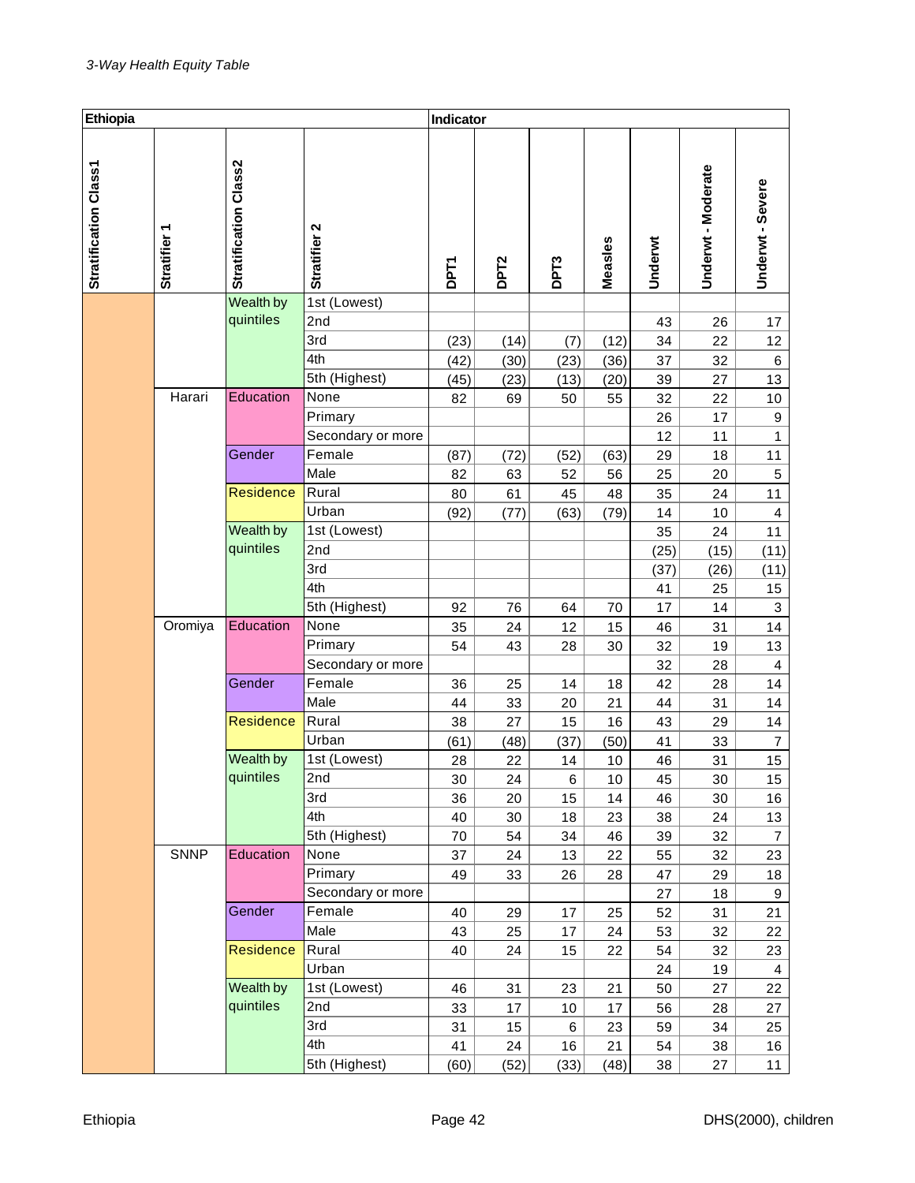| Ethiopia              |              |                       |                   | Indicator   |                  |                  |         |         |                  |                         |
|-----------------------|--------------|-----------------------|-------------------|-------------|------------------|------------------|---------|---------|------------------|-------------------------|
| Stratification Class1 | Stratifier 1 | Stratification Class2 | Stratifier 2      | <b>DPT1</b> | DPT <sub>2</sub> | DPT <sub>3</sub> | Measles | Underwt | Underwt-Moderate | Underwt-Severe          |
|                       |              | Wealth by             | 1st (Lowest)      |             |                  |                  |         |         |                  |                         |
|                       |              | quintiles             | 2nd               |             |                  |                  |         | 43      | 26               | 17                      |
|                       |              |                       | 3rd               | (23)        | (14)             | (7)              | (12)    | 34      | 22               | 12                      |
|                       |              |                       | 4th               | (42)        | (30)             | (23)             | (36)    | 37      | 32               | 6                       |
|                       |              |                       | 5th (Highest)     | (45)        | (23)             | (13)             | (20)    | 39      | 27               | 13                      |
|                       | Harari       | Education             | None              | 82          | 69               | 50               | 55      | 32      | 22               | 10                      |
|                       |              |                       | Primary           |             |                  |                  |         | 26      | 17               | $\boldsymbol{9}$        |
|                       |              |                       | Secondary or more |             |                  |                  |         | 12      | 11               | $\mathbf{1}$            |
|                       |              | Gender                | Female            | (87)        | (72)             | (52)             | (63)    | 29      | 18               | 11                      |
|                       |              |                       | Male              | 82          | 63               | 52               | 56      | 25      | 20               | 5                       |
|                       |              | <b>Residence</b>      | Rural             | 80          | 61               | 45               | 48      | 35      | 24               | 11                      |
|                       |              |                       | Urban             | (92)        | (77)             | (63)             | (79)    | 14      | 10               | 4                       |
|                       |              | Wealth by             | 1st (Lowest)      |             |                  |                  |         | 35      | 24               | 11                      |
|                       |              | quintiles             | 2nd               |             |                  |                  |         | (25)    | (15)             | (11)                    |
|                       |              |                       | 3rd               |             |                  |                  |         | (37)    | (26)             | (11)                    |
|                       |              |                       | 4th               |             |                  |                  |         | 41      | 25               | 15                      |
|                       |              |                       | 5th (Highest)     | 92          | 76               | 64               | 70      | 17      | 14               | 3                       |
|                       | Oromiya      | Education             | None              | 35          | 24               | 12               | 15      | 46      | 31               | 14                      |
|                       |              |                       | Primary           | 54          | 43               | 28               | 30      | 32      | 19               | 13                      |
|                       |              |                       | Secondary or more |             |                  |                  |         | 32      | 28               | $\overline{\mathbf{4}}$ |
|                       |              | Gender                | Female            | 36          | 25               | 14               | 18      | 42      | 28               | 14                      |
|                       |              |                       | Male              | 44          | 33               | 20               | 21      | 44      | 31               | 14                      |
|                       |              | <b>Residence</b>      | Rural             | 38          | 27               | 15               | 16      | 43      | 29               | 14                      |
|                       |              |                       | Urban             | (61)        | (48)             | (37)             | (50)    | 41      | 33               | $\overline{7}$          |
|                       |              | Wealth by             | 1st (Lowest)      | 28          | 22               | 14               | 10      | 46      | 31               | 15                      |
|                       |              | quintiles             | 2nd               | 30          | 24               | 6                | 10      | 45      | 30               | 15                      |
|                       |              |                       | 3rd               | 36          | 20               | 15               | 14      | 46      | 30               | 16                      |
|                       |              |                       | 4th               | 40          | 30               | 18               | 23      | 38      | 24               | 13                      |
|                       |              |                       | 5th (Highest)     | 70          | 54               | 34               | 46      | 39      | 32               | $\overline{7}$          |
|                       | <b>SNNP</b>  | Education             | None              | 37          | 24               | 13               | 22      | 55      | 32               | 23                      |
|                       |              |                       | Primary           | 49          | 33               | 26               | 28      | 47      | 29               | 18                      |
|                       |              |                       | Secondary or more |             |                  |                  |         | 27      | 18               | $\boldsymbol{9}$        |
|                       |              | Gender                | Female            | 40          | 29               | 17               | 25      | 52      | 31               | 21                      |
|                       |              |                       | Male              | 43          | 25               | 17               | 24      | 53      | 32               | 22                      |
|                       |              | <b>Residence</b>      | Rural             | 40          | 24               | 15               | 22      | 54      | 32               | 23                      |
|                       |              |                       | Urban             |             |                  |                  |         | 24      | 19               | $\overline{4}$          |
|                       |              | Wealth by             | 1st (Lowest)      | 46          | 31               | 23               | 21      | 50      | 27               | 22                      |
|                       |              | quintiles             | 2nd               | 33          | 17               | 10               | 17      | 56      | 28               | 27                      |
|                       |              |                       | 3rd               | 31          | 15               | 6                | 23      | 59      | 34               | 25                      |
|                       |              |                       | 4th               | 41          | 24               | 16               | 21      | 54      | 38               | 16                      |
|                       |              |                       | 5th (Highest)     | (60)        | (52)             | (33)             | (48)    | 38      | 27               | 11                      |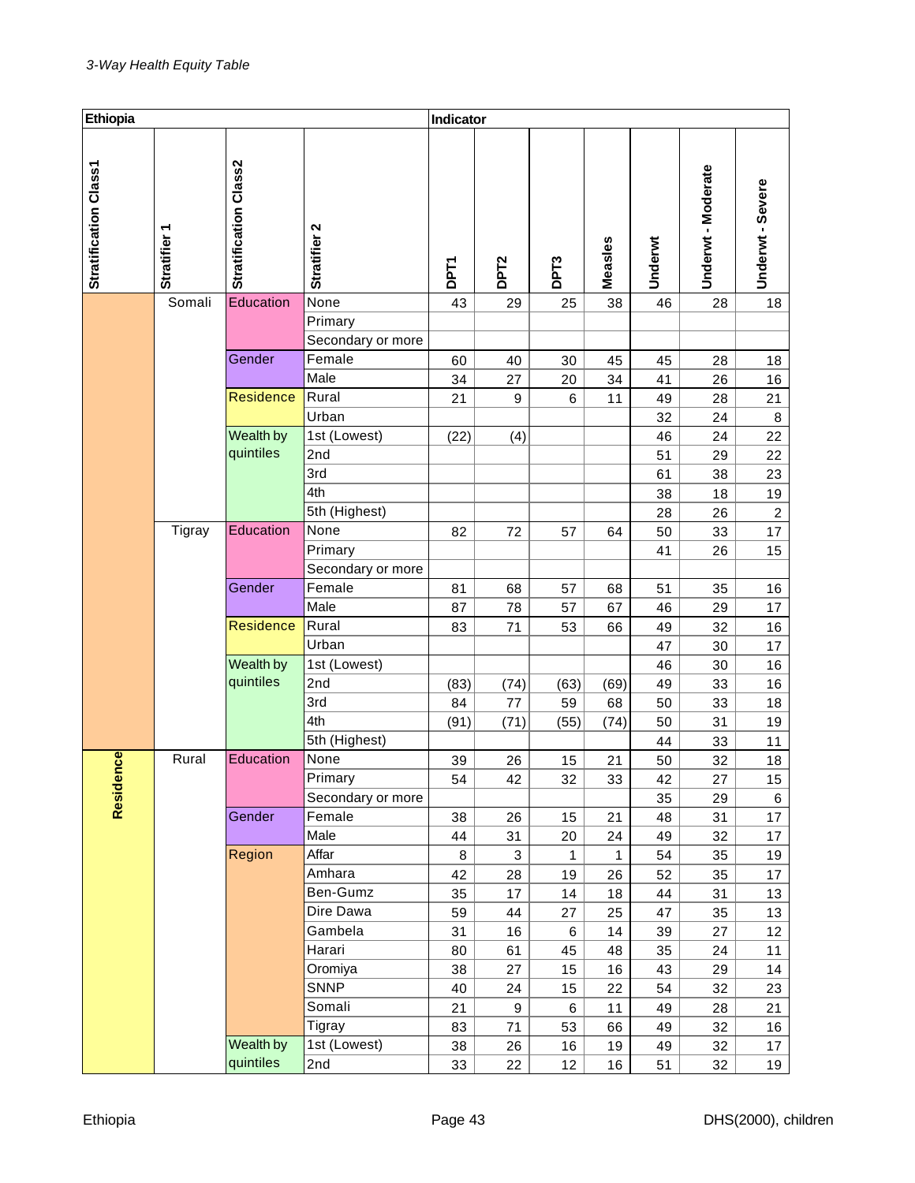| Ethiopia              |              |                       |                              | Indicator   |                  |                  |         |         |                  |                  |
|-----------------------|--------------|-----------------------|------------------------------|-------------|------------------|------------------|---------|---------|------------------|------------------|
| Stratification Class1 | Stratifier 1 | Stratification Class2 | Stratifier 2                 | <b>DPT1</b> | DPT <sub>2</sub> | DPT <sub>3</sub> | Measles | Underwt | Underwt-Moderate | Underwt - Severe |
|                       | Somali       | Education             | None                         | 43          | 29               | 25               | 38      | 46      | 28               | 18               |
|                       |              |                       | Primary<br>Secondary or more |             |                  |                  |         |         |                  |                  |
|                       |              | Gender                | Female                       | 60          | 40               | 30               | 45      | 45      | 28               | 18               |
|                       |              |                       | Male                         | 34          | 27               | 20               | 34      | 41      | 26               | 16               |
|                       |              | Residence             | Rural                        | 21          | 9                | 6                | 11      | 49      | 28               | 21               |
|                       |              |                       | Urban                        |             |                  |                  |         | 32      | 24               | 8                |
|                       |              | Wealth by             | 1st (Lowest)                 | (22)        | (4)              |                  |         | 46      | 24               | 22               |
|                       |              | quintiles             | 2nd                          |             |                  |                  |         | 51      | 29               | 22               |
|                       |              |                       | 3rd                          |             |                  |                  |         | 61      | 38               | 23               |
|                       |              |                       | 4th                          |             |                  |                  |         | 38      | 18               | 19               |
|                       |              |                       | 5th (Highest)                |             |                  |                  |         | 28      | 26               | $\overline{c}$   |
|                       | Tigray       | Education             | None                         | 82          | 72               | 57               | 64      | 50      | 33               | 17               |
|                       |              |                       | Primary                      |             |                  |                  |         | 41      | 26               | 15               |
|                       |              |                       | Secondary or more            |             |                  |                  |         |         |                  |                  |
|                       |              | Gender                | Female                       | 81          | 68               | 57               | 68      | 51      | 35               | 16               |
|                       |              |                       | Male                         | 87          | 78               | 57               | 67      | 46      | 29               | 17               |
|                       |              | Residence             | Rural                        | 83          | 71               | 53               | 66      | 49      | 32               | 16               |
|                       |              |                       | Urban                        |             |                  |                  |         | 47      | 30               | 17               |
|                       |              | Wealth by             | 1st (Lowest)                 |             |                  |                  |         | 46      | 30               | 16               |
|                       |              | quintiles             | 2nd                          | (83)        | (74)             | (63)             | (69)    | 49      | 33               | 16               |
|                       |              |                       | 3rd                          | 84          | 77               | 59               | 68      | 50      | 33               | 18               |
|                       |              |                       | 4th                          | (91)        | (71)             | (55)             | (74)    | 50      | 31               | 19               |
|                       |              |                       | 5th (Highest)                |             |                  |                  |         | 44      | 33               | 11               |
| nce                   | Rural        | Education             | None                         | 39          | 26               | 15               | 21      | 50      | 32               | 18               |
|                       |              |                       | Primary                      | 54          | 42               | 32               | 33      | 42      | 27               | 15               |
| Reside                |              |                       | Secondary or more            |             |                  |                  |         | 35      | 29               | 6                |
|                       |              | Gender                | Female                       | 38          | 26               | 15               | 21      | 48      | 31               | 17               |
|                       |              |                       | Male                         | 44          | 31               | 20               | 24      | 49      | 32               | 17               |
|                       |              | Region                | Affar                        | 8           | 3                | 1                | 1       | 54      | 35               | 19               |
|                       |              |                       | Amhara                       | 42          | 28               | 19               | 26      | 52      | 35               | 17               |
|                       |              |                       | Ben-Gumz                     | 35          | 17               | 14               | 18      | 44      | 31               | 13               |
|                       |              |                       | Dire Dawa                    | 59          | 44               | 27               | 25      | 47      | 35               | 13               |
|                       |              |                       | Gambela                      | 31          | 16               | 6                | 14      | 39      | 27               | 12               |
|                       |              |                       | Harari                       | 80          | 61               | 45               | 48      | 35      | 24               | 11               |
|                       |              |                       | Oromiya                      | 38          | 27               | 15               | 16      | 43      | 29               | 14               |
|                       |              |                       | <b>SNNP</b>                  | 40          | 24               | 15               | 22      | 54      | 32               | 23               |
|                       |              |                       | Somali                       | 21          | 9                | $\,6$            | 11      | 49      | 28               | 21               |
|                       |              |                       | Tigray                       | 83          | 71               | 53               | 66      | 49      | 32               | 16               |
|                       |              | Wealth by             | 1st (Lowest)                 | 38          | 26               | 16               | 19      | 49      | 32               | 17               |
|                       |              | quintiles             | 2nd                          | 33          | 22               | 12               | 16      | 51      | 32               | 19               |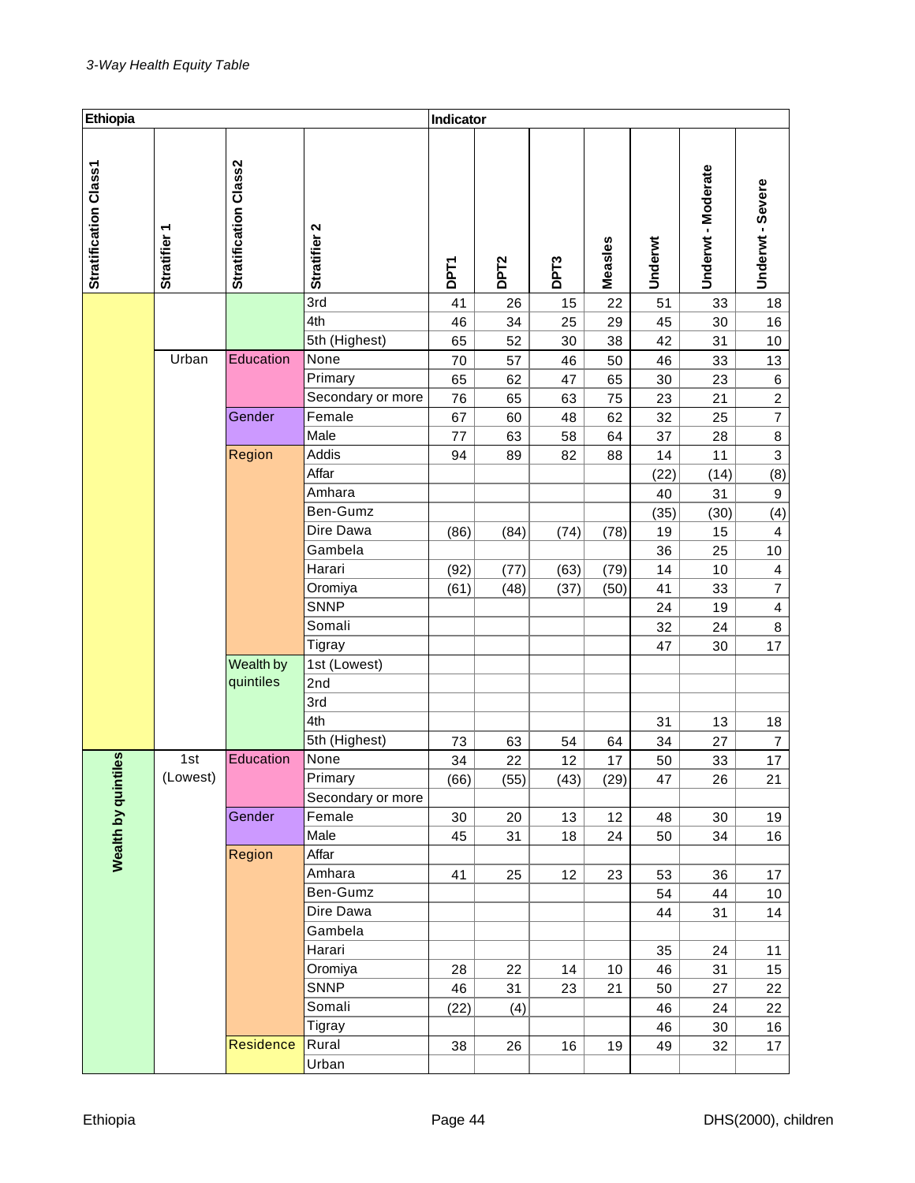| Ethiopia              |                 |                              |                   | Indicator   |                  |                  |         |         |                    |                         |
|-----------------------|-----------------|------------------------------|-------------------|-------------|------------------|------------------|---------|---------|--------------------|-------------------------|
| Stratification Class1 | ٣<br>Stratifier | <b>Stratification Class2</b> | Stratifier 2      | <b>DPT1</b> | DPT <sub>2</sub> | DPT <sub>3</sub> | Measles | Underwt | Underwt - Moderate | Underwt - Severe        |
|                       |                 |                              | 3rd               | 41          | 26               | 15               | 22      | 51      | 33                 | 18                      |
|                       |                 |                              | 4th               | 46          | 34               | 25               | 29      | 45      | 30                 | 16                      |
|                       |                 |                              | 5th (Highest)     | 65          | 52               | 30               | 38      | 42      | 31                 | 10                      |
|                       | Urban           | Education                    | None              | 70          | 57               | 46               | 50      | 46      | 33                 | 13                      |
|                       |                 |                              | Primary           | 65          | 62               | 47               | 65      | 30      | 23                 | $\,6$                   |
|                       |                 |                              | Secondary or more | 76          | 65               | 63               | 75      | 23      | 21                 | $\overline{c}$          |
|                       |                 | Gender                       | Female            | 67          | 60               | 48               | 62      | 32      | 25                 | $\overline{7}$          |
|                       |                 |                              | Male              | 77          | 63               | 58               | 64      | 37      | 28                 | $\bf 8$                 |
|                       |                 | Region                       | Addis             | 94          | 89               | 82               | 88      | 14      | 11                 | $\overline{3}$          |
|                       |                 |                              | Affar             |             |                  |                  |         | (22)    | (14)               | (8)                     |
|                       |                 |                              | Amhara            |             |                  |                  |         | 40      | 31                 | $\boldsymbol{9}$        |
|                       |                 |                              | Ben-Gumz          |             |                  |                  |         | (35)    | (30)               | (4)                     |
|                       |                 |                              | Dire Dawa         | (86)        | (84)             | (74)             | (78)    | 19      | 15                 | $\overline{\mathbf{4}}$ |
|                       |                 |                              | Gambela           |             |                  |                  |         | 36      | 25                 | $10$                    |
|                       |                 |                              | Harari            | (92)        | (77)             | (63)             | (79)    | 14      | 10                 | 4                       |
|                       |                 |                              | Oromiya           | (61)        | (48)             | (37)             | (50)    | 41      | 33                 | $\overline{7}$          |
|                       |                 |                              | <b>SNNP</b>       |             |                  |                  |         | 24      | 19                 | $\overline{\mathbf{4}}$ |
|                       |                 |                              | Somali            |             |                  |                  |         | 32      | 24                 | $\bf 8$                 |
|                       |                 |                              | Tigray            |             |                  |                  |         | 47      | 30                 | 17                      |
|                       |                 | Wealth by                    | 1st (Lowest)      |             |                  |                  |         |         |                    |                         |
|                       |                 | quintiles                    | 2nd               |             |                  |                  |         |         |                    |                         |
|                       |                 |                              | 3rd               |             |                  |                  |         |         |                    |                         |
|                       |                 |                              | 4th               |             |                  |                  |         | 31      | 13                 | 18                      |
|                       |                 |                              | 5th (Highest)     | 73          | 63               | 54               | 64      | 34      | 27                 | $\overline{7}$          |
|                       | 1st             | Education                    | None              | 34          | 22               | 12               | 17      | 50      | 33                 | 17                      |
|                       | (Lowest)        |                              | Primary           | (66)        | (55)             | (43)             | (29)    | 47      | 26                 | 21                      |
|                       |                 |                              | Secondary or more |             |                  |                  |         |         |                    |                         |
| Wealth by quintiles   |                 | Gender                       | Female            | 30          | 20               | 13               | 12      | 48      | 30                 | 19                      |
|                       |                 |                              | Male              | 45          | 31               | 18               | 24      | 50      | 34                 | 16                      |
|                       |                 | Region                       | Affar             |             |                  |                  |         |         |                    |                         |
|                       |                 |                              | Amhara            | 41          | 25               | 12               | 23      | 53      | 36                 | 17                      |
|                       |                 |                              | Ben-Gumz          |             |                  |                  |         | 54      | 44                 | $10$                    |
|                       |                 |                              | Dire Dawa         |             |                  |                  |         | 44      | 31                 | 14                      |
|                       |                 |                              | Gambela           |             |                  |                  |         |         |                    |                         |
|                       |                 |                              | Harari            |             |                  |                  |         | 35      | 24                 | 11                      |
|                       |                 |                              | Oromiya           | 28          | 22               | 14               | 10      | 46      | 31                 | 15                      |
|                       |                 |                              | <b>SNNP</b>       | 46          | 31               | 23               | 21      | 50      | 27                 | 22                      |
|                       |                 |                              | Somali            | (22)        | (4)              |                  |         | 46      | 24                 | 22                      |
|                       |                 |                              | Tigray            |             |                  |                  |         | 46      | 30                 | 16                      |
|                       |                 | Residence                    | Rural             | 38          | 26               | 16               | 19      | 49      | 32                 | 17                      |
|                       |                 |                              | Urban             |             |                  |                  |         |         |                    |                         |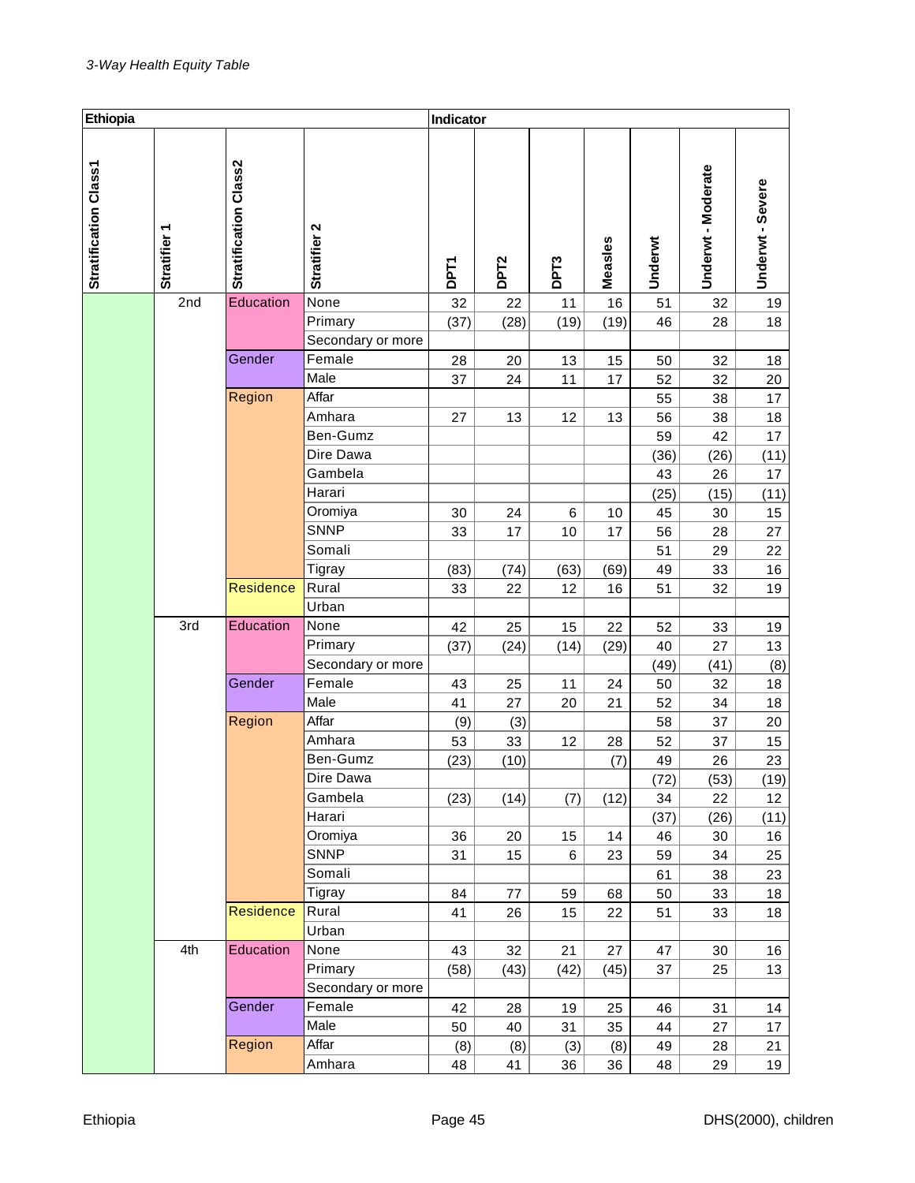| Ethiopia                     |              |                              |                   | Indicator   |                  |                  |         |         |                  |                  |
|------------------------------|--------------|------------------------------|-------------------|-------------|------------------|------------------|---------|---------|------------------|------------------|
| <b>Stratification Class1</b> | Stratifier 1 | <b>Stratification Class2</b> | Stratifier 2      | <b>DPT1</b> | DPT <sub>2</sub> | DPT <sub>3</sub> | Measles | Underwt | Underwt-Moderate | Underwt - Severe |
|                              | 2nd          | Education                    | None              | 32          | 22               | 11               | 16      | 51      | 32               | 19               |
|                              |              |                              | Primary           | (37)        | (28)             | (19)             | (19)    | 46      | 28               | 18               |
|                              |              |                              | Secondary or more |             |                  |                  |         |         |                  |                  |
|                              |              | Gender                       | Female            | 28          | 20               | 13               | 15      | 50      | 32               | 18               |
|                              |              |                              | Male              | 37          | 24               | 11               | 17      | 52      | 32               | 20               |
|                              |              | Region                       | Affar             |             |                  |                  |         | 55      | 38               | 17               |
|                              |              |                              | Amhara            | 27          | 13               | 12               | 13      | 56      | 38               | 18               |
|                              |              |                              | Ben-Gumz          |             |                  |                  |         | 59      | 42               | 17               |
|                              |              |                              | Dire Dawa         |             |                  |                  |         | (36)    | (26)             | (11)             |
|                              |              |                              | Gambela           |             |                  |                  |         | 43      | 26               | 17               |
|                              |              |                              | Harari            |             |                  |                  |         | (25)    | (15)             | (11)             |
|                              |              |                              | Oromiya           | 30          | 24               | 6                | 10      | 45      | 30               | 15               |
|                              |              |                              | <b>SNNP</b>       | 33          | 17               | 10               | 17      | 56      | 28               | 27               |
|                              |              |                              | Somali            |             |                  |                  |         | 51      | 29               | 22               |
|                              |              |                              | Tigray            | (83)        | (74)             | (63)             | (69)    | 49      | 33               | 16               |
|                              |              | <b>Residence</b>             | Rural             | 33          | 22               | 12               | 16      | 51      | 32               | 19               |
|                              |              |                              | Urban             |             |                  |                  |         |         |                  |                  |
|                              | 3rd          | Education                    | None              | 42          | 25               | 15               | 22      | 52      | 33               | 19               |
|                              |              |                              | Primary           | (37)        | (24)             | (14)             | (29)    | 40      | 27               | 13               |
|                              |              |                              | Secondary or more |             |                  |                  |         | (49)    | (41)             | (8)              |
|                              |              | Gender                       | Female            | 43          | 25               | 11               | 24      | 50      | 32               | 18               |
|                              |              |                              | Male              | 41          | 27               | 20               | 21      | 52      | 34               | 18               |
|                              |              | Region                       | Affar             | (9)         | (3)              |                  |         | 58      | 37               | 20               |
|                              |              |                              | Amhara            | 53          | 33               | 12               | 28      | 52      | 37               | 15               |
|                              |              |                              | Ben-Gumz          | (23)        | (10)             |                  | (7)     | 49      | 26               | 23               |
|                              |              |                              | Dire Dawa         |             |                  |                  |         | (72)    | (53)             | (19)             |
|                              |              |                              | Gambela           | (23)        | (14)             | (7)              | (12)    | 34      | 22               | 12               |
|                              |              |                              | Harari            |             |                  |                  |         | (37)    | (26)             | (11)             |
|                              |              |                              | Oromiya           | 36          | 20               | 15               | 14      | 46      | 30               | 16               |
|                              |              |                              | <b>SNNP</b>       | 31          | 15               | 6                | 23      | 59      | 34               | 25               |
|                              |              |                              | Somali            |             |                  |                  |         | 61      | 38               | 23               |
|                              |              |                              | Tigray            | 84          | 77               | 59               | 68      | 50      | 33               | 18               |
|                              |              | <b>Residence</b>             | Rural             | 41          | 26               | 15               | 22      | 51      | 33               | 18               |
|                              |              |                              | Urban             |             |                  |                  |         |         |                  |                  |
|                              | 4th          | Education                    | None              | 43          | 32               | 21               | 27      | 47      | 30               | 16               |
|                              |              |                              | Primary           | (58)        | (43)             | (42)             | (45)    | 37      | 25               | 13               |
|                              |              |                              | Secondary or more |             |                  |                  |         |         |                  |                  |
|                              |              | Gender                       | Female            | 42          | 28               | 19               | 25      | 46      | 31               | 14               |
|                              |              |                              | Male              | 50          | 40               | 31               | 35      | 44      | 27               | 17               |
|                              |              | Region                       | Affar             | (8)         | (8)              | (3)              | (8)     | 49      | 28               | 21               |
|                              |              |                              | Amhara            | 48          | 41               | 36               | 36      | 48      | 29               | 19               |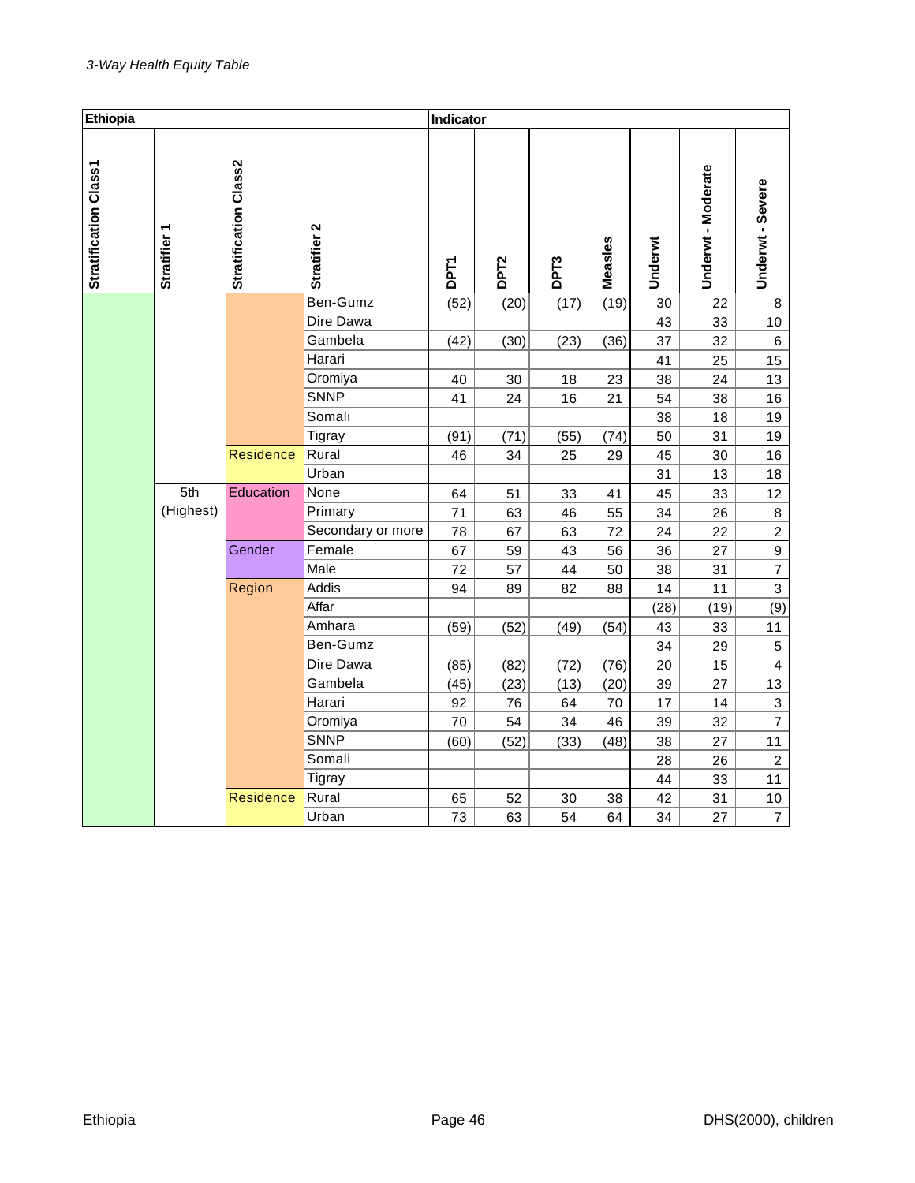| Ethiopia              |                        |                        |                   | Indicator   |                  |                  |         |         |                    |                         |
|-----------------------|------------------------|------------------------|-------------------|-------------|------------------|------------------|---------|---------|--------------------|-------------------------|
| Stratification Class1 | ٣<br><b>Stratifier</b> | Stratification Class2  | Stratifier 2      | <b>DPT1</b> | DPT <sub>2</sub> | DPT <sub>3</sub> | Measles | Underwt | Underwt - Moderate | Underwt - Severe        |
|                       |                        |                        | Ben-Gumz          | (52)        | (20)             | (17)             | (19)    | 30      | 22                 | 8                       |
|                       |                        |                        | Dire Dawa         |             |                  |                  |         | 43      | 33                 | 10                      |
|                       |                        |                        | Gambela           | (42)        | (30)             | (23)             | (36)    | 37      | 32                 | $\,6$                   |
|                       |                        |                        | Harari            |             |                  |                  |         | 41      | 25                 | 15                      |
|                       |                        |                        | Oromiya           | 40          | 30               | 18               | 23      | 38      | 24                 | 13                      |
|                       |                        |                        | <b>SNNP</b>       | 41          | 24               | 16               | 21      | 54      | 38                 | 16                      |
|                       |                        | Residence<br>Education | Somali            |             |                  |                  |         | 38      | 18                 | 19                      |
|                       |                        |                        | Tigray            | (91)        | (71)             | (55)             | (74)    | 50      | 31                 | 19                      |
|                       |                        |                        | Rural             | 46          | 34               | 25               | 29      | 45      | 30                 | 16                      |
|                       |                        |                        | Urban             |             |                  |                  |         | 31      | 13                 | 18                      |
|                       | 5th                    |                        | None              | 64          | 51               | 33               | 41      | 45      | 33                 | 12                      |
|                       | (Highest)              |                        | Primary           | 71          | 63               | 46               | 55      | 34      | 26                 | $\bf 8$                 |
|                       |                        |                        | Secondary or more | 78          | 67               | 63               | 72      | 24      | 22                 | $\overline{c}$          |
|                       |                        | Gender                 | Female            | 67          | 59               | 43               | 56      | 36      | 27                 | $\mathsf g$             |
|                       |                        |                        | Male              | 72          | 57               | 44               | 50      | 38      | 31                 | $\overline{\mathbf{7}}$ |
|                       |                        | Region                 | Addis             | 94          | 89               | 82               | 88      | 14      | 11                 | 3                       |
|                       |                        |                        | Affar             |             |                  |                  |         | (28)    | (19)               | (9)                     |
|                       |                        |                        | Amhara            | (59)        | (52)             | (49)             | (54)    | 43      | 33                 | 11                      |
|                       |                        |                        | Ben-Gumz          |             |                  |                  |         | 34      | 29                 | 5                       |
|                       |                        |                        | Dire Dawa         | (85)        | (82)             | (72)             | (76)    | 20      | 15                 | $\overline{\mathbf{4}}$ |
|                       |                        |                        | Gambela           | (45)        | (23)             | (13)             | (20)    | 39      | 27                 | 13                      |
|                       |                        |                        | Harari            | 92          | 76               | 64               | 70      | 17      | 14                 | 3                       |
|                       |                        |                        | Oromiya           | 70          | 54               | 34               | 46      | 39      | 32                 | $\overline{7}$          |
|                       |                        | <b>SNNP</b>            | (60)              | (52)        | (33)             | (48)             | 38      | 27      | 11                 |                         |
|                       |                        |                        | Somali            |             |                  |                  |         | 28      | 26                 | $\boldsymbol{2}$        |
|                       |                        |                        | Tigray            |             |                  |                  |         | 44      | 33                 | 11                      |
|                       |                        | <b>Residence</b>       | Rural             | 65          | 52               | 30               | 38      | 42      | 31                 | 10                      |
|                       |                        |                        | Urban             | 73          | 63               | 54               | 64      | 34      | 27                 | $\overline{7}$          |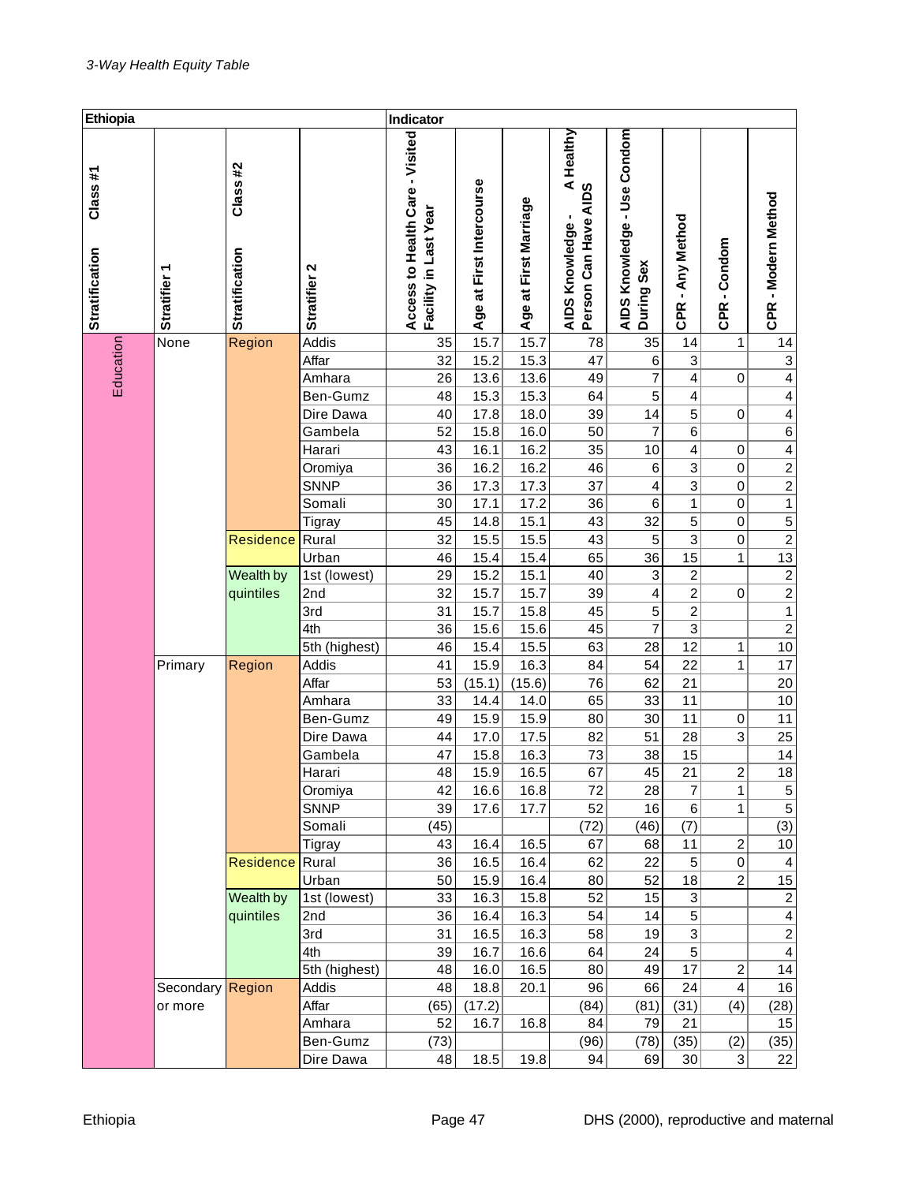| Ethiopia                         |                        |                                  |                 | Indicator                                                |                          |                       |                                               |                                           |                            |                             |                              |
|----------------------------------|------------------------|----------------------------------|-----------------|----------------------------------------------------------|--------------------------|-----------------------|-----------------------------------------------|-------------------------------------------|----------------------------|-----------------------------|------------------------------|
| Class#1<br><b>Stratification</b> | ᡪ<br><b>Stratifier</b> | Class#2<br><b>Stratification</b> | Stratifier 2    | Access to Health Care - Visited<br>Facility in Last Year | Age at First Intercourse | Age at First Marriage | healthy אין A Healthy<br>Person Can Have AIDS | AIDS Knowledge - Use Condom<br>During Sex | - Any Method<br><b>CPR</b> | -Condom<br>CPR <sub>.</sub> | CPR - Modern Method          |
|                                  | None                   | Region                           | Addis           | 35                                                       | 15.7                     | 15.7                  | 78                                            | 35                                        | 14                         | 1                           | 14                           |
|                                  |                        |                                  | Affar           | 32                                                       | 15.2                     | 15.3                  | 47                                            | 6                                         | $\ensuremath{\mathsf{3}}$  |                             | $\ensuremath{\mathsf{3}}$    |
| Education                        |                        |                                  | Amhara          | 26                                                       | 13.6                     | 13.6                  | 49                                            | 7                                         | 4                          | 0                           | 4                            |
|                                  |                        |                                  | Ben-Gumz        | 48                                                       | 15.3                     | 15.3                  | 64                                            | 5                                         | 4                          |                             | 4                            |
|                                  |                        |                                  | Dire Dawa       | 40                                                       | 17.8                     | 18.0                  | 39                                            | 14                                        | 5                          | 0                           | 4                            |
|                                  |                        |                                  | Gambela         | 52                                                       | 15.8                     | 16.0                  | 50                                            | 7                                         | 6                          |                             | $\overline{6}$               |
|                                  |                        |                                  | Harari          | 43                                                       | 16.1                     | 16.2                  | 35                                            | 10                                        | 4                          | 0                           | 4                            |
|                                  |                        |                                  | Oromiya         | 36                                                       | 16.2                     | 16.2                  | 46                                            | $\,6$                                     | 3                          | 0                           | $\frac{2}{2}$                |
|                                  |                        |                                  | <b>SNNP</b>     | 36                                                       | 17.3                     | 17.3                  | 37                                            | 4                                         | 3                          | 0                           |                              |
|                                  |                        |                                  | Somali          | 30                                                       | 17.1                     | 17.2                  | 36                                            | 6                                         | 1                          | 0                           | $\overline{1}$               |
|                                  |                        |                                  | Tigray          | 45                                                       | 14.8                     | 15.1                  | 43                                            | 32                                        | 5                          | 0                           |                              |
|                                  |                        | Residence                        | Rural           | 32                                                       | 15.5                     | 15.5                  | 43                                            | $\,$ 5 $\,$                               | $\ensuremath{\mathsf{3}}$  | 0                           | $\frac{5}{2}$ $\frac{2}{13}$ |
|                                  |                        |                                  | Urban           | 46                                                       | 15.4                     | 15.4                  | 65                                            | 36                                        | 15                         | 1                           |                              |
|                                  |                        | Wealth by                        | 1st (lowest)    | 29                                                       | 15.2                     | 15.1                  | 40                                            | $\ensuremath{\mathsf{3}}$                 | $\boldsymbol{2}$           |                             | $\frac{2}{2}$                |
|                                  |                        | quintiles                        | 2 <sub>nd</sub> | 32                                                       | 15.7                     | 15.7                  | 39                                            | 4                                         | 2                          | 0                           |                              |
|                                  |                        |                                  | 3rd             | 31                                                       | 15.7                     | 15.8                  | 45                                            | $\mathbf 5$                               | $\boldsymbol{2}$           |                             | $\overline{1}$               |
|                                  |                        |                                  | 4th             | 36                                                       | 15.6                     | 15.6                  | 45                                            | 7                                         | $\ensuremath{\mathsf{3}}$  |                             | $\overline{2}$               |
|                                  |                        |                                  | 5th (highest)   | 46                                                       | 15.4                     | 15.5                  | 63                                            | 28                                        | 12                         | 1                           | 10                           |
|                                  | Primary                | Region                           | Addis           | 41                                                       | 15.9                     | 16.3                  | 84                                            | 54                                        | 22                         | 1                           | 17                           |
|                                  |                        |                                  | Affar           | 53                                                       | (15.1)                   | (15.6)                | 76                                            | 62                                        | 21                         |                             | 20                           |
|                                  |                        |                                  | Amhara          | 33                                                       | 14.4                     | 14.0                  | 65                                            | 33                                        | 11                         |                             | 10                           |
|                                  |                        |                                  | Ben-Gumz        | 49                                                       | 15.9                     | 15.9                  | 80                                            | 30                                        | 11                         | 0                           | 11                           |
|                                  |                        |                                  | Dire Dawa       | 44                                                       | 17.0                     | 17.5                  | 82                                            | 51                                        | 28                         | 3                           | 25                           |
|                                  |                        |                                  | Gambela         | 47                                                       | 15.8                     | 16.3                  | 73                                            | 38                                        | 15                         |                             | 14                           |
|                                  |                        |                                  | Harari          | 48                                                       | 15.9                     | 16.5                  | 67                                            | 45                                        | 21                         | $\overline{2}$              | 18                           |
|                                  |                        |                                  | Oromiya         | 42                                                       | 16.6                     | 16.8                  | 72                                            | 28                                        | $\overline{\mathcal{I}}$   | 1                           | $\frac{5}{5}$                |
|                                  |                        |                                  | <b>SNNP</b>     | 39                                                       | 17.6                     | 17.7                  | 52                                            | 16                                        | 6                          | 1                           |                              |
|                                  |                        |                                  | Somali          | (45)                                                     |                          |                       | (72)                                          | (46)                                      | (7)                        |                             | (3)                          |
|                                  |                        |                                  | Tigray          | 43                                                       | 16.4                     | 16.5                  | 67                                            | 68                                        | 11                         | $\overline{\mathbf{c}}$     | 10                           |
|                                  |                        | <b>Residence</b>                 | Rural           | 36                                                       | 16.5                     | 16.4                  | 62                                            | 22                                        | $\sqrt{5}$                 | $\vert 0 \vert$             | 4                            |
|                                  |                        |                                  | Urban           | 50                                                       | 15.9                     | 16.4                  | 80                                            | 52                                        | 18                         | $\overline{2}$              | 15                           |
|                                  |                        | Wealth by                        | 1st (lowest)    | 33                                                       | 16.3                     | 15.8                  | 52                                            | 15                                        | 3                          |                             | $\overline{c}$               |
|                                  |                        | quintiles                        | 2nd             | 36                                                       | 16.4                     | 16.3                  | 54                                            | 14                                        | 5                          |                             | 4                            |
|                                  |                        |                                  | 3rd             | 31                                                       | 16.5                     | 16.3                  | 58                                            | 19                                        | 3                          |                             | $\overline{2}$               |
|                                  |                        |                                  | 4th             | 39                                                       | 16.7                     | 16.6                  | 64                                            | 24                                        | 5                          |                             | $\overline{\mathbf{4}}$      |
|                                  |                        |                                  | 5th (highest)   | 48                                                       | 16.0                     | 16.5                  | 80                                            | 49                                        | 17                         | $\overline{\mathbf{c}}$     | 14                           |
|                                  | Secondary Region       |                                  | Addis           | 48                                                       | 18.8                     | 20.1                  | 96                                            | 66                                        | 24                         | 4                           | 16                           |
|                                  | or more                |                                  | Affar           | (65)                                                     | (17.2)                   |                       | (84)                                          | (81)                                      | (31)                       | (4)                         | (28)                         |
|                                  |                        |                                  | Amhara          | 52                                                       | 16.7                     | 16.8                  | 84                                            | 79                                        | 21                         |                             | 15                           |
|                                  |                        |                                  | Ben-Gumz        | (73)                                                     |                          |                       | (96)                                          | (78)                                      | (35)                       | (2)                         | (35)                         |
|                                  |                        |                                  | Dire Dawa       | 48                                                       | 18.5                     | 19.8                  | 94                                            | 69                                        | 30                         | $\mathbf{3}$                | 22                           |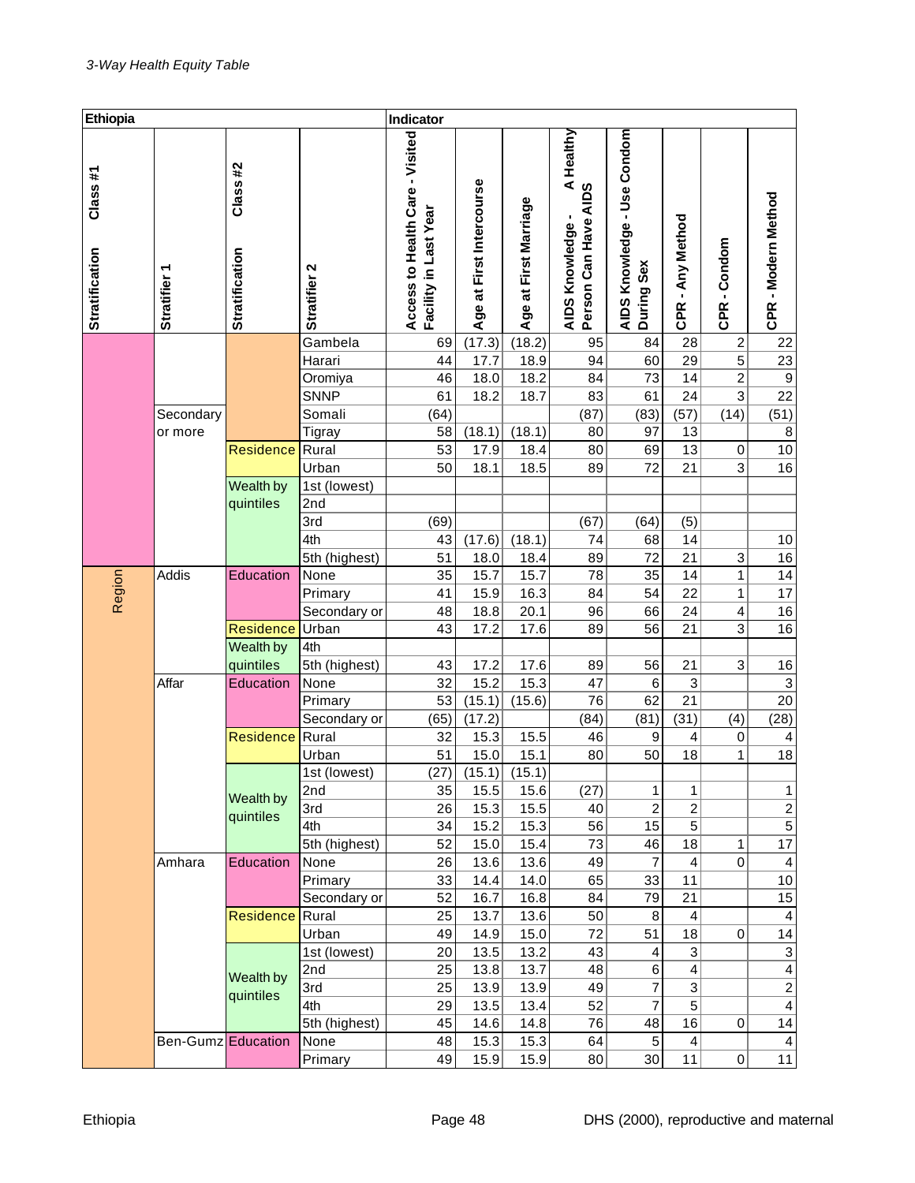| Ethiopia                         |                        |                                   |                 | Indicator                                                |                          |                       |                                                         |                                           |                         |                           |                           |
|----------------------------------|------------------------|-----------------------------------|-----------------|----------------------------------------------------------|--------------------------|-----------------------|---------------------------------------------------------|-------------------------------------------|-------------------------|---------------------------|---------------------------|
| Class#1<br><b>Stratification</b> | ↽<br><b>Stratifier</b> | Class #2<br><b>Stratification</b> | Stratifier 2    | Access to Health Care - Visited<br>Facility in Last Year | Age at First Intercourse | Age at First Marriage | Healthy<br>AIDS Knowledge - A  <br>Person Can Have AIDS | AIDS Knowledge - Use Condom<br>During Sex | CPR - Any Method        | CPR-Condom                | CPR - Modern Method       |
|                                  |                        |                                   | Gambela         | 69                                                       | (17.3)                   | (18.2)                | 95                                                      | 84                                        | 28                      | $\boldsymbol{2}$          | 22                        |
|                                  |                        |                                   | Harari          | 44                                                       | 17.7                     | 18.9                  | 94                                                      | 60                                        | 29                      | 5                         | $\overline{23}$           |
|                                  |                        |                                   | Oromiya         | 46                                                       | 18.0                     | 18.2                  | 84                                                      | 73                                        | 14                      | 2                         | $\boldsymbol{9}$          |
|                                  |                        |                                   | <b>SNNP</b>     | 61                                                       | 18.2                     | 18.7                  | 83                                                      | 61                                        | 24                      | 3                         | 22                        |
|                                  | Secondary              |                                   | Somali          | (64)                                                     |                          |                       | (87)                                                    | (83)                                      | (57)                    | (14)                      | (51)                      |
|                                  | or more                |                                   | Tigray          | 58                                                       | (18.1)                   | (18.1)                | 80                                                      | 97                                        | 13                      |                           | 8                         |
|                                  |                        | <b>Residence</b>                  | Rural           | 53                                                       | 17.9                     | 18.4                  | 80                                                      | 69                                        | 13                      | 0                         | 10                        |
|                                  |                        |                                   | Urban           | 50                                                       | 18.1                     | 18.5                  | 89                                                      | 72                                        | 21                      | 3                         | 16                        |
|                                  |                        | Wealth by                         | 1st (lowest)    |                                                          |                          |                       |                                                         |                                           |                         |                           |                           |
|                                  |                        | quintiles                         | 2nd             |                                                          |                          |                       |                                                         |                                           |                         |                           |                           |
|                                  |                        |                                   | 3rd             | (69)                                                     |                          |                       | (67)                                                    | (64)                                      | (5)                     |                           |                           |
|                                  |                        |                                   | 4th             | 43                                                       | (17.6)                   | (18.1)                | 74                                                      | 68                                        | 14                      |                           | 10                        |
|                                  |                        |                                   | 5th (highest)   | 51                                                       | 18.0                     | 18.4                  | 89                                                      | 72                                        | 21                      | $\ensuremath{\mathsf{3}}$ | 16                        |
| Region                           | Addis                  | Education                         | None            | 35                                                       | 15.7                     | 15.7                  | 78                                                      | 35                                        | 14                      | 1                         | 14                        |
|                                  |                        |                                   | Primary         | 41                                                       | 15.9                     | 16.3                  | 84                                                      | 54                                        | 22                      | 1                         | 17                        |
|                                  |                        |                                   | Secondary or    | 48                                                       | 18.8                     | 20.1                  | 96                                                      | 66                                        | 24                      | 4                         | 16                        |
|                                  |                        | <b>Residence</b>                  | Urban           | 43                                                       | 17.2                     | 17.6                  | 89                                                      | 56                                        | 21                      | 3                         | 16                        |
|                                  |                        | Wealth by                         | 4th             |                                                          |                          |                       |                                                         |                                           |                         |                           |                           |
|                                  |                        | quintiles                         | 5th (highest)   | 43                                                       | 17.2                     | 17.6                  | 89                                                      | 56                                        | 21                      | 3                         | 16                        |
|                                  | Affar                  | Education                         | None            | 32                                                       | 15.2                     | 15.3                  | 47                                                      | 6                                         | $\sqrt{3}$              |                           | $\ensuremath{\mathsf{3}}$ |
|                                  |                        |                                   | Primary         | 53                                                       | (15.1)                   | (15.6)                | 76                                                      | 62                                        | 21                      |                           | 20                        |
|                                  |                        |                                   | Secondary or    | (65)                                                     | (17.2)                   |                       | (84)                                                    | (81)                                      | (31)                    | (4)                       | (28)                      |
|                                  |                        | <b>Residence</b>                  | Rural           | 32                                                       | 15.3                     | 15.5                  | 46                                                      | 9                                         | 4                       | 0                         | 4                         |
|                                  |                        |                                   | Urban           | 51                                                       | 15.0                     | 15.1                  | 80                                                      | 50                                        | 18                      | 1                         | 18                        |
|                                  |                        |                                   | 1st (lowest)    | (27)                                                     | (15.1)                   | (15.1)                |                                                         |                                           |                         |                           |                           |
|                                  |                        | Wealth by                         | 2nd             | 35                                                       | 15.5                     | 15.6                  | (27)                                                    | 1                                         | 1                       |                           | 1                         |
|                                  |                        | quintiles                         | 3rd             | 26                                                       | 15.3                     | 15.5                  | 40                                                      | $\overline{\mathbf{c}}$                   | $\overline{\mathbf{c}}$ |                           | $\overline{2}$            |
|                                  |                        |                                   | 4th             | 34                                                       | 15.2                     | 15.3                  | 56                                                      | 15                                        | 5                       |                           | $\overline{5}$            |
|                                  |                        |                                   | 5th (highest)   | 52                                                       | 15.0                     | 15.4                  | 73                                                      | 46                                        | 18                      | 1                         | 17                        |
|                                  | Amhara                 | Education                         | None            | 26                                                       | 13.6                     | 13.6                  | 49                                                      | 7                                         | 4                       | 0                         | 4                         |
|                                  |                        |                                   | Primary         | 33                                                       | 14.4                     | 14.0                  | 65                                                      | 33                                        | 11                      |                           | 10                        |
|                                  |                        |                                   | Secondary or    | 52                                                       | 16.7                     | 16.8                  | 84                                                      | 79                                        | 21                      |                           | 15                        |
|                                  |                        | <b>Residence</b>                  | Rural           | 25                                                       | 13.7                     | 13.6                  | 50                                                      | 8                                         | 4                       |                           | 4                         |
|                                  |                        |                                   | Urban           | 49                                                       | 14.9                     | 15.0                  | 72                                                      | 51                                        | 18                      | 0                         | 14                        |
|                                  |                        |                                   | 1st (lowest)    | 20                                                       | 13.5                     | 13.2                  | 43                                                      | 4                                         | 3                       |                           | $\ensuremath{\mathsf{3}}$ |
|                                  |                        | Wealth by                         | 2nd             | 25                                                       | 13.8                     | 13.7                  | 48                                                      | 6                                         | 4                       |                           | $\overline{\mathbf{4}}$   |
|                                  |                        | quintiles                         | 3rd             | 25                                                       | 13.9                     | 13.9                  | 49                                                      | 7                                         | 3                       |                           | $\overline{\mathbf{c}}$   |
|                                  |                        |                                   | 4th             | 29                                                       | 13.5                     | 13.4                  | 52                                                      | 7                                         | 5                       |                           | $\overline{\mathbf{4}}$   |
|                                  |                        |                                   | 5th (highest)   | 45                                                       | 14.6                     | 14.8                  | 76                                                      | 48                                        | 16                      | 0                         | 14                        |
|                                  | Ben-Gumz Education     |                                   | None<br>Primary | 48<br>49                                                 | 15.3<br>15.9             | 15.3<br>15.9          | 64<br>80                                                | $\,$ 5 $\,$<br>30                         | 4<br>11                 | 0                         | 4<br>11                   |
|                                  |                        |                                   |                 |                                                          |                          |                       |                                                         |                                           |                         |                           |                           |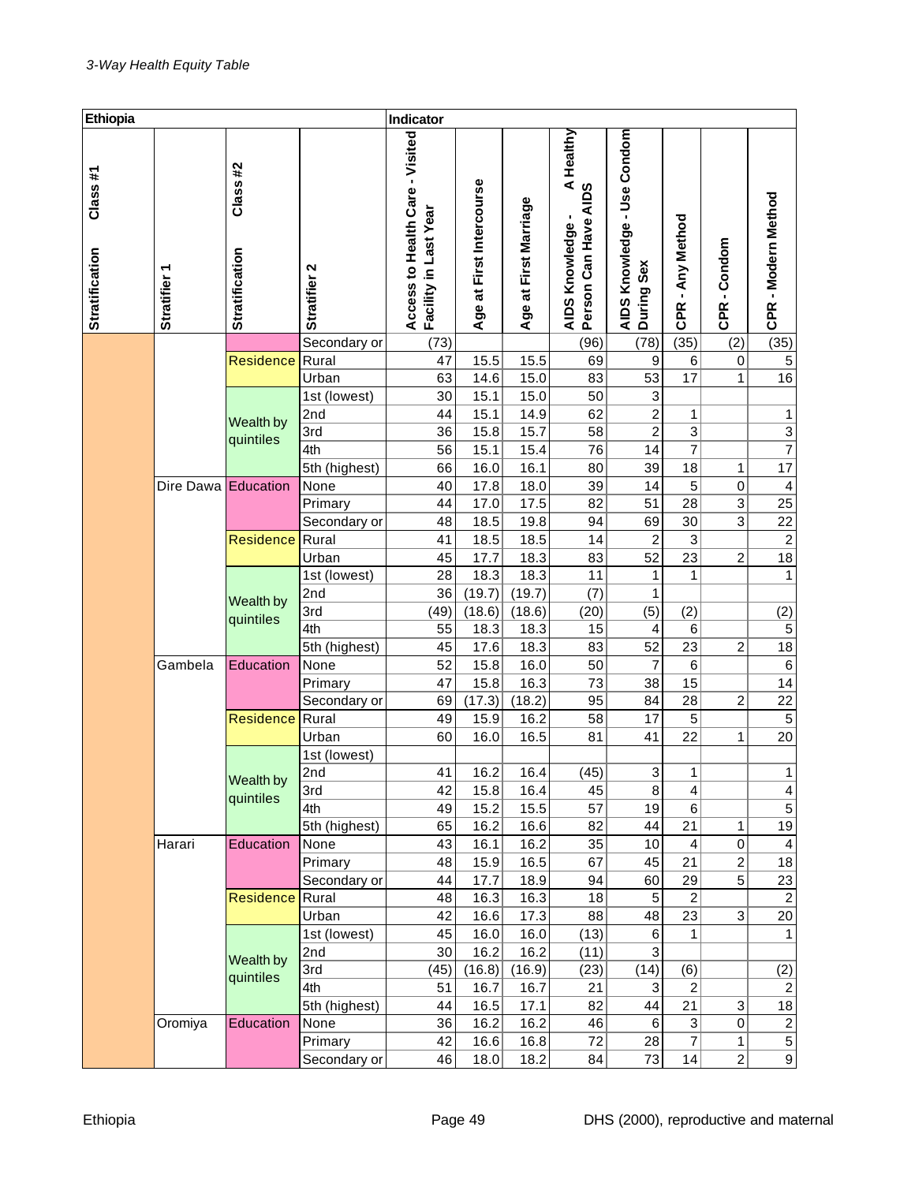| Ethiopia                         |                        |                           |                     | Indicator                                                |                          |                       |                                                                      |                                           |                           |                |                              |
|----------------------------------|------------------------|---------------------------|---------------------|----------------------------------------------------------|--------------------------|-----------------------|----------------------------------------------------------------------|-------------------------------------------|---------------------------|----------------|------------------------------|
| Class#1<br><b>Stratification</b> | ᡪ<br><b>Stratifier</b> | Class#2<br>Stratification | Stratifier 2        | Access to Health Care - Visited<br>Facility in Last Year | Age at First Intercourse | Age at First Marriage | Healthy<br>nowledge - A<br>Can Have AIDS<br>AIDS Knowledge<br>Person | AIDS Knowledge - Use Condom<br>During Sex | - Any Method              | -Condom        | CPR - Modern Method          |
|                                  |                        |                           |                     |                                                          |                          |                       |                                                                      |                                           | <b>CPR</b>                | <b>CPR</b>     |                              |
|                                  |                        |                           | Secondary or        | (73)                                                     |                          |                       | (96)                                                                 | (78)                                      | (35)                      | (2)            | (35)                         |
|                                  |                        | <b>Residence</b>          | Rural               | 47                                                       | 15.5                     | 15.5                  | 69                                                                   | 9                                         | 6                         | 0              | $\,$ 5 $\,$                  |
|                                  |                        |                           | Urban               | 63                                                       | 14.6                     | 15.0                  | 83                                                                   | 53                                        | 17                        | 1              | 16                           |
|                                  |                        |                           | 1st (lowest)        | 30                                                       | 15.1                     | 15.0                  | 50                                                                   | 3                                         |                           |                |                              |
|                                  |                        | Wealth by                 | 2nd                 | 44                                                       | 15.1                     | 14.9                  | 62                                                                   | 2                                         | 1                         |                | 1                            |
|                                  |                        | quintiles                 | 3rd                 | 36                                                       | 15.8                     | 15.7                  | 58                                                                   | 2                                         | 3                         |                | $\overline{3}$               |
|                                  |                        |                           | 4th                 | 56                                                       | 15.1                     | 15.4                  | 76                                                                   | 14                                        | 7                         |                | $\overline{7}$               |
|                                  |                        |                           | 5th (highest)       | 66                                                       | 16.0                     | 16.1                  | 80                                                                   | 39                                        | 18                        | 1              | 17                           |
|                                  | Dire Dawa Education    |                           | None                | 40                                                       | 17.8                     | 18.0                  | 39                                                                   | 14                                        | 5                         | 0              | $\overline{\mathbf{r}}$      |
|                                  |                        |                           | Primary             | 44                                                       | 17.0                     | 17.5                  | 82                                                                   | 51                                        | 28                        | 3              | 25                           |
|                                  |                        |                           | Secondary or        | 48                                                       | 18.5                     | 19.8                  | 94                                                                   | 69                                        | 30                        | 3              | 22                           |
|                                  |                        | <b>Residence</b>          | Rural               | 41                                                       | 18.5                     | 18.5                  | 14                                                                   | 2                                         | 3                         |                | $\sqrt{2}$                   |
|                                  |                        |                           | Urban               | 45                                                       | 17.7                     | 18.3                  | 83                                                                   | 52                                        | 23                        | $\overline{c}$ | 18                           |
|                                  |                        |                           | 1st (lowest)        | 28                                                       | 18.3                     | 18.3                  | 11                                                                   | 1                                         | 1                         |                | $\mathbf{1}$                 |
|                                  |                        | Wealth by                 | 2nd                 | 36                                                       | (19.7)                   | (19.7)                | (7)                                                                  | 1                                         |                           |                |                              |
|                                  |                        | quintiles                 | 3rd                 | (49)                                                     | (18.6)                   | (18.6)                | (20)                                                                 | (5)                                       | (2)                       |                | (2)                          |
|                                  |                        |                           | 4th                 | 55                                                       | 18.3                     | 18.3                  | 15                                                                   | 4                                         | 6                         |                | $\mathbf 5$                  |
|                                  |                        |                           | 5th (highest)       | 45                                                       | 17.6                     | 18.3                  | 83                                                                   | 52                                        | 23                        | $\overline{c}$ | 18                           |
|                                  | Gambela                | Education                 | None                | 52                                                       | 15.8                     | 16.0                  | 50                                                                   | 7                                         | 6                         |                | $\,6$                        |
|                                  |                        |                           | Primary             | 47                                                       | 15.8                     | 16.3                  | 73                                                                   | 38                                        | 15                        |                | 14                           |
|                                  |                        |                           | Secondary or        | 69                                                       | (17.3)                   | (18.2)                | 95                                                                   | 84                                        | 28                        | $\overline{c}$ | 22                           |
|                                  |                        | <b>Residence</b>          | Rural               | 49                                                       | 15.9                     | 16.2                  | 58                                                                   | 17                                        | $\,$ 5 $\,$               |                | $\,$ 5 $\,$<br>20            |
|                                  |                        |                           | Urban               | 60                                                       | 16.0                     | 16.5                  | 81                                                                   | 41                                        | 22                        | 1              |                              |
|                                  |                        |                           | 1st (lowest)<br>2nd | 41                                                       | 16.2                     | 16.4                  |                                                                      | 3                                         | 1                         |                | $\mathbf{1}$                 |
|                                  |                        | Wealth by                 | 3rd                 | 42                                                       | 15.8                     |                       | (45)<br>45                                                           | 8                                         | 4                         |                |                              |
|                                  |                        | quintiles                 | 4th                 | 49                                                       | 15.2                     | 16.4<br>15.5          | 57                                                                   | 19                                        | 6                         |                | $\overline{4}$<br>$\sqrt{5}$ |
|                                  |                        |                           | 5th (highest)       | 65                                                       | 16.2                     | 16.6                  | 82                                                                   | 44                                        | 21                        | 1              | 19                           |
|                                  | Harari                 | Education                 | None                | 43                                                       | 16.1                     | 16.2                  | 35                                                                   | 10                                        | 4                         | 0              | 4                            |
|                                  |                        |                           | Primary             | 48                                                       | 15.9                     | 16.5                  | 67                                                                   | 45                                        | 21                        | $\overline{c}$ | 18                           |
|                                  |                        |                           | Secondary or        | 44                                                       | 17.7                     | 18.9                  | 94                                                                   | 60                                        | 29                        | 5              | 23                           |
|                                  |                        | <b>Residence</b>          | Rural               | 48                                                       | 16.3                     | 16.3                  | 18                                                                   | $\,$ 5 $\,$                               | $\overline{c}$            |                | $\overline{2}$               |
|                                  |                        |                           | Urban               | 42                                                       | 16.6                     | 17.3                  | 88                                                                   | 48                                        | 23                        | 3              | 20                           |
|                                  |                        |                           | 1st (lowest)        | 45                                                       | 16.0                     | 16.0                  | (13)                                                                 | 6                                         | 1                         |                | 1                            |
|                                  |                        |                           | 2nd                 | 30                                                       | 16.2                     | 16.2                  | (11)                                                                 | 3                                         |                           |                |                              |
|                                  |                        | Wealth by                 | 3rd                 | (45)                                                     | (16.8)                   | (16.9)                | (23)                                                                 | (14)                                      | (6)                       |                | (2)                          |
|                                  |                        | quintiles                 | 4th                 | 51                                                       | 16.7                     | 16.7                  | 21                                                                   | 3                                         | $\overline{c}$            |                | $\overline{c}$               |
|                                  |                        |                           | 5th (highest)       | 44                                                       | 16.5                     | 17.1                  | 82                                                                   | 44                                        | 21                        | 3              | 18                           |
|                                  | Oromiya                | Education                 | None                | 36                                                       | 16.2                     | 16.2                  | 46                                                                   | 6                                         | $\ensuremath{\mathsf{3}}$ | 0              |                              |
|                                  |                        |                           | Primary             | 42                                                       | 16.6                     | 16.8                  | 72                                                                   | 28                                        | $\overline{7}$            | 1              | $\frac{2}{5}$                |
|                                  |                        |                           | Secondary or        | 46                                                       | 18.0                     | 18.2                  | 84                                                                   | 73                                        | 14                        | $\overline{c}$ | $\overline{9}$               |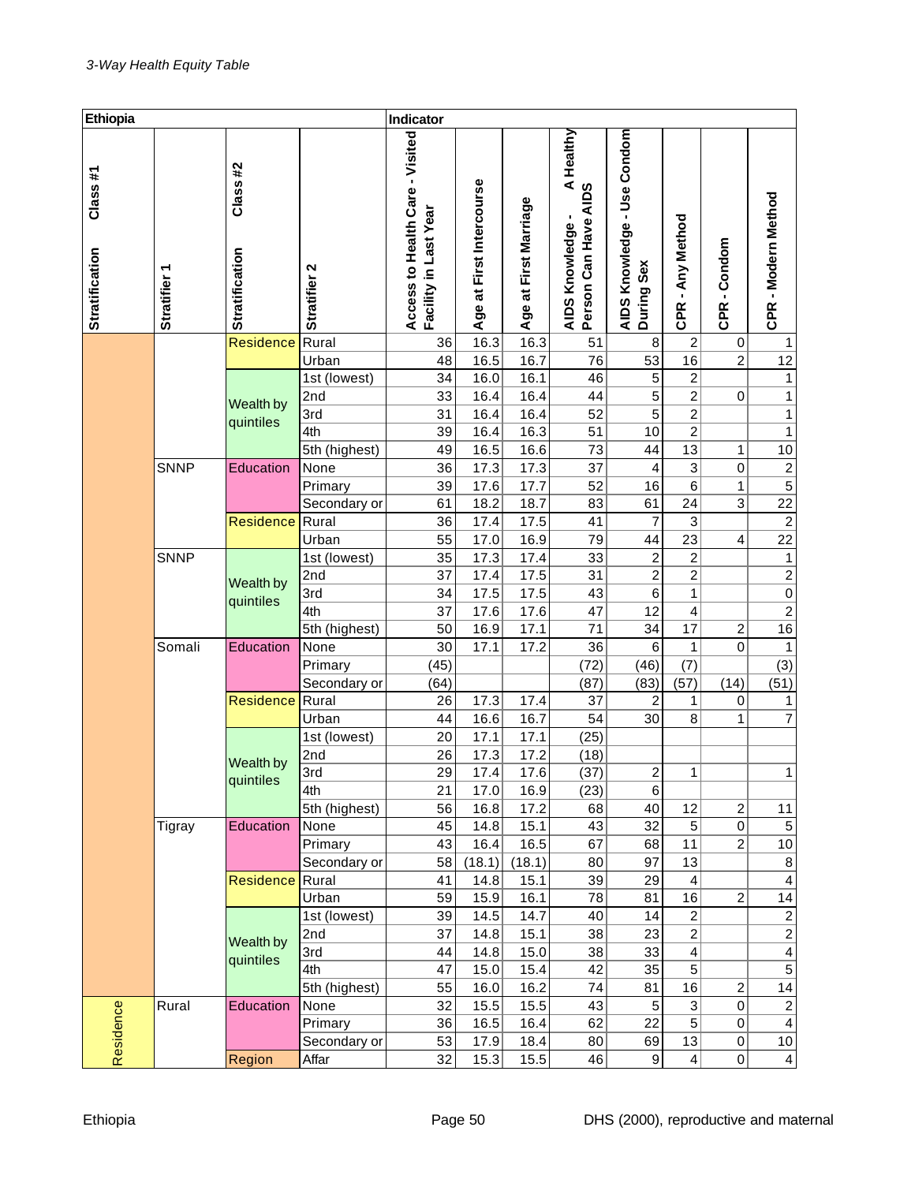| Ethiopia                         |                        |                                   | Indicator           |                                                          |                             |                       |                                                                      |                                           |                                |                       |                                |
|----------------------------------|------------------------|-----------------------------------|---------------------|----------------------------------------------------------|-----------------------------|-----------------------|----------------------------------------------------------------------|-------------------------------------------|--------------------------------|-----------------------|--------------------------------|
| Class#1<br><b>Stratification</b> | ᡪ<br><b>Stratifier</b> | Class #2<br><b>Stratification</b> | Stratifier 2        | Access to Health Care - Visited<br>Facility in Last Year | at First Intercourse<br>Age | Age at First Marriage | Healthy<br>nowledge - A<br>Can Have AIDS<br>AIDS Knowledge<br>Person | AIDS Knowledge - Use Condom<br>During Sex | - Any Method<br><b>CPR</b>     | -Condom<br><b>CPR</b> | CPR - Modern Method            |
|                                  |                        | <b>Residence</b>                  | Rural               | 36                                                       | 16.3                        | 16.3                  | 51                                                                   | 8                                         | $\overline{c}$                 | 0                     | 1                              |
|                                  |                        |                                   | Urban               | 48                                                       | 16.5                        | 16.7                  | 76                                                                   | 53                                        | 16                             | $\overline{c}$        | 12                             |
|                                  |                        |                                   | 1st (lowest)        | 34                                                       | 16.0                        | 16.1                  | 46                                                                   | 5                                         | $\overline{c}$                 |                       | $\mathbf{1}$                   |
|                                  |                        | Wealth by                         | 2nd                 | 33                                                       | 16.4                        | 16.4                  | 44                                                                   | 5                                         | 2                              | 0                     | 1                              |
|                                  |                        | quintiles                         | 3rd                 | 31                                                       | 16.4                        | 16.4                  | 52                                                                   | 5                                         | 2                              |                       | 1                              |
|                                  |                        |                                   | 4th                 | 39                                                       | 16.4                        | 16.3                  | 51                                                                   | 10                                        | $\overline{c}$                 |                       | 1                              |
|                                  |                        |                                   | 5th (highest)       | 49                                                       | 16.5                        | 16.6                  | 73                                                                   | 44                                        | 13                             | 1                     | 10                             |
|                                  | <b>SNNP</b>            | Education                         | None                | 36                                                       | 17.3                        | 17.3                  | 37                                                                   | 4                                         | 3                              | $\,0\,$               | $\frac{2}{5}$                  |
|                                  |                        |                                   | Primary             | 39                                                       | 17.6                        | 17.7                  | 52                                                                   | 16                                        | 6                              | 1                     |                                |
|                                  |                        |                                   | Secondary or        | 61                                                       | 18.2                        | 18.7                  | 83                                                                   | 61                                        | 24                             | 3                     | 22                             |
|                                  |                        | <b>Residence</b>                  | Rural               | 36                                                       | 17.4                        | 17.5                  | 41                                                                   | 7                                         | 3                              |                       | $\sqrt{2}$                     |
|                                  |                        |                                   | Urban               | 55                                                       | 17.0                        | 16.9                  | 79                                                                   | 44                                        | 23                             | $\overline{4}$        | 22                             |
|                                  | <b>SNNP</b>            |                                   | 1st (lowest)        | 35                                                       | 17.3                        | 17.4                  | 33                                                                   | $\boldsymbol{2}$                          | $\overline{c}$                 |                       | $\mathbf{1}$                   |
|                                  |                        | Wealth by                         | 2nd                 | 37                                                       | 17.4                        | 17.5                  | 31                                                                   | 2                                         | 2                              |                       | $\overline{2}$                 |
|                                  |                        | quintiles                         | 3rd                 | 34                                                       | 17.5                        | 17.5                  | 43                                                                   | 6                                         | 1                              |                       | $\pmb{0}$                      |
|                                  |                        |                                   | 4th                 | 37                                                       | 17.6                        | 17.6                  | 47                                                                   | 12                                        | 4                              |                       | $\overline{2}$                 |
|                                  |                        |                                   | 5th (highest)       | 50                                                       | 16.9                        | 17.1                  | 71                                                                   | 34                                        | 17                             | $\boldsymbol{2}$      | 16                             |
|                                  | Somali                 | Education                         | None                | 30                                                       | 17.1                        | 17.2                  | 36                                                                   | 6                                         | 1                              | 0                     | 1                              |
|                                  |                        |                                   | Primary             | (45)                                                     |                             |                       | (72)                                                                 | (46)                                      | (7)                            |                       | (3)                            |
|                                  |                        |                                   | Secondary or        | (64)                                                     |                             |                       | (87)                                                                 | (83)                                      | (57)                           | (14)                  | (51)                           |
|                                  |                        | Residence                         | Rural               | 26                                                       | 17.3                        | 17.4                  | 37                                                                   | $\boldsymbol{2}$                          | 1                              | 0                     | 1                              |
|                                  |                        |                                   | Urban               | 44                                                       | 16.6                        | 16.7                  | 54                                                                   | 30                                        | 8                              | 1                     | 7                              |
|                                  |                        |                                   | 1st (lowest)        | 20                                                       | 17.1                        | 17.1                  | (25)                                                                 |                                           |                                |                       |                                |
|                                  |                        | Wealth by                         | 2nd                 | 26                                                       | 17.3                        | 17.2                  | (18)                                                                 |                                           |                                |                       |                                |
|                                  |                        | quintiles                         | 3rd                 | 29                                                       | 17.4                        | 17.6                  | (37)                                                                 | $\overline{2}$                            | 1                              |                       | $\mathbf{1}$                   |
|                                  |                        |                                   | 4th                 | 21                                                       | 17.0                        | 16.9                  | (23)                                                                 | 6                                         |                                |                       |                                |
|                                  |                        |                                   | 5th (highest)       | 56                                                       | 16.8                        | 17.2                  | 68                                                                   | 40                                        | 12                             | $\overline{c}$        | 11                             |
|                                  | Tigray                 | Education                         | None                | 45                                                       | 14.8                        | 15.1                  | 43                                                                   | 32                                        | 5 <sup>5</sup>                 | 0                     | 5                              |
|                                  |                        |                                   | Primary             | 43                                                       | 16.4                        | 16.5                  | 67                                                                   | 68                                        | 11                             | $\overline{c}$        | $10$                           |
|                                  |                        |                                   | Secondary or        | 58                                                       | (18.1)                      | (18.1)                | 80                                                                   | 97                                        | 13                             |                       | 8                              |
|                                  |                        | Residence                         | Rural<br>Urban      | 41<br>59                                                 | 14.8<br>15.9                | 15.1<br>16.1          | 39<br>78                                                             | 29<br>81                                  | 4<br>16                        | $\overline{c}$        | 4<br>14                        |
|                                  |                        |                                   |                     |                                                          |                             |                       |                                                                      |                                           |                                |                       |                                |
|                                  |                        |                                   | 1st (lowest)<br>2nd | 39<br>37                                                 | 14.5<br>14.8                | 14.7<br>15.1          | 40<br>38                                                             | 14<br>23                                  | $\mathbf{2}$<br>$\overline{c}$ |                       | $\mathbf{2}$<br>$\overline{2}$ |
|                                  |                        | Wealth by                         | 3rd                 | 44                                                       | 14.8                        | 15.0                  | 38                                                                   | 33                                        | 4                              |                       | $\overline{\mathbf{4}}$        |
|                                  |                        | quintiles                         | 4th                 | 47                                                       | 15.0                        | 15.4                  | 42                                                                   | 35                                        | 5                              |                       | $\overline{5}$                 |
|                                  |                        |                                   | 5th (highest)       | 55                                                       | 16.0                        | 16.2                  | 74                                                                   | 81                                        | 16                             | $\overline{c}$        | 14                             |
|                                  | Rural                  | Education                         | None                | 32                                                       | 15.5                        | 15.5                  | 43                                                                   | $\,$ 5 $\,$                               | $\ensuremath{\mathsf{3}}$      | 0                     | $\overline{c}$                 |
|                                  |                        |                                   | Primary             | 36                                                       | 16.5                        | 16.4                  | 62                                                                   | 22                                        | 5                              | 0                     | $\overline{\mathbf{4}}$        |
|                                  |                        |                                   | Secondary or        | 53                                                       | 17.9                        | 18.4                  | 80                                                                   | 69                                        | 13                             | 0                     | 10                             |
| Residence                        |                        | Region                            | Affar               | 32                                                       | 15.3                        | 15.5                  | 46                                                                   | 9                                         | $\vert$                        | 0                     | $\vert 4 \vert$                |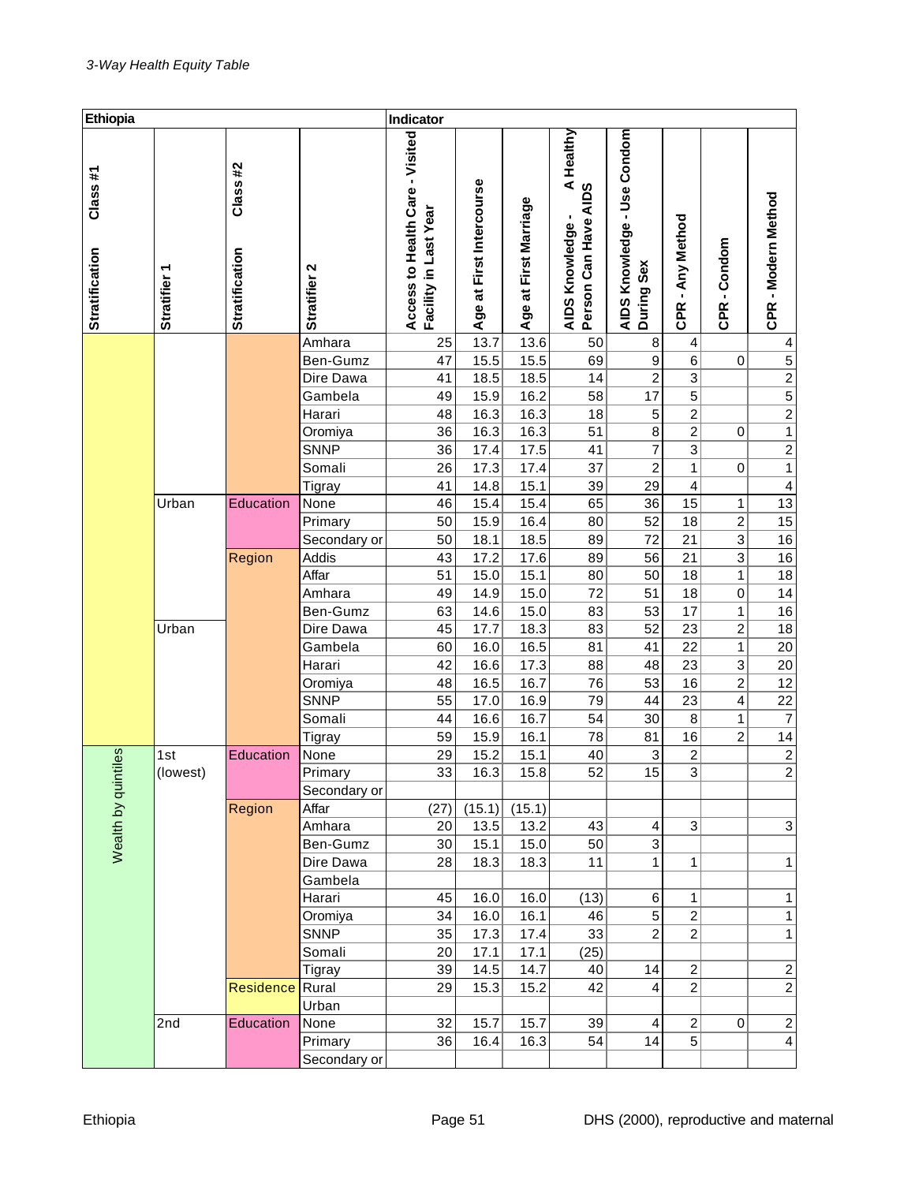| Ethiopia                         |                        |                                   |              | Indicator                                                |                              |                       |                                                       |                                           |                            |                             |                                                         |
|----------------------------------|------------------------|-----------------------------------|--------------|----------------------------------------------------------|------------------------------|-----------------------|-------------------------------------------------------|-------------------------------------------|----------------------------|-----------------------------|---------------------------------------------------------|
| Class#1<br><b>Stratification</b> | ᡪ<br><b>Stratifier</b> | Class #2<br><b>Stratification</b> | Stratifier 2 | Access to Health Care - Visited<br>Facility in Last Year | at First Intercourse<br>Age: | Age at First Marriage | Healthy<br>AIDS Knowledge - A<br>Person Can Have AIDS | AIDS Knowledge - Use Condom<br>During Sex | - Any Method<br><b>CPR</b> | -Condom<br>CPR <sub>.</sub> | CPR - Modern Method                                     |
|                                  |                        |                                   | Amhara       | 25                                                       | 13.7                         | 13.6                  | 50                                                    | 8                                         | 4                          |                             | 4                                                       |
|                                  |                        |                                   | Ben-Gumz     | 47                                                       | 15.5                         | 15.5                  | 69                                                    | 9                                         | 6                          | 0                           |                                                         |
|                                  |                        |                                   | Dire Dawa    | 41                                                       | 18.5                         | 18.5                  | 14                                                    | $\boldsymbol{2}$                          | 3                          |                             |                                                         |
|                                  |                        |                                   | Gambela      | 49                                                       | 15.9                         | 16.2                  | 58                                                    | 17                                        | 5                          |                             |                                                         |
|                                  |                        |                                   | Harari       | 48                                                       | 16.3                         | 16.3                  | 18                                                    | 5                                         | 2                          |                             | $\frac{1}{2}$ $\frac{1}{2}$ $\frac{1}{2}$ $\frac{1}{1}$ |
|                                  |                        |                                   | Oromiya      | 36                                                       | 16.3                         | 16.3                  | 51                                                    | 8                                         | 2                          | 0                           |                                                         |
|                                  |                        |                                   | <b>SNNP</b>  | 36                                                       | 17.4                         | 17.5                  | 41                                                    | 7                                         | 3                          |                             | $\frac{2}{1}$                                           |
|                                  |                        |                                   | Somali       | 26                                                       | 17.3                         | 17.4                  | 37                                                    | $\overline{\mathbf{c}}$                   | 1                          | 0                           |                                                         |
|                                  |                        |                                   | Tigray       | 41                                                       | 14.8                         | 15.1                  | 39                                                    | 29                                        | 4                          |                             | $\overline{\mathbf{4}}$                                 |
|                                  | Urban                  | Education                         | None         | 46                                                       | 15.4                         | 15.4                  | 65                                                    | 36                                        | 15                         | 1                           | 13                                                      |
|                                  |                        |                                   | Primary      | 50                                                       | 15.9                         | 16.4                  | 80                                                    | 52                                        | 18                         | $\overline{\mathbf{c}}$     | 15                                                      |
|                                  |                        |                                   | Secondary or | 50                                                       | 18.1                         | 18.5                  | 89                                                    | 72                                        | 21                         | 3                           | 16                                                      |
|                                  |                        | Region                            | Addis        | 43                                                       | 17.2                         | 17.6                  | 89                                                    | 56                                        | 21                         | 3                           | 16                                                      |
|                                  |                        |                                   | Affar        | 51                                                       | 15.0                         | 15.1                  | 80                                                    | 50                                        | 18                         | 1                           | 18                                                      |
|                                  |                        |                                   | Amhara       | 49                                                       | 14.9                         | 15.0                  | 72                                                    | 51                                        | 18                         | $\,0\,$                     | 14                                                      |
|                                  |                        |                                   | Ben-Gumz     | 63                                                       | 14.6                         | 15.0                  | 83                                                    | 53                                        | 17                         | 1                           | 16                                                      |
|                                  | Urban                  |                                   | Dire Dawa    | 45                                                       | 17.7                         | 18.3                  | 83                                                    | 52                                        | 23                         | $\overline{c}$              | 18                                                      |
|                                  |                        |                                   | Gambela      | 60                                                       | 16.0                         | 16.5                  | 81                                                    | 41                                        | 22                         | 1                           | 20                                                      |
|                                  |                        |                                   | Harari       | 42                                                       | 16.6                         | 17.3                  | 88                                                    | 48                                        | 23                         | 3                           | 20                                                      |
|                                  |                        |                                   | Oromiya      | 48                                                       | 16.5                         | 16.7                  | 76                                                    | 53                                        | 16                         | $\overline{\mathbf{c}}$     | 12                                                      |
|                                  |                        |                                   | <b>SNNP</b>  | 55                                                       | 17.0                         | 16.9                  | 79                                                    | 44                                        | 23                         | 4                           | 22                                                      |
|                                  |                        |                                   | Somali       | 44                                                       | 16.6                         | 16.7                  | 54                                                    | 30                                        | 8                          | 1                           | $\boldsymbol{7}$                                        |
|                                  |                        |                                   | Tigray       | 59                                                       | 15.9                         | 16.1                  | 78                                                    | 81                                        | 16                         | $\overline{c}$              | 14                                                      |
|                                  | 1st                    | Education                         | None         | 29                                                       | 15.2                         | 15.1                  | 40                                                    | 3                                         | $\overline{c}$             |                             | $\frac{2}{2}$                                           |
| Wealth by quintiles              | (lowest)               |                                   | Primary      | 33                                                       | 16.3                         | 15.8                  | 52                                                    | 15                                        | 3                          |                             |                                                         |
|                                  |                        |                                   | Secondary or |                                                          |                              |                       |                                                       |                                           |                            |                             |                                                         |
|                                  |                        | Region                            | Affar        | (27)                                                     | (15.1)                       | (15.1)                |                                                       |                                           |                            |                             |                                                         |
|                                  |                        |                                   | Amhara       | 20                                                       | 13.5                         | 13.2                  | 43                                                    | 4                                         | $\ensuremath{\mathsf{3}}$  |                             | $\ensuremath{\mathsf{3}}$                               |
|                                  |                        |                                   | Ben-Gumz     | 30                                                       | 15.1                         | 15.0                  | 50                                                    | 3                                         |                            |                             |                                                         |
|                                  |                        |                                   | Dire Dawa    | 28                                                       | 18.3                         | 18.3                  | 11                                                    | 1                                         | 1                          |                             | $\mathbf{1}$                                            |
|                                  |                        |                                   | Gambela      |                                                          |                              |                       |                                                       |                                           |                            |                             |                                                         |
|                                  |                        |                                   | Harari       | 45                                                       | 16.0                         | 16.0                  | (13)                                                  | 6                                         | $\mathbf{1}$               |                             | 1                                                       |
|                                  |                        |                                   | Oromiya      | 34                                                       | 16.0                         | 16.1                  | 46                                                    | 5                                         | $\mathbf{2}$               |                             | 1                                                       |
|                                  |                        |                                   | <b>SNNP</b>  | 35                                                       | 17.3                         | 17.4                  | 33                                                    | $\overline{c}$                            | $\overline{2}$             |                             | $\mathbf{1}$                                            |
|                                  |                        |                                   | Somali       | 20                                                       | 17.1                         | 17.1                  | (25)                                                  |                                           |                            |                             |                                                         |
|                                  |                        |                                   | Tigray       | 39                                                       | 14.5                         | 14.7                  | 40                                                    | 14                                        | $\overline{c}$             |                             | $\boldsymbol{2}$                                        |
|                                  |                        | Residence                         | Rural        | 29                                                       | 15.3                         | 15.2                  | 42                                                    | 4                                         | $\mathbf{2}$               |                             | $\sqrt{2}$                                              |
|                                  |                        |                                   | Urban        |                                                          |                              |                       |                                                       |                                           |                            |                             |                                                         |
|                                  | 2nd                    | Education                         | None         | 32                                                       | 15.7                         | 15.7                  | 39                                                    | 4                                         | $\overline{c}$             | 0                           | $\mathbf{2}$                                            |
|                                  |                        |                                   | Primary      | 36                                                       | 16.4                         | 16.3                  | 54                                                    | 14                                        | 5 <sup>1</sup>             |                             | $\overline{4}$                                          |
|                                  |                        |                                   | Secondary or |                                                          |                              |                       |                                                       |                                           |                            |                             |                                                         |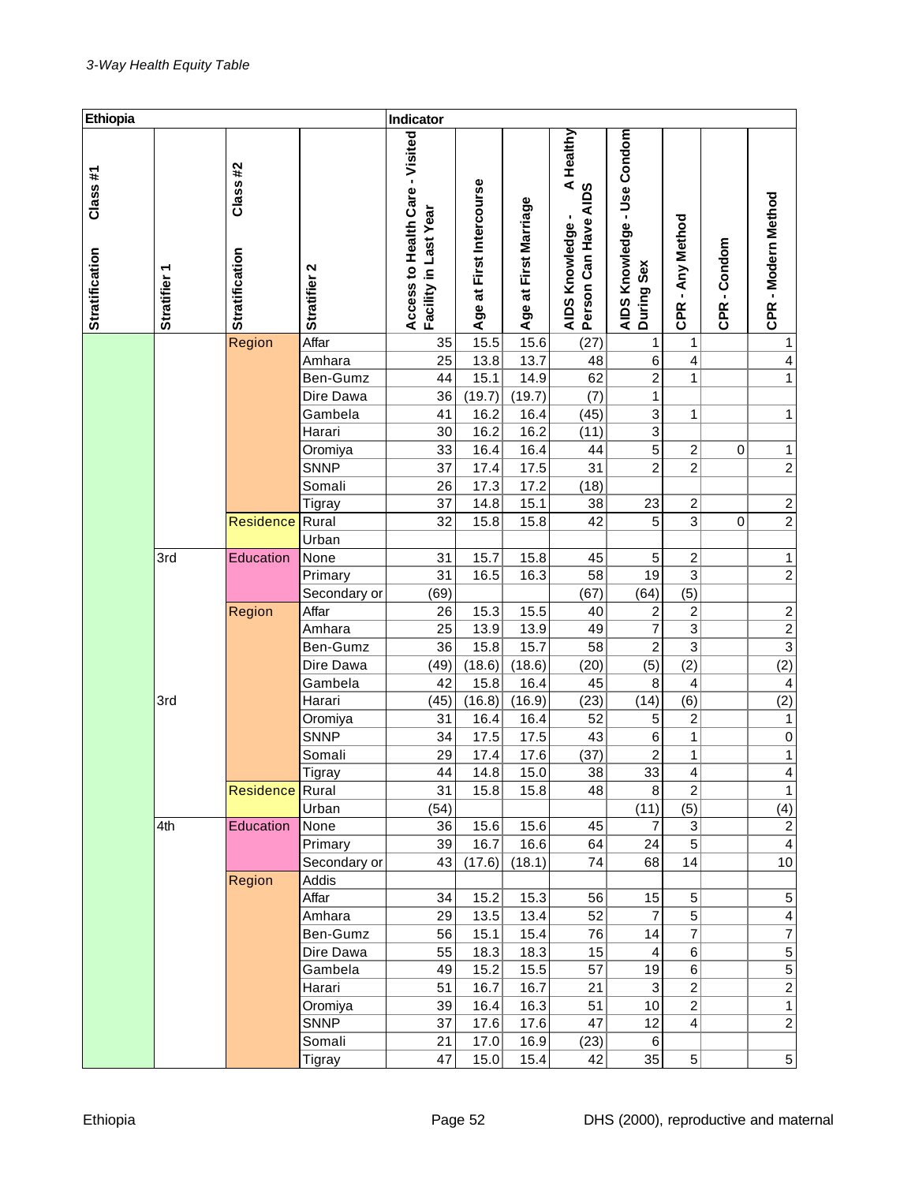| CPR - Modern Method              |
|----------------------------------|
|                                  |
|                                  |
| 1                                |
| 4                                |
| $\mathbf{1}$                     |
|                                  |
| 1                                |
|                                  |
| $\mathbf{1}$                     |
| $\overline{2}$                   |
|                                  |
| $\boldsymbol{2}$                 |
| $\boldsymbol{2}$                 |
|                                  |
| $\mathbf{1}$                     |
| $\overline{2}$                   |
|                                  |
| $\frac{2}{2}$                    |
|                                  |
|                                  |
| (2)                              |
| $\overline{\mathcal{A}}$         |
| (2)                              |
| $\mathbf{1}$                     |
| $\pmb{0}$                        |
| $\mathbf{1}$                     |
| $\overline{4}$                   |
| $\mathbf{1}$                     |
| (4)                              |
| $\sqrt{2}$                       |
| $\overline{\mathbf{4}}$          |
| 10                               |
|                                  |
| $\,$ 5 $\,$                      |
| $\overline{4}$<br>$\overline{7}$ |
|                                  |
| $\frac{5}{5}$ $\frac{5}{2}$      |
|                                  |
| $\mathbf{1}$                     |
| $\overline{2}$                   |
|                                  |
| 5 <sup>1</sup>                   |
|                                  |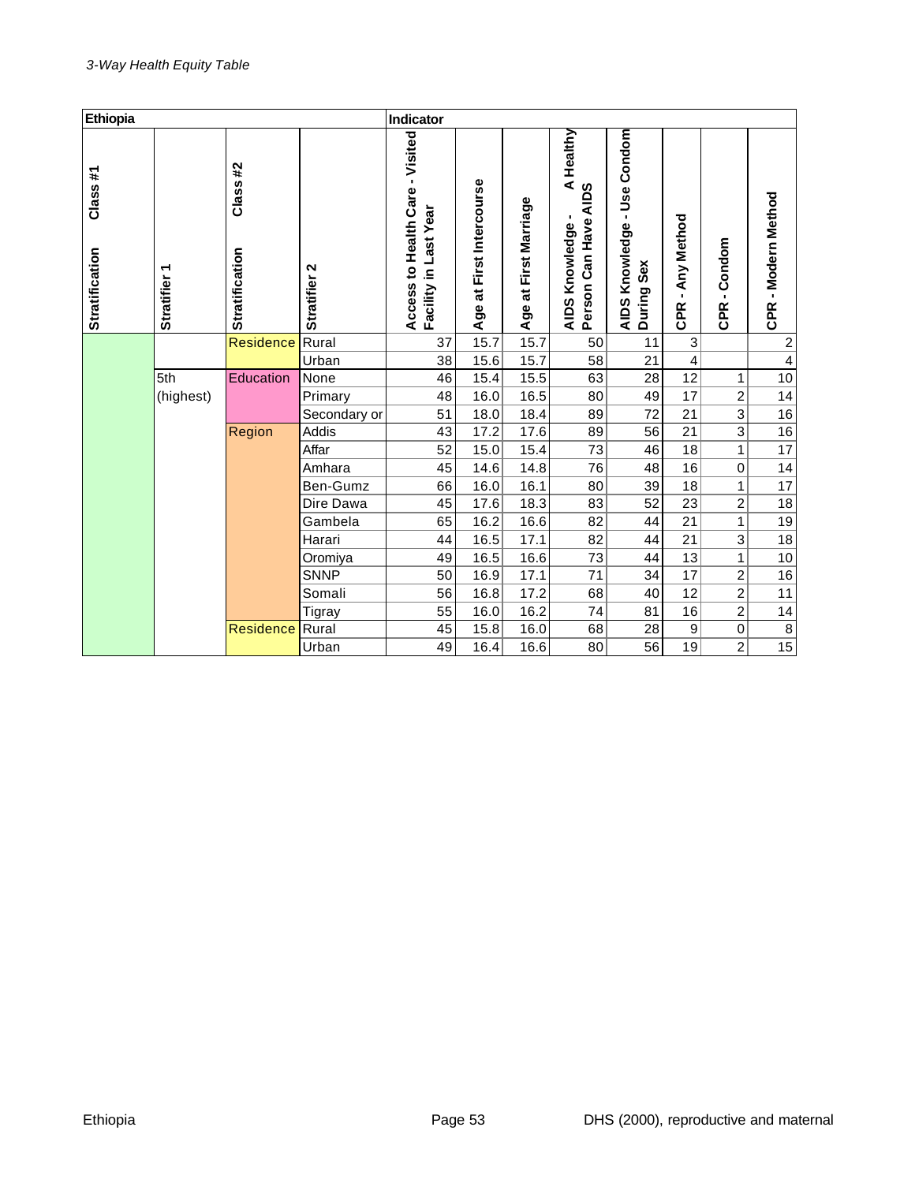| Ethiopia                          |                        |                                   |               | Indicator                                                |                             |                       |                                                                  |                                              |                                            |                                        |                         |
|-----------------------------------|------------------------|-----------------------------------|---------------|----------------------------------------------------------|-----------------------------|-----------------------|------------------------------------------------------------------|----------------------------------------------|--------------------------------------------|----------------------------------------|-------------------------|
| Class #1<br><b>Stratification</b> | ᡪ<br><b>Stratifier</b> | Class #2<br><b>Stratification</b> | Stratifier 2  | Access to Health Care - Visited<br>Facility in Last Year | at First Intercourse<br>Age | Age at First Marriage | Healthy<br>$rac{4}{100}$<br>Can Have<br>AIDS Knowledge<br>Person | - Use Condom<br>AIDS Knowledge<br>During Sex | Any Method<br>$\blacksquare$<br><b>CPR</b> | Condom<br>$\blacksquare$<br><b>CPR</b> | CPR - Modern Method     |
|                                   |                        | Residence                         | Rural         | 37                                                       | 15.7                        | 15.7                  | 50                                                               | 11                                           | 3                                          |                                        | $\overline{\mathbf{c}}$ |
|                                   |                        |                                   | Urban         | 38                                                       | 15.6                        | 15.7                  | 58                                                               | 21                                           | 4                                          |                                        | $\overline{\mathbf{4}}$ |
|                                   | 5th                    | Education                         | None          | 46                                                       | 15.4                        | 15.5                  | 63                                                               | 28                                           | 12                                         | 1                                      | 10                      |
|                                   | (highest)              |                                   | Primary       | 48                                                       | 16.0                        | 16.5                  | 80                                                               | 49                                           | 17                                         | 2                                      | 14                      |
|                                   |                        |                                   | Secondary or  | 51                                                       | 18.0                        | 18.4                  | 89                                                               | 72                                           | 21                                         | 3                                      | 16                      |
|                                   |                        | Region                            | Addis         | 43                                                       | 17.2                        | 17.6                  | 89                                                               | 56                                           | 21                                         | 3                                      | 16                      |
|                                   |                        |                                   | Affar         | 52                                                       | 15.0                        | 15.4                  | 73                                                               | 46                                           | 18                                         | 1                                      | 17                      |
|                                   |                        |                                   | Amhara        | 45                                                       | 14.6                        | 14.8                  | 76                                                               | 48                                           | 16                                         | $\mathbf 0$                            | 14                      |
|                                   |                        |                                   | Ben-Gumz      | 66                                                       | 16.0                        | 16.1                  | 80                                                               | 39                                           | 18                                         | 1                                      | 17                      |
|                                   |                        |                                   | Dire Dawa     | 45                                                       | 17.6                        | 18.3                  | 83                                                               | 52                                           | 23                                         | $\overline{c}$                         | 18                      |
|                                   |                        |                                   | Gambela       | 65                                                       | 16.2                        | 16.6                  | 82                                                               | 44                                           | 21                                         | $\mathbf{1}$                           | 19                      |
|                                   |                        |                                   | Harari        | 44                                                       | 16.5                        | 17.1                  | 82                                                               | 44                                           | 21                                         | 3                                      | 18                      |
|                                   |                        |                                   | Oromiya       | 49                                                       | 16.5                        | 16.6                  | 73                                                               | 44                                           | 13                                         | 1                                      | 10                      |
|                                   |                        |                                   | <b>SNNP</b>   | 50                                                       | 16.9                        | 17.1                  | 71                                                               | 34                                           | 17                                         | $\overline{c}$                         | 16                      |
|                                   |                        |                                   | Somali        | 56                                                       | 16.8                        | 17.2                  | 68                                                               | 40                                           | 12                                         | $\overline{2}$                         | 11                      |
|                                   |                        |                                   | <b>Tigray</b> | 55                                                       | 16.0                        | 16.2                  | 74                                                               | 81                                           | 16                                         | $\overline{c}$                         | 14                      |
|                                   |                        | <b>Residence</b>                  | Rural         | 45                                                       | 15.8                        | 16.0                  | 68                                                               | 28                                           | 9                                          | 0                                      | $\,8\,$                 |
|                                   |                        |                                   | Urban         | 49                                                       | 16.4                        | 16.6                  | 80                                                               | 56                                           | 19                                         | $\overline{c}$                         | $\overline{15}$         |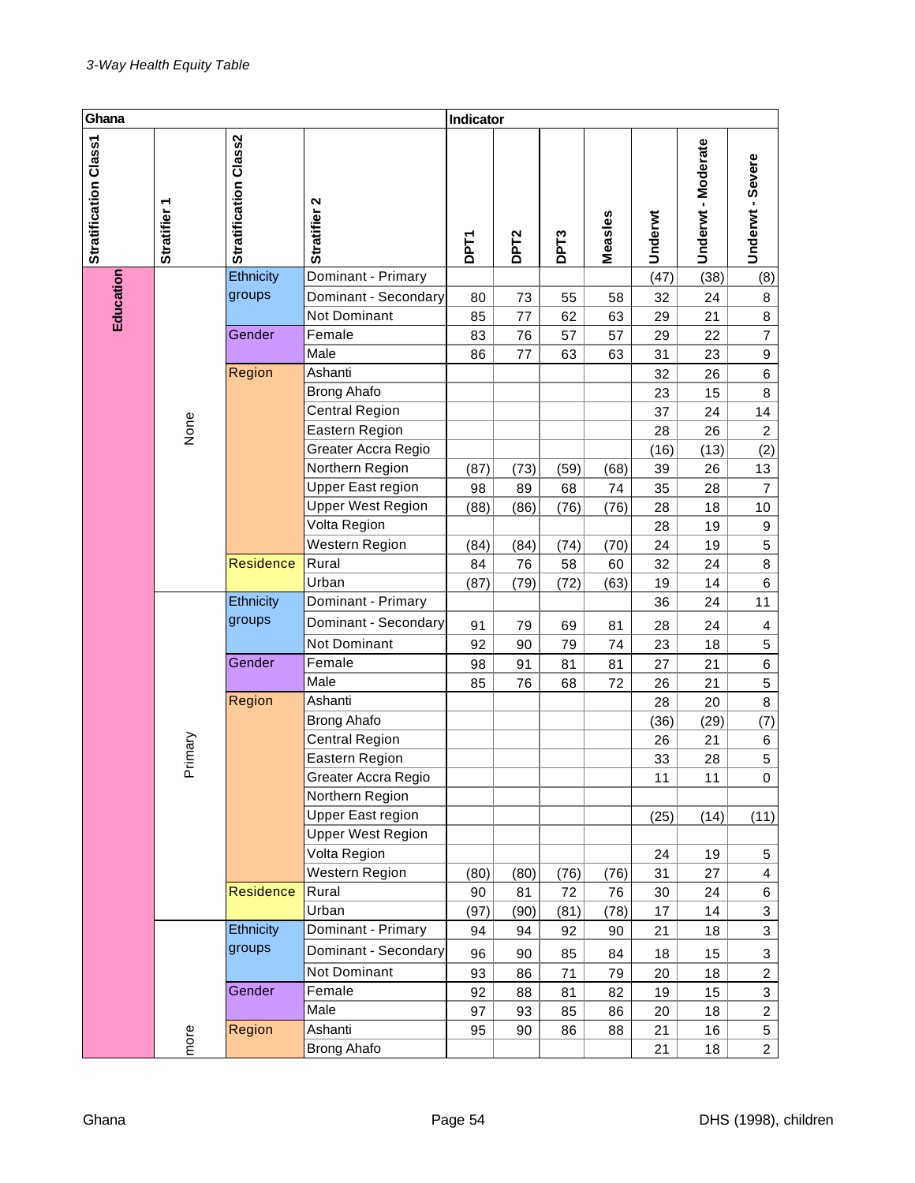| Ghana<br>Indicator    |                        |                       |                                         |             |                  |                  |          |          |                    |                                               |
|-----------------------|------------------------|-----------------------|-----------------------------------------|-------------|------------------|------------------|----------|----------|--------------------|-----------------------------------------------|
| Stratification Class1 | ٣<br><b>Stratifier</b> | Stratification Class2 | Stratifier 2                            | <b>DPT1</b> | DPT <sub>2</sub> | DPT <sub>3</sub> | Measles  | Underwt  | Underwt - Moderate | Underwt - Severe                              |
|                       |                        | Ethnicity             | Dominant - Primary                      |             |                  |                  |          | (47)     | (38)               | (8)                                           |
|                       |                        | groups                | Dominant - Secondary                    | 80          | 73               | 55               | 58       | 32       | 24                 | 8                                             |
| Education             |                        |                       | <b>Not Dominant</b>                     | 85          | 77               | 62               | 63       | 29       | 21                 | $\,8\,$                                       |
|                       |                        | Gender                | Female                                  | 83          | 76               | 57               | 57       | 29       | 22                 | $\overline{7}$                                |
|                       |                        |                       | Male                                    | 86          | 77               | 63               | 63       | 31       | 23                 | $\boldsymbol{9}$                              |
|                       |                        | Region                | Ashanti                                 |             |                  |                  |          | 32       | 26                 | $\,6\,$                                       |
|                       |                        |                       | <b>Brong Ahafo</b>                      |             |                  |                  |          | 23       | 15                 | $\bf 8$                                       |
|                       |                        |                       | <b>Central Region</b>                   |             |                  |                  |          | 37       | 24                 | 14                                            |
|                       | None                   |                       | Eastern Region                          |             |                  |                  |          | 28       | 26                 | $\sqrt{2}$                                    |
|                       |                        |                       | Greater Accra Regio                     |             |                  |                  |          | (16)     | (13)               | (2)                                           |
|                       |                        |                       | Northern Region                         | (87)        | (73)             | (59)             | (68)     | 39       | 26                 | 13                                            |
|                       |                        |                       | Upper East region                       | 98          | 89               | 68               | 74       | 35       | 28                 | $\overline{7}$                                |
|                       |                        |                       | <b>Upper West Region</b>                | (88)        | (86)             | (76)             | (76)     | 28       | 18                 | 10                                            |
|                       |                        |                       | Volta Region                            |             |                  |                  |          | 28       | 19                 | $\boldsymbol{9}$                              |
|                       |                        | Residence             | Western Region<br>Rural                 | (84)        | (84)             | (74)             | (70)     | 24       | 19                 | $\mathbf 5$                                   |
|                       |                        |                       | Urban                                   | 84          | 76               | 58               | 60       | 32       | 24                 | $\bf 8$                                       |
|                       |                        | Ethnicity             | Dominant - Primary                      | (87)        | (79)             | (72)             | (63)     | 19       | 14                 | 6<br>11                                       |
|                       |                        | groups                |                                         |             |                  |                  |          | 36       | 24                 |                                               |
|                       |                        |                       | Dominant - Secondary                    | 91          | 79               | 69               | 81       | 28       | 24                 | 4                                             |
|                       |                        |                       | Not Dominant                            | 92          | 90               | 79               | 74       | 23       | 18                 | $\mathbf 5$                                   |
|                       |                        | Gender                | Female                                  | 98          | 91               | 81               | 81       | 27       | 21                 | $\,6$                                         |
|                       |                        |                       | Male                                    | 85          | 76               | 68               | 72       | 26       | 21                 | $\mathbf 5$                                   |
|                       |                        | Region                | Ashanti                                 |             |                  |                  |          | 28       | 20                 | $\bf 8$                                       |
|                       |                        |                       | <b>Brong Ahafo</b>                      |             |                  |                  |          | (36)     | (29)               | (7)                                           |
|                       |                        |                       | <b>Central Region</b><br>Eastern Region |             |                  |                  |          | 26       | 21                 | 6                                             |
|                       | Primary                |                       | Greater Accra Regio                     |             |                  |                  |          | 33<br>11 | 28                 | $\mathbf 5$<br>$\mathsf{O}\xspace$            |
|                       |                        |                       | Northern Region                         |             |                  |                  |          |          | 11                 |                                               |
|                       |                        |                       | Upper East region                       |             |                  |                  |          |          |                    |                                               |
|                       |                        |                       | <b>Upper West Region</b>                |             |                  |                  |          | (25)     | (14)               | (11)                                          |
|                       |                        |                       | Volta Region                            |             |                  |                  |          | 24       | 19                 | 5                                             |
|                       |                        |                       | Western Region                          | (80)        | (80)             | (76)             | (76)     | 31       | 27                 | 4                                             |
|                       |                        | Residence             | Rural                                   | 90          | 81               | 72               | 76       | 30       | 24                 | 6                                             |
|                       |                        |                       | Urban                                   | (97)        | (90)             | (81)             | (78)     | 17       | 14                 | 3                                             |
|                       |                        | Ethnicity             | Dominant - Primary                      | 94          | 94               | 92               | 90       | 21       | 18                 | $\ensuremath{\mathsf{3}}$                     |
|                       |                        | groups                | Dominant - Secondary                    |             |                  |                  |          |          |                    |                                               |
|                       |                        |                       | Not Dominant                            | 96          | 90               | 85               | 84       | 18       | 15                 | 3                                             |
|                       |                        | Gender                | Female                                  | 93          | 86               | 71               | 79       | 20       | 18                 | $\boldsymbol{2}$<br>$\ensuremath{\mathsf{3}}$ |
|                       |                        |                       | Male                                    | 92<br>97    | 88<br>93         | 81<br>85         | 82<br>86 | 19<br>20 | 15<br>18           | $\overline{c}$                                |
|                       |                        | Region                | Ashanti                                 | 95          | 90               | 86               | 88       | 21       | 16                 | 5                                             |
|                       | more                   |                       | <b>Brong Ahafo</b>                      |             |                  |                  |          | 21       | 18                 | $\overline{2}$                                |
|                       |                        |                       |                                         |             |                  |                  |          |          |                    |                                               |
| Ghana                 |                        |                       |                                         | Page 54     |                  |                  |          |          |                    | DHS (1998),                                   |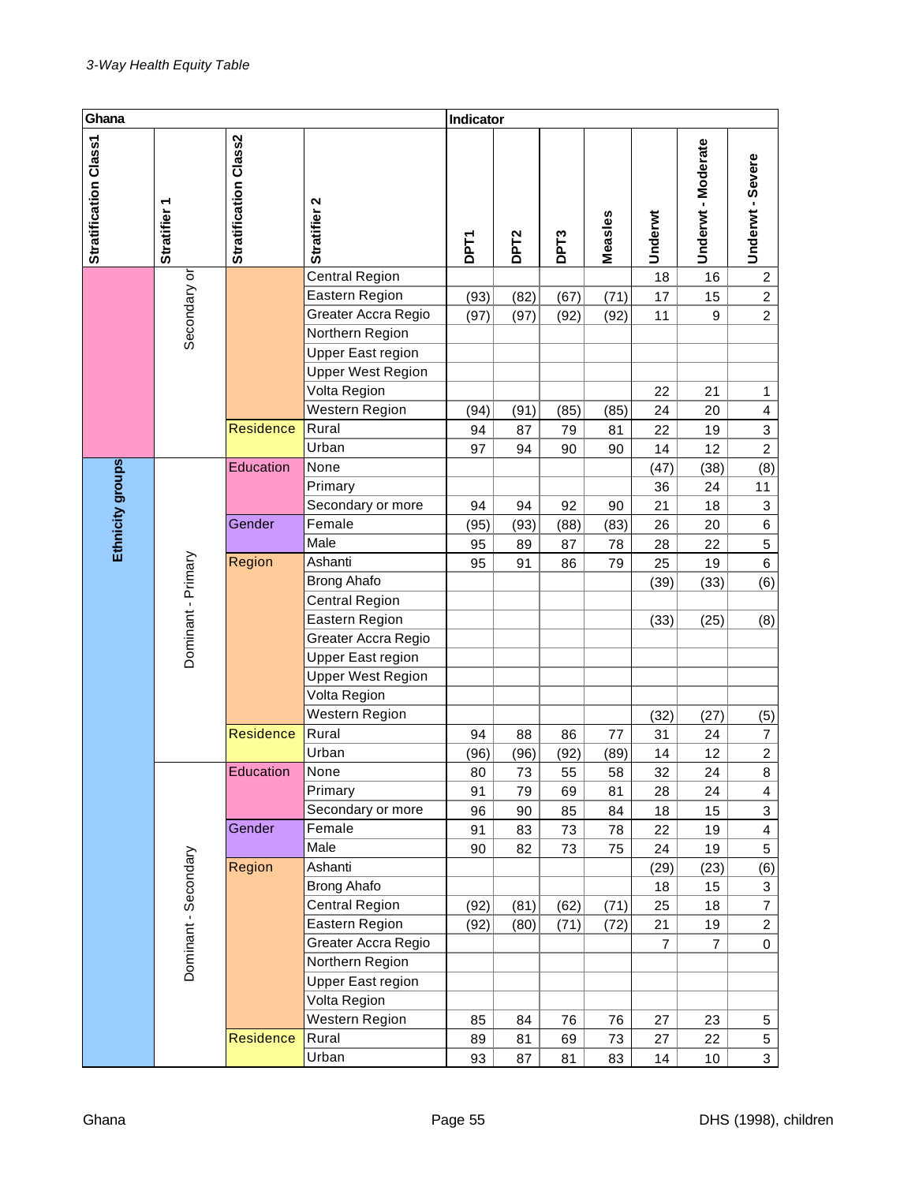| Ghana                 |                                                  |                       |                                             | Indicator  |                  |                   |                |                |                    |                           |
|-----------------------|--------------------------------------------------|-----------------------|---------------------------------------------|------------|------------------|-------------------|----------------|----------------|--------------------|---------------------------|
| Stratification Class1 | ᡪ<br><b>Stratifier</b>                           | Stratification Class2 | Stratifier 2                                | <b>PFT</b> | DPT <sub>2</sub> | DP <sub>T</sub> 3 | Measles        | Underwt        | Underwt - Moderate | Underwt - Severe          |
|                       |                                                  |                       | <b>Central Region</b>                       |            |                  |                   |                | 18             | 16                 | $\overline{c}$            |
|                       |                                                  |                       | Eastern Region                              | (93)       | (82)             | (67)              | (71)           | 17             | 15                 | $\overline{c}$            |
|                       |                                                  |                       | Greater Accra Regio                         | (97)       | (97)             | (92)              | (92)           | 11             | 9                  | $\overline{c}$            |
|                       | Secondary or                                     |                       | Northern Region                             |            |                  |                   |                |                |                    |                           |
|                       |                                                  |                       | Upper East region                           |            |                  |                   |                |                |                    |                           |
|                       |                                                  |                       | <b>Upper West Region</b>                    |            |                  |                   |                |                |                    |                           |
|                       |                                                  |                       | Volta Region                                |            |                  |                   |                | 22             | 21                 | 1                         |
|                       |                                                  |                       | Western Region                              | (94)       | (91)             | (85)              | (85)           | 24             | 20                 | 4                         |
|                       |                                                  | Residence             | Rural                                       | 94         | 87               | 79                | 81             | 22             | 19                 | $\mathsf 3$               |
|                       |                                                  |                       | Urban                                       | 97         | 94               | 90                | 90             | 14             | 12                 | $\boldsymbol{2}$          |
|                       |                                                  | Education             | None                                        |            |                  |                   |                | (47)           | (38)               | (8)                       |
|                       |                                                  |                       | Primary                                     |            |                  |                   |                | 36             | 24                 | 11                        |
|                       |                                                  |                       | Secondary or more                           | 94         | 94               | 92                | 90             | 21             | 18                 | $\ensuremath{\mathsf{3}}$ |
|                       | Ethnicity groups<br>Dominant - Primary<br>Region | Gender                | Female<br>Male                              | (95)       | (93)             | (88)              | (83)           | 26             | 20                 | $\,6$                     |
|                       |                                                  |                       | Ashanti                                     | 95         | 89               | 87                | 78             | 28             | 22                 | 5                         |
|                       |                                                  |                       |                                             | 95         | 91               | 86                | 79             | 25             | 19                 | $\,6$                     |
|                       |                                                  |                       | <b>Brong Ahafo</b><br><b>Central Region</b> |            |                  |                   |                | (39)           | (33)               | (6)                       |
|                       |                                                  |                       | Eastern Region                              |            |                  |                   |                |                | (25)               |                           |
|                       |                                                  |                       | Greater Accra Regio                         |            |                  |                   |                | (33)           |                    | (8)                       |
|                       |                                                  |                       | <b>Upper East region</b>                    |            |                  |                   |                |                |                    |                           |
|                       |                                                  |                       | Upper West Region                           |            |                  |                   |                |                |                    |                           |
|                       |                                                  |                       | Volta Region                                |            |                  |                   |                |                |                    |                           |
|                       |                                                  |                       | Western Region                              |            |                  |                   |                | (32)           | (27)               | (5)                       |
|                       |                                                  | <b>Residence</b>      | Rural                                       | 94         | 88               | 86                | 77             | 31             | 24                 | $\overline{7}$            |
|                       |                                                  |                       | Urban                                       | (96)       | (96)             | (92)              | (89)           | 14             | 12                 | $\overline{2}$            |
|                       |                                                  | Education             | None                                        | 80         | 73               | 55                | 58             | 32             | 24                 | 8                         |
|                       |                                                  |                       | Primary                                     | 91         | 79               | 69                | 81             | 28             | 24                 | 4                         |
|                       |                                                  |                       | Secondary or more                           | 96         | 90               | 85                | 84             | 18             | 15                 | 3                         |
|                       |                                                  | Gender                | Female                                      | 91         | 83               | 73                | 78             | 22             | 19                 | $\overline{\mathbf{4}}$   |
|                       |                                                  |                       | Male                                        | 90         | 82               | 73                | 75             | 24             | 19                 | $\sqrt{5}$                |
|                       |                                                  | Region                | Ashanti                                     |            |                  |                   |                | (29)           | (23)               | (6)                       |
|                       |                                                  |                       | <b>Brong Ahafo</b>                          |            |                  |                   |                | 18             | 15                 | $\ensuremath{\mathsf{3}}$ |
|                       |                                                  |                       | Central Region                              | (92)       | (81)             | (62)              | (71)           | 25             | 18                 | $\boldsymbol{7}$          |
|                       | Dominant - Secondary                             | Eastern Region        | (92)                                        | (80)       | (71)             | (72)              | 21             | 19             | $\overline{c}$     |                           |
|                       |                                                  | Greater Accra Regio   |                                             |            |                  |                   | $\overline{7}$ | $\overline{7}$ | 0                  |                           |
|                       |                                                  |                       | Northern Region                             |            |                  |                   |                |                |                    |                           |
|                       |                                                  |                       | Upper East region                           |            |                  |                   |                |                |                    |                           |
|                       |                                                  |                       | Volta Region                                |            |                  |                   |                |                |                    |                           |
|                       |                                                  |                       | Western Region                              | 85         | 84               | 76                | 76             | 27             | 23                 | $\sqrt{5}$                |
|                       |                                                  | <b>Residence</b>      | Rural                                       | 89         | 81               | 69                | 73             | 27             | 22                 | 5                         |
|                       |                                                  |                       | Urban                                       | 93         | 87               | 81                | 83             | 14             | $10$               | $\mathbf{3}$              |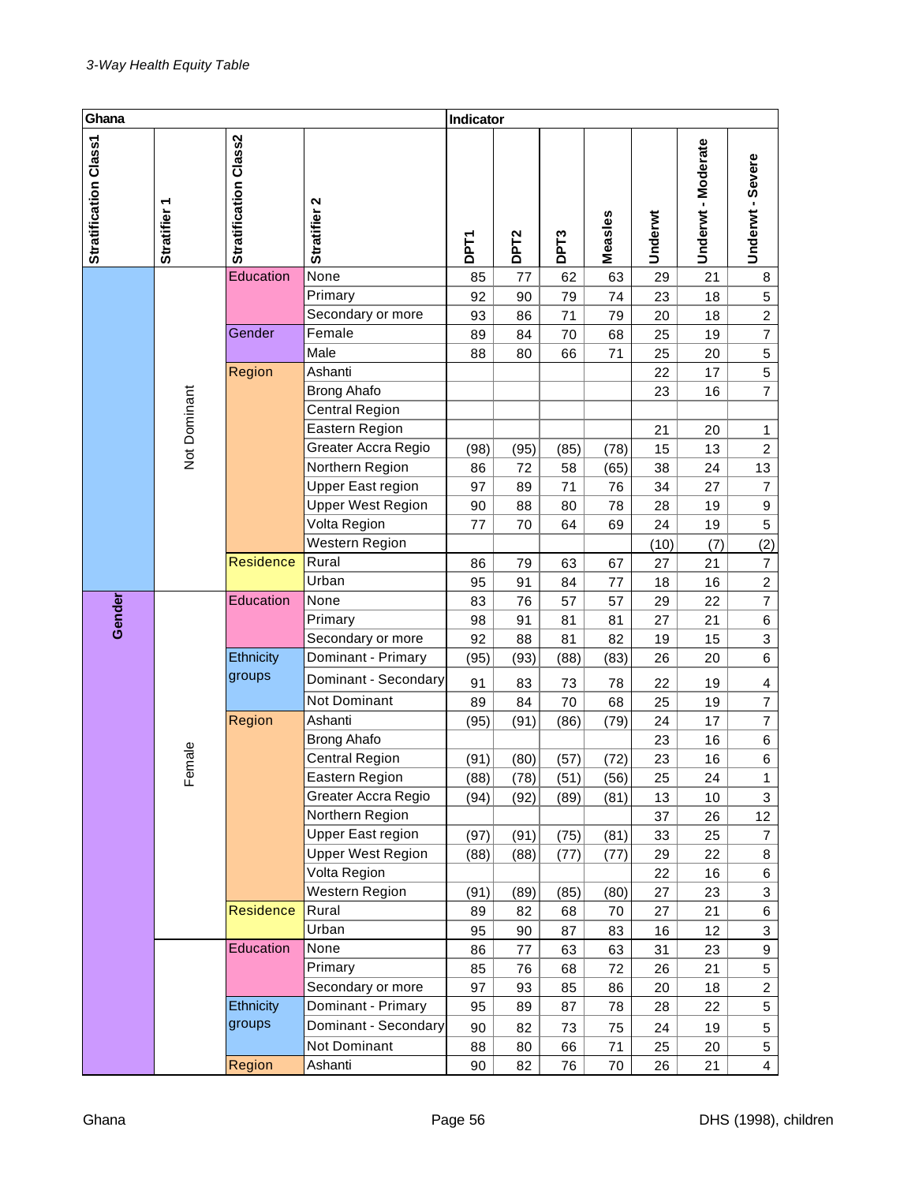| Ghana                 |                   |                       |                          | Indicator   |                  |                  |         |         |                    |                         |
|-----------------------|-------------------|-----------------------|--------------------------|-------------|------------------|------------------|---------|---------|--------------------|-------------------------|
| Stratification Class1 | <b>Stratifier</b> | Stratification Class2 | Stratifier 2             | <b>DPT1</b> | DPT <sub>2</sub> | DPT <sub>3</sub> | Measles | Underwt | Underwt - Moderate | Underwt - Severe        |
|                       |                   | Education             | None                     | 85          | 77               | 62               | 63      | 29      | 21                 | 8                       |
|                       |                   |                       | Primary                  | 92          | 90               | 79               | 74      | 23      | 18                 | 5                       |
|                       |                   |                       | Secondary or more        | 93          | 86               | 71               | 79      | 20      | 18                 | $\overline{c}$          |
|                       |                   | Gender                | Female                   | 89          | 84               | 70               | 68      | 25      | 19                 | $\overline{7}$          |
|                       |                   |                       | Male                     | 88          | 80               | 66               | 71      | 25      | 20                 | $\mathbf 5$             |
|                       |                   | Region                | Ashanti                  |             |                  |                  |         | 22      | 17                 | $\mathbf 5$             |
|                       |                   |                       | <b>Brong Ahafo</b>       |             |                  |                  |         | 23      | 16                 | $\overline{7}$          |
|                       |                   |                       | <b>Central Region</b>    |             |                  |                  |         |         |                    |                         |
|                       | Not Dominant      |                       | Eastern Region           |             |                  |                  |         | 21      | 20                 | 1                       |
|                       |                   |                       | Greater Accra Regio      | (98)        | (95)             | (85)             | (78)    | 15      | 13                 | $\overline{c}$          |
|                       |                   |                       | Northern Region          | 86          | 72               | 58               | (65)    | 38      | 24                 | 13                      |
|                       |                   |                       | <b>Upper East region</b> | 97          | 89               | 71               | 76      | 34      | 27                 | $\overline{7}$          |
|                       |                   |                       | <b>Upper West Region</b> | 90          | 88               | 80               | 78      | 28      | 19                 | 9                       |
|                       |                   |                       | Volta Region             | 77          | 70               | 64               | 69      | 24      | 19                 | 5                       |
|                       |                   |                       | Western Region           |             |                  |                  |         | (10)    | (7)                | (2)                     |
|                       |                   | Residence             | Rural                    | 86          | 79               | 63               | 67      | 27      | 21                 | $\overline{7}$          |
|                       |                   |                       | Urban                    | 95          | 91               | 84               | 77      | 18      | 16                 | $\overline{c}$          |
| Gender                |                   | Education             | None                     | 83          | 76               | 57               | 57      | 29      | 22                 | $\overline{7}$          |
|                       |                   |                       | Primary                  | 98          | 91               | 81               | 81      | 27      | 21                 | 6                       |
|                       |                   |                       | Secondary or more        | 92          | 88               | 81               | 82      | 19      | 15                 | 3                       |
|                       |                   | Ethnicity             | Dominant - Primary       | (95)        | (93)             | (88)             | (83)    | 26      | 20                 | 6                       |
|                       |                   | groups                | Dominant - Secondary     | 91          | 83               | 73               | 78      | 22      | 19                 | $\overline{\mathbf{4}}$ |
|                       |                   |                       | Not Dominant             | 89          | 84               | 70               | 68      | 25      | 19                 | $\overline{\mathbf{7}}$ |
|                       |                   | Region                | Ashanti                  | (95)        | (91)             | (86)             | (79)    | 24      | 17                 | $\overline{7}$          |
|                       |                   |                       | <b>Brong Ahafo</b>       |             |                  |                  |         | 23      | 16                 | 6                       |
|                       | Female            |                       | <b>Central Region</b>    | (91)        | (80)             | (57)             | (72)    | 23      | 16                 | 6                       |
|                       |                   |                       | Eastern Region           | (88)        | (78)             | (51)             | (56)    | 25      | 24                 | $\mathbf{1}$            |
|                       |                   |                       | Greater Accra Regio      | (94)        | (92)             | (89)             | (81)    | 13      | 10                 | 3                       |
|                       |                   |                       | Northern Region          |             |                  |                  |         | 37      | 26                 | 12                      |
|                       |                   |                       | Upper East region        | (97)        | (91)             | (75)             | (81)    | 33      | 25                 | $\overline{7}$          |
|                       |                   |                       | <b>Upper West Region</b> | (88)        | (88)             | (77)             | (77)    | 29      | 22                 | 8                       |
|                       |                   |                       | Volta Region             |             |                  |                  |         | 22      | 16                 | 6                       |
|                       |                   |                       | Western Region           | (91)        | (89)             | (85)             | (80)    | 27      | 23                 | 3                       |
|                       |                   | <b>Residence</b>      | Rural                    | 89          | 82               | 68               | 70      | 27      | 21                 | 6                       |
|                       |                   |                       | Urban                    | 95          | 90               | 87               | 83      | 16      | 12                 | 3                       |
|                       |                   | Education             | None                     | 86          | 77               | 63               | 63      | 31      | 23                 | 9                       |
|                       |                   |                       | Primary                  | 85          | 76               | 68               | 72      | 26      | 21                 | 5                       |
|                       |                   |                       | Secondary or more        | 97          | 93               | 85               | 86      | 20      | 18                 | $\overline{c}$          |
|                       |                   | Ethnicity             | Dominant - Primary       | 95          | 89               | 87               | 78      | 28      | 22                 | 5                       |
|                       |                   | groups                | Dominant - Secondary     | 90          | 82               | 73               | 75      | 24      | 19                 | 5                       |
|                       |                   |                       | Not Dominant             | 88          | 80               | 66               | 71      | 25      | 20                 | 5                       |
|                       |                   | Region                | Ashanti                  | 90          | 82               | 76               | 70      | 26      | 21                 | $\overline{4}$          |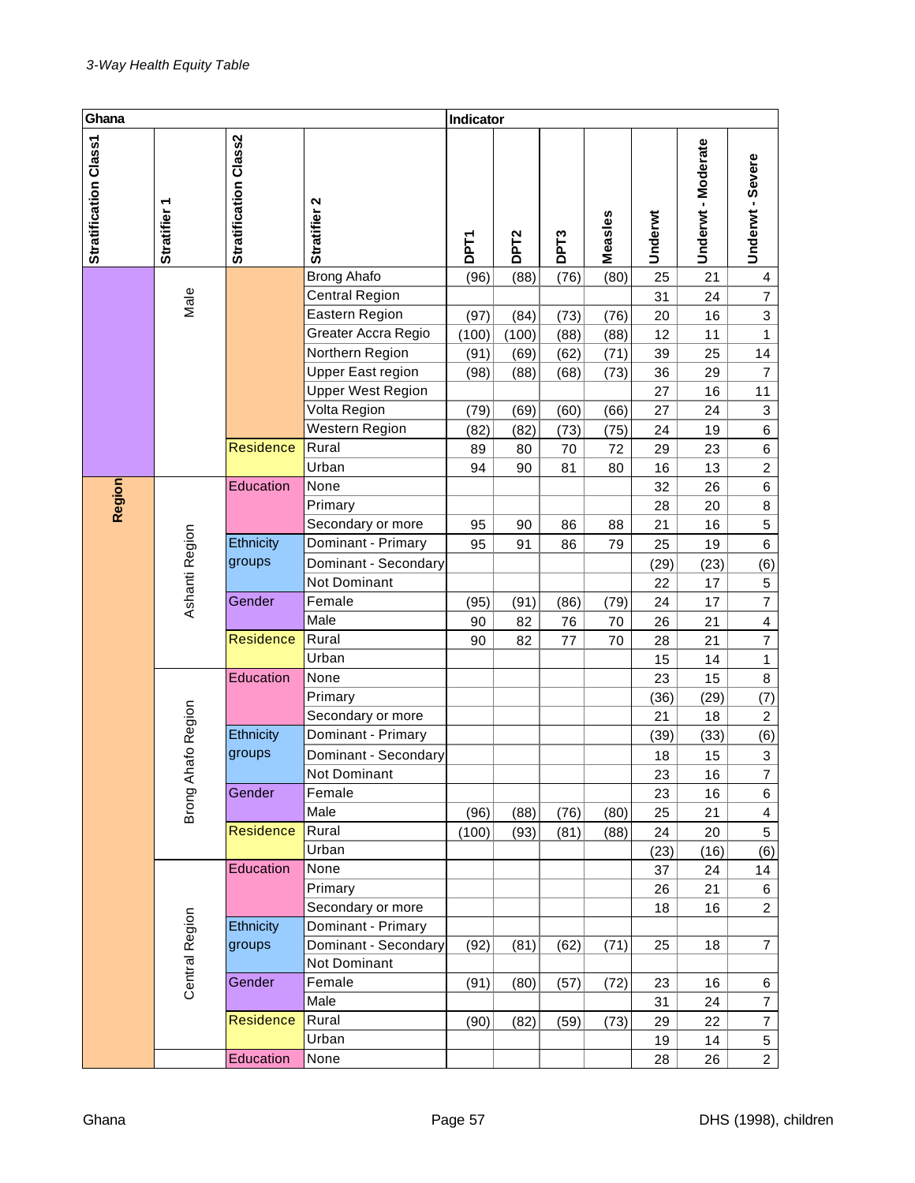| Ghana                 |                        |                       |                        | Indicator   |                  |                  |          |          |                  |                                           |
|-----------------------|------------------------|-----------------------|------------------------|-------------|------------------|------------------|----------|----------|------------------|-------------------------------------------|
| Stratification Class1 | ٣<br><b>Stratifier</b> | Stratification Class2 | Stratifier 2           | <b>DPT1</b> | DPT <sub>2</sub> | DPT <sub>3</sub> | Measles  | Underwt  | Underwt-Moderate | Underwt - Severe                          |
|                       |                        |                       | Brong Ahafo            | (96)        | (88)             | (76)             | (80)     | 25       | 21               | 4                                         |
|                       | Male                   |                       | <b>Central Region</b>  |             |                  |                  |          | 31       | 24               | $\overline{\mathcal{I}}$                  |
|                       |                        |                       | Eastern Region         | (97)        | (84)             | (73)             | (76)     | 20       | 16               | $\mathbf{3}$                              |
|                       |                        |                       | Greater Accra Regio    | (100)       | (100)            | (88)             | (88)     | 12       | 11               | 1                                         |
|                       |                        |                       | Northern Region        | (91)        | (69)             | (62)             | (71)     | 39       | 25               | 14                                        |
|                       |                        |                       | Upper East region      | (98)        | (88)             | (68)             | (73)     | 36       | 29               | $\overline{7}$                            |
|                       |                        |                       | Upper West Region      |             |                  |                  |          | 27       | 16               | 11                                        |
|                       |                        |                       | Volta Region           | (79)        | (69)             | (60)             | (66)     | 27       | 24               | 3                                         |
|                       |                        |                       | Western Region         | (82)        | (82)             | (73)             | (75)     | 24       | 19               | 6                                         |
|                       |                        | <b>Residence</b>      | Rural                  | 89          | 80               | 70               | 72       | 29       | 23               | 6                                         |
|                       |                        |                       | Urban                  | 94          | 90               | 81               | 80       | 16       | 13               | $\overline{a}$                            |
| Region                |                        | Education             | None                   |             |                  |                  |          | 32       | 26               | 6                                         |
|                       |                        |                       | Primary                |             |                  |                  |          | 28       | 20               | 8                                         |
|                       |                        |                       | Secondary or more      | 95          | 90               | 86               | 88       | 21       | 16               | 5                                         |
|                       |                        | Ethnicity             | Dominant - Primary     | 95          | 91               | 86               | 79       | 25       | 19               | $\,6$                                     |
|                       | Ashanti Region         | groups                | Dominant - Secondary   |             |                  |                  |          | (29)     | (23)             | (6)                                       |
|                       |                        | Gender                | Not Dominant<br>Female |             |                  |                  |          | 22       | 17               | $\,$ 5 $\,$<br>$\overline{7}$             |
|                       |                        |                       | Male                   | (95)        | (91)             | (86)             | (79)     | 24       | 17<br>21         |                                           |
|                       |                        | Residence             | Rural                  | 90<br>90    | 82<br>82         | 76<br>77         | 70<br>70 | 26<br>28 | 21               | $\overline{\mathbf{4}}$<br>$\overline{7}$ |
|                       |                        |                       | Urban                  |             |                  |                  |          | 15       | 14               | 1                                         |
|                       |                        | Education             | None                   |             |                  |                  |          | 23       | 15               | 8                                         |
|                       |                        |                       | Primary                |             |                  |                  |          | (36)     | (29)             | (7)                                       |
|                       |                        |                       | Secondary or more      |             |                  |                  |          | 21       | 18               | $\overline{c}$                            |
|                       |                        | Ethnicity             | Dominant - Primary     |             |                  |                  |          | (39)     | (33)             | (6)                                       |
|                       | hafo Region            | groups                | Dominant - Secondary   |             |                  |                  |          | 18       | 15               | $\mathbf{3}$                              |
|                       |                        |                       | Not Dominant           |             |                  |                  |          | 23       | $16\,$           | $\overline{7}$                            |
|                       |                        | Gender                | Female                 |             |                  |                  |          | 23       | 16               | 6                                         |
|                       | Brong Al               |                       | Male                   | (96)        | (88)             | (76)             | (80)     | 25       | 21               | 4                                         |
|                       |                        | <b>Residence</b>      | Rural                  | (100)       | (93)             | (81)             | (88)     | 24       | 20               | 5                                         |
|                       |                        |                       | Urban                  |             |                  |                  |          | (23)     | (16)             | (6)                                       |
|                       |                        | Education             | None                   |             |                  |                  |          | 37       | 24               | 14                                        |
|                       |                        |                       | Primary                |             |                  |                  |          | 26       | 21               | 6                                         |
|                       |                        |                       | Secondary or more      |             |                  |                  |          | 18       | 16               | $\overline{2}$                            |
|                       |                        | Ethnicity             | Dominant - Primary     |             |                  |                  |          |          |                  |                                           |
|                       | <b>Central Region</b>  | groups                | Dominant - Secondary   | (92)        | (81)             | (62)             | (71)     | 25       | 18               | $\overline{7}$                            |
|                       |                        |                       | Not Dominant           |             |                  |                  |          |          |                  |                                           |
|                       |                        | Gender                | Female                 | (91)        | (80)             | (57)             | (72)     | 23       | 16               | 6                                         |
|                       |                        |                       | Male                   |             |                  |                  |          | 31       | 24               | $\overline{\mathbf{7}}$                   |
|                       |                        | <b>Residence</b>      | Rural                  | (90)        | (82)             | (59)             | (73)     | 29       | 22               | $\overline{\mathbf{7}}$                   |
|                       |                        |                       | Urban                  |             |                  |                  |          | 19       | 14               | 5                                         |
|                       |                        | Education             | None                   |             |                  |                  |          | 28       | 26               | $\overline{2}$                            |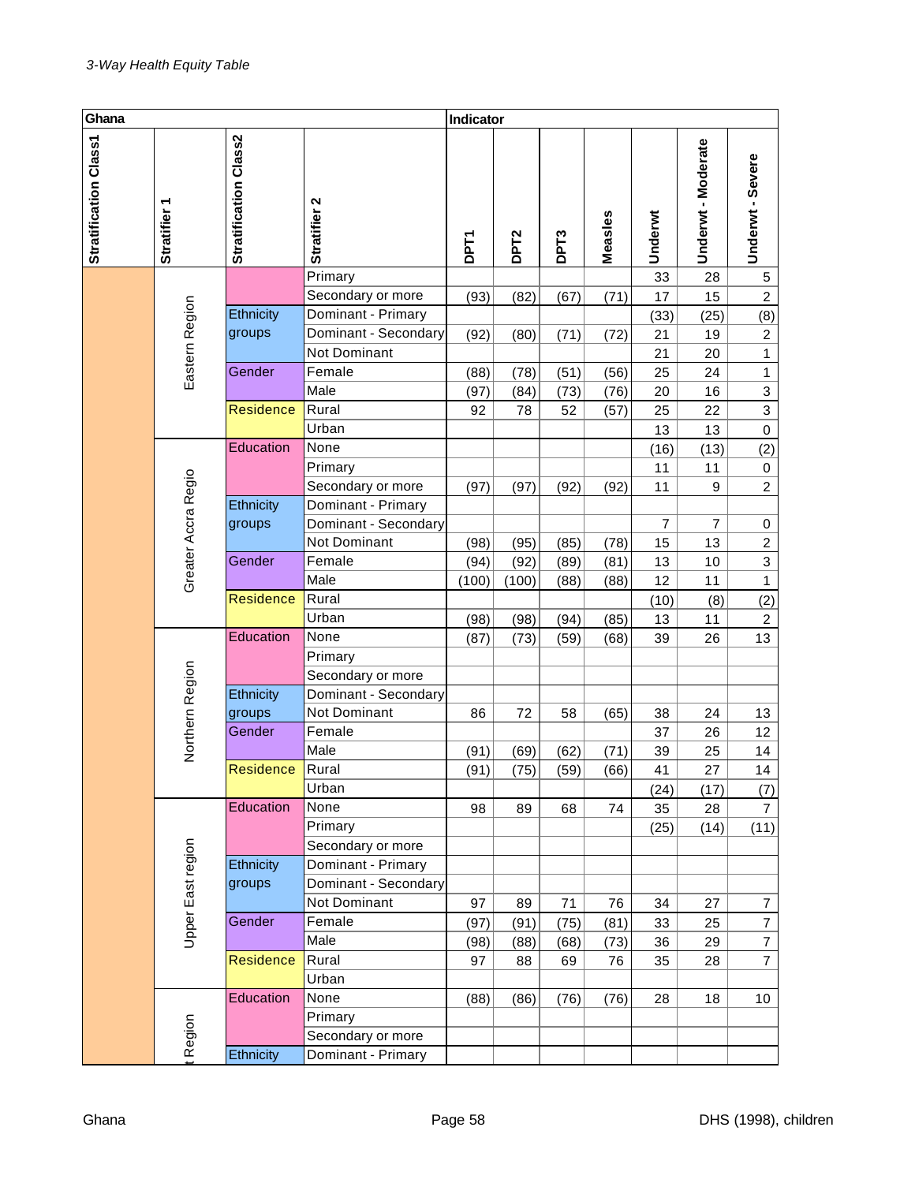| Ghana                 |                        |                       |                                      | Indicator   |                  |                   |              |                |                    |                                  |
|-----------------------|------------------------|-----------------------|--------------------------------------|-------------|------------------|-------------------|--------------|----------------|--------------------|----------------------------------|
| Stratification Class1 | ٣<br><b>Stratifier</b> | Stratification Class2 | Stratifier 2                         | <b>DPT1</b> | DPT <sub>2</sub> | DP <sub>T</sub> 3 | Measles      | Underwt        | Underwt - Moderate | Underwt - Severe                 |
|                       |                        |                       | Primary                              |             |                  |                   |              | 33             | 28                 | $\,$ 5 $\,$                      |
|                       |                        |                       | Secondary or more                    | (93)        | (82)             | (67)              | (71)         | 17             | 15                 | $\boldsymbol{2}$                 |
|                       | Eastern Region         | Ethnicity             | Dominant - Primary                   |             |                  |                   |              | (33)           | (25)               | (8)                              |
|                       |                        | groups                | Dominant - Secondary                 | (92)        | (80)             | (71)              | (72)         | 21             | 19                 | $\overline{c}$                   |
|                       |                        |                       | Not Dominant                         |             |                  |                   |              | 21             | 20                 | $\mathbf{1}$                     |
|                       |                        | Gender                | Female                               | (88)        | (78)             | (51)              | (56)         | 25             | 24                 | $\mathbf{1}$                     |
|                       |                        |                       | Male                                 | (97)        | (84)             | (73)              | (76)         | 20             | 16                 | $\ensuremath{\mathsf{3}}$        |
|                       |                        | <b>Residence</b>      | Rural                                | 92          | 78               | 52                | (57)         | 25             | 22                 | $\mathsf 3$                      |
|                       |                        |                       | Urban                                |             |                  |                   |              | 13             | 13                 | $\mathbf 0$                      |
|                       |                        | Education             | None                                 |             |                  |                   |              | (16)           | (13)               | (2)                              |
|                       |                        |                       | Primary                              |             |                  |                   |              | 11             | 11                 | $\pmb{0}$                        |
|                       | Greater Accra Regio    |                       | Secondary or more                    | (97)        | (97)             | (92)              | (92)         | 11             | 9                  | $\overline{c}$                   |
|                       |                        | Ethnicity             | Dominant - Primary                   |             |                  |                   |              |                |                    |                                  |
|                       |                        | groups                | Dominant - Secondary                 |             |                  |                   |              | $\overline{7}$ | $\overline{7}$     | $\pmb{0}$                        |
|                       |                        |                       | Not Dominant                         | (98)        | (95)             | (85)              | (78)         | 15             | 13                 | $\overline{c}$                   |
|                       |                        | Gender                | Female                               | (94)        | (92)             | (89)              | (81)         | 13             | 10                 | $\mathsf 3$                      |
|                       |                        |                       | Male                                 | (100)       | (100)            | (88)              | (88)         | 12             | 11                 | $\mathbf{1}$                     |
|                       |                        | <b>Residence</b>      | Rural                                |             |                  |                   |              | (10)           | (8)                | (2)                              |
|                       |                        |                       | Urban                                | (98)        | (98)             | (94)              | (85)         | 13             | 11                 | $\overline{c}$                   |
|                       |                        | Education             | None                                 | (87)        | (73)             | (59)              | (68)         | 39             | 26                 | 13                               |
|                       |                        |                       | Primary                              |             |                  |                   |              |                |                    |                                  |
|                       |                        |                       | Secondary or more                    |             |                  |                   |              |                |                    |                                  |
|                       | Northern Region        | Ethnicity             | Dominant - Secondary<br>Not Dominant |             |                  |                   |              |                |                    |                                  |
|                       |                        | groups<br>Gender      | Female                               | 86          | 72               | 58                | (65)         | 38             | 24                 | 13                               |
|                       |                        |                       | Male                                 |             |                  |                   |              | 37             | 26                 | 12                               |
|                       |                        | Residence             | Rural                                | (91)        | (69)             | (62)              | (71)         | 39             | 25                 | 14<br>14                         |
|                       |                        |                       | Urban                                | (91)        | (75)             | (59)              | (66)         | 41             | 27                 |                                  |
|                       |                        | Education             | None                                 |             |                  |                   |              | (24)           | (17)               | (7)                              |
|                       |                        |                       | Primary                              | 98          | 89               | 68                | 74           | 35             | 28                 | $\overline{7}$                   |
|                       |                        |                       | Secondary or more                    |             |                  |                   |              | (25)           | (14)               | (11)                             |
|                       |                        | Ethnicity             | Dominant - Primary                   |             |                  |                   |              |                |                    |                                  |
|                       | Upper East region      | groups                | Dominant - Secondary                 |             |                  |                   |              |                |                    |                                  |
|                       |                        |                       | Not Dominant                         | 97          | 89               | 71                | 76           | 34             | 27                 |                                  |
|                       |                        | Gender                | Female                               |             |                  |                   |              | 33             | 25                 | $\overline{7}$<br>$\overline{7}$ |
|                       |                        |                       | Male                                 | (97)        | (91)             | (75)              | (81)<br>(73) |                | 29                 | $\boldsymbol{7}$                 |
|                       |                        | <b>Residence</b>      | Rural                                | (98)<br>97  | (88)<br>88       | (68)<br>69        | 76           | 36<br>35       | 28                 | $\overline{7}$                   |
|                       |                        |                       | Urban                                |             |                  |                   |              |                |                    |                                  |
|                       |                        | Education             | None                                 | (88)        | (86)             | (76)              | (76)         | 28             | 18                 | 10                               |
|                       |                        |                       | Primary                              |             |                  |                   |              |                |                    |                                  |
|                       |                        |                       | Secondary or more                    |             |                  |                   |              |                |                    |                                  |
|                       | Region                 | Ethnicity             | Dominant - Primary                   |             |                  |                   |              |                |                    |                                  |
|                       |                        |                       |                                      |             |                  |                   |              |                |                    |                                  |
| Ghana                 |                        |                       |                                      | Page 58     |                  |                   |              |                |                    | DHS (1998),                      |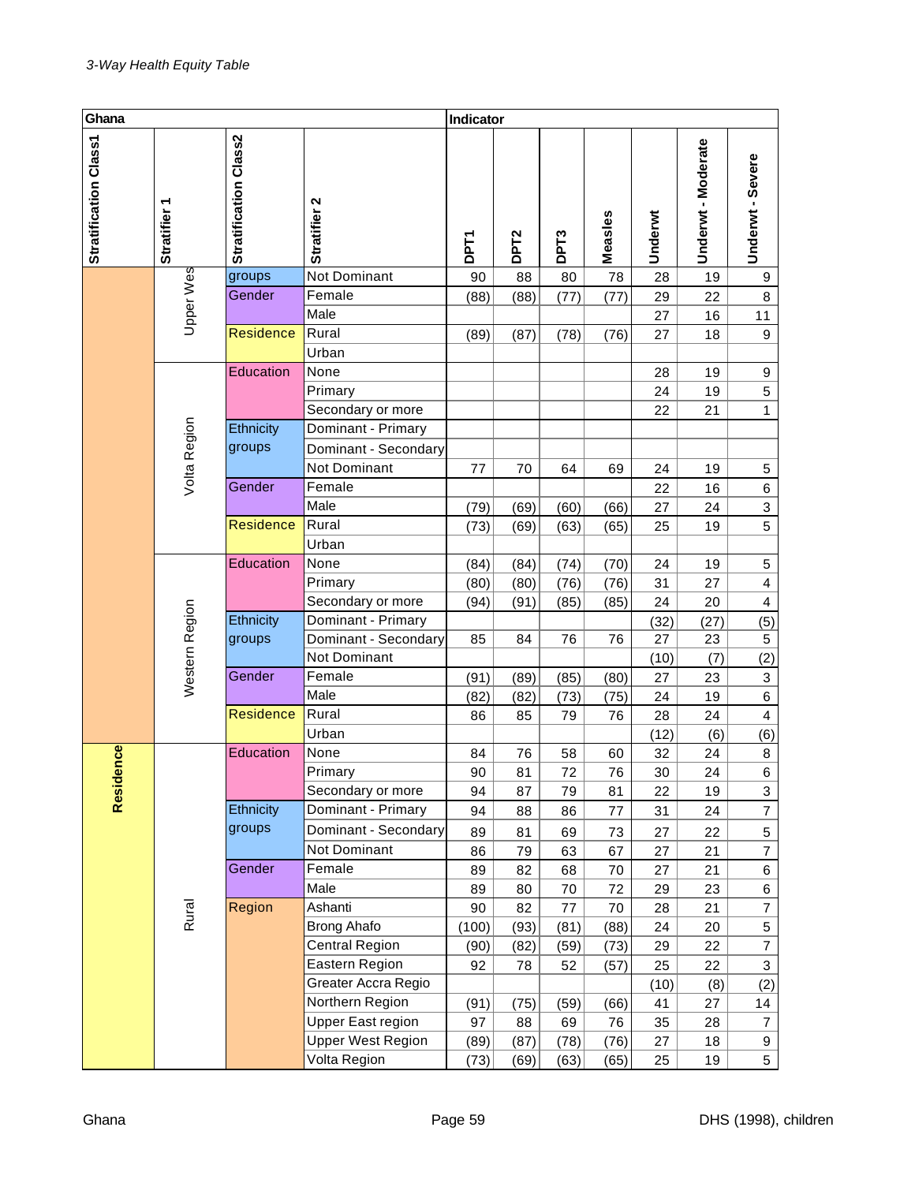| Ghana                 |                |                       |                          | Indicator   |                  |                  |         |         |                    |                           |
|-----------------------|----------------|-----------------------|--------------------------|-------------|------------------|------------------|---------|---------|--------------------|---------------------------|
| Stratification Class1 | Stratifier 1   | Stratification Class2 | Stratifier 2             | <b>DPT1</b> | DPT <sub>2</sub> | DPT <sub>3</sub> | Measles | Underwt | Underwt - Moderate | Underwt - Severe          |
|                       |                | groups                | <b>Not Dominant</b>      | 90          | 88               | 80               | 78      | 28      | 19                 | 9                         |
|                       |                | Gender                | Female                   | (88)        | (88)             | (77)             | (77)    | 29      | 22                 | 8                         |
|                       | Upper Wes      |                       | Male                     |             |                  |                  |         | 27      | 16                 | 11                        |
|                       |                | <b>Residence</b>      | Rural                    | (89)        | (87)             | (78)             | (76)    | 27      | 18                 | $\boldsymbol{9}$          |
|                       |                |                       | Urban                    |             |                  |                  |         |         |                    |                           |
|                       |                | Education             | None                     |             |                  |                  |         | 28      | 19                 | 9                         |
|                       |                |                       | Primary                  |             |                  |                  |         | 24      | 19                 | $\mathbf 5$               |
|                       |                |                       | Secondary or more        |             |                  |                  |         | 22      | 21                 | 1                         |
|                       | Volta Region   | Ethnicity             | Dominant - Primary       |             |                  |                  |         |         |                    |                           |
|                       |                | groups                | Dominant - Secondary     |             |                  |                  |         |         |                    |                           |
|                       |                |                       | Not Dominant             | 77          | 70               | 64               | 69      | 24      | 19                 | $\,$ 5 $\,$               |
|                       |                | Gender                | Female                   |             |                  |                  |         | 22      | 16                 | $\,6\,$                   |
|                       |                |                       | Male                     | (79)        | (69)             | (60)             | (66)    | 27      | 24                 | 3                         |
|                       |                | <b>Residence</b>      | Rural                    | (73)        | (69)             | (63)             | (65)    | 25      | 19                 | 5                         |
|                       |                |                       | Urban                    |             |                  |                  |         |         |                    |                           |
|                       |                | Education             | None                     | (84)        | (84)             | (74)             | (70)    | 24      | 19                 | $\mathbf 5$               |
|                       |                |                       | Primary                  | (80)        | (80)             | (76)             | (76)    | 31      | 27                 | $\overline{\mathbf{4}}$   |
|                       |                |                       | Secondary or more        | (94)        | (91)             | (85)             | (85)    | 24      | 20                 | $\overline{\mathbf{4}}$   |
|                       |                | Ethnicity             | Dominant - Primary       |             |                  |                  |         | (32)    | (27)               | (5)                       |
|                       |                | groups                | Dominant - Secondary     | 85          | 84               | 76               | 76      | 27      | 23                 | $\mathbf 5$               |
|                       |                |                       | Not Dominant             |             |                  |                  |         | (10)    | (7)                | (2)                       |
|                       | Western Region | Gender                | Female                   | (91)        | (89)             | (85)             | (80)    | 27      | 23                 | $\ensuremath{\mathsf{3}}$ |
|                       |                |                       | Male                     | (82)        | (82)             | (73)             | (75)    | 24      | 19                 | $\,6\,$                   |
|                       |                | <b>Residence</b>      | Rural                    | 86          | 85               | 79               | 76      | 28      | 24                 | $\overline{\mathbf{4}}$   |
|                       |                |                       | Urban                    |             |                  |                  |         | (12)    | (6)                | (6)                       |
|                       |                | Education             | None                     | 84          | 76               | 58               | 60      | 32      | 24                 | $\bf 8$                   |
|                       |                |                       | Primary                  | $90\,$      | 81               | 72               | 76      | 30      | 24                 | 6                         |
| Residence             |                |                       | Secondary or more        | 94          | 87               | 79               | 81      | 22      | 19                 | 3                         |
|                       |                | Ethnicity             | Dominant - Primary       | 94          | 88               | 86               | 77      | 31      | 24                 | $\overline{7}$            |
|                       |                | groups                | Dominant - Secondary     | 89          | 81               | 69               | 73      | 27      | 22                 | $\,$ 5 $\,$               |
|                       |                |                       | Not Dominant             | 86          | 79               | 63               | 67      | 27      | 21                 | $\overline{\mathcal{I}}$  |
|                       |                | Gender                | Female                   | 89          | 82               | 68               | 70      | 27      | 21                 | 6                         |
|                       |                |                       | Male                     | 89          | 80               | 70               | 72      | 29      | 23                 | 6                         |
|                       | Rural          | Region                | Ashanti                  | 90          | 82               | 77               | 70      | 28      | 21                 | $\overline{7}$            |
|                       |                |                       | <b>Brong Ahafo</b>       | (100)       | (93)             | (81)             | (88)    | 24      | 20                 | $\,$ 5 $\,$               |
|                       |                |                       | Central Region           | (90)        | (82)             | (59)             | (73)    | 29      | 22                 | $\overline{7}$            |
|                       |                |                       | Eastern Region           | 92          | 78               | 52               | (57)    | 25      | 22                 | $\sqrt{3}$                |
|                       |                |                       | Greater Accra Regio      |             |                  |                  |         | (10)    | (8)                | (2)                       |
|                       |                |                       | Northern Region          | (91)        | (75)             | (59)             | (66)    | 41      | 27                 | 14                        |
|                       |                |                       | Upper East region        | 97          | 88               | 69               | 76      | 35      | 28                 | 7                         |
|                       |                |                       | <b>Upper West Region</b> | (89)        | (87)             | (78)             | (76)    | 27      | 18                 | 9                         |
|                       |                |                       | Volta Region             | (73)        | (69)             | (63)             | (65)    | 25      | 19                 | 5                         |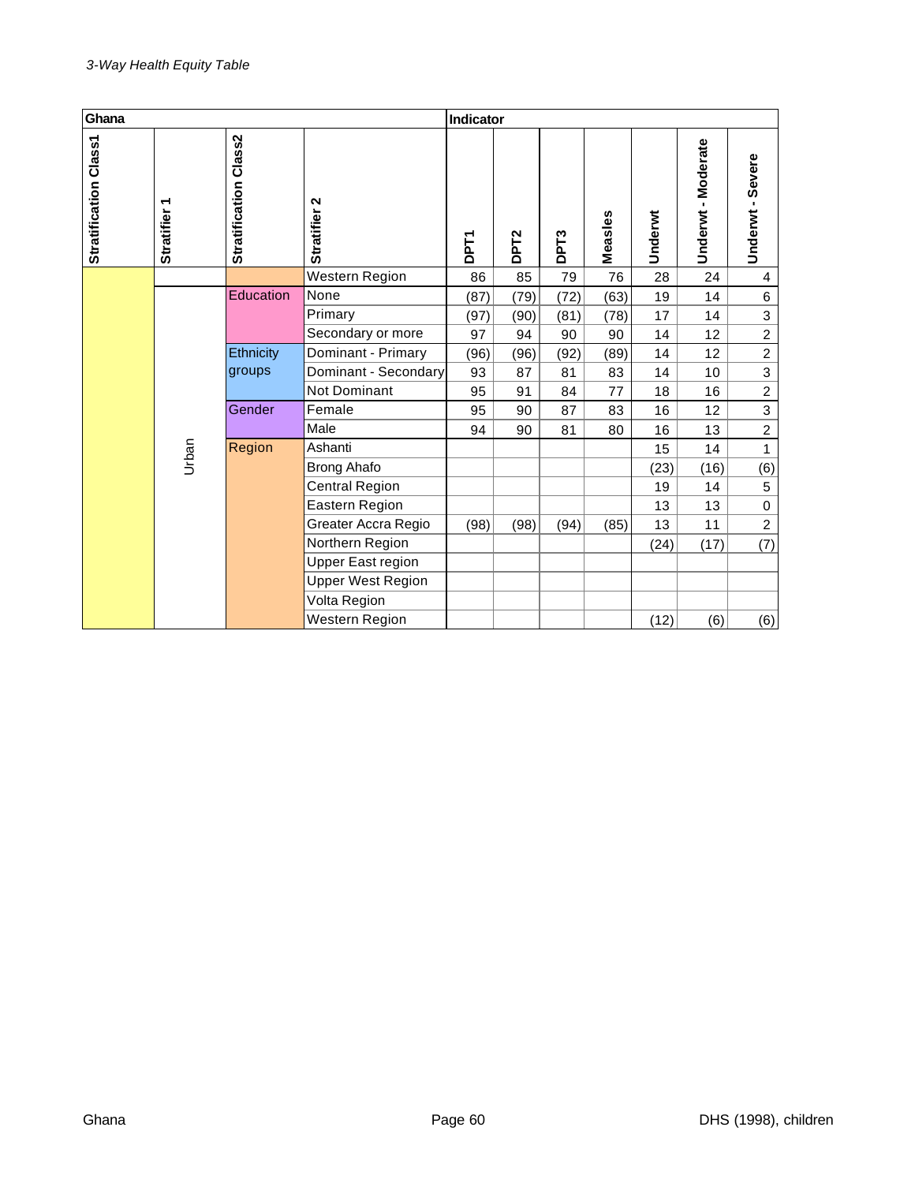| Ghana                 |                        |                       |                                        | <b>Indicator</b> |                  |                   |         |         |                    |                  |
|-----------------------|------------------------|-----------------------|----------------------------------------|------------------|------------------|-------------------|---------|---------|--------------------|------------------|
| Stratification Class1 | ٣<br><b>Stratifier</b> | Stratification Class2 | $\mathbf{\Omega}$<br><b>Stratifier</b> | DPT1             | DPT <sub>2</sub> | DP <sub>T</sub> 3 | Measles | Underwt | Underwt - Moderate | Underwt - Severe |
|                       |                        |                       | Western Region                         | 86               | 85               | 79                | 76      | 28      | 24                 | $\overline{4}$   |
|                       |                        | Education             | None                                   | (87)             | (79)             | (72)              | (63)    | 19      | 14                 | 6                |
|                       |                        |                       | Primary                                | (97)             | (90)             | (81)              | (78)    | 17      | 14                 | 3                |
|                       |                        |                       | Secondary or more                      | 97               | 94               | 90                | 90      | 14      | 12                 | $\overline{2}$   |
|                       |                        | Ethnicity             | Dominant - Primary                     | (96)             | (96)             | (92)              | (89)    | 14      | 12                 | $\overline{2}$   |
|                       |                        | groups                | Dominant - Secondary                   | 93               | 87               | 81                | 83      | 14      | 10                 | 3                |
|                       |                        |                       | <b>Not Dominant</b>                    | 95               | 91               | 84                | 77      | 18      | 16                 | $\overline{2}$   |
|                       |                        | Gender                | Female                                 | 95               | 90               | 87                | 83      | 16      | 12                 | $\overline{3}$   |
|                       |                        |                       | Male                                   | 94               | 90               | 81                | 80      | 16      | 13                 | $\boldsymbol{2}$ |
|                       | Urban                  | Region                | Ashanti                                |                  |                  |                   |         | 15      | 14                 | 1                |
|                       |                        |                       | <b>Brong Ahafo</b>                     |                  |                  |                   |         | (23)    | (16)               | (6)              |
|                       |                        |                       | Central Region                         |                  |                  |                   |         | 19      | 14                 | $\sqrt{5}$       |
|                       |                        |                       | Eastern Region                         |                  |                  |                   |         | 13      | 13                 | $\mathbf 0$      |
|                       |                        |                       | Greater Accra Regio                    | (98)             | (98)             | (94)              | (85)    | 13      | 11                 | $\overline{c}$   |
|                       |                        |                       | Northern Region                        |                  |                  |                   |         | (24)    | (17)               | (7)              |
|                       |                        |                       | Upper East region                      |                  |                  |                   |         |         |                    |                  |
|                       |                        |                       | <b>Upper West Region</b>               |                  |                  |                   |         |         |                    |                  |
|                       |                        |                       | Volta Region                           |                  |                  |                   |         |         |                    |                  |
|                       |                        |                       | <b>Western Region</b>                  |                  |                  |                   |         | (12)    | (6)                | (6)              |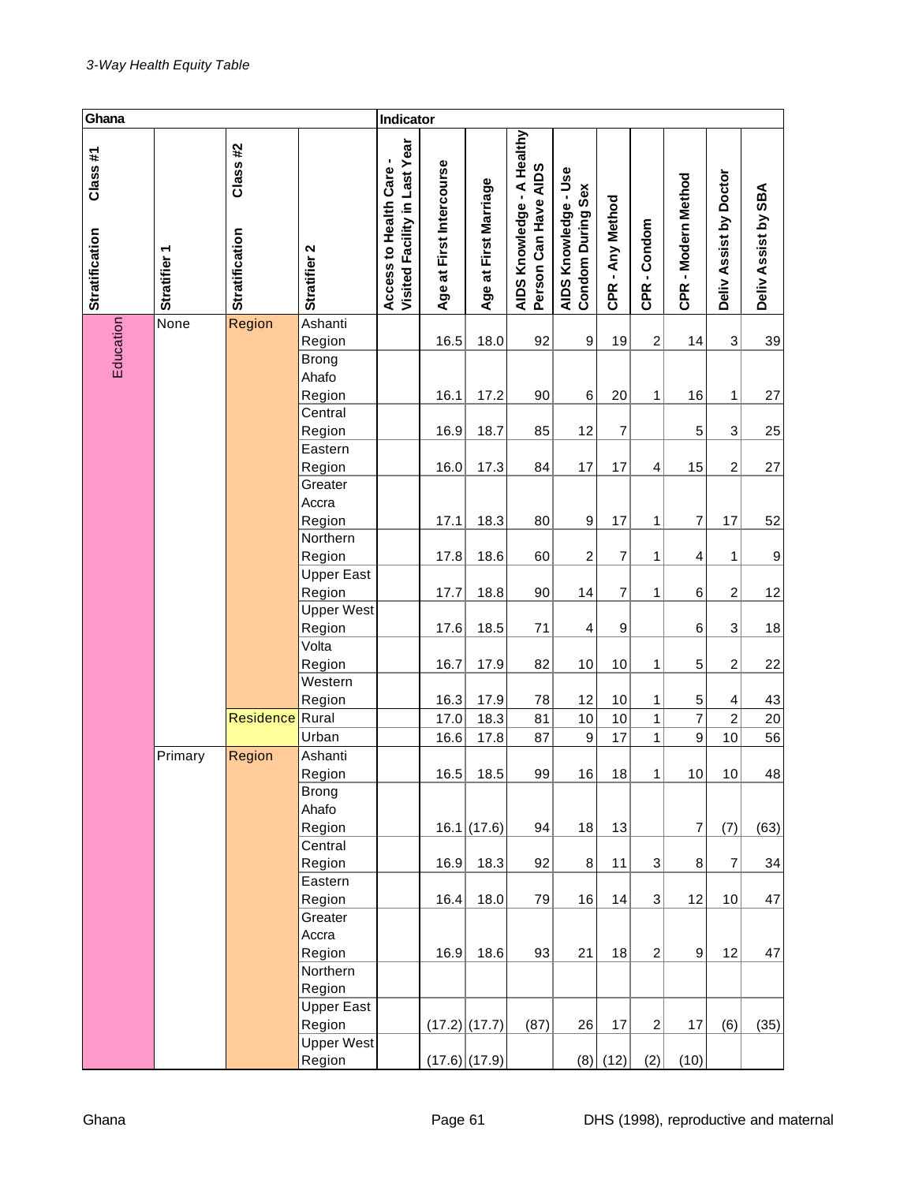| Ghana                     |              |                                  |                                    | Indicator                                                |                          |                                       |                                                    |                                           |                  |                |                     |                                |                     |
|---------------------------|--------------|----------------------------------|------------------------------------|----------------------------------------------------------|--------------------------|---------------------------------------|----------------------------------------------------|-------------------------------------------|------------------|----------------|---------------------|--------------------------------|---------------------|
| Class#1<br>Stratification | Stratifier 1 | Class#2<br><b>Stratification</b> | Stratifier 2                       | Visited Facility in Last Year<br>Access to Health Care - | Age at First Intercourse | at First Marriage<br>Age <sup>3</sup> | AIDS Knowledge - A Healthy<br>Person Can Have AIDS | AIDS Knowledge - Use<br>Condom During Sex | CPR - Any Method | CPR-Condom     | CPR - Modern Method | Deliv Assist by Doctor         | Deliv Assist by SBA |
|                           | None         | Region                           | Ashanti                            |                                                          |                          |                                       |                                                    |                                           |                  |                |                     |                                |                     |
| Education                 |              |                                  | Region<br>Brong<br>Ahafo<br>Region |                                                          | 16.5<br>16.1             | 18.0<br>17.2                          | 92<br>90                                           | 9<br>6                                    | 19<br>20         | 2<br>1         | 14<br>16            | $\ensuremath{\mathsf{3}}$<br>1 | 39<br>27            |
|                           |              |                                  | Central                            |                                                          |                          |                                       |                                                    |                                           |                  |                |                     |                                |                     |
|                           |              |                                  | Region                             |                                                          | 16.9                     | 18.7                                  | 85                                                 | 12                                        | $\overline{7}$   |                | 5                   | $\ensuremath{\mathsf{3}}$      | 25                  |
|                           |              |                                  | Eastern                            |                                                          |                          |                                       |                                                    |                                           |                  |                |                     |                                |                     |
|                           |              |                                  | Region                             |                                                          | 16.0                     | 17.3                                  | 84                                                 | 17                                        | 17               | $\overline{4}$ | 15                  | $\overline{c}$                 | 27                  |
|                           |              |                                  | Greater<br>Accra                   |                                                          |                          |                                       |                                                    |                                           |                  |                |                     |                                |                     |
|                           |              |                                  | Region                             |                                                          | 17.1                     | 18.3                                  | 80                                                 | 9                                         | 17               | 1              | 7                   | 17                             | 52                  |
|                           |              |                                  | Northern                           |                                                          |                          |                                       |                                                    |                                           |                  |                |                     |                                |                     |
|                           |              |                                  | Region                             |                                                          | 17.8                     | 18.6                                  | 60                                                 | $\overline{c}$                            | $\overline{7}$   | 1              | 4                   | 1                              | 9                   |
|                           |              |                                  | <b>Upper East</b>                  |                                                          |                          |                                       |                                                    |                                           |                  |                |                     |                                |                     |
|                           |              |                                  | Region                             |                                                          | 17.7                     | 18.8                                  | 90                                                 | 14                                        | $\overline{7}$   | 1              | 6                   | $\boldsymbol{2}$               | 12                  |
|                           |              |                                  | <b>Upper West</b>                  |                                                          |                          |                                       |                                                    |                                           |                  |                |                     |                                |                     |
|                           |              |                                  | Region                             |                                                          | 17.6                     | 18.5                                  | 71                                                 | 4                                         | 9                |                | 6                   | $\ensuremath{\mathsf{3}}$      | 18                  |
|                           |              |                                  | Volta                              |                                                          |                          |                                       |                                                    |                                           |                  |                |                     |                                |                     |
|                           |              |                                  | Region                             |                                                          | 16.7                     | 17.9                                  | 82                                                 | 10                                        | 10               | 1              | 5                   | $\boldsymbol{2}$               | 22                  |
|                           |              |                                  | Western                            |                                                          |                          |                                       |                                                    |                                           |                  |                |                     |                                |                     |
|                           |              |                                  | Region                             |                                                          | 16.3                     | 17.9                                  | 78                                                 | 12                                        | 10               | 1              | 5                   | 4                              | 43                  |
|                           |              | Residence Rural                  |                                    |                                                          | 17.0                     | 18.3                                  | 81                                                 | 10                                        | $10$             | 1              | $\overline{7}$      | $\overline{c}$                 | $20\,$              |
|                           |              |                                  | Urban                              |                                                          | 16.6                     | 17.8                                  | 87                                                 | 9                                         | 17               | 1              | 9                   | 10                             | 56                  |
|                           | Primary      | Region                           | Ashanti                            |                                                          |                          |                                       |                                                    |                                           |                  |                |                     |                                |                     |
|                           |              |                                  | Region                             |                                                          | 16.5                     | 18.5                                  | 99                                                 | $16\,$                                    | 18               | 1              | $10$                | 10                             | 48                  |
|                           |              |                                  | <b>Brong</b>                       |                                                          |                          |                                       |                                                    |                                           |                  |                |                     |                                |                     |
|                           |              |                                  | Ahafo                              |                                                          |                          |                                       |                                                    |                                           |                  |                |                     |                                |                     |
|                           |              |                                  | Region                             |                                                          |                          | 16.1(17.6)                            | 94                                                 | 18                                        | 13               |                | $\overline{7}$      | (7)                            | (63)                |
|                           |              |                                  | Central                            |                                                          |                          |                                       |                                                    |                                           |                  |                |                     |                                |                     |
|                           |              |                                  | Region<br>Eastern                  |                                                          | 16.9                     | 18.3                                  | 92                                                 | 8                                         | 11               | 3              | $\bf 8$             | $\overline{7}$                 | 34                  |
|                           |              |                                  | Region                             |                                                          | 16.4                     | 18.0                                  | 79                                                 | 16                                        | 14               | 3              | 12                  | 10                             | 47                  |
|                           |              |                                  | Greater                            |                                                          |                          |                                       |                                                    |                                           |                  |                |                     |                                |                     |
|                           |              |                                  | Accra                              |                                                          |                          |                                       |                                                    |                                           |                  |                |                     |                                |                     |
|                           |              |                                  | Region                             |                                                          | 16.9                     | 18.6                                  | 93                                                 | 21                                        | 18               | $\overline{2}$ | $\overline{9}$      | 12                             | 47                  |
|                           |              |                                  | Northern                           |                                                          |                          |                                       |                                                    |                                           |                  |                |                     |                                |                     |
|                           |              |                                  | Region                             |                                                          |                          |                                       |                                                    |                                           |                  |                |                     |                                |                     |
|                           |              |                                  | <b>Upper East</b>                  |                                                          |                          |                                       |                                                    |                                           |                  |                |                     |                                |                     |
|                           |              |                                  | Region                             |                                                          |                          | $(17.2)$ (17.7)                       | (87)                                               | 26                                        | 17               | $\overline{c}$ | 17                  | (6)                            | (35)                |
|                           |              |                                  | Upper West                         |                                                          |                          |                                       |                                                    |                                           |                  |                |                     |                                |                     |
|                           |              |                                  | Region                             |                                                          |                          | $(17.6)$ (17.9)                       |                                                    |                                           | $(8)$ (12)       | (2)            | (10)                |                                |                     |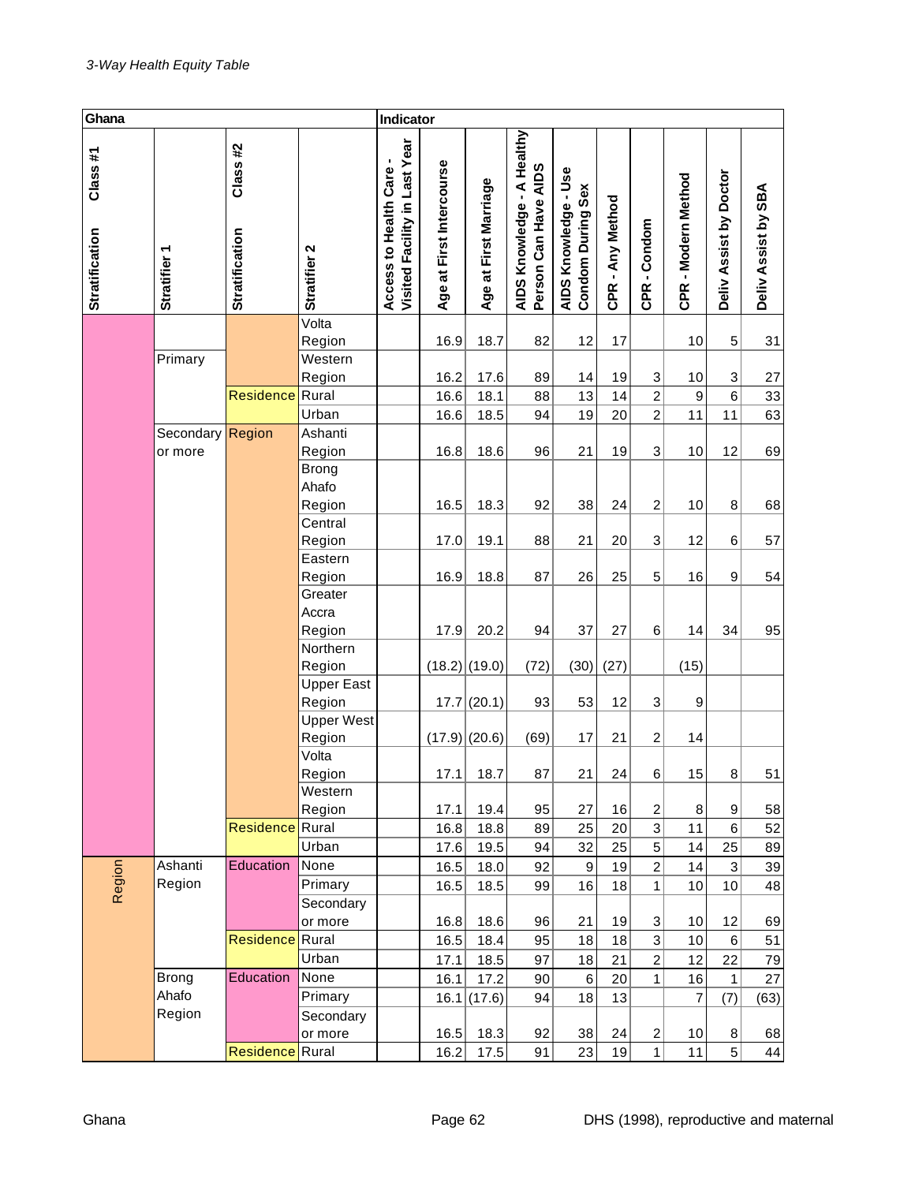| Ghana                            |                  |                                  |                             | Indicator                                                  |                          |                                 |                                                    |                                           |                  |                 |                     |                        |                     |
|----------------------------------|------------------|----------------------------------|-----------------------------|------------------------------------------------------------|--------------------------|---------------------------------|----------------------------------------------------|-------------------------------------------|------------------|-----------------|---------------------|------------------------|---------------------|
| Class#1<br><b>Stratification</b> | Stratifier 1     | Class#2<br><b>Stratification</b> | Stratifier 2                | Last Year<br>Access to Health Care-<br>Visited Facility in | Age at First Intercourse | at First Marriage<br><b>Age</b> | AIDS Knowledge - A Healthy<br>Person Can Have AIDS | AIDS Knowledge - Use<br>Condom During Sex | CPR - Any Method | CPR-Condom      | CPR - Modern Method | Deliv Assist by Doctor | Deliv Assist by SBA |
|                                  |                  |                                  | Volta                       |                                                            |                          |                                 |                                                    |                                           |                  |                 |                     |                        |                     |
|                                  |                  |                                  | Region                      |                                                            | 16.9                     | 18.7                            | 82                                                 | 12                                        | 17               |                 | 10                  | 5                      | 31                  |
|                                  | Primary          |                                  | Western                     |                                                            |                          |                                 |                                                    |                                           |                  |                 |                     |                        |                     |
|                                  |                  |                                  | Region                      |                                                            | 16.2                     | 17.6                            | 89                                                 | 14                                        | 19               | 3               | 10                  | 3                      | 27                  |
|                                  |                  | <b>Residence</b> Rural           |                             |                                                            | 16.6                     | 18.1                            | 88                                                 | 13                                        | 14               | $\overline{c}$  | 9                   | $6\phantom{1}6$        | 33                  |
|                                  |                  |                                  | Urban                       |                                                            | 16.6                     | 18.5                            | 94                                                 | 19                                        | 20               | $\overline{c}$  | 11                  | 11                     | 63                  |
|                                  | Secondary Region |                                  | Ashanti                     |                                                            |                          |                                 |                                                    |                                           |                  |                 |                     |                        |                     |
|                                  | or more          |                                  | Region                      |                                                            | 16.8                     | 18.6                            | 96                                                 | 21                                        | 19               | 3               | 10                  | 12                     | 69                  |
|                                  |                  |                                  | Brong<br>Ahafo<br>Region    |                                                            | 16.5                     | 18.3                            | 92                                                 | 38                                        | 24               | $\overline{c}$  | 10                  | 8                      | 68                  |
|                                  |                  |                                  | Central                     |                                                            |                          |                                 |                                                    |                                           |                  |                 |                     |                        |                     |
|                                  |                  |                                  | Region                      |                                                            | 17.0                     | 19.1                            | 88                                                 | 21                                        | 20               | 3               | 12                  | 6                      | 57                  |
|                                  |                  |                                  | Eastern                     |                                                            |                          |                                 |                                                    |                                           |                  |                 |                     |                        |                     |
|                                  |                  |                                  | Region                      |                                                            | 16.9                     | 18.8                            | 87                                                 | 26                                        | 25               | 5               | 16                  | 9                      | 54                  |
|                                  |                  |                                  | Greater<br>Accra            |                                                            |                          |                                 |                                                    |                                           |                  |                 |                     |                        |                     |
|                                  |                  |                                  | Region                      |                                                            | 17.9                     | 20.2                            | 94                                                 | 37                                        | 27               | $6\phantom{1}6$ | 14                  | 34                     | 95                  |
|                                  |                  |                                  | Northern                    |                                                            |                          |                                 |                                                    |                                           |                  |                 |                     |                        |                     |
|                                  |                  |                                  | Region                      |                                                            | $(18.2)$ (19.0)          |                                 | (72)                                               | (30)                                      | (27)             |                 | (15)                |                        |                     |
|                                  |                  |                                  | <b>Upper East</b><br>Region |                                                            |                          | 17.7(20.1)                      | 93                                                 | 53                                        | 12               | 3               | $\boldsymbol{9}$    |                        |                     |
|                                  |                  |                                  | <b>Upper West</b>           |                                                            |                          |                                 |                                                    |                                           |                  |                 |                     |                        |                     |
|                                  |                  |                                  | Region                      |                                                            | $(17.9)$ (20.6)          |                                 | (69)                                               | 17                                        | 21               | 2               | 14                  |                        |                     |
|                                  |                  |                                  | Volta                       |                                                            |                          |                                 |                                                    |                                           |                  |                 |                     |                        |                     |
|                                  |                  |                                  | Region                      |                                                            | 17.1                     | 18.7                            | 87                                                 | 21                                        | 24               | 6               | 15                  | 8                      | 51                  |
|                                  |                  |                                  | Western                     |                                                            |                          |                                 |                                                    |                                           |                  |                 |                     |                        |                     |
|                                  |                  |                                  | Region                      |                                                            | 17.1                     | 19.4                            | 95                                                 | 27                                        | 16               | 2               | 8                   | 9                      | 58                  |
|                                  |                  | <b>Residence</b> Rural           |                             |                                                            | 16.8                     | 18.8                            | 89                                                 | 25                                        | 20               | 3               | 11                  | 6                      | 52                  |
|                                  |                  |                                  | Urban                       |                                                            | 17.6                     | 19.5                            | 94                                                 | 32                                        | 25               | 5               | 14                  | 25                     | 89                  |
|                                  | Ashanti          | Education                        | None                        |                                                            | 16.5                     | 18.0                            | 92                                                 | $\boldsymbol{9}$                          | 19               | $\overline{2}$  | 14                  | 3                      | 39                  |
| Region                           | Region           |                                  | Primary                     |                                                            | 16.5                     | 18.5                            | 99                                                 | 16                                        | 18               | 1               | 10                  | 10                     | 48                  |
|                                  |                  |                                  | Secondary                   |                                                            |                          |                                 |                                                    |                                           |                  |                 |                     |                        |                     |
|                                  |                  |                                  | or more                     |                                                            | 16.8                     | 18.6                            | 96                                                 | 21                                        | 19               | 3               | 10                  | 12                     | 69                  |
|                                  |                  | <b>Residence</b> Rural           |                             |                                                            | 16.5                     | 18.4                            | 95                                                 | 18                                        | 18               | 3               | 10                  | 6                      | 51                  |
|                                  |                  |                                  | Urban                       |                                                            | 17.1                     | 18.5                            | 97                                                 | 18                                        | 21               | $\overline{c}$  | 12                  | 22                     | 79                  |
|                                  | Brong            | Education                        | None                        |                                                            | 16.1                     | 17.2                            | 90                                                 | $\,6\,$                                   | 20               | 1               | 16                  | $\mathbf{1}$           | 27                  |
|                                  | Ahafo            |                                  | Primary                     |                                                            |                          | 16.1(17.6)                      | 94                                                 | 18                                        | 13               |                 | $\overline{7}$      | (7)                    | (63)                |
|                                  | Region           |                                  | Secondary                   |                                                            |                          |                                 |                                                    |                                           |                  |                 |                     |                        |                     |
|                                  |                  |                                  | or more                     |                                                            | 16.5                     | 18.3                            | 92                                                 | 38                                        | 24               | $\overline{c}$  | 10                  | 8                      | 68                  |
|                                  |                  | <b>Residence</b> Rural           |                             |                                                            | 16.2                     | 17.5                            | 91                                                 | 23                                        | 19               | 1               | 11                  | 5                      | 44                  |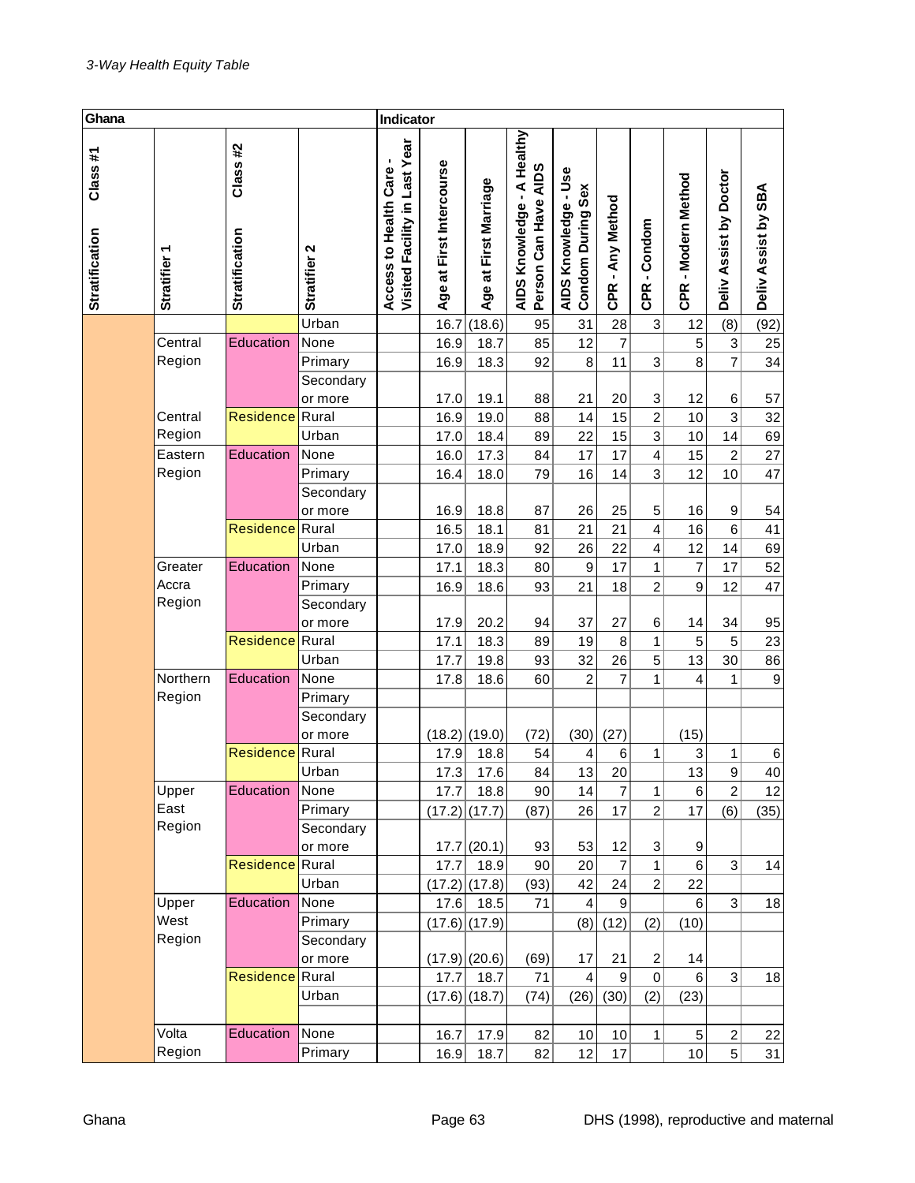| Ghana                            |                 |                                  |              |                                                          | Indicator                |                       |                                                    |                                           |                  |                |                     |                        |                     |
|----------------------------------|-----------------|----------------------------------|--------------|----------------------------------------------------------|--------------------------|-----------------------|----------------------------------------------------|-------------------------------------------|------------------|----------------|---------------------|------------------------|---------------------|
| Class#1<br><b>Stratification</b> | ٣<br>Stratifier | Class#2<br><b>Stratification</b> | Stratifier 2 | Visited Facility in Last Year<br>Access to Health Care - | Age at First Intercourse | Age at First Marriage | AIDS Knowledge - A Healthy<br>Person Can Have AIDS | AIDS Knowledge - Use<br>Condom During Sex | CPR - Any Method | CPR-Condom     | CPR - Modern Method | Deliv Assist by Doctor | Deliv Assist by SBA |
|                                  |                 |                                  | Urban        |                                                          | 16.7                     | (18.6)                | 95                                                 | 31                                        | 28               | $\mathbf 3$    | 12                  | (8)                    | (92)                |
|                                  | Central         | Education                        | None         |                                                          | 16.9                     | 18.7                  | 85                                                 | 12                                        | $\overline{7}$   |                | 5                   | 3                      | 25                  |
|                                  | Region          |                                  | Primary      |                                                          | 16.9                     | 18.3                  | 92                                                 | 8                                         | 11               | 3              | 8                   | $\overline{7}$         | 34                  |
|                                  |                 |                                  | Secondary    |                                                          |                          |                       |                                                    |                                           |                  |                |                     |                        |                     |
|                                  |                 |                                  | or more      |                                                          | 17.0                     | 19.1                  | 88                                                 | 21                                        | 20               | 3              | 12                  | 6                      | 57                  |
|                                  | Central         | Residence Rural                  |              |                                                          | 16.9                     | 19.0                  | 88                                                 | 14                                        | 15               | $\overline{c}$ | 10                  | 3                      | 32                  |
|                                  | Region          |                                  | Urban        |                                                          | 17.0                     | 18.4                  | 89                                                 | 22                                        | 15               | 3              | 10                  | 14                     | 69                  |
|                                  | Eastern         | Education                        | None         |                                                          | 16.0                     | 17.3                  | 84                                                 | 17                                        | 17               | 4              | 15                  | $\overline{c}$         | 27                  |
|                                  | Region          |                                  | Primary      |                                                          | 16.4                     | 18.0                  | 79                                                 | 16                                        | 14               | 3              | 12                  | 10                     | 47                  |
|                                  |                 |                                  | Secondary    |                                                          |                          |                       |                                                    |                                           |                  |                |                     |                        |                     |
|                                  |                 |                                  | or more      |                                                          | 16.9                     | 18.8                  | 87                                                 | 26                                        | 25               | 5              | 16                  | 9                      | 54                  |
|                                  |                 | <b>Residence</b> Rural           |              |                                                          | 16.5                     | 18.1                  | 81                                                 | 21                                        | 21               | 4              | 16                  | 6                      | 41                  |
|                                  |                 |                                  | Urban        |                                                          | 17.0                     | 18.9                  | 92                                                 | 26                                        | 22               | 4              | 12                  | 14                     | 69                  |
|                                  | Greater         | Education                        | None         |                                                          | 17.1                     | 18.3                  | 80                                                 | 9                                         | 17               | 1              | 7                   | 17                     | 52                  |
|                                  | Accra           |                                  | Primary      |                                                          | 16.9                     | 18.6                  | 93                                                 | 21                                        | 18               | $\overline{c}$ | 9                   | 12                     | 47                  |
|                                  | Region          |                                  | Secondary    |                                                          |                          |                       |                                                    |                                           |                  |                |                     |                        |                     |
|                                  |                 |                                  | or more      |                                                          | 17.9                     | 20.2                  | 94                                                 | 37                                        | 27               | 6              | 14                  | 34                     | 95                  |
|                                  |                 | <b>Residence</b> Rural           |              |                                                          | 17.1                     | 18.3                  | 89                                                 | 19                                        | 8                | 1              | 5                   | 5                      | 23                  |
|                                  |                 |                                  | Urban        |                                                          | 17.7                     | 19.8                  | 93                                                 | 32                                        | 26               | 5              | 13                  | 30                     | 86                  |
|                                  | Northern        | Education                        | None         |                                                          | 17.8                     | 18.6                  | 60                                                 | 2                                         | $\overline{7}$   | 1              | 4                   | 1                      | $\boldsymbol{9}$    |
|                                  | Region          |                                  | Primary      |                                                          |                          |                       |                                                    |                                           |                  |                |                     |                        |                     |
|                                  |                 |                                  | Secondary    |                                                          |                          |                       |                                                    |                                           |                  |                |                     |                        |                     |
|                                  |                 |                                  | or more      |                                                          | $(18.2)$ (19.0)          |                       | (72)                                               | (30)                                      | (27)             |                | (15)                |                        |                     |
|                                  |                 | <b>Residence Rural</b>           |              |                                                          | 17.9                     | 18.8                  | 54                                                 | 4                                         | 6                | 1              | 3                   | 1                      | 6                   |
|                                  |                 |                                  | Urban        |                                                          | 17.3                     | 17.6                  | 84                                                 | 13                                        | 20               |                | 13                  | $\boldsymbol{9}$       | 40                  |
|                                  | Upper           | Education                        | None         |                                                          | 17.7                     | 18.8                  | 90                                                 | 14                                        | $\overline{7}$   | 1              | 6                   | $\overline{2}$         | 12                  |
|                                  | East            |                                  | Primary      |                                                          |                          | $(17.2)$ (17.7)       | (87)                                               | 26                                        | 17               | $\overline{c}$ | 17                  | (6)                    | (35)                |
|                                  | Region          |                                  | Secondary    |                                                          |                          |                       |                                                    |                                           |                  |                |                     |                        |                     |
|                                  |                 |                                  | or more      |                                                          |                          | 17.7(20.1)            | 93                                                 | 53                                        | 12               | 3              | 9                   |                        |                     |
|                                  |                 | Residence Rural                  |              |                                                          | 17.7                     | 18.9                  | 90                                                 | 20                                        | $\overline{7}$   | 1              | 6                   | 3                      | 14                  |
|                                  |                 |                                  | Urban        |                                                          |                          | $(17.2)$ (17.8)       | (93)                                               | 42                                        | 24               | $\overline{2}$ | 22                  |                        |                     |
|                                  | Upper           | Education                        | None         |                                                          | 17.6                     | 18.5                  | 71                                                 | 4                                         | 9                |                | 6                   | 3                      | 18                  |
|                                  | West            |                                  | Primary      |                                                          |                          | $(17.6)$ (17.9)       |                                                    | (8)                                       | (12)             | (2)            | (10)                |                        |                     |
|                                  | Region          |                                  | Secondary    |                                                          |                          |                       |                                                    |                                           |                  |                |                     |                        |                     |
|                                  |                 |                                  | or more      |                                                          |                          | $(17.9)$ (20.6)       | (69)                                               | 17                                        | 21               | 2              | 14                  |                        |                     |
|                                  |                 | <b>Residence</b> Rural           |              |                                                          | 17.7                     | 18.7                  | 71                                                 | $\overline{4}$                            | $\mathsf g$      | $\mathbf 0$    | 6                   | $\overline{3}$         | 18                  |
|                                  |                 |                                  | Urban        |                                                          |                          | $(17.6)$ (18.7)       | (74)                                               | (26)                                      | (30)             | (2)            | (23)                |                        |                     |
|                                  |                 |                                  |              |                                                          |                          |                       |                                                    |                                           |                  |                |                     |                        |                     |
|                                  | Volta           | <b>Education</b>                 | None         |                                                          | 16.7                     | 17.9                  | 82                                                 | 10                                        | 10               | 1              | 5                   | $\overline{c}$         | 22                  |
|                                  | Region          |                                  | Primary      |                                                          | 16.9                     | 18.7                  | 82                                                 | 12                                        | 17               |                | 10                  | 5                      | 31                  |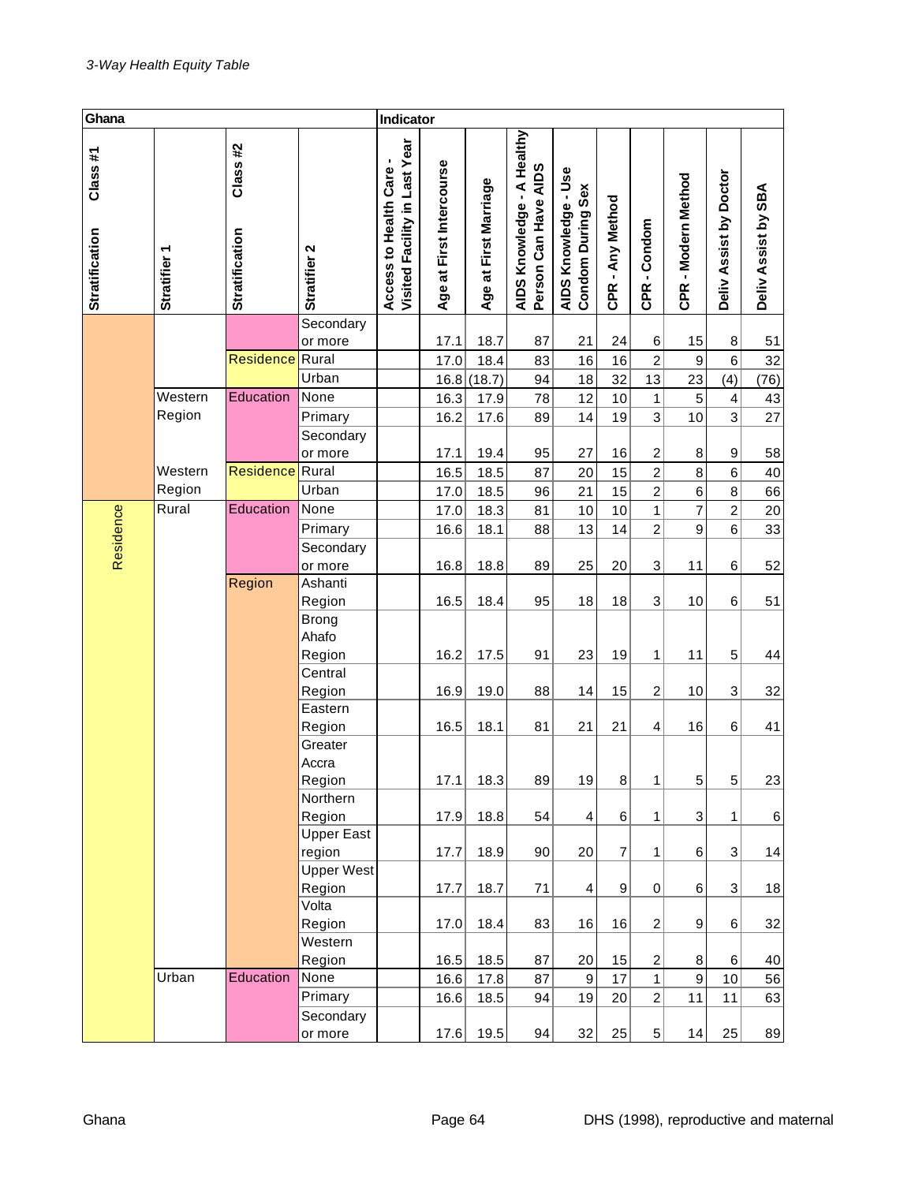| Ghana                            |                        |                                  |                      | Indicator                                                |                          |                       |                                                    |                                           |                  |                  |                     |                         |                     |
|----------------------------------|------------------------|----------------------------------|----------------------|----------------------------------------------------------|--------------------------|-----------------------|----------------------------------------------------|-------------------------------------------|------------------|------------------|---------------------|-------------------------|---------------------|
| Class#1<br><b>Stratification</b> | ٣<br><b>Stratifier</b> | Class#2<br><b>Stratification</b> | Stratifier 2         | Visited Facility in Last Year<br>Access to Health Care - | Age at First Intercourse | Age at First Marriage | AIDS Knowledge - A Healthy<br>Person Can Have AIDS | AIDS Knowledge - Use<br>Condom During Sex | CPR - Any Method | CPR-Condom       | CPR - Modern Method | Deliv Assist by Doctor  | Deliv Assist by SBA |
|                                  |                        |                                  | Secondary            |                                                          |                          |                       |                                                    |                                           |                  |                  |                     |                         |                     |
|                                  |                        |                                  | or more              |                                                          | 17.1                     | 18.7                  | 87                                                 | 21                                        | 24               | 6                | 15                  | 8                       | 51                  |
|                                  |                        | <b>Residence</b> Rural           |                      |                                                          | 17.0                     | 18.4                  | 83                                                 | 16                                        | 16               | $\overline{c}$   | 9                   | 6                       | 32                  |
|                                  |                        |                                  | Urban                |                                                          | 16.8                     | (18.7)                | 94                                                 | 18                                        | 32               | 13               | 23                  | (4)                     | (76)                |
|                                  | Western                | Education                        | None                 |                                                          | 16.3                     | 17.9                  | 78                                                 | 12                                        | 10               | 1                | 5                   | $\overline{\mathbf{4}}$ | 43                  |
|                                  | Region                 |                                  | Primary              |                                                          | 16.2                     | 17.6                  | 89                                                 | 14                                        | 19               | 3                | 10                  | 3                       | 27                  |
|                                  |                        |                                  | Secondary<br>or more |                                                          | 17.1                     | 19.4                  | 95                                                 | 27                                        | 16               | 2                | 8                   | 9                       | 58                  |
|                                  | Western                | <b>Residence</b> Rural           |                      |                                                          | 16.5                     | 18.5                  | 87                                                 | 20                                        | 15               | $\overline{2}$   | 8                   | 6                       | 40                  |
|                                  | Region                 |                                  | Urban                |                                                          | 17.0                     | 18.5                  | 96                                                 | 21                                        | 15               | $\overline{2}$   | 6                   | 8                       | 66                  |
|                                  | Rural                  | Education                        | None                 |                                                          | 17.0                     | 18.3                  | 81                                                 | 10                                        | 10               | 1                | $\overline{7}$      | $\overline{c}$          | 20                  |
| Residence                        |                        |                                  | Primary              |                                                          | 16.6                     | 18.1                  | 88                                                 | 13                                        | 14               | $\overline{c}$   | 9                   | 6                       | 33                  |
|                                  |                        |                                  | Secondary            |                                                          |                          |                       |                                                    |                                           |                  |                  |                     |                         |                     |
|                                  |                        |                                  | or more              |                                                          | 16.8                     | 18.8                  | 89                                                 | 25                                        | 20               | 3                | 11                  | 6                       | 52                  |
|                                  |                        | Region                           | Ashanti              |                                                          |                          |                       |                                                    |                                           |                  |                  |                     |                         |                     |
|                                  |                        |                                  | Region               |                                                          | 16.5                     | 18.4                  | 95                                                 | 18                                        | 18               | 3                | 10                  | 6                       | 51                  |
|                                  |                        |                                  | Brong                |                                                          |                          |                       |                                                    |                                           |                  |                  |                     |                         |                     |
|                                  |                        |                                  | Ahafo                |                                                          |                          |                       |                                                    |                                           |                  |                  |                     |                         |                     |
|                                  |                        |                                  | Region               |                                                          | 16.2                     | 17.5                  | 91                                                 | 23                                        | 19               | 1                | 11                  | 5                       | 44                  |
|                                  |                        |                                  | Central              |                                                          |                          |                       |                                                    |                                           |                  |                  |                     |                         |                     |
|                                  |                        |                                  | Region               |                                                          | 16.9                     | 19.0                  | 88                                                 | 14                                        | 15               | 2                | 10                  | 3                       | 32                  |
|                                  |                        |                                  | Eastern              |                                                          |                          |                       |                                                    |                                           |                  |                  |                     |                         |                     |
|                                  |                        |                                  | Region               |                                                          | 16.5                     | 18.1                  | 81                                                 | 21                                        | 21               | 4                | 16                  | 6                       | 41                  |
|                                  |                        |                                  | Greater              |                                                          |                          |                       |                                                    |                                           |                  |                  |                     |                         |                     |
|                                  |                        |                                  | Accra                |                                                          |                          |                       |                                                    |                                           |                  |                  |                     |                         |                     |
|                                  |                        |                                  | Region<br>Northern   |                                                          | 17.1                     | 18.3                  | 89                                                 | 19                                        | 8 <sup>2</sup>   | 1                | 5 <sub>l</sub>      | $5\vert$                | 23                  |
|                                  |                        |                                  | Region               |                                                          | 17.9                     | 18.8                  | 54                                                 | 4                                         | 6                | 1                | 3                   | 1                       | 6                   |
|                                  |                        |                                  | <b>Upper East</b>    |                                                          |                          |                       |                                                    |                                           |                  |                  |                     |                         |                     |
|                                  |                        |                                  | region               |                                                          | 17.7                     | 18.9                  | 90                                                 | 20                                        | $\overline{7}$   | 1                | 6                   | $\overline{3}$          | 14                  |
|                                  |                        |                                  | <b>Upper West</b>    |                                                          |                          |                       |                                                    |                                           |                  |                  |                     |                         |                     |
|                                  |                        |                                  | Region               |                                                          | 17.7                     | 18.7                  | 71                                                 | 4                                         | $\boldsymbol{9}$ | 0                | 6                   | $\overline{3}$          | 18                  |
|                                  |                        |                                  | Volta                |                                                          |                          |                       |                                                    |                                           |                  |                  |                     |                         |                     |
|                                  |                        |                                  | Region               |                                                          | 17.0                     | 18.4                  | 83                                                 | 16                                        | 16               | $\overline{c}$   | 9                   | 6                       | 32                  |
|                                  |                        |                                  | Western              |                                                          |                          |                       |                                                    |                                           |                  |                  |                     |                         |                     |
|                                  |                        |                                  | Region               |                                                          | 16.5                     | 18.5                  | 87                                                 | 20                                        | 15               | $\boldsymbol{2}$ | 8                   | 6                       | 40                  |
|                                  | Urban                  | Education                        | None                 |                                                          | 16.6                     | 17.8                  | 87                                                 | $\boldsymbol{9}$                          | 17               | $\mathbf{1}$     | 9                   | 10                      | 56                  |
|                                  |                        |                                  | Primary              |                                                          | 16.6                     | 18.5                  | 94                                                 | 19                                        | 20               | $\overline{2}$   | 11                  | 11                      | 63                  |
|                                  |                        |                                  | Secondary            |                                                          |                          |                       |                                                    |                                           |                  |                  |                     |                         |                     |
|                                  |                        |                                  | or more              |                                                          | 17.6                     | 19.5                  | 94                                                 | 32                                        | 25               | 5                | 14                  | 25                      | 89                  |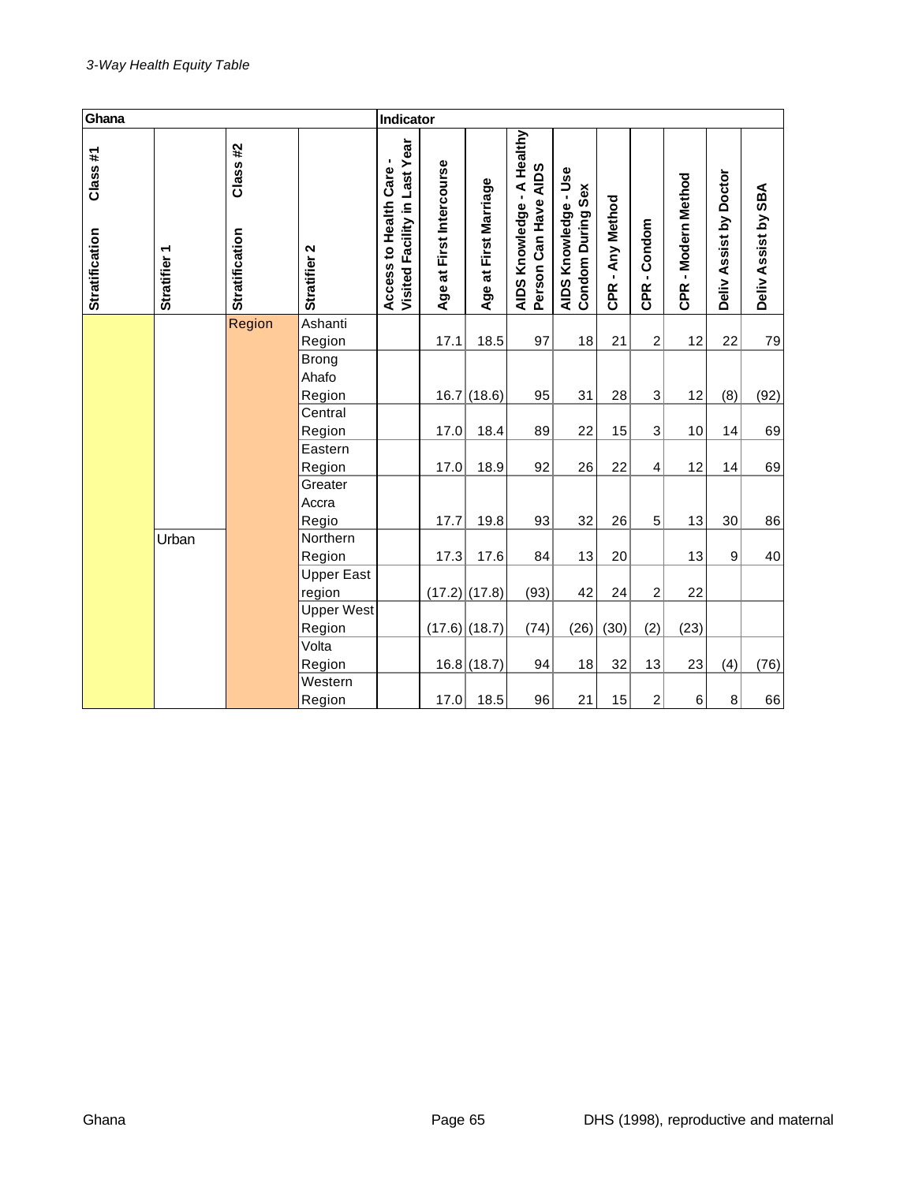| Ghana                             |                        |                                  |                             |                                                          | Indicator                |                          |                                                              |                                           |                  |                |                     |                        |                     |
|-----------------------------------|------------------------|----------------------------------|-----------------------------|----------------------------------------------------------|--------------------------|--------------------------|--------------------------------------------------------------|-------------------------------------------|------------------|----------------|---------------------|------------------------|---------------------|
| Class #1<br><b>Stratification</b> | ↽<br><b>Stratifier</b> | Class#2<br><b>Stratification</b> | Stratifier 2                | Visited Facility in Last Year<br>Access to Health Care - | Age at First Intercourse | First Marriage<br>Age at | AIDS Knowledge - A Healthy<br><b>AIDS</b><br>Person Can Have | AIDS Knowledge - Use<br>Condom During Sex | CPR - Any Method | CPR-Condom     | CPR - Modern Method | Deliv Assist by Doctor | Deliv Assist by SBA |
|                                   |                        | Region                           | Ashanti<br>Region           |                                                          | 17.1                     | 18.5                     | 97                                                           | 18                                        | 21               | $\overline{2}$ | 12                  | 22                     | 79                  |
|                                   |                        |                                  | <b>Brong</b>                |                                                          |                          |                          |                                                              |                                           |                  |                |                     |                        |                     |
|                                   |                        |                                  | Ahafo                       |                                                          |                          |                          |                                                              |                                           |                  |                |                     |                        |                     |
|                                   |                        |                                  | Region                      |                                                          | 16.7                     | (18.6)                   | 95                                                           | 31                                        | 28               | 3              | 12                  | (8)                    | (92)                |
|                                   |                        |                                  | Central                     |                                                          |                          |                          |                                                              |                                           |                  |                |                     |                        |                     |
|                                   |                        |                                  | Region                      |                                                          | 17.0                     | 18.4                     | 89                                                           | 22                                        | 15               | 3              | 10                  | 14                     | 69                  |
|                                   |                        |                                  | Eastern                     |                                                          |                          |                          |                                                              |                                           |                  |                |                     |                        |                     |
|                                   |                        |                                  | Region                      |                                                          | 17.0                     | 18.9                     | 92                                                           | 26                                        | 22               | 4              | 12                  | 14                     | 69                  |
|                                   |                        |                                  | Greater                     |                                                          |                          |                          |                                                              |                                           |                  |                |                     |                        |                     |
|                                   |                        |                                  | Accra                       |                                                          |                          |                          |                                                              |                                           |                  |                |                     |                        |                     |
|                                   |                        |                                  | Regio                       |                                                          | 17.7                     | 19.8                     | 93                                                           | 32                                        | 26               | 5              | 13                  | 30                     | 86                  |
|                                   | Urban                  |                                  | Northern                    |                                                          |                          |                          |                                                              |                                           |                  |                |                     |                        |                     |
|                                   |                        |                                  | Region                      |                                                          | 17.3                     | 17.6                     | 84                                                           | 13                                        | 20               |                | 13                  | 9                      | 40                  |
|                                   |                        |                                  | <b>Upper East</b><br>region |                                                          | (17.2)                   | (17.8)                   | (93)                                                         | 42                                        | 24               | $\overline{c}$ | 22                  |                        |                     |
|                                   |                        |                                  | <b>Upper West</b>           |                                                          |                          |                          |                                                              |                                           |                  |                |                     |                        |                     |
|                                   |                        |                                  | Region                      |                                                          |                          | $(17.6)$ (18.7)          | (74)                                                         | (26)                                      | (30)             | (2)            | (23)                |                        |                     |
|                                   |                        |                                  | Volta                       |                                                          |                          |                          |                                                              |                                           |                  |                |                     |                        |                     |
|                                   |                        |                                  | Region                      |                                                          |                          | 16.8(18.7)               | 94                                                           | 18                                        | 32               | 13             | 23                  | (4)                    | (76)                |
|                                   |                        |                                  | Western                     |                                                          |                          |                          |                                                              |                                           |                  |                |                     |                        |                     |
|                                   |                        |                                  | Region                      |                                                          | 17.0                     | 18.5                     | 96                                                           | 21                                        | 15               | $\overline{c}$ | 6                   | 8                      | 66                  |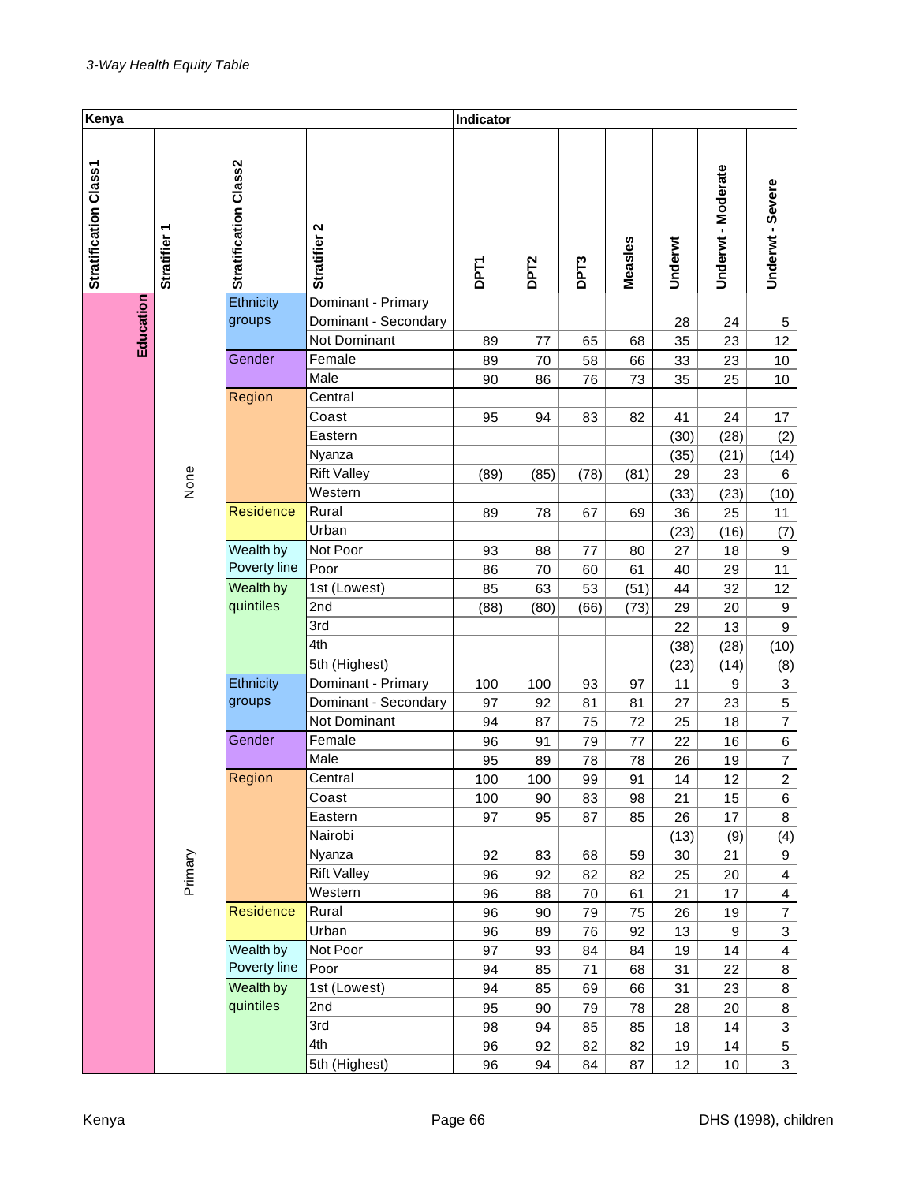| Kenya                 |                                                                |                              |                      |             | Indicator        |                  |         |         |                         |                         |
|-----------------------|----------------------------------------------------------------|------------------------------|----------------------|-------------|------------------|------------------|---------|---------|-------------------------|-------------------------|
| Stratification Class1 | ٣<br><b>Stratifier</b>                                         | <b>Stratification Class2</b> | Stratifier 2         | <b>DPT1</b> | DPT <sub>2</sub> | DPT <sub>3</sub> | Measles | Underwt | Underwt-Moderate        | Underwt - Severe        |
|                       |                                                                | Ethnicity                    | Dominant - Primary   |             |                  |                  |         |         |                         |                         |
|                       |                                                                | groups                       | Dominant - Secondary |             |                  |                  |         | 28      | 24                      | $\mathbf 5$             |
| Education             |                                                                |                              | Not Dominant         | 89          | 77               | 65               | 68      | 35      | 23                      | 12                      |
|                       |                                                                | Gender                       | Female               | 89          | 70               | 58               | 66      | 33      | 23                      | 10                      |
|                       |                                                                |                              | Male                 | 90          | 86               | 76               | 73      | 35      | 25                      | 10                      |
|                       |                                                                | Region                       | Central              |             |                  |                  |         |         |                         |                         |
|                       |                                                                |                              | Coast                | 95          | 94               | 83               | 82      | 41      | 24                      | 17                      |
|                       |                                                                |                              | Eastern              |             |                  |                  |         | (30)    | (28)                    | (2)                     |
|                       |                                                                |                              | Nyanza               |             |                  |                  |         | (35)    | (21)                    | (14)                    |
|                       | None                                                           |                              | <b>Rift Valley</b>   | (89)        | (85)             | (78)             | (81)    | 29      | 23                      | 6                       |
|                       |                                                                |                              | Western              |             |                  |                  |         | (33)    | (23)                    | (10)                    |
|                       |                                                                | <b>Residence</b>             | Rural                | 89          | 78               | 67               | 69      | 36      | 25                      | 11                      |
|                       |                                                                |                              | Urban                |             |                  |                  |         | (23)    | (16)                    | (7)                     |
|                       | Wealth by                                                      | Not Poor                     | 93                   | 88          | 77               | 80               | 27      | 18      | $\boldsymbol{9}$        |                         |
|                       |                                                                | Poverty line                 | Poor                 | 86          | 70               | 60               | 61      | 40      | 29                      | 11                      |
|                       |                                                                | Wealth by                    | 1st (Lowest)         | 85          | 63               | 53               | (51)    | 44      | 32                      | 12                      |
|                       |                                                                | quintiles                    | 2nd                  | (88)        | (80)             | (66)             | (73)    | 29      | 20                      | $\mathbf 9$             |
|                       |                                                                |                              | 3rd                  |             |                  |                  |         | 22      | 13                      | $\boldsymbol{9}$        |
|                       |                                                                |                              | 4th                  |             |                  |                  |         | (38)    | (28)                    | (10)                    |
|                       |                                                                |                              | 5th (Highest)        |             |                  |                  |         | (23)    | (14)                    | (8)                     |
|                       |                                                                | Ethnicity                    | Dominant - Primary   | 100         | 100              | 93               | 97      | 11      | 9                       | 3                       |
|                       |                                                                | groups                       | Dominant - Secondary | 97          | 92               | 81               | 81      | 27      | 23                      | 5                       |
|                       |                                                                |                              | Not Dominant         | 94          | 87               | 75               | 72      | 25      | 18                      | $\overline{7}$          |
|                       |                                                                | Gender                       | Female               | 96          | 91               | 79               | 77      | 22      | 16                      | $\,6$                   |
|                       |                                                                |                              | Male                 | 95          | 89               | 78               | 78      | 26      | 19                      | $\overline{7}$          |
|                       |                                                                | Region                       | Central              | 100         | 100              | 99               | 91      | 14      | 12                      | 2                       |
|                       |                                                                |                              | Coast                | 100         | 90               | 83               | 98      | 21      | 15                      | 6                       |
|                       |                                                                |                              | Eastern              | 97          | 95               | 87               | 85      | 26      | 17                      | 8                       |
|                       |                                                                |                              | Nairobi              |             |                  |                  |         | (13)    | (9)                     | (4)                     |
|                       |                                                                |                              | Nyanza               | 92          | 83               | 68               | 59      | 30      | 21                      | 9                       |
|                       |                                                                |                              | <b>Rift Valley</b>   | 96          | 92               | 82               | 82      | 25      | 20                      | $\overline{\mathbf{4}}$ |
|                       | Primary<br>Residence<br>Wealth by<br>Poverty line<br>Wealth by | Western                      | 96                   | 88          | 70               | 61               | 21      | 17      | $\overline{\mathbf{4}}$ |                         |
|                       |                                                                | Rural                        | 96                   | 90          | 79               | 75               | 26      | 19      | $\overline{7}$          |                         |
|                       |                                                                | Urban                        | 96                   | 89          | 76               | 92               | 13      | 9       | 3                       |                         |
|                       |                                                                | Not Poor                     | 97                   | 93          | 84               | 84               | 19      | 14      | $\overline{\mathbf{4}}$ |                         |
|                       |                                                                | Poor                         | 94                   | 85          | 71               | 68               | 31      | 22      | 8                       |                         |
|                       |                                                                |                              | 1st (Lowest)         | 94          | 85               | 69               | 66      | 31      | 23                      | 8                       |
|                       |                                                                | quintiles                    | 2nd                  | 95          | 90               | 79               | 78      | 28      | 20                      | 8                       |
|                       |                                                                |                              | 3rd                  | 98          | 94               | 85               | 85      | 18      | 14                      | 3                       |
|                       |                                                                |                              | 4th                  | 96          | 92               | 82               | 82      | 19      | 14                      | 5                       |
|                       |                                                                |                              | 5th (Highest)        | 96          | 94               | 84               | 87      | 12      | $10$                    | $\overline{3}$          |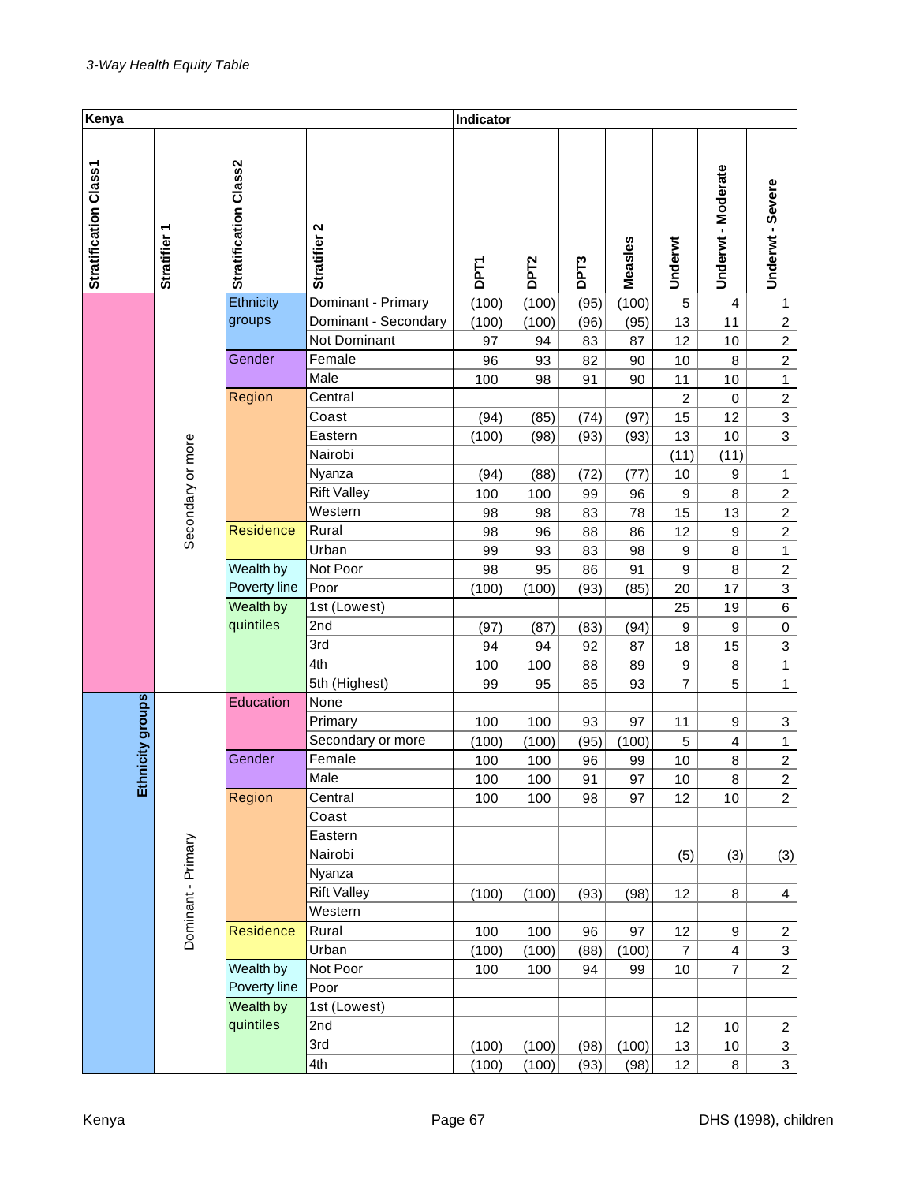| Kenya                 |                        |                       |                      | Indicator   |                  |                  |         |                  |                         |                           |
|-----------------------|------------------------|-----------------------|----------------------|-------------|------------------|------------------|---------|------------------|-------------------------|---------------------------|
| Stratification Class1 | ᠇<br><b>Stratifier</b> | Stratification Class2 | Stratifier 2         | <b>DPT1</b> | DPT <sub>2</sub> | DPT <sub>3</sub> | Measles | Underwt          | Underwt-Moderate        | Underwt - Severe          |
|                       |                        | Ethnicity             | Dominant - Primary   | (100)       | (100)            | (95)             | (100)   | $\sqrt{5}$       | 4                       | 1                         |
|                       |                        | groups                | Dominant - Secondary | (100)       | (100)            | (96)             | (95)    | 13               | 11                      | $\boldsymbol{2}$          |
|                       |                        |                       | Not Dominant         | 97          | 94               | 83               | 87      | 12               | 10                      | $\overline{c}$            |
|                       |                        | Gender                | Female               | 96          | 93               | 82               | 90      | 10               | 8                       | $\overline{c}$            |
|                       |                        |                       | Male                 | 100         | 98               | 91               | 90      | 11               | 10                      | $\mathbf{1}$              |
|                       |                        | Region                | Central              |             |                  |                  |         | $\overline{c}$   | $\mathbf 0$             | $\boldsymbol{2}$          |
|                       |                        |                       | Coast                | (94)        | (85)             | (74)             | (97)    | 15               | 12                      | 3                         |
|                       |                        |                       | Eastern              | (100)       | (98)             | (93)             | (93)    | 13               | 10                      | 3                         |
|                       | Secondary or more      |                       | Nairobi              |             |                  |                  |         | (11)             | (11)                    |                           |
|                       |                        |                       | Nyanza               | (94)        | (88)             | (72)             | (77)    | 10               | 9                       | 1                         |
|                       |                        |                       | <b>Rift Valley</b>   | 100         | 100              | 99               | 96      | $\boldsymbol{9}$ | 8                       | $\overline{c}$            |
|                       |                        |                       | Western              | 98          | 98               | 83               | 78      | 15               | 13                      | $\overline{c}$            |
|                       |                        | Residence             | Rural                | 98          | 96               | 88               | 86      | 12               | $\boldsymbol{9}$        | $\overline{c}$            |
|                       |                        |                       | Urban                | 99          | 93               | 83               | 98      | 9                | 8                       | $\mathbf{1}$              |
|                       |                        | Wealth by             | Not Poor             | 98          | 95               | 86               | 91      | $\boldsymbol{9}$ | 8                       | $\overline{c}$            |
|                       |                        | Poverty line          | Poor                 | (100)       | (100)            | (93)             | (85)    | 20               | 17                      | $\overline{3}$            |
|                       |                        | Wealth by             | 1st (Lowest)         |             |                  |                  |         | 25               | 19                      | $\overline{6}$            |
|                       |                        | quintiles             | 2nd                  | (97)        | (87)             | (83)             | (94)    | 9                | $\boldsymbol{9}$        | $\mathbf 0$               |
|                       |                        |                       | 3rd                  | 94          | 94               | 92               | 87      | 18               | 15                      | $\ensuremath{\mathsf{3}}$ |
|                       |                        |                       | 4th                  | 100         | 100              | 88               | 89      | $\boldsymbol{9}$ | 8                       | $\mathbf{1}$              |
|                       |                        |                       | 5th (Highest)        | 99          | 95               | 85               | 93      | $\overline{7}$   | 5                       | $\mathbf{1}$              |
| Ethnicity groups      |                        | Education             | None                 |             |                  |                  |         |                  |                         |                           |
|                       |                        |                       | Primary              | 100         | 100              | 93               | 97      | 11               | 9                       | 3                         |
|                       |                        |                       | Secondary or more    | (100)       | (100)            | (95)             | (100)   | 5                | $\overline{\mathbf{4}}$ | $\mathbf{1}$              |
|                       |                        | Gender                | Female               | 100         | 100              | 96               | 99      | 10               | 8                       | $\overline{2}$            |
|                       |                        |                       | Male                 | 100         | 100              | 91               | 97      | 10               | 8                       | 2                         |
|                       |                        | Region                | Central              | 100         | 100              | 98               | 97      | 12               | 10                      | $\overline{2}$            |
|                       |                        |                       | Coast                |             |                  |                  |         |                  |                         |                           |
|                       |                        |                       | Eastern              |             |                  |                  |         |                  |                         |                           |
|                       |                        |                       | Nairobi              |             |                  |                  |         | (5)              | (3)                     | (3)                       |
|                       |                        | Dominant - Primary    | Nyanza               |             |                  |                  |         |                  |                         |                           |
|                       |                        | <b>Rift Valley</b>    | (100)                | (100)       | (93)             | (98)             | 12      | 8                | $\overline{4}$          |                           |
|                       |                        |                       | Western              |             |                  |                  |         |                  |                         |                           |
|                       |                        | <b>Residence</b>      | Rural                | 100         | 100              | 96               | 97      | 12               | 9                       | $\overline{c}$            |
|                       |                        |                       | Urban                | (100)       | (100)            | (88)             | (100)   | $\overline{7}$   | 4                       | $\mathbf{3}$              |
|                       |                        | Wealth by             | Not Poor             | 100         | 100              | 94               | 99      | 10               | $\overline{7}$          | $\overline{2}$            |
|                       |                        | Poverty line          | Poor                 |             |                  |                  |         |                  |                         |                           |
|                       |                        | Wealth by             | 1st (Lowest)         |             |                  |                  |         |                  |                         |                           |
|                       |                        | quintiles             | 2nd                  |             |                  |                  |         | 12               | 10                      | $\overline{c}$            |
|                       |                        |                       | 3rd                  | (100)       | (100)            | (98)             | (100)   | 13               | $10$                    | $\mathbf{3}$              |
|                       |                        |                       | 4th                  | (100)       | (100)            | (93)             | (98)    | 12               | 8                       | $\overline{3}$            |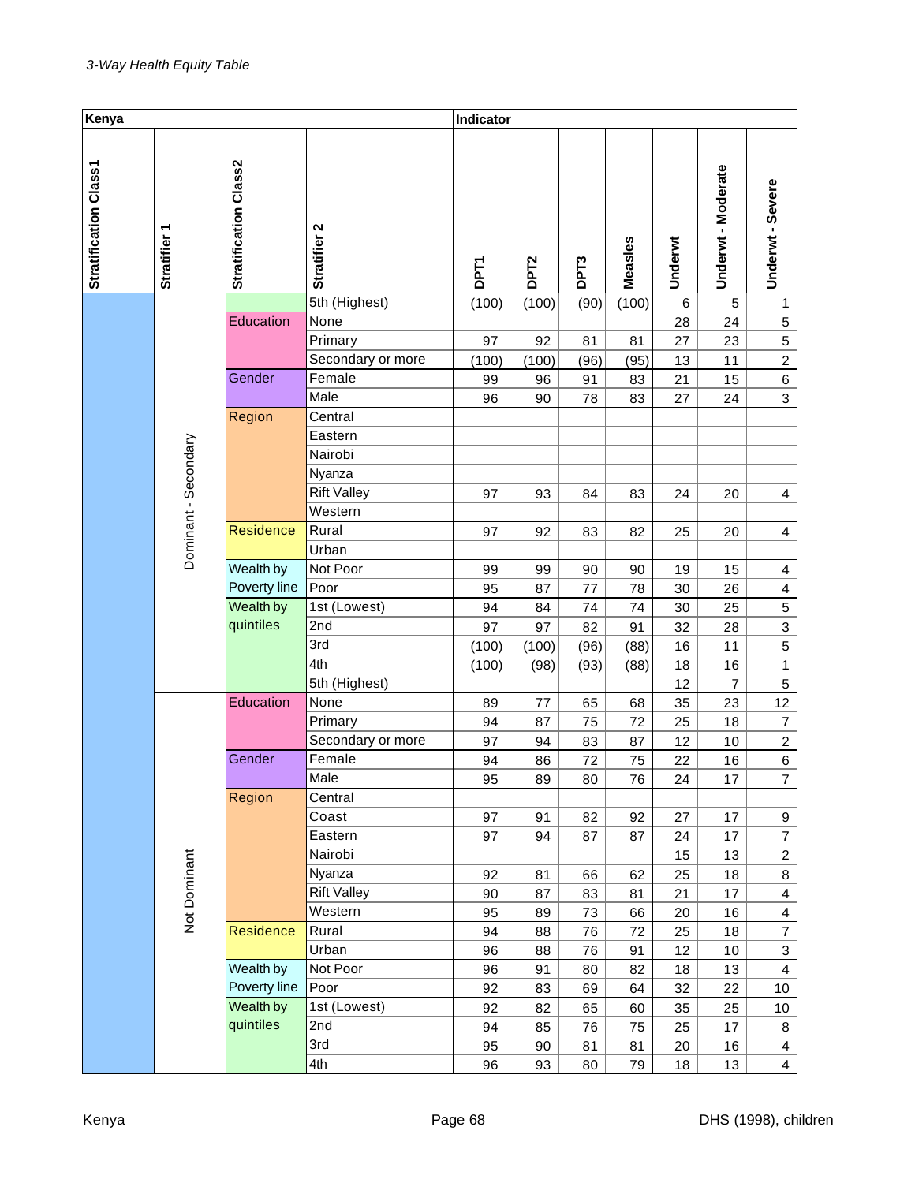| Kenya                 |                           |                       |                    |             | Indicator        |      |         |         |                         |                           |
|-----------------------|---------------------------|-----------------------|--------------------|-------------|------------------|------|---------|---------|-------------------------|---------------------------|
| Stratification Class1 | ٣<br><b>Stratifier</b>    | Stratification Class2 | Stratifier 2       | <b>DPT1</b> | DPT <sub>2</sub> | DPT3 | Measles | Underwt | Underwt-Moderate        | Underwt - Severe          |
|                       |                           |                       | 5th (Highest)      | (100)       | (100)            | (90) | (100)   | 6       | 5                       | 1                         |
|                       |                           | Education             | None               |             |                  |      |         | 28      | 24                      | $\mathbf 5$               |
|                       |                           |                       | Primary            | 97          | 92               | 81   | 81      | 27      | 23                      | 5                         |
|                       |                           |                       | Secondary or more  | (100)       | (100)            | (96) | (95)    | 13      | 11                      | $\overline{c}$            |
|                       |                           | Gender                | Female             | 99          | 96               | 91   | 83      | 21      | 15                      | 6                         |
|                       |                           |                       | Male               | 96          | 90               | 78   | 83      | 27      | 24                      | 3                         |
|                       |                           | Region                | Central            |             |                  |      |         |         |                         |                           |
|                       |                           |                       | Eastern            |             |                  |      |         |         |                         |                           |
|                       |                           |                       | Nairobi            |             |                  |      |         |         |                         |                           |
|                       |                           |                       | Nyanza             |             |                  |      |         |         |                         |                           |
|                       |                           |                       | <b>Rift Valley</b> | 97          | 93               | 84   | 83      | 24      | 20                      | 4                         |
|                       |                           |                       | Western            |             |                  |      |         |         |                         |                           |
|                       |                           | Residence             | Rural              | 97          | 92               | 83   | 82      | 25      | 20                      | $\overline{\mathbf{4}}$   |
|                       | Dominant - Secondary      |                       | Urban              |             |                  |      |         |         |                         |                           |
|                       | Wealth by                 | Not Poor              | 99                 | 99          | 90               | 90   | 19      | 15      | 4                       |                           |
|                       |                           | Poverty line          | Poor               | 95          | 87               | 77   | 78      | 30      | 26                      | $\overline{\mathbf{4}}$   |
|                       |                           | Wealth by             | 1st (Lowest)       | 94          | 84               | 74   | 74      | 30      | 25                      | 5                         |
|                       |                           | quintiles             | 2nd                | 97          | 97               | 82   | 91      | 32      | 28                      | 3                         |
|                       |                           |                       | 3rd                | (100)       | (100)            | (96) | (88)    | 16      | 11                      | 5                         |
|                       |                           |                       | 4th                | (100)       | (98)             | (93) | (88)    | 18      | 16                      | $\mathbf{1}$              |
|                       |                           |                       | 5th (Highest)      |             |                  |      |         | 12      | 7                       | $\mathbf 5$               |
|                       |                           | Education             | None               | 89          | 77               | 65   | 68      | 35      | 23                      | 12                        |
|                       |                           |                       | Primary            | 94          | 87               | 75   | 72      | 25      | 18                      | $\overline{7}$            |
|                       |                           |                       | Secondary or more  | 97          | 94               | 83   | 87      | 12      | 10                      | $\overline{c}$            |
|                       |                           | Gender                | Female             | 94          | 86               | 72   | 75      | 22      | 16                      | $\,6$                     |
|                       |                           |                       | Male               | 95          | 89               | 80   | 76      | 24      | 17                      | 7                         |
|                       |                           | Region                | Central            |             |                  |      |         |         |                         |                           |
|                       |                           |                       | Coast              | 97          | 91               | 82   | 92      | 27      | 17                      | 9                         |
|                       |                           |                       | Eastern            | 97          | 94               | 87   | 87      | 24      | 17                      | $\overline{7}$            |
|                       |                           |                       | Nairobi            |             |                  |      |         | 15      | 13                      | $\overline{2}$            |
|                       |                           |                       | Nyanza             | 92          | 81               | 66   | 62      | 25      | 18                      | 8                         |
|                       |                           |                       | <b>Rift Valley</b> | 90          | 87               | 83   | 81      | 21      | 17                      | $\overline{\mathbf{4}}$   |
|                       | Not Dominant              | Western               | 95                 | 89          | 73               | 66   | 20      | 16      | $\overline{\mathbf{4}}$ |                           |
|                       |                           | Residence             | Rural              | 94          | 88               | 76   | 72      | 25      | 18                      | $\overline{7}$            |
|                       |                           |                       | Urban              | 96          | 88               | 76   | 91      | 12      | 10                      | $\ensuremath{\mathsf{3}}$ |
|                       |                           |                       | Not Poor           | 96          | 91               | 80   | 82      | 18      | 13                      | $\overline{\mathbf{4}}$   |
|                       | Wealth by<br>Poverty line | Poor                  | 92                 | 83          | 69               | 64   | 32      | 22      | $10\,$                  |                           |
|                       |                           | Wealth by             | 1st (Lowest)       | 92          | 82               | 65   | 60      | 35      | 25                      | 10                        |
|                       |                           | quintiles             | 2nd                | 94          | 85               | 76   | 75      | 25      | 17                      | 8                         |
|                       |                           |                       | 3rd                | 95          | 90               | 81   | 81      | 20      | 16                      | $\overline{\mathbf{4}}$   |
|                       |                           | 4th                   | 96                 | 93          | 80               | 79   | 18      | 13      | $\overline{4}$          |                           |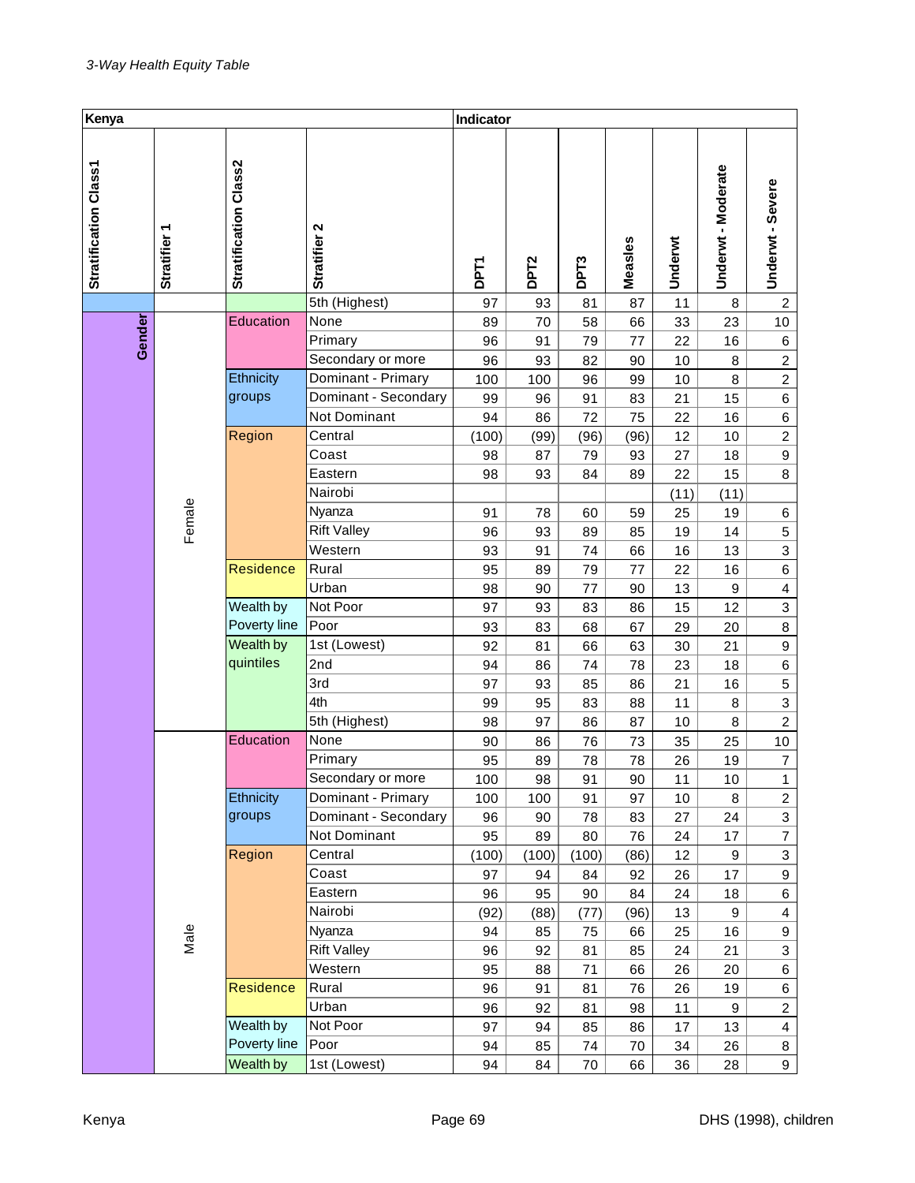| Kenya                 |                        |                       |                      |             | Indicator        |                  |         |         |                    |                         |
|-----------------------|------------------------|-----------------------|----------------------|-------------|------------------|------------------|---------|---------|--------------------|-------------------------|
| Stratification Class1 | ٣<br><b>Stratifier</b> | Stratification Class2 | Stratifier 2         | <b>DPT1</b> | DPT <sub>2</sub> | DPT <sub>3</sub> | Measles | Underwt | Underwt - Moderate | Underwt - Severe        |
|                       |                        |                       | 5th (Highest)        | 97          | 93               | 81               | 87      | 11      | 8                  | $\overline{c}$          |
|                       |                        | Education             | None                 | 89          | 70               | 58               | 66      | 33      | 23                 | 10                      |
| Gender                |                        |                       | Primary              | 96          | 91               | 79               | 77      | 22      | 16                 | 6                       |
|                       |                        |                       | Secondary or more    | 96          | 93               | 82               | 90      | 10      | 8                  | $\overline{c}$          |
|                       |                        | Ethnicity             | Dominant - Primary   | 100         | 100              | 96               | 99      | 10      | 8                  | $\overline{c}$          |
|                       |                        | groups                | Dominant - Secondary | 99          | 96               | 91               | 83      | 21      | 15                 | 6                       |
|                       |                        |                       | Not Dominant         | 94          | 86               | 72               | 75      | 22      | 16                 | 6                       |
|                       |                        | Region                | Central              | (100)       | (99)             | (96)             | (96)    | 12      | 10                 | $\overline{c}$          |
|                       |                        |                       | Coast                | 98          | 87               | 79               | 93      | 27      | 18                 | $\boldsymbol{9}$        |
|                       |                        |                       | Eastern              | 98          | 93               | 84               | 89      | 22      | 15                 | 8                       |
|                       |                        |                       | Nairobi              |             |                  |                  |         | (11)    | (11)               |                         |
|                       | Female                 |                       | Nyanza               | 91          | 78               | 60               | 59      | 25      | 19                 | 6                       |
|                       |                        |                       | Rift Valley          | 96          | 93               | 89               | 85      | 19      | 14                 | $\mathbf 5$             |
|                       |                        |                       | Western              | 93          | 91               | 74               | 66      | 16      | 13                 | 3                       |
|                       |                        | Residence             | Rural                | 95          | 89               | 79               | 77      | 22      | 16                 | 6                       |
|                       |                        |                       | Urban                | 98          | 90               | 77               | 90      | 13      | $\boldsymbol{9}$   | $\overline{\mathbf{4}}$ |
|                       |                        | Wealth by             | Not Poor             | 97          | 93               | 83               | 86      | 15      | 12                 | 3                       |
|                       |                        | Poverty line          | Poor                 | 93          | 83               | 68               | 67      | 29      | 20                 | 8                       |
|                       |                        | Wealth by             | 1st (Lowest)         | 92          | 81               | 66               | 63      | 30      | 21                 | $\boldsymbol{9}$        |
|                       |                        | quintiles             | 2nd                  | 94          | 86               | 74               | 78      | 23      | 18                 | $\,6$                   |
|                       |                        |                       | 3rd                  | 97          | 93               | 85               | 86      | 21      | 16                 | $\sqrt{5}$              |
|                       |                        |                       | 4th                  | 99          | 95               | 83               | 88      | 11      | 8                  | 3                       |
|                       |                        |                       | 5th (Highest)        | 98          | 97               | 86               | 87      | 10      | 8                  | $\boldsymbol{2}$        |
|                       |                        | Education             | None                 | 90          | 86               | 76               | 73      | 35      | 25                 | $10$                    |
|                       |                        |                       | Primary              | 95          | 89               | 78               | 78      | 26      | 19                 | $\overline{7}$          |
|                       |                        |                       | Secondary or more    | 100         | 98               | 91               | 90      | 11      | 10                 | $\mathbf{1}$            |
|                       |                        | Ethnicity             | Dominant - Primary   | 100         | 100              | 91               | 97      | 10      | 8                  | $\overline{a}$          |
|                       |                        | groups                | Dominant - Secondary | 96          | 90               | 78               | 83      | 27      | 24                 | 3                       |
|                       |                        |                       | Not Dominant         | 95          | 89               | 80               | 76      | 24      | 17                 | $\overline{\mathbf{7}}$ |
|                       |                        | Region                | Central              | (100)       | (100)            | (100)            | (86)    | 12      | 9                  | 3                       |
|                       |                        |                       | Coast                | 97          | 94               | 84               | 92      | 26      | 17                 | 9                       |
|                       |                        |                       | Eastern              | 96          | 95               | 90               | 84      | 24      | 18                 | 6                       |
|                       |                        |                       | Nairobi              | (92)        | (88)             | (77)             | (96)    | 13      | 9                  | $\overline{\mathbf{4}}$ |
|                       | Male                   |                       | Nyanza               | 94          | 85               | 75               | 66      | 25      | 16                 | 9                       |
|                       |                        |                       | <b>Rift Valley</b>   | 96          | 92               | 81               | 85      | 24      | 21                 | 3                       |
|                       |                        |                       | Western              | 95          | 88               | 71               | 66      | 26      | 20                 | 6                       |
|                       |                        | Residence             | Rural                | 96          | 91               | 81               | 76      | 26      | 19                 | 6                       |
|                       |                        |                       | Urban                | 96          | 92               | 81               | 98      | 11      | 9                  | $\overline{c}$          |
|                       |                        | Wealth by             | Not Poor             | 97          | 94               | 85               | 86      | 17      | 13                 | 4                       |
|                       | Poverty line           | Poor                  | 94                   | 85          | 74               | 70               | 34      | 26      | 8                  |                         |
|                       |                        | Wealth by             | 1st (Lowest)         | 94          | 84               | 70               | 66      | 36      | 28                 | 9                       |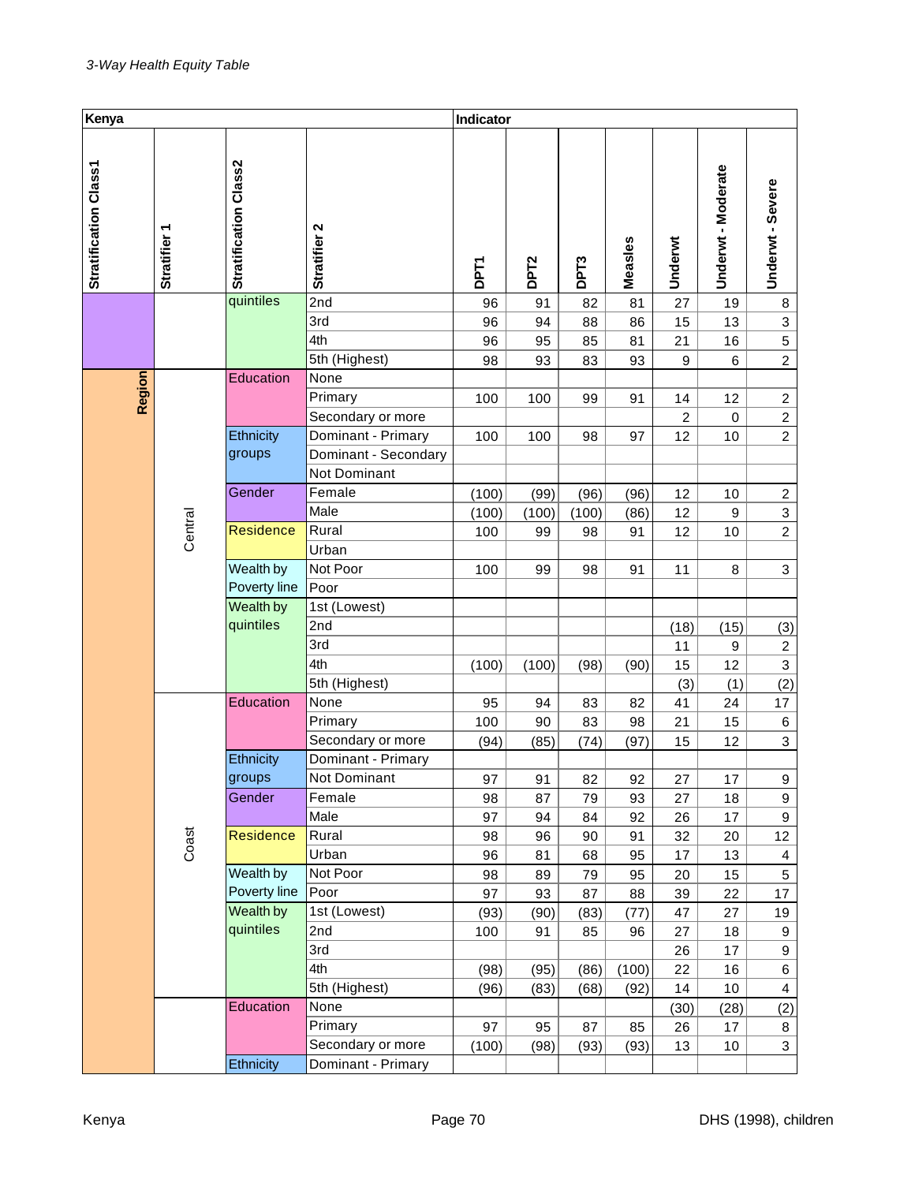| Kenya                 |              |                       |                      | Indicator   |                  |                  |         |                  |                  |                         |
|-----------------------|--------------|-----------------------|----------------------|-------------|------------------|------------------|---------|------------------|------------------|-------------------------|
| Stratification Class1 | Stratifier 1 | Stratification Class2 | Stratifier 2         | <b>DPT1</b> | DPT <sub>2</sub> | DPT <sub>3</sub> | Measles | Underwt          | Underwt-Moderate | Underwt - Severe        |
|                       |              | quintiles             | 2nd                  | 96          | 91               | 82               | 81      | 27               | 19               | 8                       |
|                       |              |                       | 3rd                  | 96          | 94               | 88               | 86      | 15               | 13               | 3                       |
|                       |              |                       | 4th                  | 96          | 95               | 85               | 81      | 21               | 16               | 5                       |
|                       |              |                       | 5th (Highest)        | 98          | 93               | 83               | 93      | $\boldsymbol{9}$ | 6                | $\overline{2}$          |
|                       |              | Education             | None                 |             |                  |                  |         |                  |                  |                         |
| Region                |              |                       | Primary              | 100         | 100              | 99               | 91      | 14               | 12               | $\overline{c}$          |
|                       |              |                       | Secondary or more    |             |                  |                  |         | $\overline{c}$   | 0                | $\boldsymbol{2}$        |
|                       |              | Ethnicity             | Dominant - Primary   | 100         | 100              | 98               | 97      | 12               | 10               | $\overline{2}$          |
|                       |              | groups                | Dominant - Secondary |             |                  |                  |         |                  |                  |                         |
|                       |              |                       | Not Dominant         |             |                  |                  |         |                  |                  |                         |
|                       |              | Gender                | Female               | (100)       | (99)             | (96)             | (96)    | 12               | 10               | $\overline{c}$          |
|                       |              |                       | Male                 | (100)       | (100)            | (100)            | (86)    | 12               | $\boldsymbol{9}$ | 3                       |
|                       | Central      | <b>Residence</b>      | Rural                | 100         | 99               | 98               | 91      | 12               | 10               | $\overline{2}$          |
|                       |              |                       | Urban                |             |                  |                  |         |                  |                  |                         |
|                       |              | Wealth by             | Not Poor             | 100         | 99               | 98               | 91      | 11               | 8                | 3                       |
|                       | Poverty line | Poor                  |                      |             |                  |                  |         |                  |                  |                         |
|                       |              | Wealth by             | 1st (Lowest)         |             |                  |                  |         |                  |                  |                         |
|                       |              | quintiles             | 2nd                  |             |                  |                  |         | (18)             | (15)             | (3)                     |
|                       |              |                       | 3rd                  |             |                  |                  |         | 11               | 9                | $\overline{c}$          |
|                       |              |                       | 4th                  | (100)       | (100)            | (98)             | (90)    | 15               | 12               | $\overline{\mathbf{3}}$ |
|                       |              |                       | 5th (Highest)        |             |                  |                  |         | (3)              | (1)              | (2)                     |
|                       |              | Education             | None                 | 95          | 94               | 83               | 82      | 41               | 24               | 17                      |
|                       |              |                       | Primary              | 100         | 90               | 83               | 98      | 21               | 15               | 6                       |
|                       |              |                       | Secondary or more    | (94)        | (85)             | (74)             | (97)    | 15               | 12               | 3                       |
|                       |              | Ethnicity             | Dominant - Primary   |             |                  |                  |         |                  |                  |                         |
|                       |              | groups                | Not Dominant         | 97          | 91               | 82               | 92      | 27               | 17               | 9                       |
|                       |              | Gender                | Female               | 98          | 87               | 79               | 93      | 27               | 18               | 9                       |
|                       |              |                       | Male                 | 97          | 94               | 84               | 92      | 26               | 17               | 9                       |
|                       | Coast        | <b>Residence</b>      | Rural                | 98          | 96               | 90               | 91      | 32               | 20               | 12                      |
|                       |              |                       | Urban                | 96          | 81               | 68               | 95      | 17               | 13               | $\overline{\mathbf{4}}$ |
|                       |              | Wealth by             | Not Poor             | 98          | 89               | 79               | 95      | 20               | 15               | 5                       |
|                       |              | Poverty line          | Poor                 | 97          | 93               | 87               | 88      | 39               | 22               | 17                      |
|                       |              | Wealth by             | 1st (Lowest)         | (93)        | (90)             | (83)             | (77)    | 47               | 27               | 19                      |
|                       |              | quintiles             | 2nd                  | 100         | 91               | 85               | 96      | 27               | 18               | 9                       |
|                       |              |                       | 3rd                  |             |                  |                  |         | 26               | 17               | 9                       |
|                       |              |                       | 4th                  | (98)        | (95)             | (86)             | (100)   | 22               | 16               | 6                       |
|                       |              | Education             | 5th (Highest)        | (96)        | (83)             | (68)             | (92)    | 14               | 10               | $\overline{\mathbf{4}}$ |
|                       |              |                       | None                 |             |                  |                  |         | (30)             | (28)             | (2)                     |
|                       |              | Primary               | 97                   | 95          | 87               | 85               | 26      | 17               | 8                |                         |
|                       |              |                       | Secondary or more    | (100)       | (98)             | (93)             | (93)    | 13               | 10               | 3                       |
|                       |              | Ethnicity             | Dominant - Primary   |             |                  |                  |         |                  |                  |                         |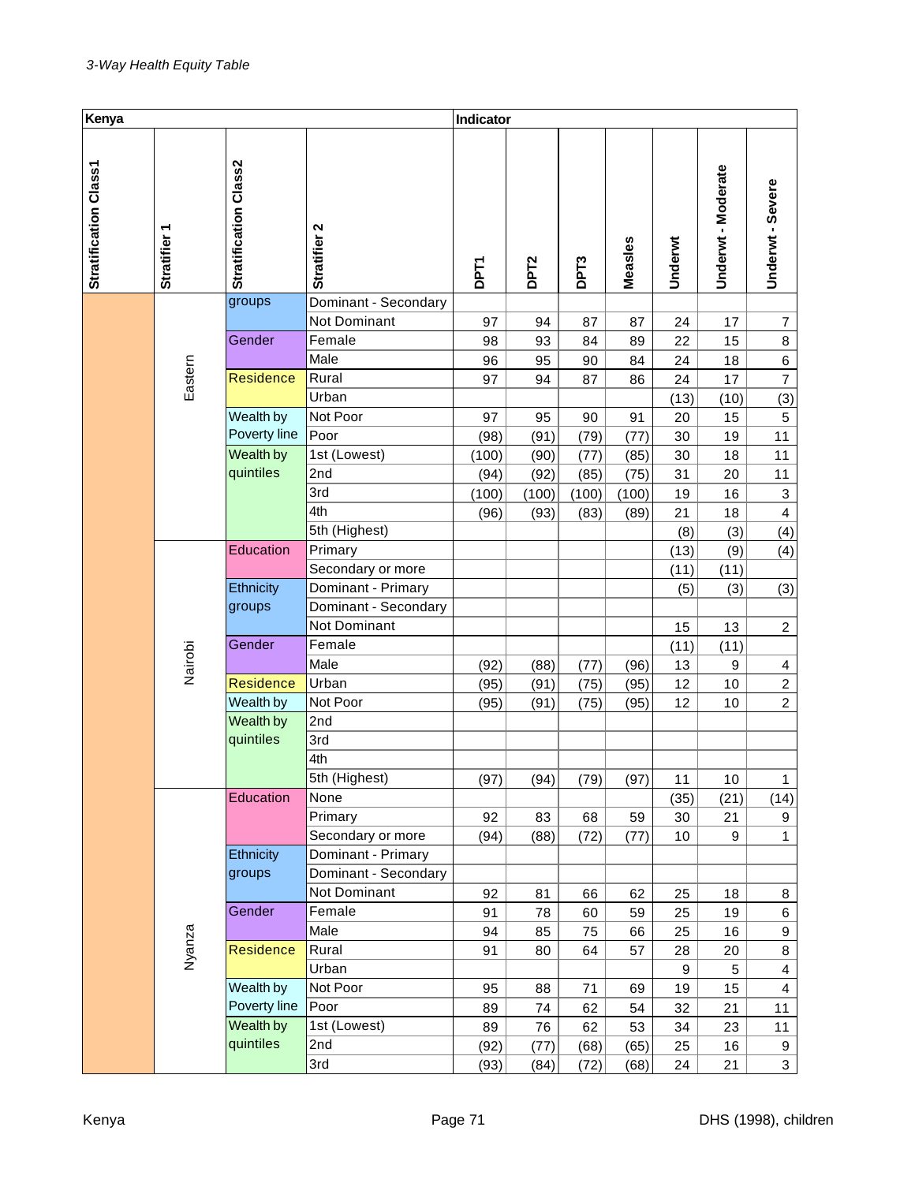| Kenya                 |                        |                              |                      | Indicator   |                  |                  |         |         |                  |                           |
|-----------------------|------------------------|------------------------------|----------------------|-------------|------------------|------------------|---------|---------|------------------|---------------------------|
| Stratification Class1 | ٣<br><b>Stratifier</b> | <b>Stratification Class2</b> | Stratifier 2         | <b>DPT1</b> | DPT <sub>2</sub> | DPT <sub>3</sub> | Measles | Underwt | Underwt-Moderate | Underwt - Severe          |
|                       |                        | groups                       | Dominant - Secondary |             |                  |                  |         |         |                  |                           |
|                       |                        |                              | Not Dominant         | 97          | 94               | 87               | 87      | 24      | 17               | $\overline{\mathcal{I}}$  |
|                       |                        | Gender                       | Female               | 98          | 93               | 84               | 89      | 22      | 15               | 8                         |
|                       |                        |                              | Male                 | 96          | 95               | 90               | 84      | 24      | 18               | $\,6$                     |
|                       | Eastern                | <b>Residence</b>             | Rural                | 97          | 94               | 87               | 86      | 24      | 17               | $\overline{7}$            |
|                       |                        |                              | Urban                |             |                  |                  |         | (13)    | (10)             | (3)                       |
|                       |                        | Wealth by                    | Not Poor             | 97          | 95               | 90               | 91      | 20      | 15               | 5                         |
|                       |                        | Poverty line                 | Poor                 | (98)        | (91)             | (79)             | (77)    | 30      | 19               | 11                        |
|                       |                        | Wealth by                    | 1st (Lowest)         | (100)       | (90)             | (77)             | (85)    | 30      | 18               | 11                        |
|                       |                        | quintiles                    | 2nd                  | (94)        | (92)             | (85)             | (75)    | 31      | 20               | 11                        |
|                       |                        |                              | 3rd                  | (100)       | (100)            | (100)            | (100)   | 19      | 16               | $\ensuremath{\mathsf{3}}$ |
|                       |                        |                              | 4th                  | (96)        | (93)             | (83)             | (89)    | 21      | 18               | $\overline{\mathbf{4}}$   |
|                       |                        |                              | 5th (Highest)        |             |                  |                  |         | (8)     | (3)              | (4)                       |
|                       |                        | Education                    | Primary              |             |                  |                  |         | (13)    | (9)              | (4)                       |
|                       |                        |                              | Secondary or more    |             |                  |                  |         | (11)    | (11)             |                           |
|                       |                        | Ethnicity                    | Dominant - Primary   |             |                  |                  |         | (5)     | (3)              | (3)                       |
|                       |                        | groups                       | Dominant - Secondary |             |                  |                  |         |         |                  |                           |
|                       |                        |                              | Not Dominant         |             |                  |                  |         | 15      | 13               | $\boldsymbol{2}$          |
|                       |                        | Gender                       | Female               |             |                  |                  |         | (11)    | (11)             |                           |
|                       | Nairobi                |                              | Male                 | (92)        | (88)             | (77)             | (96)    | 13      | $\boldsymbol{9}$ | $\overline{4}$            |
|                       |                        | <b>Residence</b>             | Urban                | (95)        | (91)             | (75)             | (95)    | 12      | 10               | $\overline{c}$            |
|                       |                        | Wealth by                    | Not Poor             | (95)        | (91)             | (75)             | (95)    | 12      | 10               | $\overline{2}$            |
|                       |                        | Wealth by                    | 2nd                  |             |                  |                  |         |         |                  |                           |
|                       |                        | quintiles                    | 3rd                  |             |                  |                  |         |         |                  |                           |
|                       |                        |                              | 4th                  |             |                  |                  |         |         |                  |                           |
|                       |                        |                              | 5th (Highest)        | (97)        | (94)             | (79)             | (97)    | 11      | 10               | 1                         |
|                       |                        | Education                    | None                 |             |                  |                  |         | (35)    | (21)             | (14)                      |
|                       |                        |                              | Primary              | 92          | 83               | 68               | 59      | 30      | 21               | 9                         |
|                       |                        |                              | Secondary or more    | (94)        | (88)             | (72)             | (77)    | 10      | 9                | $\mathbf{1}$              |
|                       |                        | Ethnicity                    | Dominant - Primary   |             |                  |                  |         |         |                  |                           |
|                       |                        | groups                       | Dominant - Secondary |             |                  |                  |         |         |                  |                           |
|                       |                        |                              | Not Dominant         | 92          | 81               | 66               | 62      | 25      | 18               | 8                         |
|                       |                        | Gender                       | Female               | 91          | 78               | 60               | 59      | 25      | 19               | 6                         |
|                       |                        |                              | Male                 | 94          | 85               | 75               | 66      | 25      | 16               | 9                         |
|                       | Nyanza                 | Residence                    | Rural                | 91          | 80               | 64               | 57      | 28      | 20               | 8                         |
|                       |                        |                              | Urban                |             |                  |                  |         | 9       | 5                | $\overline{\mathbf{4}}$   |
|                       |                        | Wealth by                    | Not Poor             | 95          | 88               | 71               | 69      | 19      | 15               | 4                         |
|                       |                        | Poverty line                 | Poor                 | 89          | 74               | 62               | 54      | 32      | 21               | 11                        |
|                       |                        | Wealth by                    | 1st (Lowest)         | 89          | 76               | 62               | 53      | 34      | 23               | 11                        |
|                       |                        | quintiles                    | 2nd                  | (92)        | (77)             | (68)             | (65)    | 25      | 16               | 9                         |
|                       |                        |                              | 3rd                  | (93)        | (84)             | (72)             | (68)    | 24      | 21               | $\mathbf{3}$              |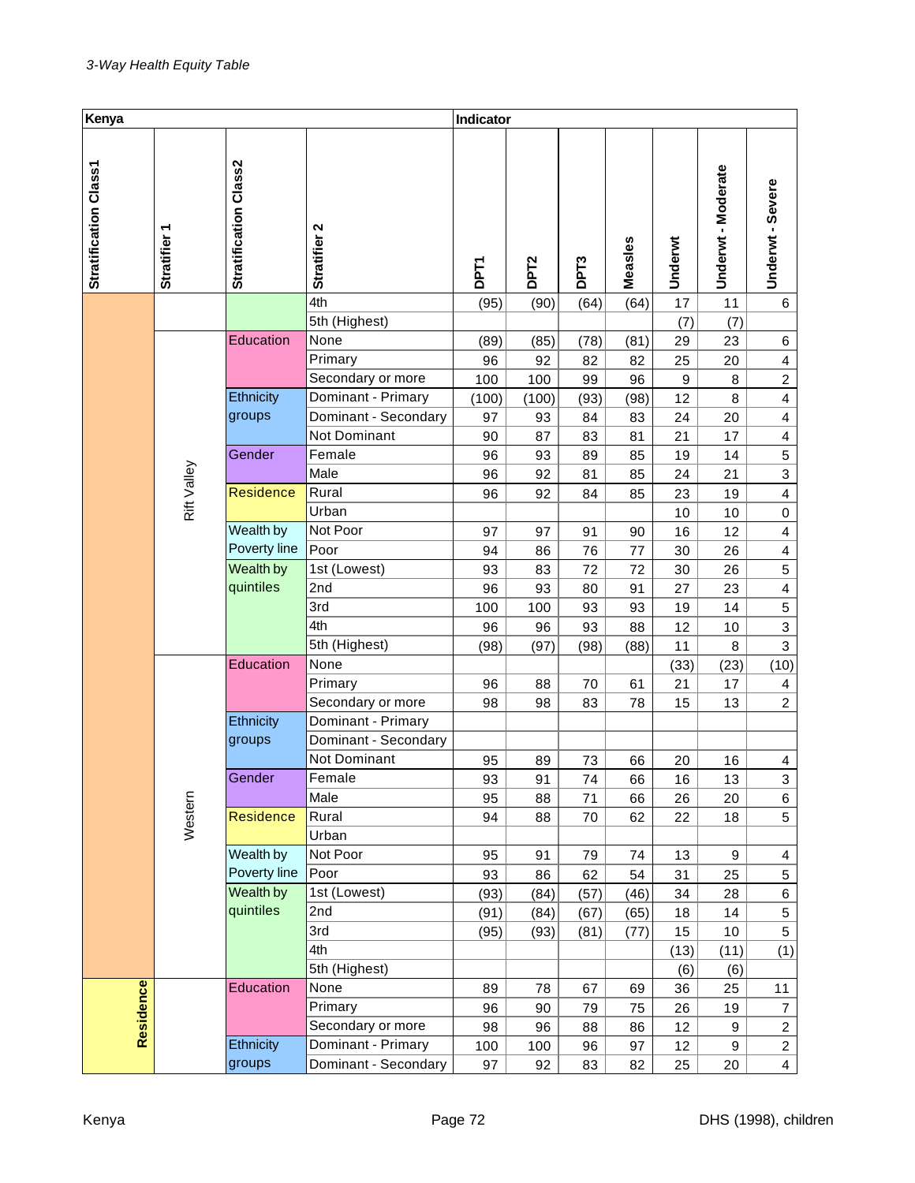| Kenya                 |                          |                       |                      | Indicator   |                  |      |         |                  |                         |                         |
|-----------------------|--------------------------|-----------------------|----------------------|-------------|------------------|------|---------|------------------|-------------------------|-------------------------|
| Stratification Class1 | Stratifier 1             | Stratification Class2 | Stratifier 2         | <b>DPT1</b> | DPT <sub>2</sub> | DPT3 | Measles | Underwt          | Underwt-Moderate        | Underwt - Severe        |
|                       |                          |                       | 4th                  | (95)        | (90)             | (64) | (64)    | 17               | 11                      | 6                       |
|                       |                          |                       | 5th (Highest)        |             |                  |      |         | (7)              | (7)                     |                         |
|                       |                          | Education             | None                 | (89)        | (85)             | (78) | (81)    | 29               | 23                      | 6                       |
|                       |                          |                       | Primary              | 96          | 92               | 82   | 82      | 25               | 20                      | $\overline{4}$          |
|                       |                          |                       | Secondary or more    | 100         | 100              | 99   | 96      | $\boldsymbol{9}$ | $\bf8$                  | $\boldsymbol{2}$        |
|                       |                          | Ethnicity             | Dominant - Primary   | (100)       | (100)            | (93) | (98)    | 12               | 8                       | $\overline{\mathbf{4}}$ |
|                       |                          | groups                | Dominant - Secondary | 97          | 93               | 84   | 83      | 24               | 20                      | $\overline{\mathbf{4}}$ |
|                       |                          |                       | <b>Not Dominant</b>  | 90          | 87               | 83   | 81      | 21               | 17                      | $\overline{\mathbf{4}}$ |
|                       |                          | Gender                | Female               | 96          | 93               | 89   | 85      | 19               | 14                      | 5                       |
|                       | <b>Residence</b>         | Male                  | 96                   | 92          | 81               | 85   | 24      | 21               | $\overline{\mathbf{3}}$ |                         |
|                       | Rift Valley<br>Wealth by |                       | Rural                | 96          | 92               | 84   | 85      | 23               | 19                      | $\overline{4}$          |
|                       |                          |                       | Urban                |             |                  |      |         | 10               | 10                      | $\pmb{0}$               |
|                       |                          |                       | Not Poor             | 97          | 97               | 91   | 90      | 16               | 12                      | $\overline{\mathbf{4}}$ |
|                       |                          | Poverty line          | Poor                 | 94          | 86               | 76   | 77      | 30               | 26                      | $\overline{\mathbf{4}}$ |
|                       | Wealth by                |                       | 1st (Lowest)         | 93          | 83               | 72   | 72      | 30               | 26                      | $\sqrt{5}$              |
|                       |                          | quintiles             | 2nd                  | 96          | 93               | 80   | 91      | 27               | 23                      | $\overline{4}$          |
|                       |                          |                       | 3rd                  | 100         | 100              | 93   | 93      | 19               | 14                      | $\sqrt{5}$              |
|                       |                          |                       | 4th                  | 96          | 96               | 93   | 88      | 12               | 10                      | $\overline{\mathbf{3}}$ |
|                       |                          |                       | 5th (Highest)        | (98)        | (97)             | (98) | (88)    | 11               | 8                       | $\mathbf{3}$            |
|                       |                          | Education             | None                 |             |                  |      |         | (33)             | (23)                    | (10)                    |
|                       |                          |                       | Primary              | 96          | 88               | 70   | 61      | 21               | 17                      | $\overline{\mathbf{4}}$ |
|                       |                          |                       | Secondary or more    | 98          | 98               | 83   | 78      | 15               | 13                      | $\overline{2}$          |
|                       |                          | Ethnicity             | Dominant - Primary   |             |                  |      |         |                  |                         |                         |
|                       |                          | groups                | Dominant - Secondary |             |                  |      |         |                  |                         |                         |
|                       |                          |                       | Not Dominant         | 95          | 89               | 73   | 66      | 20               | 16                      | $\overline{4}$          |
|                       |                          | Gender                | Female               | 93          | 91               | 74   | 66      | 16               | 13                      | $\mathbf{3}$            |
|                       |                          |                       | Male                 | 95          | 88               | 71   | 66      | 26               | 20                      | 6                       |
|                       | Western                  | <b>Residence</b>      | Rural                | 94          | 88               | 70   | 62      | 22               | 18                      | 5                       |
|                       |                          |                       | Urban                |             |                  |      |         |                  |                         |                         |
|                       |                          | Wealth by             | Not Poor             | 95          | 91               | 79   | 74      | 13               | $\boldsymbol{9}$        | $\overline{4}$          |
|                       |                          | Poverty line          | Poor                 | 93          | 86               | 62   | 54      | 31               | 25                      | 5                       |
|                       |                          | Wealth by             | 1st (Lowest)         | (93)        | (84)             | (57) | (46)    | 34               | 28                      | $\,6\,$                 |
|                       |                          | quintiles             | 2nd                  | (91)        | (84)             | (67) | (65)    | 18               | 14                      | 5                       |
|                       |                          |                       | 3rd                  | (95)        | (93)             | (81) | (77)    | 15               | 10                      | 5                       |
|                       |                          |                       | 4th                  |             |                  |      |         | (13)             | (11)                    | (1)                     |
|                       |                          |                       | 5th (Highest)        |             |                  |      |         | (6)              | (6)                     |                         |
|                       |                          | Education             | None                 | 89          | 78               | 67   | 69      | 36               | 25                      | 11                      |
|                       |                          |                       | Primary              | 96          | 90               | 79   | 75      | 26               | 19                      | $\overline{7}$          |
| Residence             |                          |                       | Secondary or more    | 98          | 96               | 88   | 86      | 12               | 9                       | $\overline{c}$          |
|                       |                          | Ethnicity             | Dominant - Primary   | 100         | 100              | 96   | 97      | 12               | 9                       | $\overline{c}$          |
|                       |                          | groups                | Dominant - Secondary | 97          | 92               | 83   | 82      | 25               | 20                      | $\overline{4}$          |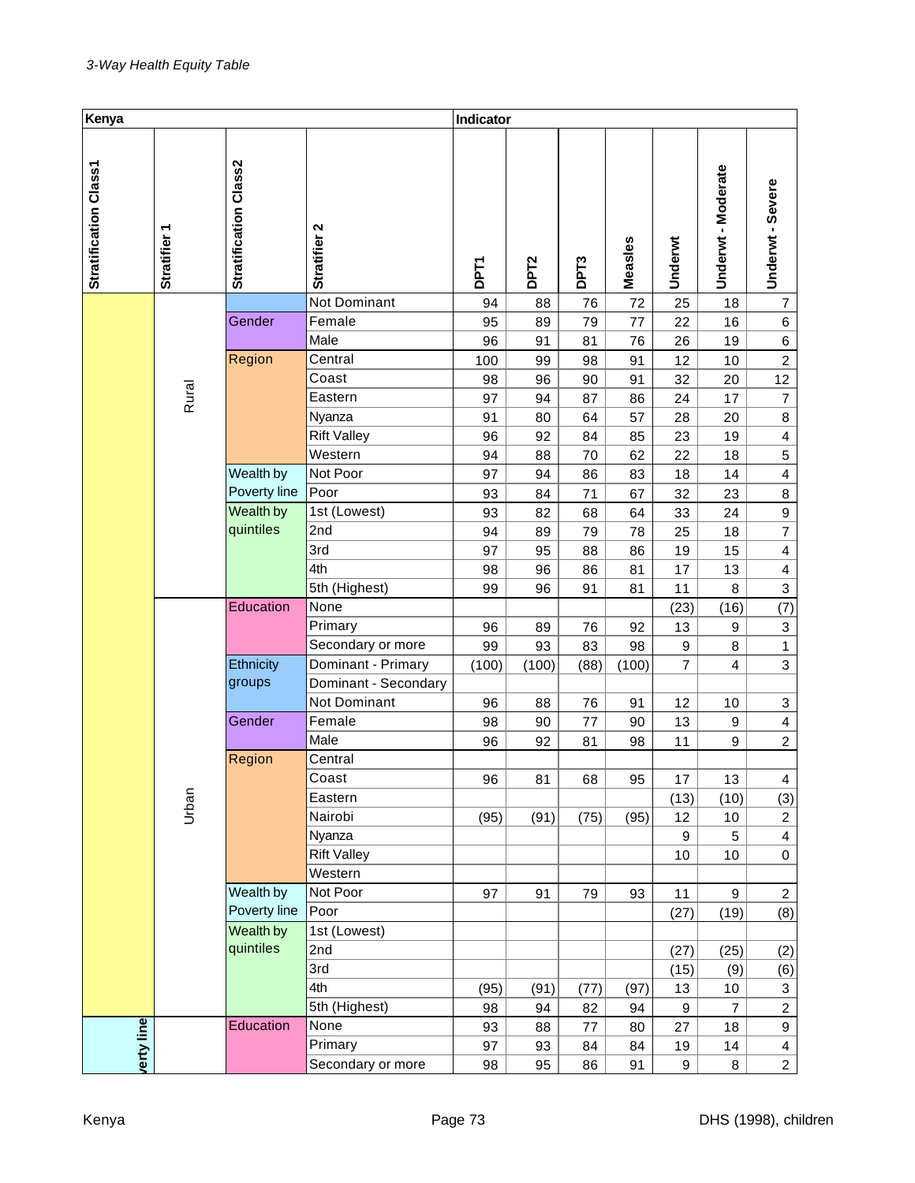| Kenya                 |                        |                       |                               | Indicator   |                  |          |          |                  |                    |                         |
|-----------------------|------------------------|-----------------------|-------------------------------|-------------|------------------|----------|----------|------------------|--------------------|-------------------------|
| Stratification Class1 | ٣<br><b>Stratifier</b> | Stratification Class2 | Stratifier 2                  | <b>DPT1</b> | DPT <sub>2</sub> | DPT3     | Measles  | Underwt          | Underwt - Moderate | Underwt - Severe        |
|                       |                        |                       | Not Dominant                  | 94          | 88               | 76       | 72       | 25               | 18                 | $\overline{7}$          |
|                       |                        | Gender                | Female                        | 95          | 89               | 79       | 77       | 22               | 16                 | $\,6$                   |
|                       |                        |                       | Male                          | 96          | 91               | 81       | 76       | 26               | 19                 | 6                       |
|                       |                        | Region                | Central                       | 100         | 99               | 98       | 91       | 12               | 10                 | $\overline{2}$          |
|                       |                        |                       | Coast                         | 98          | 96               | 90       | 91       | 32               | 20                 | 12                      |
|                       | Rural                  |                       | Eastern                       | 97          | 94               | 87       | 86       | 24               | 17                 | $\overline{7}$          |
|                       |                        |                       | Nyanza                        | 91          | 80               | 64       | 57       | 28               | 20                 | 8                       |
|                       |                        |                       | <b>Rift Valley</b><br>Western | 96          | 92               | 84       | 85       | 23               | 19                 | $\overline{\mathbf{4}}$ |
|                       |                        | Wealth by             | Not Poor                      | 94<br>97    | 88<br>94         | 70       | 62       | 22               | 18<br>14           | 5<br>$\overline{4}$     |
|                       |                        | Poverty line          | Poor                          | 93          | 84               | 86<br>71 | 83<br>67 | 18<br>32         | 23                 | $\bf8$                  |
|                       |                        | Wealth by             | 1st (Lowest)                  | 93          | 82               | 68       | 64       | 33               | 24                 | $\boldsymbol{9}$        |
|                       |                        | quintiles             | 2nd                           | 94          | 89               | 79       | 78       | 25               | 18                 | $\overline{7}$          |
|                       |                        |                       | 3rd                           | 97          | 95               | 88       | 86       | 19               | 15                 | $\overline{\mathbf{4}}$ |
|                       |                        |                       | 4th                           | 98          | 96               | 86       | 81       | 17               | 13                 | $\overline{\mathbf{4}}$ |
|                       |                        |                       | 5th (Highest)                 | 99          | 96               | 91       | 81       | 11               | 8                  | 3                       |
|                       | Education              |                       | None                          |             |                  |          |          | (23)             | (16)               | (7)                     |
|                       |                        |                       | Primary                       | 96          | 89               | 76       | 92       | 13               | 9                  | $\mathbf{3}$            |
|                       |                        |                       | Secondary or more             | 99          | 93               | 83       | 98       | $\boldsymbol{9}$ | 8                  | $\ddagger$              |
|                       |                        | Ethnicity             | Dominant - Primary            | (100)       | (100)            | (88)     | (100)    | $\overline{7}$   | 4                  | 3                       |
|                       |                        | groups                | Dominant - Secondary          |             |                  |          |          |                  |                    |                         |
|                       |                        |                       | Not Dominant                  | 96          | 88               | 76       | 91       | 12               | 10                 | 3                       |
|                       |                        | Gender                | Female                        | 98          | 90               | 77       | 90       | 13               | $\boldsymbol{9}$   | $\overline{4}$          |
|                       |                        |                       | Male                          | 96          | 92               | 81       | 98       | 11               | 9                  | $\overline{2}$          |
|                       |                        | Region                | Central                       |             |                  |          |          |                  |                    |                         |
|                       |                        |                       | Coast                         | 96          | 81               | 68       | 95       | 17               | 13                 | 4                       |
|                       | Urban                  |                       | Eastern                       |             |                  |          |          | (13)             | (10)               | (3)                     |
|                       |                        |                       | Nairobi                       | (95)        | (91)             | (75)     | (95)     | 12               | 10                 | $\overline{a}$          |
|                       |                        |                       | Nyanza                        |             |                  |          |          | 9                | 5                  | $\overline{\mathbf{4}}$ |
|                       |                        |                       | <b>Rift Valley</b>            |             |                  |          |          | 10               | 10                 | $\pmb{0}$               |
|                       |                        |                       | Western                       |             |                  |          |          |                  |                    |                         |
|                       |                        | Wealth by             | Not Poor                      | 97          | 91               | 79       | 93       | 11               | 9                  | $\overline{a}$          |
|                       |                        | Poverty line          | Poor                          |             |                  |          |          | (27)             | (19)               | (8)                     |
|                       |                        | Wealth by             | 1st (Lowest)                  |             |                  |          |          |                  |                    |                         |
|                       |                        | quintiles             | 2nd                           |             |                  |          |          | (27)             | (25)               | (2)                     |
|                       |                        |                       | 3rd                           |             |                  |          |          | (15)             | (9)                | (6)                     |
|                       |                        |                       | 4th                           | (95)        | (91)             | (77)     | (97)     | 13               | 10                 | 3                       |
|                       |                        |                       | 5th (Highest)                 | 98          | 94               | 82       | 94       | 9                | $\overline{7}$     | $\overline{c}$          |
| verty line            |                        | Education             | None                          | 93          | 88               | 77       | 80       | 27               | 18                 | 9                       |
|                       |                        |                       | Primary                       | 97          | 93               | 84       | 84       | 19               | $14$               | $\overline{\mathbf{4}}$ |
|                       |                        |                       | Secondary or more             | 98          | 95               | 86       | 91       | 9                | 8                  | $\overline{a}$          |
| Kenya                 |                        |                       |                               | Page 73     |                  |          |          |                  |                    | DHS (1998), chi         |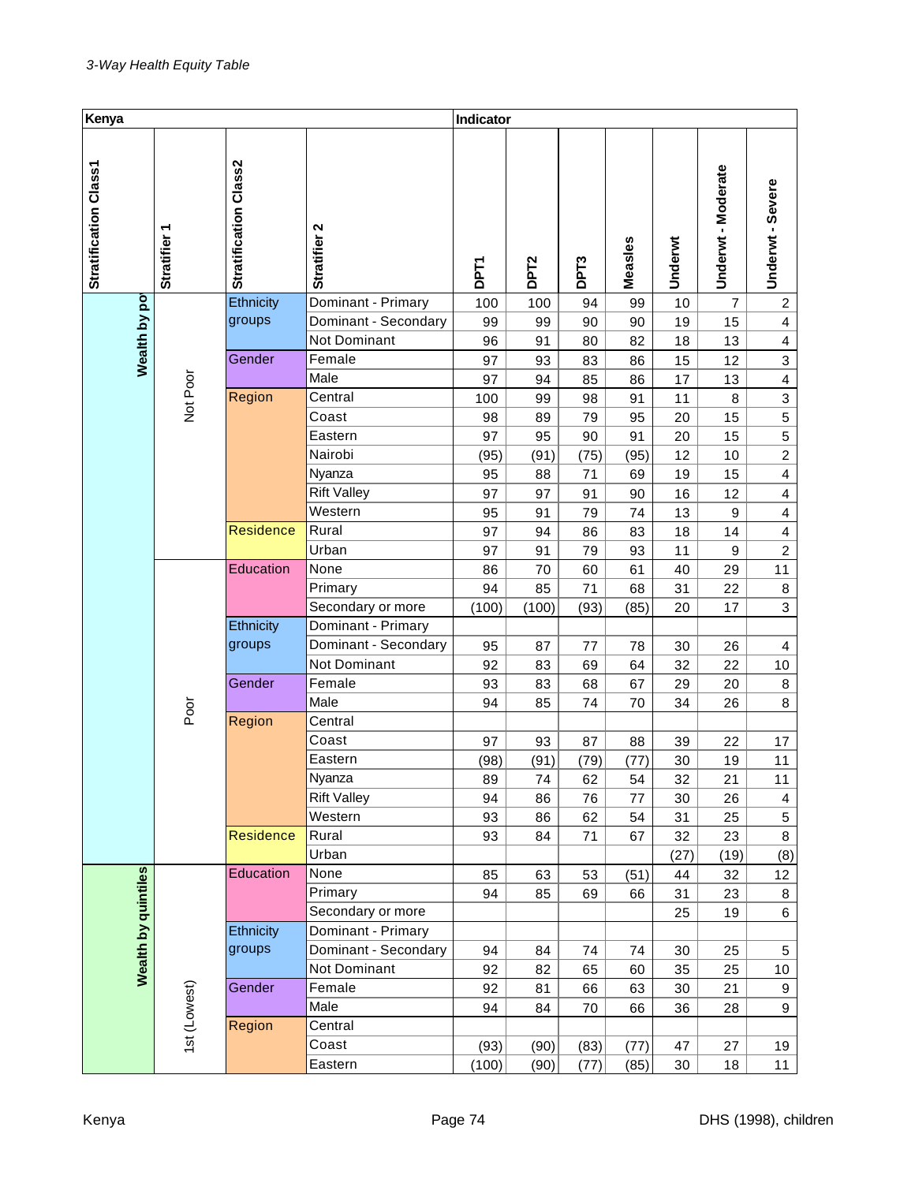| Kenya                 |                                       |                       |                      | Indicator   |                  |      |         |         |                    |                         |
|-----------------------|---------------------------------------|-----------------------|----------------------|-------------|------------------|------|---------|---------|--------------------|-------------------------|
|                       |                                       |                       |                      |             |                  |      |         |         |                    |                         |
| Stratification Class1 | Stratifier 1                          | Stratification Class2 | Stratifier 2         | <b>DPT1</b> | DPT <sub>2</sub> | DPT3 | Measles | Underwt | Underwt - Moderate | Underwt - Severe        |
|                       |                                       | Ethnicity             | Dominant - Primary   | 100         | 100              | 94   | 99      | 10      | $\overline{7}$     | $\overline{c}$          |
|                       |                                       | groups                | Dominant - Secondary | 99          | 99               | 90   | 90      | 19      | 15                 | $\overline{4}$          |
| Wealth by pot         |                                       |                       | Not Dominant         | 96          | 91               | 80   | 82      | 18      | 13                 | $\overline{\mathbf{4}}$ |
|                       |                                       | Gender                | Female               | 97          | 93               | 83   | 86      | 15      | 12                 | $\mathbf{3}$            |
|                       | Not Poor                              |                       | Male                 | 97          | 94               | 85   | 86      | 17      | 13                 | $\overline{\mathbf{4}}$ |
|                       |                                       | Region                | Central              | 100         | 99               | 98   | 91      | 11      | 8                  | $\mathbf{3}$            |
|                       |                                       |                       | Coast                | 98          | 89               | 79   | 95      | 20      | 15                 | $\sqrt{5}$              |
|                       |                                       |                       | Eastern              | 97          | 95               | 90   | 91      | 20      | 15                 | $\sqrt{5}$              |
|                       |                                       |                       | Nairobi              | (95)        | (91)             | (75) | (95)    | 12      | $10$               | $\overline{2}$          |
|                       |                                       |                       | Nyanza               | 95          | 88               | 71   | 69      | 19      | 15                 | $\overline{4}$          |
|                       |                                       |                       | <b>Rift Valley</b>   | 97          | 97               | 91   | 90      | 16      | 12                 | $\overline{\mathbf{4}}$ |
|                       |                                       |                       | Western              | 95          | 91               | 79   | 74      | 13      | 9                  | $\overline{\mathbf{4}}$ |
|                       |                                       | <b>Residence</b>      | Rural                | 97          | 94               | 86   | 83      | 18      | 14                 | $\overline{\mathbf{4}}$ |
|                       | Urban<br>Education<br>None<br>Primary |                       |                      | 97          | 91               | 79   | 93      | 11      | 9                  | $\boldsymbol{2}$        |
|                       |                                       |                       |                      | 86          | 70               | 60   | 61      | 40      | 29                 | 11                      |
|                       |                                       |                       |                      | 94          | 85               | 71   | 68      | 31      | 22                 | $\bf 8$                 |
|                       |                                       |                       | Secondary or more    | (100)       | (100)            | (93) | (85)    | 20      | 17                 | 3                       |
|                       |                                       | Ethnicity             | Dominant - Primary   |             |                  |      |         |         |                    |                         |
|                       |                                       | groups                | Dominant - Secondary | 95          | 87               | 77   | 78      | 30      | 26                 | 4                       |
|                       |                                       |                       | Not Dominant         | 92          | 83               | 69   | 64      | 32      | 22                 | 10                      |
|                       |                                       | Gender                | Female               | 93          | 83               | 68   | 67      | 29      | 20                 | 8                       |
|                       | Poor                                  |                       | Male                 | 94          | 85               | 74   | 70      | 34      | 26                 | 8                       |
|                       |                                       | Region                | Central              |             |                  |      |         |         |                    |                         |
|                       |                                       |                       | Coast                | 97          | 93               | 87   | 88      | 39      | 22                 | 17                      |
|                       |                                       |                       | Eastern              | (98)        | (91)             | (79) | (77)    | 30      | 19                 | 11                      |
|                       |                                       |                       | Nyanza               | 89          | 74               | 62   | 54      | 32      | 21                 | 11                      |
|                       |                                       |                       | <b>Rift Valley</b>   | 94          | 86               | 76   | 77      | 30      | 26                 | $\overline{4}$          |
|                       |                                       |                       | Western              | 93          | 86               | 62   | 54      | 31      | 25                 | $\sqrt{5}$              |
|                       |                                       | <b>Residence</b>      | Rural                | 93          | 84               | 71   | 67      | 32      | 23                 | 8                       |
|                       |                                       |                       | Urban                |             |                  |      |         | (27)    | (19)               | (8)                     |
|                       |                                       | Education             | None                 | 85          | 63               | 53   | (51)    | 44      | 32                 | 12                      |
|                       |                                       |                       | Primary              | 94          | 85               | 69   | 66      | 31      | 23                 | 8                       |
|                       |                                       |                       | Secondary or more    |             |                  |      |         | 25      | 19                 | 6                       |
|                       |                                       | Ethnicity             | Dominant - Primary   |             |                  |      |         |         |                    |                         |
| Wealth by quintiles   |                                       | groups                | Dominant - Secondary | 94          | 84               | 74   | 74      | 30      | 25                 | 5                       |
|                       |                                       |                       | Not Dominant         | 92          | 82               | 65   | 60      | 35      | 25                 | 10                      |
|                       |                                       | Gender                | Female               | 92          | 81               | 66   | 63      | 30      | 21                 | $9\,$                   |
|                       | 1st (Lowest)                          |                       | Male                 | 94          | 84               | 70   | 66      | 36      | 28                 | $\boldsymbol{9}$        |
|                       |                                       | Region                | Central              |             |                  |      |         |         |                    |                         |
|                       |                                       |                       | Coast                | (93)        | (90)             | (83) | (77)    | 47      | 27                 | 19                      |
|                       |                                       |                       | Eastern              | (100)       | (90)             | (77) | (85)    | 30      | 18                 | 11                      |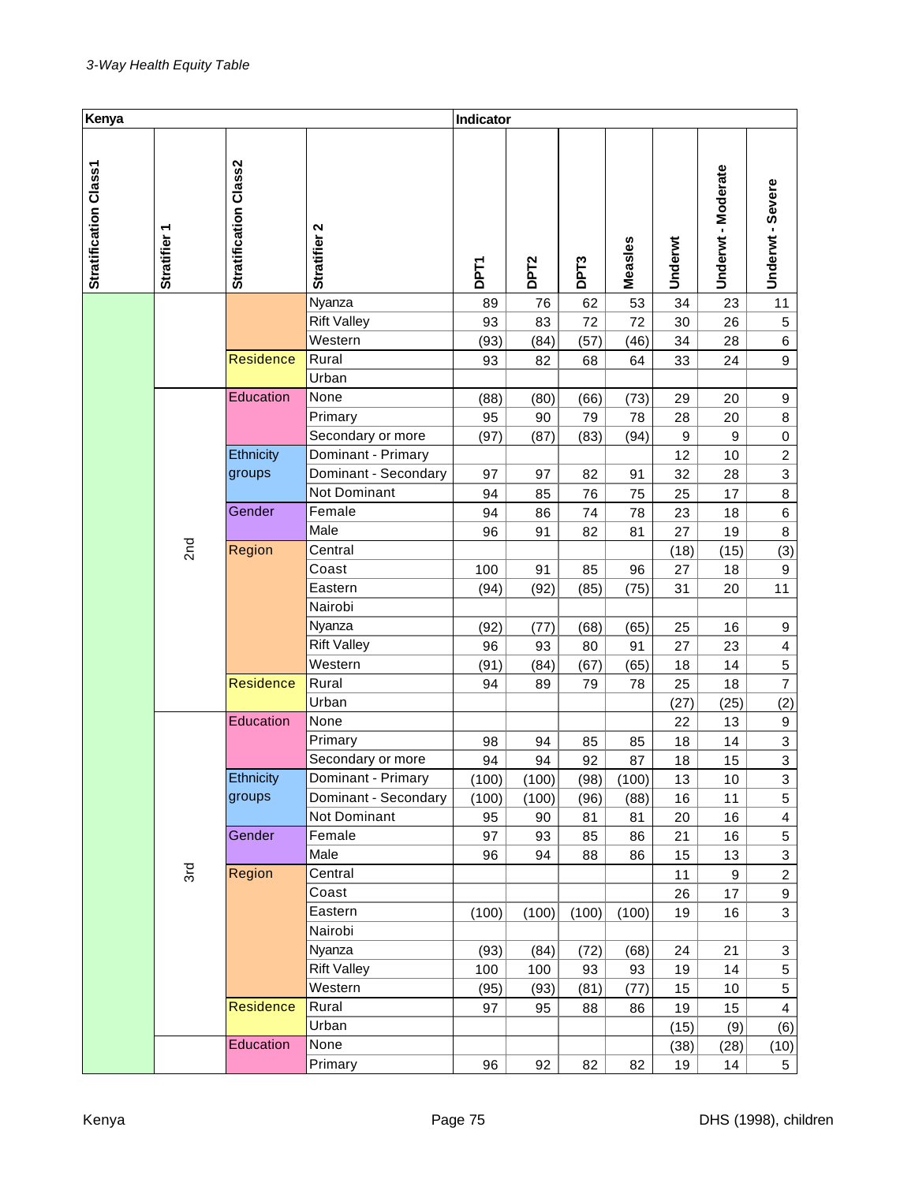| Kenya                 |                 |                       |                               | Indicator   |                  |       |         |              |                  |                         |
|-----------------------|-----------------|-----------------------|-------------------------------|-------------|------------------|-------|---------|--------------|------------------|-------------------------|
| Stratification Class1 | Stratifier 1    | Stratification Class2 | Stratifier 2                  | <b>DPT1</b> | DPT <sub>2</sub> | DPT3  | Measles | Underwt      | Underwt-Moderate | Underwt - Severe        |
|                       |                 |                       | Nyanza                        | 89          | 76               | 62    | 53      | 34           | 23               | 11                      |
|                       |                 |                       | <b>Rift Valley</b>            | 93          | 83               | 72    | 72      | 30           | 26               | $\mathbf 5$             |
|                       |                 |                       | Western                       | (93)        | (84)             | (57)  | (46)    | 34           | 28               | 6                       |
|                       |                 | <b>Residence</b>      | Rural                         | 93          | 82               | 68    | 64      | 33           | 24               | 9                       |
|                       |                 |                       | Urban                         |             |                  |       |         |              |                  |                         |
|                       |                 | Education             | None                          | (88)        | (80)             | (66)  | (73)    | 29           | 20               | 9                       |
|                       |                 |                       | Primary                       | 95          | 90               | 79    | 78      | 28           | 20               | 8                       |
|                       |                 |                       | Secondary or more             | (97)        | (87)             | (83)  | (94)    | 9            | 9                | $\pmb{0}$               |
|                       |                 | Ethnicity             | Dominant - Primary            |             |                  |       |         | 12           | 10               | $\overline{c}$          |
|                       |                 | groups                | Dominant - Secondary          | 97          | 97               | 82    | 91      | 32           | 28               | $\overline{3}$          |
|                       |                 |                       | Not Dominant                  | 94          | 85               | 76    | 75      | 25           | 17               | 8                       |
|                       |                 | Gender                | Female                        | 94          | 86               | 74    | 78      | 23           | 18               | 6                       |
|                       |                 |                       | Male                          | 96          | 91               | 82    | 81      | 27           | 19               | 8                       |
|                       | 2 <sub>nd</sub> | Region                | Central                       |             |                  |       |         | (18)         | (15)             | (3)                     |
|                       |                 |                       | Coast                         | 100         | 91               | 85    | 96      | 27           | 18               | $\boldsymbol{9}$        |
|                       |                 |                       | Eastern                       | (94)        | (92)             | (85)  | (75)    | 31           | 20               | 11                      |
|                       |                 |                       | Nairobi                       |             |                  |       |         |              |                  |                         |
|                       |                 |                       | Nyanza                        | (92)        | (77)             | (68)  | (65)    | 25           | 16               | 9                       |
|                       |                 |                       | <b>Rift Valley</b>            | 96          | 93               | 80    | 91      | 27           | 23               | $\overline{\mathbf{4}}$ |
|                       |                 |                       | Western                       | (91)        | (84)             | (67)  | (65)    | 18           | 14               | $\,$ 5 $\,$             |
|                       |                 | Residence             | Rural                         | 94          | 89               | 79    | 78      | 25           | 18               | $\overline{7}$          |
|                       |                 |                       | Urban                         |             |                  |       |         | (27)         | (25)             | (2)                     |
|                       |                 | Education             | None                          |             |                  |       |         | 22           | 13               | 9                       |
|                       |                 |                       | Primary                       | 98          | 94               | 85    | 85      | 18           | 14               | $\mathbf{3}$            |
|                       |                 |                       | Secondary or more             | 94          | 94               | 92    | 87      | 18           | 15               | $\overline{\mathbf{3}}$ |
|                       |                 | Ethnicity             | Dominant - Primary            | (100)       | (100)            | (98)  | (100)   | 13           | 10               | 3                       |
|                       |                 | groups                | Dominant - Secondary          | (100)       | (100)            | (96)  | (88)    | 16           | 11               | 5                       |
|                       |                 |                       | <b>Not Dominant</b>           | 95          | 90               | 81    | 81      | 20           | 16               | $\overline{\mathbf{4}}$ |
|                       |                 | Gender                | Female                        | 97          | 93               | 85    | 86      | 21           | 16               | 5                       |
|                       |                 |                       | Male                          | 96          | 94               | 88    | 86      | 15           | 13               | $\mathbf{3}$            |
|                       | 3rd             | Region                | Central                       |             |                  |       |         | 11           | 9                | $\overline{c}$          |
|                       |                 |                       | Coast                         |             |                  |       |         | 26           | 17               | 9                       |
|                       |                 |                       | Eastern                       | (100)       | (100)            | (100) | (100)   | 19           | 16               | 3                       |
|                       |                 |                       | Nairobi                       |             |                  |       |         |              |                  |                         |
|                       |                 |                       | Nyanza                        | (93)        | (84)             | (72)  | (68)    | 24           | 21               | 3                       |
|                       |                 |                       | <b>Rift Valley</b><br>Western | 100         | 100              | 93    | 93      | 19           | 14               | 5                       |
|                       |                 | Residence             | Rural                         | (95)        | (93)             | (81)  | (77)    | 15           | 10               | 5<br>$\overline{4}$     |
|                       |                 |                       | Urban                         | 97          | 95               | 88    | 86      | 19           | 15               |                         |
|                       |                 | Education             | None                          |             |                  |       |         | (15)<br>(38) | (9)<br>(28)      | (6)                     |
|                       |                 |                       | Primary                       | 96          | 92               | 82    | 82      | 19           | 14               | (10)<br>$5\phantom{.0}$ |
|                       |                 |                       |                               |             |                  |       |         |              |                  |                         |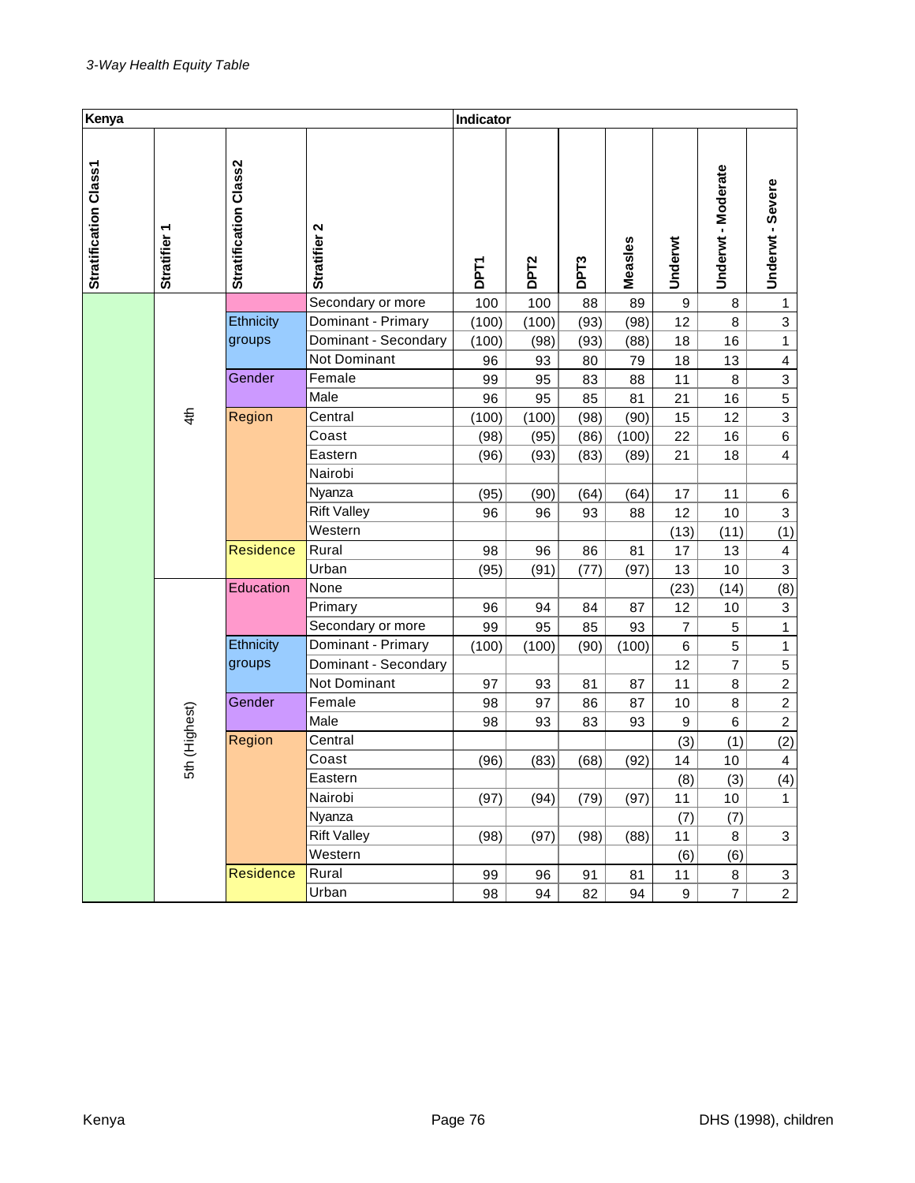| Kenya                 |                           |                       |                      | Indicator   |                  |                  |         |                |                  |                           |
|-----------------------|---------------------------|-----------------------|----------------------|-------------|------------------|------------------|---------|----------------|------------------|---------------------------|
| Stratification Class1 | ٣<br><b>Stratifier</b>    | Stratification Class2 | Stratifier 2         | <b>DPT1</b> | DPT <sub>2</sub> | DPT <sub>3</sub> | Measles | Underwt        | Underwt-Moderate | Underwt - Severe          |
|                       |                           |                       | Secondary or more    | 100         | 100              | 88               | 89      | 9              | 8                | 1                         |
|                       |                           | Ethnicity             | Dominant - Primary   | (100)       | (100)            | (93)             | (98)    | 12             | 8                | $\overline{3}$            |
|                       |                           | groups                | Dominant - Secondary | (100)       | (98)             | (93)             | (88)    | 18             | 16               | $\mathbf{1}$              |
|                       |                           |                       | Not Dominant         | 96          | 93               | 80               | 79      | 18             | 13               | 4                         |
|                       |                           | Gender                | Female               | 99          | 95               | 83               | 88      | 11             | 8                | $\ensuremath{\mathsf{3}}$ |
|                       |                           |                       | Male                 | 96          | 95               | 85               | 81      | 21             | 16               | $\mathbf 5$               |
|                       | 4 <sup>th</sup><br>Region |                       | Central              | (100)       | (100)            | (98)             | (90)    | 15             | 12               | 3                         |
|                       |                           |                       | Coast                | (98)        | (95)             | (86)             | (100)   | 22             | 16               | 6                         |
|                       |                           |                       | Eastern              | (96)        | (93)             | (83)             | (89)    | 21             | 18               | $\overline{\mathbf{4}}$   |
|                       |                           |                       | Nairobi              |             |                  |                  |         |                |                  |                           |
|                       |                           |                       | Nyanza               | (95)        | (90)             | (64)             | (64)    | 17             | 11               | 6                         |
|                       |                           |                       | <b>Rift Valley</b>   | 96          | 96               | 93               | 88      | 12             | 10               | $\ensuremath{\mathsf{3}}$ |
|                       |                           |                       | Western              |             |                  |                  |         | (13)           | (11)             | (1)                       |
|                       |                           | <b>Residence</b>      | Rural                | 98          | 96               | 86               | 81      | 17             | 13               | $\overline{4}$            |
|                       |                           |                       | Urban                | (95)        | (91)             | (77)             | (97)    | 13             | 10               | $\mathsf 3$               |
|                       |                           | Education             | None                 |             |                  |                  |         | (23)           | (14)             | (8)                       |
|                       |                           |                       | Primary              | 96          | 94               | 84               | 87      | 12             | 10               | 3                         |
|                       |                           |                       | Secondary or more    | 99          | 95               | 85               | 93      | $\overline{7}$ | 5                | $\overline{1}$            |
|                       |                           | Ethnicity             | Dominant - Primary   | (100)       | (100)            | (90)             | (100)   | 6              | 5                | $\mathbf{1}$              |
|                       |                           | groups                | Dominant - Secondary |             |                  |                  |         | 12             | $\overline{7}$   | $\mathbf 5$               |
|                       |                           |                       | Not Dominant         | 97          | 93               | 81               | 87      | 11             | 8                | $\overline{c}$            |
|                       |                           | Gender                | Female               | 98          | 97               | 86               | 87      | 10             | 8                | $\overline{c}$            |
|                       | 5th (Highest)             |                       | Male                 | 98          | 93               | 83               | 93      | 9              | 6                | $\overline{c}$            |
|                       |                           | Region                | Central              |             |                  |                  |         | (3)            | (1)              | (2)                       |
|                       |                           |                       | Coast                | (96)        | (83)             | (68)             | (92)    | 14             | 10               | $\overline{4}$            |
|                       |                           |                       | Eastern              |             |                  |                  |         | (8)            | (3)              | (4)                       |
|                       |                           |                       | Nairobi              | (97)        | (94)             | (79)             | (97)    | 11             | 10               | $\mathbf{1}$              |
|                       |                           |                       | Nyanza               |             |                  |                  |         | (7)            | (7)              |                           |
|                       |                           |                       | <b>Rift Valley</b>   | (98)        | (97)             | (98)             | (88)    | 11             | 8                | $\mathbf 3$               |
|                       |                           |                       | Western              |             |                  |                  |         | (6)            | (6)              |                           |
|                       |                           | Residence             | Rural                | 99          | 96               | 91               | 81      | 11             | 8                | 3                         |
|                       |                           |                       | Urban                | 98          | 94               | 82               | 94      | 9              | $\overline{7}$   | $\overline{2}$            |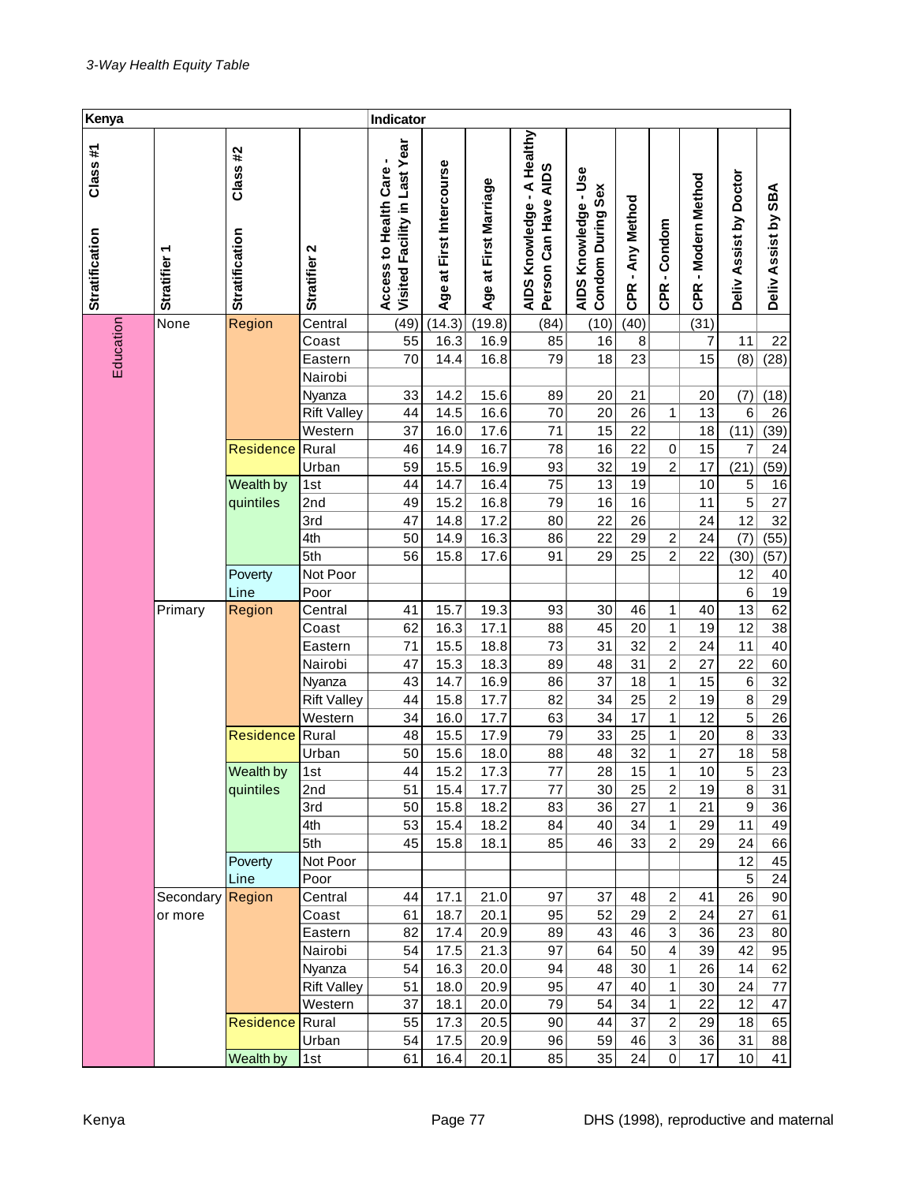| Kenya                     |                        |                                  |                    | Indicator                                              |                          |                                 |                                                              |                                           |                  |                         |                        |                        |                     |
|---------------------------|------------------------|----------------------------------|--------------------|--------------------------------------------------------|--------------------------|---------------------------------|--------------------------------------------------------------|-------------------------------------------|------------------|-------------------------|------------------------|------------------------|---------------------|
| Class#1<br>Stratification | ᠇<br><b>Stratifier</b> | Class#2<br><b>Stratification</b> | Stratifier 2       | Visited Facility in Last Year<br>Access to Health Care | Age at First Intercourse | at First Marriage<br><b>Age</b> | A Healthy<br>Can Have AIDS<br>×,<br>AIDS Knowledge<br>Person | AIDS Knowledge - Use<br>Condom During Sex | CPR - Any Method | -Condom<br><b>CPR</b>   | - Modern Method<br>CPR | Deliv Assist by Doctor | Deliv Assist by SBA |
|                           | None                   | Region                           | Central            | (49)                                                   | (14.3)                   | (19.8)                          | (84)                                                         | (10)                                      | (40)             |                         | (31)                   |                        |                     |
|                           |                        |                                  | Coast              | 55                                                     | 16.3                     | 16.9                            | 85                                                           | 16                                        | 8                |                         | 7                      | 11                     | 22                  |
| Education                 |                        |                                  | Eastern            | 70                                                     | 14.4                     | 16.8                            | 79                                                           | 18                                        | 23               |                         | 15                     | (8)                    | (28)                |
|                           |                        |                                  | Nairobi            |                                                        |                          |                                 |                                                              |                                           |                  |                         |                        |                        |                     |
|                           |                        |                                  | Nyanza             | 33                                                     | 14.2                     | 15.6                            | 89                                                           | 20                                        | 21               |                         | 20                     | (7)                    | (18)                |
|                           |                        |                                  | <b>Rift Valley</b> | 44                                                     | 14.5                     | 16.6                            | 70                                                           | 20                                        | 26               | 1                       | 13                     | 6                      | 26                  |
|                           |                        |                                  | Western            | 37                                                     | 16.0                     | 17.6                            | 71                                                           | 15                                        | 22               |                         | 18                     | (11)                   | (39)                |
|                           |                        | Residence                        | Rural              | 46                                                     | 14.9                     | 16.7                            | 78                                                           | 16                                        | 22               | $\,0\,$                 | 15                     | $\overline{7}$         | 24                  |
|                           |                        |                                  | Urban              | 59                                                     | 15.5                     | 16.9                            | 93                                                           | 32<br>13                                  | 19               | $\overline{c}$          | 17                     | (21)                   | (59)                |
|                           |                        | Wealth by<br>quintiles           | 1st<br>2nd         | 44<br>49                                               | 14.7<br>15.2             | 16.4<br>16.8                    | 75<br>79                                                     | 16                                        | 19<br>16         |                         | 10<br>11               | 5<br>$\overline{5}$    | 16<br>27            |
|                           |                        |                                  | 3rd                | 47                                                     | 14.8                     | 17.2                            | 80                                                           | 22                                        | 26               |                         | 24                     | 12                     | 32                  |
|                           |                        |                                  | 4th                | 50                                                     | 14.9                     | 16.3                            | 86                                                           | 22                                        | 29               | 2                       | 24                     | (7)                    | (55)                |
|                           |                        |                                  | 5th                | 56                                                     | 15.8                     | 17.6                            | 91                                                           | 29                                        | 25               | $\overline{c}$          | 22                     | (30)                   | (57)                |
|                           |                        | Poverty                          | Not Poor           |                                                        |                          |                                 |                                                              |                                           |                  |                         |                        | 12                     | 40                  |
|                           |                        | Line                             | Poor               |                                                        |                          |                                 |                                                              |                                           |                  |                         |                        | $\,6$                  | 19                  |
|                           | Primary                | Region                           | Central            | 41                                                     | 15.7                     | 19.3                            | 93                                                           | 30                                        | 46               | 1                       | 40                     | 13                     | 62                  |
|                           |                        |                                  | Coast              | 62                                                     | 16.3                     | 17.1                            | 88                                                           | 45                                        | 20               | 1                       | 19                     | 12                     | 38                  |
|                           |                        |                                  | Eastern            | 71                                                     | 15.5                     | 18.8                            | 73                                                           | 31                                        | 32               | $\overline{c}$          | 24                     | 11                     | 40                  |
|                           |                        |                                  | Nairobi            | 47                                                     | 15.3                     | 18.3                            | 89                                                           | 48                                        | 31               | $\overline{c}$          | 27                     | 22                     | 60                  |
|                           |                        |                                  | Nyanza             | 43                                                     | 14.7                     | 16.9                            | 86                                                           | 37                                        | 18               | 1                       | 15                     | $\,6$                  | 32                  |
|                           |                        |                                  | <b>Rift Valley</b> | 44                                                     | 15.8                     | 17.7                            | 82                                                           | 34                                        | 25               | $\overline{\mathbf{c}}$ | 19                     | 8                      | 29                  |
|                           |                        |                                  | Western            | 34                                                     | 16.0                     | 17.7                            | 63                                                           | 34                                        | 17               | 1                       | 12                     | $\overline{5}$         | 26                  |
|                           |                        | Residence                        | Rural              | 48                                                     | 15.5                     | 17.9                            | 79                                                           | 33                                        | 25               | 1                       | 20                     | 8                      | 33                  |
|                           |                        |                                  | Urban              | 50                                                     | 15.6                     | 18.0                            | 88                                                           | 48                                        | 32               | 1                       | 27                     | 18                     | $\overline{58}$     |
|                           |                        | Wealth by                        | 1st                | 44                                                     | 15.2                     | 17.3                            | 77                                                           | 28                                        | 15               | 1                       | 10                     | 5                      | 23                  |
|                           |                        | quintiles                        | 2nd                | 51                                                     | 15.4                     | 17.7                            | 77                                                           | 30                                        | 25               | 2                       | 19                     | 8                      | 31                  |
|                           |                        |                                  | 3rd<br>4th         | 50<br>53                                               | 15.8<br>15.4             | 18.2<br>18.2                    | 83<br>84                                                     | 36<br>40                                  | 27<br>34         | 1<br>1                  | 21<br>29               | 9<br>11                | 36<br>49            |
|                           |                        |                                  | 5th                | 45                                                     | 15.8                     | 18.1                            | 85                                                           | 46                                        | 33               | $\overline{c}$          | 29                     | 24                     | 66                  |
|                           |                        | Poverty                          | Not Poor           |                                                        |                          |                                 |                                                              |                                           |                  |                         |                        | 12                     | 45                  |
|                           |                        | Line                             | Poor               |                                                        |                          |                                 |                                                              |                                           |                  |                         |                        | 5                      | 24                  |
|                           | Secondary              | Region                           | Central            | 44                                                     | 17.1                     | 21.0                            | 97                                                           | 37                                        | 48               | 2                       | 41                     | 26                     | 90                  |
|                           | or more                |                                  | Coast              | 61                                                     | 18.7                     | 20.1                            | 95                                                           | 52                                        | 29               | 2                       | 24                     | 27                     | 61                  |
|                           |                        |                                  | Eastern            | 82                                                     | 17.4                     | 20.9                            | 89                                                           | 43                                        | 46               | 3                       | 36                     | 23                     | 80                  |
|                           |                        |                                  | Nairobi            | 54                                                     | 17.5                     | 21.3                            | 97                                                           | 64                                        | 50               | 4                       | 39                     | 42                     | 95                  |
|                           |                        |                                  | Nyanza             | 54                                                     | 16.3                     | 20.0                            | 94                                                           | 48                                        | 30               | 1                       | 26                     | 14                     | 62                  |
|                           |                        |                                  | <b>Rift Valley</b> | 51                                                     | 18.0                     | 20.9                            | 95                                                           | 47                                        | 40               | 1                       | 30                     | 24                     | 77                  |
|                           |                        |                                  | Western            | 37                                                     | 18.1                     | 20.0                            | 79                                                           | 54                                        | 34               | 1                       | 22                     | 12                     | 47                  |
|                           |                        | <b>Residence</b>                 | Rural              | 55                                                     | 17.3                     | 20.5                            | 90                                                           | 44                                        | 37               | 2                       | 29                     | 18                     | 65                  |
|                           |                        |                                  | Urban              | 54                                                     | 17.5                     | 20.9                            | 96                                                           | 59                                        | 46               | 3                       | 36                     | 31                     | 88                  |
|                           |                        | Wealth by                        | 1st                | 61                                                     | 16.4                     | 20.1                            | 85                                                           | 35                                        | 24               | $\overline{0}$          | 17                     | 10                     | 41                  |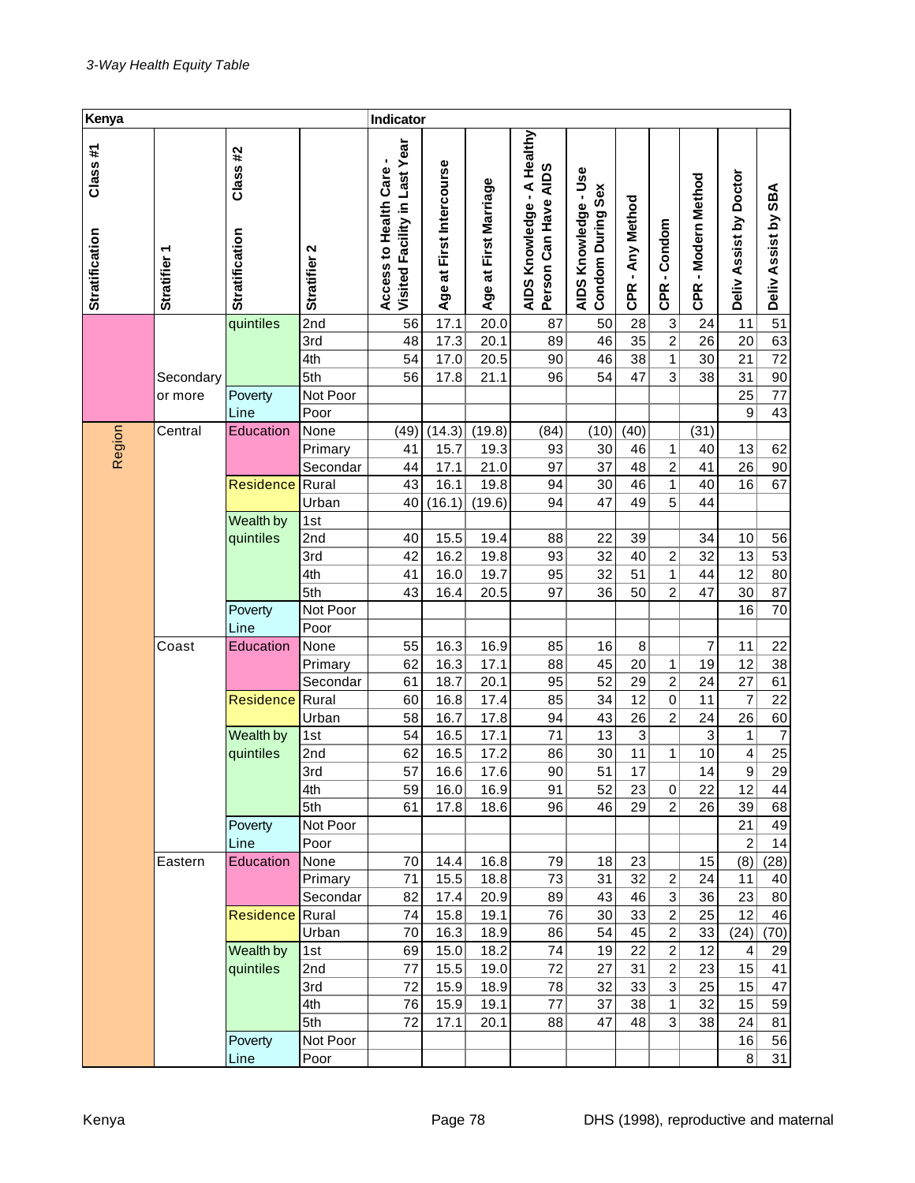| Kenya                            |              |                                  |              | Indicator                                              |                          |                       |                                                           |                                           |                           |                 |                     |                           |                     |
|----------------------------------|--------------|----------------------------------|--------------|--------------------------------------------------------|--------------------------|-----------------------|-----------------------------------------------------------|-------------------------------------------|---------------------------|-----------------|---------------------|---------------------------|---------------------|
| Class#1<br><b>Stratification</b> | Stratifier 1 | Class#2<br><b>Stratification</b> | Stratifier 2 | Visited Facility in Last Year<br>Access to Health Care | Age at First Intercourse | Age at First Marriage | A Healthy<br>Person Can Have AIDS<br>×,<br>AIDS Knowledge | AIDS Knowledge - Use<br>Condom During Sex | CPR - Any Method          | -Condom<br>CPR. | CPR - Modern Method | Doctor<br>Deliv Assist by | Deliv Assist by SBA |
|                                  |              | quintiles                        | 2nd          | 56                                                     | 17.1                     | 20.0                  | 87                                                        | 50                                        | 28                        | 3               | 24                  | 11                        | 51                  |
|                                  |              |                                  | 3rd          | 48                                                     | 17.3                     | 20.1                  | 89                                                        | 46                                        | 35                        | $\overline{c}$  | 26                  | 20                        | 63                  |
|                                  |              |                                  | 4th          | 54                                                     | 17.0                     | 20.5                  | 90                                                        | 46                                        | 38                        | 1               | 30                  | 21                        | 72                  |
|                                  | Secondary    |                                  | 5th          | 56                                                     | 17.8                     | 21.1                  | 96                                                        | 54                                        | 47                        | 3               | 38                  | 31                        | 90                  |
|                                  | or more      | Poverty                          | Not Poor     |                                                        |                          |                       |                                                           |                                           |                           |                 |                     | 25                        | 77                  |
|                                  |              | Line                             | Poor         |                                                        |                          |                       |                                                           |                                           |                           |                 |                     | $\boldsymbol{9}$          | 43                  |
| Region                           | Central      | Education                        | None         | (49)                                                   | (14.3)                   | (19.8)                | (84)                                                      | (10)                                      | (40)                      |                 | (31)                |                           |                     |
|                                  |              |                                  | Primary      | 41                                                     | 15.7                     | 19.3                  | 93                                                        | 30                                        | 46                        | 1               | 40                  | 13                        | 62                  |
|                                  |              |                                  | Secondar     | 44                                                     | 17.1                     | 21.0                  | 97                                                        | 37                                        | 48                        | $\overline{c}$  | 41                  | 26                        | 90                  |
|                                  |              | Residence                        | Rural        | 43                                                     | 16.1                     | 19.8                  | 94                                                        | 30                                        | 46                        | 1               | 40                  | 16                        | 67                  |
|                                  |              |                                  | Urban        | 40                                                     | (16.1)                   | (19.6)                | 94                                                        | 47                                        | 49                        | 5               | 44                  |                           |                     |
|                                  |              | Wealth by<br>quintiles           | 1st<br>2nd   | 40                                                     | 15.5                     | 19.4                  | 88                                                        | 22                                        | 39                        |                 | 34                  | 10                        |                     |
|                                  |              | 3rd                              | 42           | 16.2                                                   | 19.8                     | 93                    | 32                                                        | 40                                        | 2                         | 32              | 13                  | 56<br>53                  |                     |
|                                  |              |                                  | 4th          | 41                                                     | 16.0                     | 19.7                  | 95                                                        | 32                                        | 51                        | 1               | 44                  | 12                        | 80                  |
|                                  |              |                                  | 5th          | 43                                                     | 16.4                     | 20.5                  | 97                                                        | 36                                        | 50                        | $\overline{c}$  | 47                  | 30                        | 87                  |
|                                  |              | Poverty                          | Not Poor     |                                                        |                          |                       |                                                           |                                           |                           |                 |                     | 16                        | 70                  |
|                                  |              | Line                             | Poor         |                                                        |                          |                       |                                                           |                                           |                           |                 |                     |                           |                     |
|                                  | Coast        | Education                        | None         | 55                                                     | 16.3                     | 16.9                  | 85                                                        | 16                                        | 8                         |                 | 7                   | 11                        | 22                  |
|                                  |              |                                  | Primary      | 62                                                     | 16.3                     | 17.1                  | 88                                                        | 45                                        | 20                        | 1               | 19                  | 12                        | 38                  |
|                                  |              |                                  | Secondar     | 61                                                     | 18.7                     | 20.1                  | 95                                                        | 52                                        | 29                        | $\overline{c}$  | 24                  | 27                        | 61                  |
|                                  |              | Residence                        | Rural        | 60                                                     | 16.8                     | 17.4                  | 85                                                        | 34                                        | 12                        | $\mathbf 0$     | 11                  | 7                         | 22                  |
|                                  |              |                                  | Urban        | 58                                                     | 16.7                     | 17.8                  | 94                                                        | 43                                        | 26                        | $\overline{c}$  | 24                  | 26                        | 60                  |
|                                  |              | Wealth by                        | 1st          | 54                                                     | 16.5                     | 17.1                  | 71                                                        | 13                                        | $\ensuremath{\mathsf{3}}$ |                 | 3                   | 1                         | $\overline{7}$      |
|                                  |              | quintiles                        | 2nd          | 62                                                     | 16.5                     | 17.2                  | 86                                                        | 30                                        | 11                        | 1               | 10                  | $\overline{\mathbf{4}}$   | 25                  |
|                                  |              |                                  | 3rd          | 57                                                     | 16.6                     | 17.6                  | 90                                                        | 51                                        | 17                        |                 | 14                  | $\overline{9}$            | $\overline{29}$     |
|                                  |              |                                  | 4th          | 59                                                     | 16.0                     | 16.9                  | 91                                                        | 52                                        | 23                        | $\mathbf 0$     | 22                  | 12                        | 44                  |
|                                  |              |                                  | 5th          | 61                                                     | 17.8                     | 18.6                  | 96                                                        | 46                                        | 29                        | $\overline{2}$  | 26                  | 39                        | 68                  |
|                                  |              | Poverty                          | Not Poor     |                                                        |                          |                       |                                                           |                                           |                           |                 |                     | 21                        | 49                  |
|                                  |              | Line                             | Poor         |                                                        |                          |                       |                                                           |                                           |                           |                 |                     | $\boldsymbol{2}$          | 14                  |
|                                  | Eastern      | Education                        | None         | 70                                                     | 14.4                     | 16.8                  | 79                                                        | 18                                        | 23                        |                 | 15                  | (8)                       | (28)                |
|                                  |              |                                  | Primary      | 71                                                     | 15.5                     | 18.8                  | 73                                                        | 31                                        | 32                        | 2               | 24                  | 11                        | 40                  |
|                                  |              |                                  | Secondar     | 82                                                     | 17.4                     | 20.9                  | 89                                                        | 43                                        | 46                        | 3               | 36                  | 23                        | 80                  |
|                                  |              | <b>Residence</b>                 | Rural        | 74                                                     | 15.8                     | 19.1                  | 76                                                        | 30                                        | 33                        | $\overline{c}$  | 25                  | 12                        | 46                  |
|                                  |              |                                  | Urban        | 70                                                     | 16.3                     | 18.9                  | 86                                                        | 54                                        | 45                        | $\overline{c}$  | 33                  | (24)                      | (70)                |
|                                  |              | Wealth by                        | 1st          | 69                                                     | 15.0                     | 18.2                  | 74                                                        | 19                                        | 22                        | 2               | 12                  | 4                         | 29                  |
|                                  |              | quintiles                        | 2nd          | 77                                                     | 15.5                     | 19.0                  | 72                                                        | 27                                        | 31                        | $\overline{2}$  | 23                  | 15                        | 41                  |
|                                  |              |                                  | 3rd          | 72                                                     | 15.9                     | 18.9                  | 78                                                        | 32                                        | 33                        | 3               | 25                  | 15                        | 47                  |
|                                  |              |                                  | 4th          | 76                                                     | 15.9                     | 19.1                  | 77                                                        | 37                                        | 38                        | 1               | 32                  | 15                        | 59                  |
|                                  |              |                                  | 5th          | 72                                                     | 17.1                     | 20.1                  | 88                                                        | 47                                        | 48                        | 3               | 38                  | 24                        | 81                  |
|                                  |              | Poverty                          | Not Poor     |                                                        |                          |                       |                                                           |                                           |                           |                 |                     | 16                        | 56                  |
|                                  |              | Line                             | Poor         |                                                        |                          |                       |                                                           |                                           |                           |                 |                     | 8 <sup>1</sup>            | 31                  |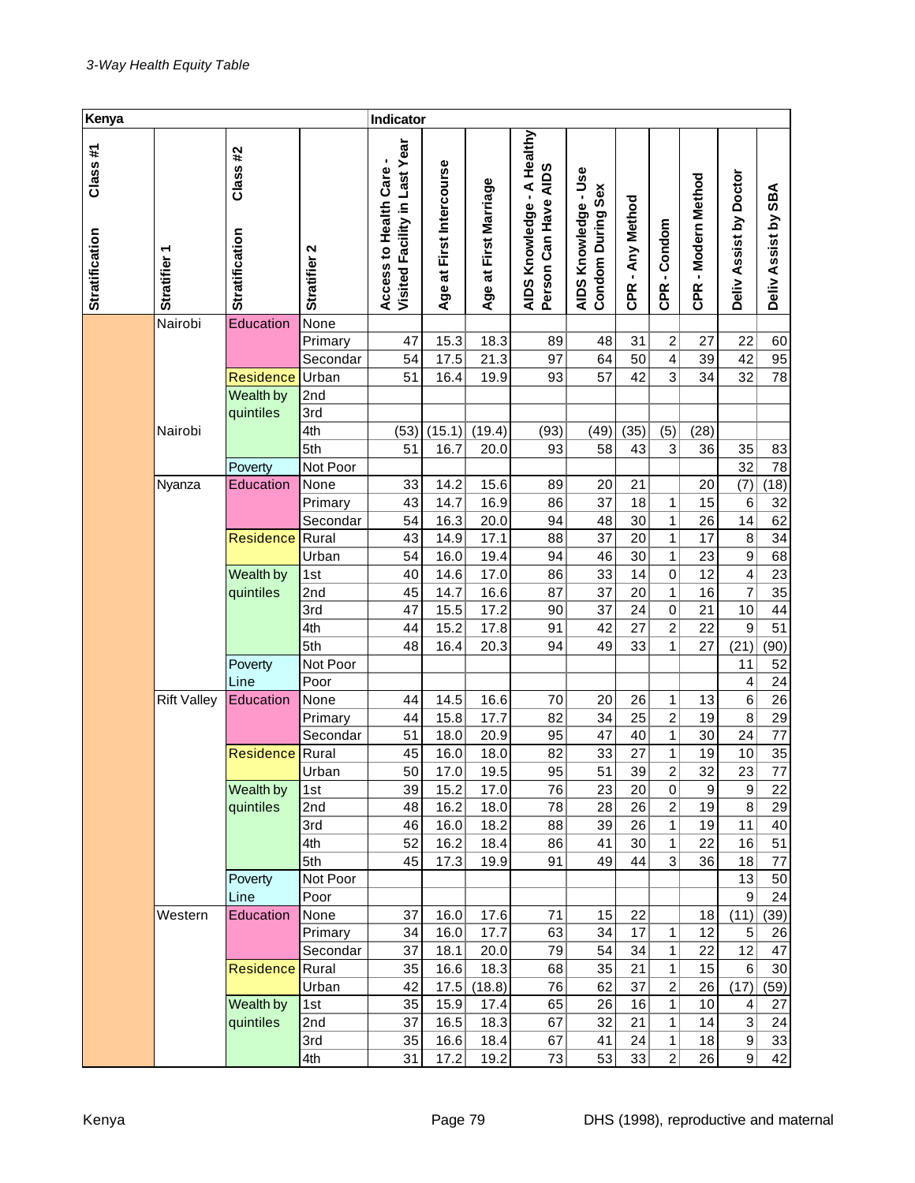| Kenya                            |                        |                                  |                     | Indicator                                              |                          |                       |                                                           |                                                  |                  |                 |                     |                           |                     |
|----------------------------------|------------------------|----------------------------------|---------------------|--------------------------------------------------------|--------------------------|-----------------------|-----------------------------------------------------------|--------------------------------------------------|------------------|-----------------|---------------------|---------------------------|---------------------|
| Class#1<br><b>Stratification</b> | ٣<br><b>Stratifier</b> | Class#2<br><b>Stratification</b> | Stratifier 2        | Visited Facility in Last Year<br>Access to Health Care | Age at First Intercourse | Age at First Marriage | A Healthy<br>Person Can Have AIDS<br>×,<br>AIDS Knowledge | AIDS Knowledge - Use<br><b>Condom During Sex</b> | CPR - Any Method | -Condom<br>CPR. | CPR - Modern Method | Deliv Assist by Doctor    | Deliv Assist by SBA |
|                                  | Nairobi                | Education                        | None                |                                                        |                          |                       |                                                           |                                                  |                  |                 |                     |                           |                     |
|                                  |                        |                                  | Primary             | 47                                                     | 15.3                     | 18.3                  | 89                                                        | 48                                               | 31               | 2               | 27                  | 22                        | 60                  |
|                                  |                        |                                  | Secondar            | 54                                                     | 17.5                     | 21.3                  | 97                                                        | 64                                               | 50               | 4               | 39                  | 42                        | 95                  |
|                                  |                        | <b>Residence</b>                 | Urban               | 51                                                     | 16.4                     | 19.9                  | 93                                                        | 57                                               | 42               | 3               | 34                  | 32                        | 78                  |
|                                  |                        | Wealth by                        | 2nd                 |                                                        |                          |                       |                                                           |                                                  |                  |                 |                     |                           |                     |
|                                  |                        | quintiles                        | 3rd                 |                                                        |                          |                       |                                                           |                                                  |                  |                 |                     |                           |                     |
|                                  | Nairobi                |                                  | 4th                 | (53)                                                   | (15.1)                   | (19.4)                | (93)                                                      | (49)                                             | (35)             | (5)             | (28)                |                           |                     |
|                                  |                        |                                  | 5th                 | 51                                                     | 16.7                     | 20.0                  | 93                                                        | 58                                               | 43               | 3               | 36                  | 35                        | 83                  |
|                                  |                        | Poverty                          | Not Poor            |                                                        |                          |                       |                                                           |                                                  |                  |                 |                     | 32                        | 78                  |
|                                  | Nyanza                 | Education                        | None                | 33                                                     | 14.2                     | 15.6                  | 89                                                        | 20<br>37                                         | 21               |                 | 20                  | (7)                       | (18)                |
|                                  |                        |                                  | Primary<br>Secondar | 43<br>54                                               | 14.7<br>16.3             | 16.9<br>20.0          | 86<br>94                                                  | 48                                               | 18<br>30         | 1<br>1          | 15<br>26            | 6<br>14                   | 32<br>62            |
|                                  |                        | Residence                        | Rural               | 43                                                     | 14.9                     | 17.1                  | 88                                                        | 37                                               | 20               | 1               | 17                  | 8                         | 34                  |
|                                  |                        |                                  | Urban               | 54                                                     | 16.0                     | 19.4                  | 94                                                        | 46                                               | 30               | 1               | 23                  | $\boldsymbol{9}$          | 68                  |
|                                  |                        | Wealth by                        | 1st                 | 40                                                     | 14.6                     | 17.0                  | 86                                                        | 33                                               | 14               | $\mathbf 0$     | 12                  | $\overline{\mathbf{4}}$   | 23                  |
|                                  |                        | quintiles                        | 2nd                 | 45                                                     | 14.7                     | 16.6                  | 87                                                        | 37                                               | 20               | 1               | 16                  | 7                         | 35                  |
|                                  |                        |                                  | 3rd                 | 47                                                     | 15.5                     | 17.2                  | 90                                                        | 37                                               | 24               | $\pmb{0}$       | 21                  | 10                        | 44                  |
|                                  |                        |                                  | 4th                 | 44                                                     | 15.2                     | 17.8                  | 91                                                        | 42                                               | 27               | $\overline{c}$  | 22                  | 9                         | 51                  |
|                                  |                        |                                  | 5th                 | 48                                                     | 16.4                     | 20.3                  | 94                                                        | 49                                               | 33               | 1               | 27                  | (21)                      | (90)                |
|                                  |                        | Poverty                          | Not Poor            |                                                        |                          |                       |                                                           |                                                  |                  |                 |                     | 11                        | 52                  |
|                                  |                        | Line                             | Poor                |                                                        |                          |                       |                                                           |                                                  |                  |                 |                     | 4                         | 24                  |
|                                  | <b>Rift Valley</b>     | Education                        | None                | 44                                                     | 14.5                     | 16.6                  | 70                                                        | 20                                               | 26               | 1               | 13                  | 6                         | 26                  |
|                                  |                        |                                  | Primary             | 44                                                     | 15.8                     | 17.7                  | 82                                                        | 34                                               | 25               | $\overline{c}$  | 19                  | 8                         | 29                  |
|                                  |                        |                                  | Secondar            | 51                                                     | 18.0                     | 20.9                  | 95                                                        | 47                                               | 40               | 1               | 30                  | 24                        | 77                  |
|                                  |                        | Residence                        | Rural               | 45                                                     | 16.0                     | 18.0                  | 82                                                        | 33                                               | 27               | 1               | 19                  | 10                        | 35                  |
|                                  |                        |                                  | Urban               | 50                                                     | 17.0                     | 19.5                  | 95                                                        | 51                                               | 39               | $\overline{2}$  | $\overline{32}$     | 23                        | $\overline{77}$     |
|                                  |                        | Wealth by                        | 1st                 | 39                                                     | 15.2                     | 17.0                  | 76                                                        | 23                                               | 20               | $\pmb{0}$       | 9                   | $\boldsymbol{9}$          | 22                  |
|                                  |                        | quintiles                        | 2nd                 | 48                                                     | 16.2                     | 18.0                  | 78                                                        | 28                                               | 26               | $\overline{c}$  | 19                  | 8                         | 29                  |
|                                  |                        |                                  | 3rd                 | 46                                                     | 16.0                     | 18.2                  | 88                                                        | 39                                               | 26               | 1               | 19                  | 11                        | 40                  |
|                                  |                        |                                  | 4th                 | 52                                                     | 16.2                     | 18.4                  | 86                                                        | 41                                               | 30               | 1               | 22                  | 16                        | 51                  |
|                                  |                        |                                  | 5th                 | 45                                                     | 17.3                     | 19.9                  | 91                                                        | 49                                               | 44               | 3               | 36                  | 18                        | 77                  |
|                                  |                        | Poverty                          | Not Poor            |                                                        |                          |                       |                                                           |                                                  |                  |                 |                     | 13                        | 50                  |
|                                  | Western                | Line<br>Education                | Poor                |                                                        |                          |                       |                                                           | 15                                               |                  |                 |                     | 9                         | 24                  |
|                                  |                        |                                  | None<br>Primary     | 37<br>34                                               | 16.0<br>16.0             | 17.6<br>17.7          | 71<br>63                                                  | 34                                               | 22<br>17         | 1               | 18<br>12            | (11)<br>5                 | (39)<br>26          |
|                                  |                        |                                  | Secondar            | 37                                                     | 18.1                     | 20.0                  | 79                                                        | 54                                               | 34               | 1               | 22                  | 12                        | 47                  |
|                                  |                        | Residence                        | Rural               | 35                                                     | 16.6                     | 18.3                  | 68                                                        | 35                                               | 21               | 1               | 15                  | $6 \mid$                  | 30                  |
|                                  |                        |                                  | Urban               | 42                                                     | 17.5                     | (18.8)                | 76                                                        | 62                                               | 37               | $\overline{c}$  | 26                  | (17)                      | (59)                |
|                                  |                        | Wealth by                        | 1st                 | 35                                                     | 15.9                     | 17.4                  | 65                                                        | 26                                               | 16               | 1               | 10                  | 4                         | 27                  |
|                                  |                        | quintiles                        | 2nd                 | 37                                                     | 16.5                     | 18.3                  | 67                                                        | 32                                               | 21               | 1               | 14                  | $\ensuremath{\mathsf{3}}$ | 24                  |
|                                  |                        |                                  | 3rd                 | 35                                                     | 16.6                     | 18.4                  | 67                                                        | 41                                               | 24               | 1               | 18                  | 9                         | 33                  |
|                                  |                        |                                  | 4th                 | 31                                                     | 17.2                     | 19.2                  | 73                                                        | 53                                               | 33               | $\overline{c}$  | 26                  | 9                         | 42                  |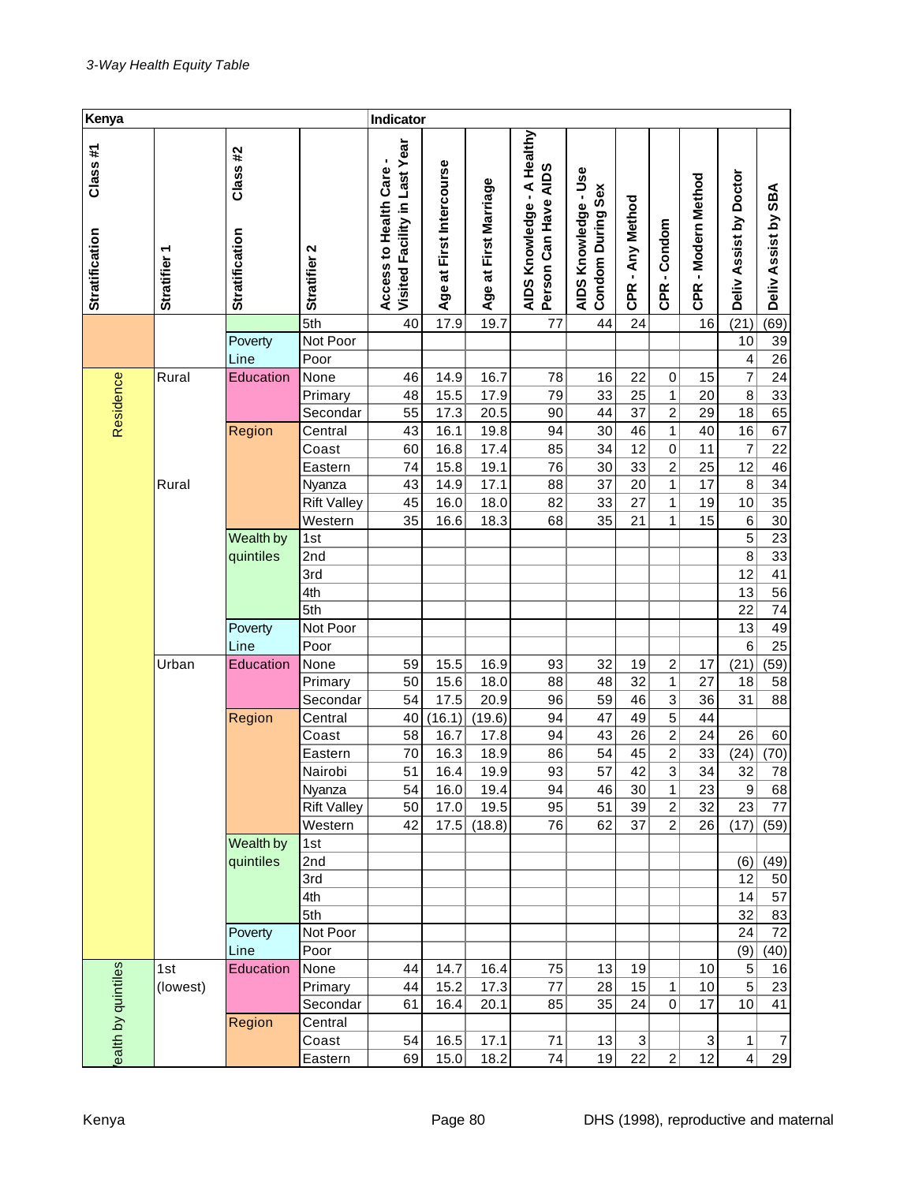| Kenya                            |                   |                                  |                    | Indicator                                              |                          |                       |                                                                       |                                           |                           |                                              |                              |                         |                       |
|----------------------------------|-------------------|----------------------------------|--------------------|--------------------------------------------------------|--------------------------|-----------------------|-----------------------------------------------------------------------|-------------------------------------------|---------------------------|----------------------------------------------|------------------------------|-------------------------|-----------------------|
| Class#1<br><b>Stratification</b> | <b>Stratifier</b> | Class#2<br><b>Stratification</b> | Stratifier 2       | Visited Facility in Last Year<br>Access to Health Care | Age at First Intercourse | Age at First Marriage | A Healthy<br>Person Can Have AIDS<br>$\blacksquare$<br>AIDS Knowledge | AIDS Knowledge - Use<br>Condom During Sex | CPR - Any Method          | Condom<br>$\blacksquare$<br>CPR <sup>1</sup> | -Modern Method<br><b>CPR</b> | Deliv Assist by Doctor  | Deliv Assist by SBA   |
|                                  |                   |                                  | $\overline{5th}$   | 40                                                     | 17.9                     | 19.7                  | 77                                                                    | 44                                        | 24                        |                                              | 16                           | (21)                    | (69)                  |
|                                  |                   | Poverty                          | Not Poor           |                                                        |                          |                       |                                                                       |                                           |                           |                                              |                              | 10                      | 39                    |
|                                  |                   | Line                             | Poor               |                                                        |                          |                       |                                                                       |                                           |                           |                                              |                              | 4                       | 26                    |
|                                  | Rural             | Education                        | None               | 46                                                     | 14.9                     | 16.7                  | 78                                                                    | 16                                        | 22                        | 0                                            | 15                           | $\overline{7}$          | 24                    |
| Residence                        |                   |                                  | Primary            | 48                                                     | 15.5                     | 17.9                  | 79                                                                    | 33                                        | 25                        | $\mathbf{1}$                                 | 20                           | $\bf 8$                 | $\overline{33}$       |
|                                  |                   |                                  | Secondar           | 55                                                     | 17.3                     | 20.5                  | 90                                                                    | 44                                        | 37                        | $\overline{\mathbf{c}}$                      | 29                           | 18                      | 65                    |
|                                  |                   | Region                           | Central            | 43                                                     | 16.1                     | 19.8                  | 94                                                                    | 30                                        | 46                        | $\overline{1}$                               | 40                           | 16                      | 67                    |
|                                  |                   |                                  | Coast              | 60                                                     | 16.8                     | 17.4                  | 85                                                                    | 34                                        | 12                        | $\mathsf{O}\xspace$                          | 11                           | 7                       | 22                    |
|                                  |                   |                                  | Eastern            | 74                                                     | 15.8                     | 19.1                  | 76                                                                    | 30<br>37                                  | 33                        | $\overline{2}$<br>$\mathbf{1}$               | 25<br>17                     | 12                      | 46                    |
|                                  | Rural             |                                  | Nyanza             | 43                                                     | 14.9                     | 17.1                  | 88                                                                    |                                           | 20                        |                                              | 19                           | $\bf 8$                 | 34<br>$\overline{35}$ |
|                                  |                   |                                  | <b>Rift Valley</b> | 45                                                     | 16.0                     | 18.0                  | 82                                                                    | 33<br>35                                  | 27                        | $\mathbf{1}$                                 | 15                           | 10                      |                       |
|                                  |                   |                                  | Western            | 35                                                     | 16.6                     | 18.3                  | 68                                                                    |                                           | 21                        | $\mathbf{1}$                                 |                              | $\,6$<br>$\overline{5}$ | 30<br>23              |
|                                  | Wealth by         | 1st                              |                    |                                                        |                          |                       |                                                                       |                                           |                           |                                              | 8                            | $\overline{33}$         |                       |
|                                  |                   | quintiles                        | 2nd<br>3rd         |                                                        |                          |                       |                                                                       |                                           |                           |                                              |                              | 12                      | 41                    |
|                                  |                   |                                  | 4th                |                                                        |                          |                       |                                                                       |                                           |                           |                                              |                              | 13                      | $\overline{56}$       |
|                                  |                   |                                  | 5th                |                                                        |                          |                       |                                                                       |                                           |                           |                                              |                              | 22                      | 74                    |
|                                  |                   |                                  | Not Poor           |                                                        |                          |                       |                                                                       |                                           |                           |                                              |                              | 13                      | 49                    |
|                                  |                   | Poverty<br>Line                  | Poor               |                                                        |                          |                       |                                                                       |                                           |                           |                                              |                              | 6                       | 25                    |
|                                  | Urban             | Education                        | None               | 59                                                     | 15.5                     | 16.9                  | 93                                                                    | 32                                        | 19                        | $\overline{c}$                               | 17                           | (21)                    | (59)                  |
|                                  |                   |                                  | Primary            | 50                                                     | 15.6                     | 18.0                  | 88                                                                    | 48                                        | 32                        | $\mathbf{1}$                                 | 27                           | 18                      | 58                    |
|                                  |                   |                                  | Secondar           | 54                                                     | 17.5                     | 20.9                  | 96                                                                    | 59                                        | 46                        | $\overline{3}$                               | 36                           | 31                      | 88                    |
|                                  |                   | Region                           | Central            | 40                                                     | (16.1)                   | (19.6)                | 94                                                                    | 47                                        | 49                        | $\overline{5}$                               | 44                           |                         |                       |
|                                  |                   |                                  | Coast              | 58                                                     | 16.7                     | 17.8                  | 94                                                                    | 43                                        | 26                        | $\overline{2}$                               | 24                           | 26                      | 60                    |
|                                  |                   |                                  | Eastern            | 70                                                     | 16.3                     | 18.9                  | 86                                                                    | 54                                        | 45                        | $\overline{2}$                               | 33                           | (24)                    | (70)                  |
|                                  |                   |                                  | Nairobi            | 51                                                     | 16.4                     | 19.9                  | 93                                                                    | 57                                        | 42                        | $\overline{3}$                               | 34                           | 32                      | 78                    |
|                                  |                   |                                  | Nyanza             | 54                                                     | 16.0                     | 19.4                  | 94                                                                    | 46                                        | 30                        | 1                                            | 23                           | $\boldsymbol{9}$        | 68                    |
|                                  |                   |                                  | <b>Rift Valley</b> | 50                                                     | 17.0                     | 19.5                  | 95                                                                    | 51                                        | 39                        | $\overline{2}$                               | 32                           | 23                      | 77                    |
|                                  |                   |                                  | Western            | 42                                                     | 17.5                     | (18.8)                | 76                                                                    | 62                                        | 37                        | $\overline{2}$                               | 26                           | (17)                    | (59)                  |
|                                  |                   | Wealth by                        | 1st                |                                                        |                          |                       |                                                                       |                                           |                           |                                              |                              |                         |                       |
|                                  |                   | quintiles                        | 2nd                |                                                        |                          |                       |                                                                       |                                           |                           |                                              |                              | (6)                     | (49)                  |
|                                  |                   |                                  | 3rd                |                                                        |                          |                       |                                                                       |                                           |                           |                                              |                              | 12                      | 50                    |
|                                  |                   |                                  | 4th                |                                                        |                          |                       |                                                                       |                                           |                           |                                              |                              | 14                      | 57                    |
|                                  |                   |                                  | 5th                |                                                        |                          |                       |                                                                       |                                           |                           |                                              |                              | 32                      | 83                    |
|                                  |                   | Poverty                          | Not Poor           |                                                        |                          |                       |                                                                       |                                           |                           |                                              |                              | 24                      | 72                    |
|                                  |                   | Line                             | Poor               |                                                        |                          |                       |                                                                       |                                           |                           |                                              |                              | (9)                     | (40)                  |
|                                  | 1st               | Education                        | None               | 44                                                     | 14.7                     | 16.4                  | 75                                                                    | 13                                        | 19                        |                                              | 10                           | $\,$ 5 $\,$             | 16                    |
|                                  | (lowest)          |                                  | Primary            | 44                                                     | 15.2                     | 17.3                  | $77 \,$                                                               | 28                                        | 15                        | 1                                            | 10                           | $\overline{5}$          | 23                    |
|                                  |                   |                                  | Secondar           | 61                                                     | 16.4                     | 20.1                  | 85                                                                    | 35                                        | 24                        | 0                                            | 17                           | 10                      | 41                    |
|                                  |                   | Region                           | Central            |                                                        |                          |                       |                                                                       |                                           |                           |                                              |                              |                         |                       |
| ealth by quintiles               |                   |                                  | Coast              | 54                                                     | 16.5                     | 17.1                  | 71                                                                    | 13                                        | $\ensuremath{\mathsf{3}}$ |                                              | 3                            | 1                       | $\overline{7}$        |
|                                  |                   |                                  | Eastern            | 69                                                     | 15.0                     | 18.2                  | 74                                                                    | 19                                        | 22                        | $\mathbf{2}$                                 | 12                           | $\overline{4}$          | 29                    |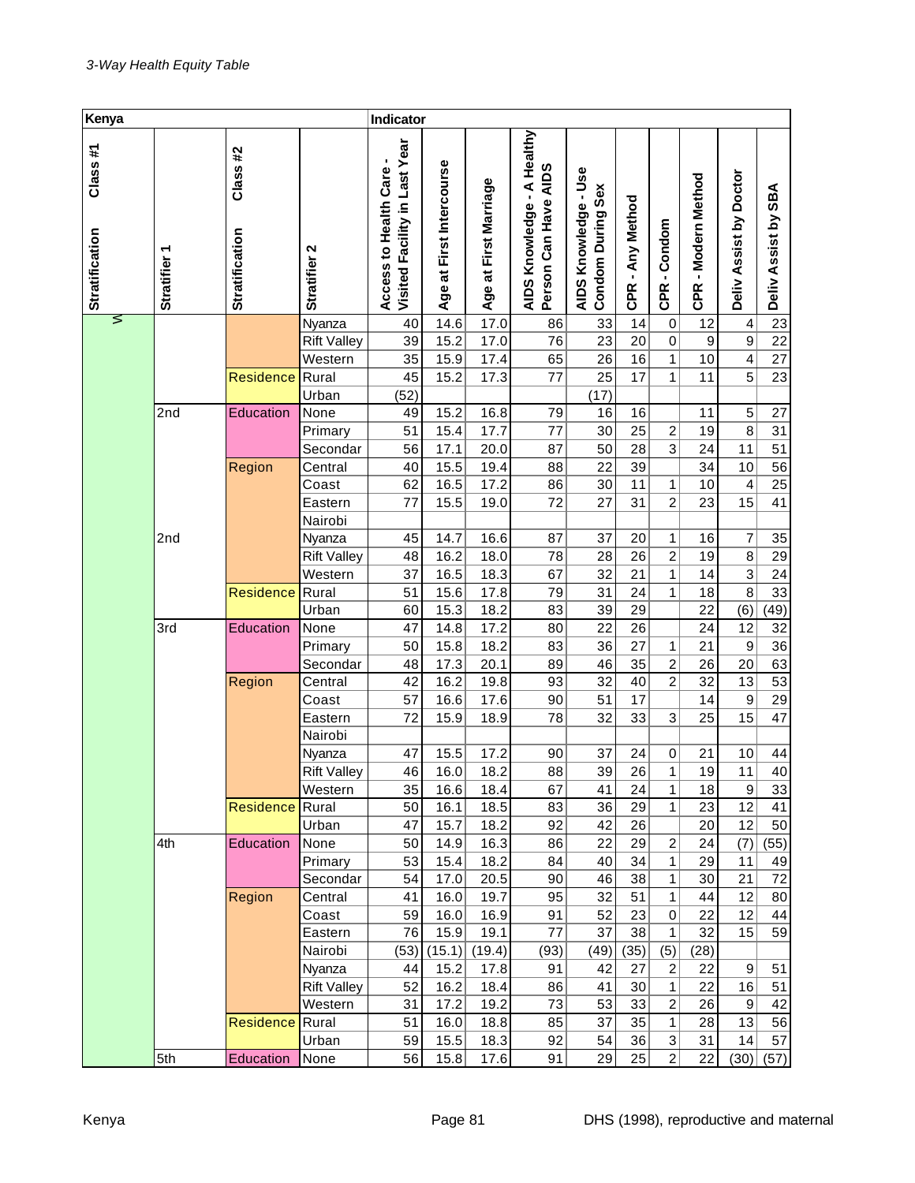| Kenya                            |                        |                                   |                     | Indicator                                              |                          |                       |                                                       |                                           |                            |                              |                     |                         |                     |
|----------------------------------|------------------------|-----------------------------------|---------------------|--------------------------------------------------------|--------------------------|-----------------------|-------------------------------------------------------|-------------------------------------------|----------------------------|------------------------------|---------------------|-------------------------|---------------------|
| Class#1<br><b>Stratification</b> | ٣<br><b>Stratifier</b> | Class #2<br><b>Stratification</b> | Stratifier 2        | Visited Facility in Last Year<br>Access to Health Care | Age at First Intercourse | Age at First Marriage | AIDS Knowledge - A Healthy<br>Can Have AIDS<br>Person | AIDS Knowledge - Use<br>Condom During Sex | - Any Method<br><b>CPR</b> | -Condom<br><b>CPR</b>        | CPR - Modern Method | Deliv Assist by Doctor  | Deliv Assist by SBA |
| ⋝                                |                        |                                   | Nyanza              | 40                                                     | 14.6                     | 17.0                  | 86                                                    | 33                                        | 14                         | $\pmb{0}$                    | 12                  | 4                       | 23                  |
|                                  |                        |                                   | <b>Rift Valley</b>  | 39                                                     | 15.2                     | 17.0                  | 76                                                    | 23                                        | 20                         | $\mathbf 0$                  | 9                   | $\boldsymbol{9}$        | $\overline{22}$     |
|                                  |                        |                                   | Western             | 35                                                     | 15.9                     | 17.4                  | 65                                                    | 26                                        | 16                         | 1                            | 10                  | $\overline{\mathbf{4}}$ | 27                  |
|                                  |                        | Residence                         | Rural               | 45                                                     | 15.2                     | 17.3                  | 77                                                    | 25                                        | 17                         | 1                            | 11                  | $\overline{5}$          | 23                  |
|                                  |                        |                                   | Urban               | (52)                                                   |                          |                       |                                                       | (17)                                      |                            |                              |                     |                         |                     |
|                                  | 2nd                    | Education                         | None                | 49                                                     | 15.2                     | 16.8                  | 79                                                    | 16                                        | 16<br>25                   |                              | 11                  | 5<br>8                  | 27                  |
|                                  |                        |                                   | Primary<br>Secondar | 51<br>56                                               | 15.4<br>17.1             | 17.7<br>20.0          | 77<br>87                                              | 30<br>50                                  | 28                         | $\overline{\mathbf{c}}$<br>3 | 19<br>24            | 11                      | 31<br>51            |
|                                  |                        | Region                            | Central             | 40                                                     | 15.5                     | 19.4                  | 88                                                    | 22                                        | 39                         |                              | 34                  | 10                      | 56                  |
|                                  |                        |                                   | Coast               | 62                                                     | 16.5                     | 17.2                  | 86                                                    | 30                                        | 11                         | 1                            | 10                  | 4                       | 25                  |
|                                  |                        |                                   | Eastern             | 77                                                     | 15.5                     | 19.0                  | 72                                                    | 27                                        | 31                         | $\overline{c}$               | 23                  | 15                      | 41                  |
|                                  |                        |                                   | Nairobi             |                                                        |                          |                       |                                                       |                                           |                            |                              |                     |                         |                     |
|                                  | 2nd                    |                                   | Nyanza              | 45                                                     | 14.7                     | 16.6                  | 87                                                    | 37                                        | 20                         | 1                            | 16                  | 7                       | 35                  |
|                                  |                        |                                   | <b>Rift Valley</b>  | 48                                                     | 16.2                     | 18.0                  | 78                                                    | 28                                        | 26                         | $\overline{c}$               | 19                  | 8                       | 29                  |
|                                  |                        |                                   | Western             | 37                                                     | 16.5                     | 18.3                  | 67                                                    | 32                                        | 21                         | 1                            | 14                  | $\overline{3}$          | 24                  |
|                                  |                        | Residence                         | Rural               | 51                                                     | 15.6                     | 17.8                  | 79                                                    | 31                                        | 24                         | 1                            | 18                  | 8                       | 33                  |
|                                  |                        |                                   | Urban               | 60                                                     | 15.3                     | 18.2                  | 83                                                    | 39                                        | 29                         |                              | 22                  | (6)                     | (49)                |
|                                  | 3rd                    | Education                         | None                | 47                                                     | 14.8                     | 17.2                  | 80                                                    | 22                                        | 26                         |                              | 24                  | 12                      | 32                  |
|                                  |                        |                                   | Primary             | 50                                                     | 15.8                     | 18.2                  | 83                                                    | 36                                        | 27                         | 1                            | 21                  | $\boldsymbol{9}$        | 36                  |
|                                  |                        |                                   | Secondar            | 48                                                     | 17.3                     | 20.1                  | 89                                                    | 46                                        | 35                         | $\overline{c}$               | 26                  | 20                      | 63                  |
|                                  |                        | Region                            | Central             | 42                                                     | 16.2                     | 19.8                  | 93                                                    | 32                                        | 40                         | $\overline{c}$               | 32                  | 13                      | 53                  |
|                                  |                        |                                   | Coast               | 57                                                     | 16.6                     | 17.6                  | 90                                                    | 51                                        | 17                         |                              | 14                  | $\boldsymbol{9}$        | 29                  |
|                                  |                        |                                   | Eastern             | 72                                                     | 15.9                     | 18.9                  | 78                                                    | 32                                        | 33                         | 3                            | 25                  | 15                      | 47                  |
|                                  |                        |                                   | Nairobi             |                                                        |                          |                       |                                                       |                                           |                            |                              |                     |                         |                     |
|                                  |                        |                                   | Nyanza              | 47                                                     | 15.5                     | 17.2                  | 90                                                    | 37                                        | 24                         | $\mathbf 0$                  | 21                  | 10                      | 44                  |
|                                  |                        |                                   | <b>Rift Valley</b>  | 46                                                     | 16.0                     | 18.2                  | 88                                                    | 39                                        | 26                         | 1                            | 19                  | 11                      | 40                  |
|                                  |                        |                                   | Western             | 35                                                     | 16.6                     | 18.4                  | 67                                                    | 41                                        | 24                         | 1                            | 18                  | 9                       | 33                  |
|                                  |                        | Residence                         | Rural               | 50                                                     | 16.1                     | 18.5                  | 83                                                    | 36                                        | 29                         | 1                            | 23                  | 12                      | 41                  |
|                                  |                        |                                   | Urban               | 47                                                     | 15.7                     | 18.2                  | 92                                                    | 42                                        | 26                         |                              | 20                  | 12                      | 50                  |
|                                  | 4th                    | Education                         | None                | 50                                                     | 14.9                     | 16.3                  | 86                                                    | 22                                        | 29                         | 2                            | 24                  | (7)                     | (55)                |
|                                  |                        |                                   | Primary             | 53                                                     | 15.4                     | 18.2                  | 84                                                    | 40<br>46                                  | 34<br>38                   | 1                            | 29<br>30            | 11                      | 49<br>72            |
|                                  |                        |                                   | Secondar            | 54<br>41                                               | 17.0                     | 20.5<br>19.7          | 90<br>95                                              | 32                                        | 51                         | 1<br>1                       | 44                  | 21<br>12                |                     |
|                                  |                        | Region                            | Central<br>Coast    | 59                                                     | 16.0<br>16.0             | 16.9                  | 91                                                    | 52                                        | 23                         | 0                            | 22                  | 12                      | 80<br>44            |
|                                  |                        |                                   | Eastern             | 76                                                     | 15.9                     | 19.1                  | 77                                                    | 37                                        | 38                         | 1                            | 32                  | 15                      | 59                  |
|                                  |                        |                                   | Nairobi             | (53)                                                   | (15.1)                   | (19.4)                | (93)                                                  | (49)                                      | (35)                       | (5)                          | (28)                |                         |                     |
|                                  |                        |                                   | Nyanza              | 44                                                     | 15.2                     | 17.8                  | 91                                                    | 42                                        | 27                         | $\overline{\mathbf{c}}$      | 22                  | 9                       | 51                  |
|                                  |                        |                                   | <b>Rift Valley</b>  | 52                                                     | 16.2                     | 18.4                  | 86                                                    | 41                                        | 30                         | 1                            | 22                  | 16                      | 51                  |
|                                  |                        |                                   | Western             | 31                                                     | 17.2                     | 19.2                  | 73                                                    | 53                                        | 33                         | 2                            | 26                  | 9                       | 42                  |
|                                  |                        | Residence                         | Rural               | 51                                                     | 16.0                     | 18.8                  | 85                                                    | 37                                        | 35                         | 1                            | 28                  | 13                      | 56                  |
|                                  |                        |                                   | Urban               | 59                                                     | 15.5                     | 18.3                  | 92                                                    | 54                                        | 36                         | 3                            | 31                  | 14                      | 57                  |
|                                  | 5th                    | Education                         | None                | 56                                                     | 15.8                     | 17.6                  | 91                                                    | 29                                        | 25                         | $\overline{2}$               | 22                  | (30)                    | (57)                |